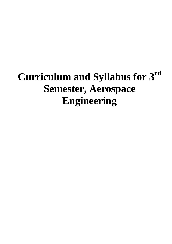# **Curriculum and Syllabus for 3rd Semester, Aerospace Engineering**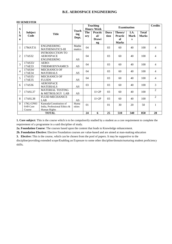#### **III SEMESTER**

| S                        |                                  |                                                                         | <b>Teaching</b><br><b>Examination</b><br><b>Hours /Week</b> |            | <b>Credits</b>                       |                     |                                                 |                   |                              |                |
|--------------------------|----------------------------------|-------------------------------------------------------------------------|-------------------------------------------------------------|------------|--------------------------------------|---------------------|-------------------------------------------------|-------------------|------------------------------|----------------|
| l.<br>N<br>$\Omega$      | <b>Subject</b><br>Code           | <b>Title</b>                                                            | Teach<br>ing<br>Dept.                                       | The<br>ory | <b>Practic</b><br>al/<br>Drawi<br>ng | <b>Dura</b><br>tion | Theory/<br><b>Practic</b><br>al<br><b>Marks</b> | I.A.<br>Mark<br>S | <b>Total</b><br><b>Marks</b> |                |
| 1                        | 17MAT31                          | <b>ENGINEERING</b><br><b>MATHEMATICS-III</b>                            | Mathe<br>matics                                             | 04         |                                      | 03                  | 60                                              | 40                | 100                          | $\overline{4}$ |
| $\overline{c}$           | 17AS32                           | <b>INTRODUCTION TO</b><br><b>AEROSPACE</b><br><b>ENGINEERING</b>        | AS                                                          | 04         |                                      | 03                  | 60                                              | 40                | 100                          | $\overline{4}$ |
| 3                        | 17AS33/<br>17AE33                | AERO-<br><b>THERMODYNAMICS</b>                                          | AS                                                          | 04         |                                      | 03                  | 60                                              | 40                | 100                          | $\overline{4}$ |
| $\overline{4}$           | 17AS34/<br>17AE34                | <b>MECHANICS OF</b><br><b>MATERIALS</b>                                 | AS                                                          | 04         |                                      | 0 <sub>3</sub>      | 60                                              | 40                | 100                          | $\overline{4}$ |
| $\overline{\phantom{0}}$ | 17AS35/<br>17AE35                | <b>MECHANICS OF</b><br><b>FLUIDS</b>                                    | AS                                                          | 04         |                                      | 03                  | 60                                              | 40                | 100                          | $\overline{4}$ |
| 6                        | 17AS36                           | <b>AEROSPACE</b><br><b>MATERIALS</b>                                    | <b>AS</b>                                                   | 03         |                                      | 0 <sub>3</sub>      | 60                                              | 40                | 100                          | $\overline{3}$ |
| 7                        | 17ASL37                          | <b>MATERIAL TESTING</b><br>& METROLOGY LAB                              | AS                                                          |            | $1I+2P$                              | 03                  | 60                                              | 40                | 100                          | $\overline{2}$ |
| 8                        | 17ASL38                          | <b>FLUID MECHANICS</b><br>LAB                                           | AS                                                          |            | $1I+2P$                              | 03                  | 60                                              | 40                | 100                          | $\overline{2}$ |
| $\mathbf Q$              | 17KL/CPH3<br>9/49 Core<br>Course | Kannada/Constitution of<br>India, Professional Ethics &<br>Human Rights | Huma<br>nities                                              | 01         |                                      | 0 <sub>1</sub>      | 30                                              | 20                | 50                           | $\mathbf{1}$   |
| <b>TOTAL</b>             |                                  |                                                                         | 24                                                          | 6          | 25                                   | 510                 | 340                                             | 850               | 28                           |                |

**1. Core subject:** This is the course which is to be compulsorily studied by a student as a core requirement to complete the requirement of a programme in a said discipline of study.

**2a. Foundation Course**: The courses based upon the content that leads to Knowledge enhancement.

**2b. Foundation Elective:** Elective Foundation courses are value-based and are aimed at man-making education

**3. Elective:** This is the course, which can be chosen from the pool of papers. It may be supportive to the

discipline/providing extended scope/Enabling an Exposure to some other discipline/domain/nurturing student proficiency skills**.**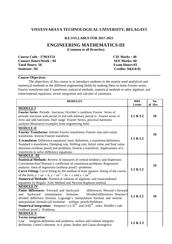## **VISVESVARAYA TECHNOLOGICAL UNIVERSITY, BELAGAVI**

#### **B.E.SYLLABUS FOR 2017-2021**

# **ENGINEERING MATHEMATICS-III**

**(Common to all Branches)** 

**Course Code : 17MAT31 Contact Hours/Week : 04 Total Hours: 50 Semester: III** 

**CIE Marks : 40 SEE Marks: 60 Exam Hours:03 Credits: 04(4:0:0)** 

#### **Course Objectives**:

The objectives of this course is to introduce students to the mostly used analytical and numerical methods in the different engineering fields by making them to learn Fourier series, Fourier transforms and Z-transforms, statistical methods, numerical methods to solve algebraic and transcendental equations, vector integration and calculus of variations.

| <b>MODULES</b>                                                                                                                                                                                                                                                                                                                                                                                                                                                                                                                              | <b>RBT</b>                      | No.    |
|---------------------------------------------------------------------------------------------------------------------------------------------------------------------------------------------------------------------------------------------------------------------------------------------------------------------------------------------------------------------------------------------------------------------------------------------------------------------------------------------------------------------------------------------|---------------------------------|--------|
|                                                                                                                                                                                                                                                                                                                                                                                                                                                                                                                                             | <b>Levels</b>                   | of Hrs |
| <b>MODULE-I</b><br>Fourier Series: Periodic functions, Dirichlet's condition, Fourier Series of<br>periodic functions with period $2\pi$ and with arbitrary period 2c. Fourier series of<br>even and odd functions. Half range Fourier Series, practical harmonic<br>analysis-Illustrative examples from engineering field.                                                                                                                                                                                                                 | L1 & L2                         | 10     |
| <b>MODULE-II</b><br>Fourier Transforms: Infinite Fourier transforms, Fourier sine and cosine<br>transforms. Inverse Fourier transform.<br>Z-transform: Difference equations, basic definition, z-transform-definition,<br>Standard z-transforms, Damping rule, Shifting rule, Initial value and final value<br>theorems (without proof) and problems, Inverse z-transform. Applications of z-<br>transforms to solve difference equations.                                                                                                  | L1 & L2                         | 10     |
| <b>MODULE-III</b><br>Statistical Methods: Review of measures of central tendency and dispersion.<br>Correlation-Karl Pearson's coefficient of correlation-problems. Regression<br>analysis-lines of regression (without proof) -problems<br>Curve Fitting: Curve fitting by the method of least squares- fitting of the curves<br>of the form, $y = ax + b$ , $y = ax^2 + bx + c$ and $y = ae^{b}$<br>Numerical Methods: Numerical solution of algebraic and transcendental<br>equations by Regula- Falsi Method and Newton-Raphson method. | L1 & L2                         | 10     |
| <b>MODULE IV</b><br>Finite differences: Forward and backward<br>differences, Newton's forward<br>Divided differences- Newton's<br>backward<br>interpolation<br>formulae.<br>and<br>divided difference formula. Lagrange's interpolation formula and inverse<br>interpolation formula (all formulae without proof)-Problems.<br><b>Numerical integration:</b> : Simpson's $(1/3)$ <sup>th</sup> and $(3/8)$ <sup>th</sup> rules, Weddle's rule<br>(without proof) -Problems.                                                                 | L1 & L2                         | 10     |
| <b>MODULE-V</b><br><b>Vector integration:</b><br>integrals-definition and problems, surface and volume integrals-<br>Line<br>definition, Green's theorem in a plane, Stokes and Gauss-divergence                                                                                                                                                                                                                                                                                                                                            | L <sub>2</sub> & L <sub>3</sub> |        |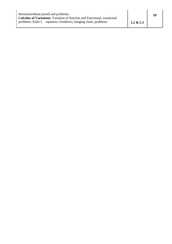| theorem (without proof) and problems.<br><b>Calculus of Variations:</b> Variation of function and Functional, variational |         |  |
|---------------------------------------------------------------------------------------------------------------------------|---------|--|
| problems. Euler's equation, Geodesics, hanging chain, problems.                                                           | L2 & L3 |  |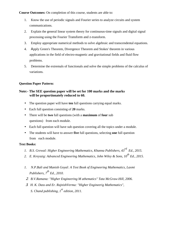**Course Outcomes:** On completion of this course, students are able to:

- 1. Know the use of periodic signals and Fourier series to analyze circuits and system communications.
- 2. Explain the general linear system theory for continuous-time signals and digital signal processing using the Fourier Transform and z-transform.
- 3. Employ appropriate numerical methods to solve algebraic and transcendental equations.
- 4. Αpply Green's Theorem, Divergence Theorem and Stokes' theorem in various applications in the field of electro-magnetic and gravitational fields and fluid flow problems.
- 5. Determine the extremals of functionals and solve the simple problems of the calculus of variations.

## **Question Paper Pattern:**

## **Note:- The SEE question paper will be set for 100 marks and the marks will be proportionately reduced to 60.**

- The question paper will have **ten** full questions carrying equal marks.
- Each full question consisting of **20** marks.
- There will be **two** full questions (with a **maximum** of **four** sub questions) from each module.
- Each full question will have sub question covering all the topics under a module.
- The students will have to answer **five** full questions, selecting **one** full question from each module.

## **Text Books:**

- *1. B.S. Grewal: Higher Engineering Mathematics, Khanna Publishers, 43rd Ed., 2015.*
- *2. E. Kreyszig: Advanced Engineering Mathematics, John Wiley & Sons, 10th Ed., 2015.*
- *1. N.P.Bali and Manish Goyal: A Text Book of Engineering Mathematics, Laxmi Publishers, 7th Ed., 2010.*
- 2. *B.V.Ramana: "Higher Engineering M athematics" Tata McGraw-Hill, 2006.*
- 3. *H. K. Dass and Er. RajnishVerma: "Higher Engineerig Mathematics", S. Chand publishing, 1st edition, 2011.*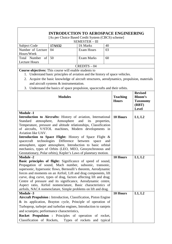# **INTRODUCTION TO AEROSPACE ENGINEERING**

[As per Choice Based Credit System (CBCS) scheme]

| <b>SEMESTER - III</b>  |        |                 |    |  |  |
|------------------------|--------|-----------------|----|--|--|
| Subject Code           | 17AS32 | <b>IA Marks</b> | 40 |  |  |
| Number of Lecture   04 |        | Exam Hours      | 03 |  |  |
| Hours/Week             |        |                 |    |  |  |
| Total Number of 50     |        | Exam Marks      | 60 |  |  |
| Lecture Hours          |        |                 |    |  |  |
| $CREDITS - 04$         |        |                 |    |  |  |

- 1. Understand basic principles of aviation and the history of space vehicles.
- 2. Acquire the basic knowledge of aircraft structures, aerodynamics, propulsion, materials and aircraft systems & instrumentation.
- 3. Understand the basics of space propulsion, spacecrafts and their orbits.

| <b>Modules</b>                                                                                                                                                                                                                                                                                                                                                                                                                                                                                                                                                                                                         | <b>Teaching</b><br><b>Hours</b> | <b>Revised</b><br><b>Bloom's</b><br><b>Taxonomy</b><br>(RBT)<br><b>Level</b> |
|------------------------------------------------------------------------------------------------------------------------------------------------------------------------------------------------------------------------------------------------------------------------------------------------------------------------------------------------------------------------------------------------------------------------------------------------------------------------------------------------------------------------------------------------------------------------------------------------------------------------|---------------------------------|------------------------------------------------------------------------------|
| <b>Module -1</b><br>Introduction to Aircrafts: History of aviation, International<br>atmosphere,<br>Atmosphere<br>Standard<br>and<br>its<br>properties,<br>Temperature, pressure and altitude relationships, Classification<br>of aircrafts, V/STOL machines, Modern developments in<br>Aviation like UAV.<br>Introduction to Space Flight: History of Space Flight &<br>spacecraft technologies Difference between<br>space<br>and<br>atmosphere, upper atmosphere, Introduction to basic orbital                                                                                                                     | 10 Hours                        | L1, L2                                                                       |
| mechanics, types of Orbits (LEO, MEO, Geosynchronous and<br>Geostationary, Polar orbits), Kepler's Laws of planetary motion.<br><b>Module -2</b><br>Basic principles of flight: Significance of speed of sound,<br>Propagation of sound, Mach number, subsonic, transonic,<br>supersonic, hypersonic flows, Bernoulli's theorem, Aerodynamic<br>forces and moments on an Airfoil, Lift and drag components, lift<br>curve, drag curve, types of drag, factors affecting lift and drag;<br>Centre of pressure and its significance, Aerodynamic centre,<br>Aspect ratio, Airfoil nomenclature, Basic characteristics of | 10 Hours                        | L1, L2                                                                       |
| airfoils, NACA nomenclature, Simple problems on lift and drag.<br><b>Module -3</b><br><b>Aircraft Propulsion : Introduction, Classification, Piston Engine</b><br>& its application, Brayton cycle, Principle of operation of<br>Turboprop, turbojet and turbofan engines, Introduction to ramjets<br>and scramjets; performance characteristics,<br>Rocket Propulsion : Principles of operation of rocket,<br>Classification of Rockets,<br>Types of rockets and typical                                                                                                                                              | 10 Hours                        | L1, L2                                                                       |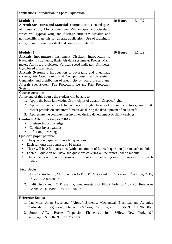| applications, Introduction to Space Exploration.                                                                                                                                                                                                                                                                                                                                                                                                                                                                              |          |        |  |
|-------------------------------------------------------------------------------------------------------------------------------------------------------------------------------------------------------------------------------------------------------------------------------------------------------------------------------------------------------------------------------------------------------------------------------------------------------------------------------------------------------------------------------|----------|--------|--|
| <b>Module -4</b><br><b>Aircraft Structures and Materials : Introduction, General types</b><br>of construction, Monocoque, Semi-Monocoque and Geodesic<br>structures, Typical wing and fuselage structure; Metallic and<br>non-metallic materials for aircraft application. Use of aluminum<br>alloy, titanium, stainless steel and composite materials.                                                                                                                                                                       | 10 Hours | L1, L2 |  |
| <b>Module -5</b><br>Aircraft Instruments: Instrument Displays, Introduction to<br>Navigation Instruments, Basic Air data systems & Probes, Mach<br>meter, Air speed indicator, Vertical speed indicator, Altimeter,<br>Gyro based instruments.<br>Aircraft Systems: Introduction to Hydraulic and pneumatic<br>systems, Air Conditioning and Cockpit pressurization system,<br>Generation and distribution of Electricity on board the airplane,<br>Aircraft Fuel System, Fire Protection, Ice and Rain Protection<br>System. | 10 Hours | L1, L2 |  |
| <b>Course outcomes:</b><br>At the end of this course the student will be able to:<br>1. Apply the basic knowledge $\&$ principles of aviation $\&$ spaceflight.<br>2. Apply the concepts of fundaments of flight, basics of aircraft structures, aircraft &<br>rocket propulsion and aircraft materials during the development of an aircraft<br>3. Appreciate the complexities involved during development of flight vehicles.<br><b>Graduate Attributes (as per NBA):</b><br>Engineering Knowledge.                         |          |        |  |
| Conduct Investigations.<br>Life Long Learning<br><b>Question paper pattern:</b><br>• The question paper will have ten questions.<br>Each full question consists of 16 marks.<br>There will be 2 full questions (with a maximum of four sub questions) from each module.<br>Each full question will have sub questions covering all the topics under a module.<br>The students will have to answer 5 full questions, selecting one full question from each<br>module.                                                          |          |        |  |
| <b>Text Books:</b><br>1. John D. Anderson, "Introduction to Flight", McGraw-Hill Education, 8 <sup>th</sup> edition, 2015,<br>ISBN: 978-0078027673.<br>Lalit Gupta and O P Sharma, Fundamentals of Flight Vol-I to Vol-IV, Himalayan<br>2.<br>Books. 2006, ISBN: 9788170020752<br><b>Reference Books:</b>                                                                                                                                                                                                                     |          |        |  |
| 1. Ian Moir, Allan Seabridge, "Aircraft Systems: Mechanical, Electrical and Avionics<br>Subsystems Integration", John Wiley & Sons, 3 <sup>rd</sup> edition, 2011, ISBN: 9781119965206<br>9 <sup>th</sup><br>Sutton G.P., "Rocket Propulsion Elements", John Wiley, New<br>York,<br>2.<br>edition, 2016, ISBN: 9781118753910                                                                                                                                                                                                  |          |        |  |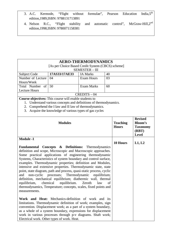- 3. A.C. Kermode, "Flight without formulae", Pearson Education India,5<sup>th</sup> edition,1989,ISBN: 9788131713891
- 4. Nelson R.C., "Flight stability and automatic control", McGraw-Hill, 2<sup>nd</sup> edition,1998,ISBN: 9780071158381

# **AERO-THERMODYNAMICS**

| [As per Choice Based Credit System (CBCS) scheme]<br><b>SEMESTER - III</b> |               |                   |    |  |
|----------------------------------------------------------------------------|---------------|-------------------|----|--|
| Subject Code                                                               | 17AS33/17AE33 | <b>IA Marks</b>   | 40 |  |
| Number of Lecture                                                          | 04            | <b>Exam Hours</b> | 03 |  |
| Hours/Week                                                                 |               |                   |    |  |
| Total Number of 50                                                         |               | Exam Marks        | 60 |  |
| <b>Lecture Hours</b>                                                       |               |                   |    |  |
| $CREDITS - 04$                                                             |               |                   |    |  |

- 1. Understand various concepts and definitions of thermodynamics.
- 2. Comprehend the I law and II law of thermodynamics.
- 3. Acquire the knowledge of various types of gas cycles

| <b>Modules</b>                                                                                                                                                                                                                                                                                                                                                                                                                                                                                                                                                                                                                                                                                                                              | <b>Teaching</b><br><b>Hours</b> | <b>Revised</b><br>Bloom's<br><b>Taxonomy</b><br>(RBT)<br><b>Level</b> |
|---------------------------------------------------------------------------------------------------------------------------------------------------------------------------------------------------------------------------------------------------------------------------------------------------------------------------------------------------------------------------------------------------------------------------------------------------------------------------------------------------------------------------------------------------------------------------------------------------------------------------------------------------------------------------------------------------------------------------------------------|---------------------------------|-----------------------------------------------------------------------|
| <b>Module -1</b>                                                                                                                                                                                                                                                                                                                                                                                                                                                                                                                                                                                                                                                                                                                            |                                 |                                                                       |
| Fundamental Concepts & Definitions: Thermodynamics<br>definition and scope, Microscopic and Macroscopic approaches.<br>Some practical applications of engineering thermodynamic<br>Systems, Characteristics of system boundary and control surface,<br>examples. Thermodynamic properties; definition and Modules,<br>intensive and extensive properties. Thermodynamic state, state<br>point, state diagram, path and process, quasi-static process, cyclic<br>non-cyclic processes; Thermodynamic equilibrium;<br>and<br>definition, mechanical equilibrium; diathermic wall, thermal<br>chemical equilibrium.<br>equilibrium,<br>Zeroth<br>law<br>of<br>thermodynamics, Temperature; concepts, scales, fixed points and<br>measurements. | 10 Hours                        | L1, L2                                                                |
| Work and Heat: Mechanics-definition of work and its<br>limitations. Thermodynamic definition of work; examples, sign<br>convention. Displacement work; as a part of a system boundary,<br>as a whole of a system boundary, expressions for displacement<br>work in various processes through p-v diagrams. Shaft work;<br>Electrical work. Other types of work. Heat.                                                                                                                                                                                                                                                                                                                                                                       |                                 |                                                                       |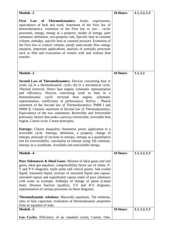| <b>Module -2</b>                                                                                                                                                                                                                                                                                                                                                                                                                                                                                                                                                                                                                                                                                                                                                                                                                                                                                                                                                                                                                                                     | 10 Hours        | L1, L2, L3 |
|----------------------------------------------------------------------------------------------------------------------------------------------------------------------------------------------------------------------------------------------------------------------------------------------------------------------------------------------------------------------------------------------------------------------------------------------------------------------------------------------------------------------------------------------------------------------------------------------------------------------------------------------------------------------------------------------------------------------------------------------------------------------------------------------------------------------------------------------------------------------------------------------------------------------------------------------------------------------------------------------------------------------------------------------------------------------|-----------------|------------|
| of Thermodynamics: Joules experiments,<br><b>First</b><br>Law<br>equivalence of heat and work. Statement of the First law of<br>thermodynamics, extension of the First law to non - cyclic<br>processes, energy, energy as a property, modes of energy, pure<br>substance; definition, two-property rule, Specific heat at constant<br>volume, enthalpy, specific heat at constant pressure. Extension of<br>the First law to control volume; steady state-steady flow energy<br>equation, important applications, analysis of unsteady processes<br>such as film and evacuation of vessels with and without heat<br>transfer.                                                                                                                                                                                                                                                                                                                                                                                                                                       |                 |            |
| <b>Module -3</b>                                                                                                                                                                                                                                                                                                                                                                                                                                                                                                                                                                                                                                                                                                                                                                                                                                                                                                                                                                                                                                                     | <b>10 Hours</b> | L1, L2     |
| <b>Second Law of Thermodynamics:</b> Devices converting heat to<br>work; (a) in a thermodynamic cycle, (b) in a mechanical cycle.<br>Thermal reservoir. Direct heat engine; schematic representation<br>and efficiency. Devices converting work to heat in a<br>thermodynamic<br>cycle; reversed heat engine,<br>schematic<br>representation, coefficients of performance. Kelvin - Planck<br>statement of the Second law of Thermodynamics; PMM I and<br>PMM II, Clausius statement of Second law of Thermodynamics,<br>Equivalence of the two statements; Reversible and Irreversible<br>processes; factors that make a process irreversible, reversible heat<br>engine, Carnot cycle, Carnot principles.<br><b>Entropy:</b> Clasius inequality; Statement, proof, application to a<br>reversible cycle. Entropy; definition, a property, change of<br>entropy, principle of increase in entropy, entropy as a quantitative<br>test for irreversibility, calculation of entropy using Tds relations,<br>entropy as a coordinate. Available and unavailable energy. |                 |            |
| <b>Module -4</b>                                                                                                                                                                                                                                                                                                                                                                                                                                                                                                                                                                                                                                                                                                                                                                                                                                                                                                                                                                                                                                                     | 10 Hours        | L1, L2, L3 |
| <b>Pure Substances &amp; Ideal Gases:</b> Mixture of ideal gases and real<br>gases, ideal gas equation, compressibility factor use of charts. P-<br>T and P-V diagrams, triple point and critical points. Sub-cooled<br>liquid, Saturated liquid, mixture of saturated liquid and vapour,<br>saturated vapour and superheated vapour states of pure substance<br>with water as example. Enthalpy of change of phase (Latent<br>heat). Dryness fraction (quality), T-S and H-S diagrams,<br>representation of various processes on these diagrams.<br><b>Thermodynamic relations:</b> Maxwells equations, Tds relations,<br>ratio of heat capacities, evaluation of thermodynamic properties<br>from an equation of state.                                                                                                                                                                                                                                                                                                                                            |                 |            |
| <b>Module -5</b>                                                                                                                                                                                                                                                                                                                                                                                                                                                                                                                                                                                                                                                                                                                                                                                                                                                                                                                                                                                                                                                     | 10 Hours        | L1, L2, L3 |
| Gas Cycles: Efficiency of air standard cycles, Carnot, Otto,                                                                                                                                                                                                                                                                                                                                                                                                                                                                                                                                                                                                                                                                                                                                                                                                                                                                                                                                                                                                         |                 |            |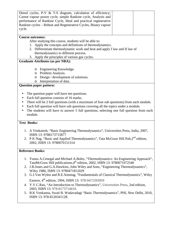| Diesel cycles, P-V & T-S diagram, calculation of efficiency;                                  |  |  |  |  |
|-----------------------------------------------------------------------------------------------|--|--|--|--|
| Carnot vapour power cycle, simple Rankine cycle, Analysis and                                 |  |  |  |  |
|                                                                                               |  |  |  |  |
| performance of Rankine Cycle, Ideal and practical regenerative                                |  |  |  |  |
| Rankine cycles - Reheat and Regenerative Cycles, Binary vapour                                |  |  |  |  |
| cycle.                                                                                        |  |  |  |  |
|                                                                                               |  |  |  |  |
| <b>Course outcomes:</b>                                                                       |  |  |  |  |
|                                                                                               |  |  |  |  |
| After studying this course, students will be able to:                                         |  |  |  |  |
| 1. Apply the concepts and definitions of thermodynamics.                                      |  |  |  |  |
| 2. Differentiate thermodynamic work and heat and apply I law and II law of                    |  |  |  |  |
| thermodynamics to different process.                                                          |  |  |  |  |
| 3. Apply the principles of various gas cycles.                                                |  |  |  |  |
|                                                                                               |  |  |  |  |
| <b>Graduate Attributes (as per NBA):</b>                                                      |  |  |  |  |
|                                                                                               |  |  |  |  |
| Engineering Knowledge.<br>O                                                                   |  |  |  |  |
| Problem Analysis.<br>$\circ$                                                                  |  |  |  |  |
| Design / development of solutions.<br>O                                                       |  |  |  |  |
| Interpretation of data.<br>O                                                                  |  |  |  |  |
| <b>Question paper pattern:</b>                                                                |  |  |  |  |
|                                                                                               |  |  |  |  |
|                                                                                               |  |  |  |  |
| The question paper will have ten questions.                                                   |  |  |  |  |
| Each full question consists of 16 marks.<br>$\bullet$                                         |  |  |  |  |
| There will be 2 full questions (with a maximum of four sub questions) from each module.       |  |  |  |  |
|                                                                                               |  |  |  |  |
| Each full question will have sub questions covering all the topics under a module.            |  |  |  |  |
| The students will have to answer 5 full questions, selecting one full question from each      |  |  |  |  |
| module.                                                                                       |  |  |  |  |
|                                                                                               |  |  |  |  |
| <b>Text Books:</b>                                                                            |  |  |  |  |
|                                                                                               |  |  |  |  |
| 1. A Venkatesh, "Basic Engineering Thermodynamics", Universities Press, India, 2007,          |  |  |  |  |
|                                                                                               |  |  |  |  |
| ISBN 13: 9788173715877                                                                        |  |  |  |  |
| 2. P K Nag, "Basic and Applied Thermodynamics", Tata McGraw Hill Pub,2 <sup>nd</sup> edition, |  |  |  |  |
| 2002, ISBN 13: 9780070151314                                                                  |  |  |  |  |
|                                                                                               |  |  |  |  |
| <b>Reference Books:</b>                                                                       |  |  |  |  |
|                                                                                               |  |  |  |  |
| 1. Yunus A.Cenegal and Michael A.Boles, "Thermodynamics: An Engineering Approach",            |  |  |  |  |
| TataMcGraw Hill publications, 4 <sup>th</sup> edition, 2002, ISBN 13: 9780071072540           |  |  |  |  |
|                                                                                               |  |  |  |  |
| J.B.Jones and G.A.Hawkins, John Wiley and Sons, "Engineering Thermodynamics",<br>2.           |  |  |  |  |
| Wiley 1986, ISBN 13: 9780471812029                                                            |  |  |  |  |
| 3. G.J.Van Wylen and R.E.Sonntag, "Fundamentals of Classical Thermodynamics", Wiley           |  |  |  |  |
| Eastern, 4 <sup>th</sup> edition, 1994, ISBN 13: 978-0471593959                               |  |  |  |  |
|                                                                                               |  |  |  |  |
| 4. Y.V.C.Rao, "An Introduction to Thermodynamics", Universities Press, 2nd edition,           |  |  |  |  |
| 2003, ISBN 13: 978-8173714610.                                                                |  |  |  |  |
| 5. B.K Venkanna, Swati B. Wadavadagi "Basic Thermodynamics", PHI, New Delhi, 2010,            |  |  |  |  |
| ISBN 13: 978-8120341128.                                                                      |  |  |  |  |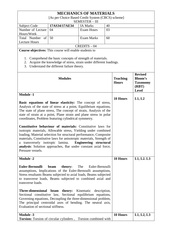| <b>MECHANICS OF MATERIALS</b> |                                                   |                 |    |  |  |  |
|-------------------------------|---------------------------------------------------|-----------------|----|--|--|--|
|                               | [As per Choice Based Credit System (CBCS) scheme] |                 |    |  |  |  |
|                               | <b>SEMESTER - III</b>                             |                 |    |  |  |  |
| Subject Code                  | 17AS34/17AE34                                     | <b>IA Marks</b> | 40 |  |  |  |
| Number of Lecture             | 04                                                | Exam Hours      | 03 |  |  |  |
| Hours/Week                    |                                                   |                 |    |  |  |  |
| Total Number of 50            |                                                   | Exam Marks      | 60 |  |  |  |
| <b>Lecture Hours</b>          |                                                   |                 |    |  |  |  |
| $CREDITS - 04$                |                                                   |                 |    |  |  |  |

- 1. Comprehend the basic concepts of strength of materials.
- 2. Acquire the knowledge of stress, strain under different loadings.
- 3. Understand the different failure theory.

| <b>Modules</b>                                                                                                                                                                                                                                                                                                                                                                                                                                                                                                                                                                                                                                                                                                                                                                             | <b>Teaching</b><br><b>Hours</b> | <b>Revised</b><br><b>Bloom's</b><br><b>Taxonomy</b><br>(RBT)<br><b>Level</b> |
|--------------------------------------------------------------------------------------------------------------------------------------------------------------------------------------------------------------------------------------------------------------------------------------------------------------------------------------------------------------------------------------------------------------------------------------------------------------------------------------------------------------------------------------------------------------------------------------------------------------------------------------------------------------------------------------------------------------------------------------------------------------------------------------------|---------------------------------|------------------------------------------------------------------------------|
| <b>Module -1</b><br>Basic equations of linear elasticity: The concept of stress,<br>Analysis of the state of stress at a point, Equilibrium equations,<br>The state of plane stress, The concept of strain, Analysis of the<br>state of strain at a point, Plane strain and plane stress in polar<br>coordinates, Problem featuring cylindrical symmetry.<br>Constitutive behaviour of materials: Constitutive laws for<br>isotropic materials, Allowable stress, Yielding under combined<br>loading, Material selection for structural performance, Composite<br>materials, Constitutive laws for anisotropic materials, Strength of<br>a transversely isotropic lamina.<br>Engineering structural<br>analysis: Solution approaches, Bar under constant axial force,<br>Pressure vessels. | 10 Hours                        | L1, L2                                                                       |
| <b>Module -2</b>                                                                                                                                                                                                                                                                                                                                                                                                                                                                                                                                                                                                                                                                                                                                                                           | <b>10 Hours</b>                 | L1, L2. L3                                                                   |
| <b>Euler-Bernoulli</b><br>theory:<br>The<br>Euler-Bernoulli<br>beam<br>assumptions, Implications of the Euler-Bernoulli assumptions,<br>Stress resultants Beams subjected to axial loads, Beams subjected<br>to transverse loads, Beams subjected to combined axial and<br>transverse loads.<br>Three-dimensional beam theory: Kinematic description,<br>Sectional constitutive law, Sectional equilibrium equations,<br>Governing equations, Decoupling the three-dimensional problem,<br>The principal centroidal axes of bending. The neutral axis,<br>Evaluation of sectional stiffness.                                                                                                                                                                                               |                                 |                                                                              |
| <b>Module -3</b>                                                                                                                                                                                                                                                                                                                                                                                                                                                                                                                                                                                                                                                                                                                                                                           | 10 Hours                        | L1, L2, L3                                                                   |
| Torsion: Torsion of circular cylinders, Torsion combined with                                                                                                                                                                                                                                                                                                                                                                                                                                                                                                                                                                                                                                                                                                                              |                                 |                                                                              |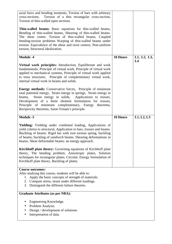| axial force and bending moments, Torsion of bars with arbitrary<br>Torsion of a thin rectangular cross-section,<br>cross-sections,<br>Torsion of thin-walled open sections.<br>Thin-walled beams: Basic equations for thin-walled beams,<br>Bending of thin-walled beams, Shearing of thin-walled beams.<br>The shear centre. Torsion of thin-walled beams, Coupled<br>bending-torsion problems Warping of thin-walled beams under<br>torsion. Equivalence of the shear and twist centres, Non-uniform<br>torsion, Structural idealization.                                                                                                                                                                              |          |                   |
|--------------------------------------------------------------------------------------------------------------------------------------------------------------------------------------------------------------------------------------------------------------------------------------------------------------------------------------------------------------------------------------------------------------------------------------------------------------------------------------------------------------------------------------------------------------------------------------------------------------------------------------------------------------------------------------------------------------------------|----------|-------------------|
| <b>Module -4</b><br>Virtual work principles: Introduction, Equilibrium and work<br>fundamentals, Principle of virtual work, Principle of virtual work<br>applied to mechanical systems, Principle of virtual work applied<br>to truss structures. Principle of complementary virtual work,<br>internal virtual work in beams and solids.<br><b>Energy methods:</b> Conservative forces, Principle of minimum<br>total potential energy, Strain energy in springs, Strain energy in<br>Strain energy in solids, Applications to trusses,<br>beams,<br>Development of a finite element formulation for trusses,<br>Principle of minimum complementary, Energy theorems,<br>Reciprocity theorems, Saint-Venant's principle. | 10 Hours | L1, L2, L3,<br>L4 |
| <b>Module -5</b>                                                                                                                                                                                                                                                                                                                                                                                                                                                                                                                                                                                                                                                                                                         | 10 Hours | L1, L2, L3        |
| Yielding: Yielding under combined loading, Applications of<br>yield criteria to structural, Application to bars, trusses and beams.<br>Buckling of beams: Rigid bar with root torsion spring, buckling<br>of beams, buckling of sandwich beams. Shearing deformations in<br>beams, Shear deformable beams: an energy approach.<br><b>Kirchhoff plate theory:</b> Governing equations of Kirchhoff plate<br>theory, The bending problem, Anisotropic plates, Solution<br>techniques for rectangular plates, Circular, Energy formulation of<br>Kirchhoff plate theory, Buckling of plates.                                                                                                                                |          |                   |
|                                                                                                                                                                                                                                                                                                                                                                                                                                                                                                                                                                                                                                                                                                                          |          |                   |
| <b>Course outcomes:</b><br>After studying this course, students will be able to:<br>1. Apply the basic concepts of strength of materials.<br>2. Compute stress, strain under different loadings.<br>3. Distinguish the different failure theories.                                                                                                                                                                                                                                                                                                                                                                                                                                                                       |          |                   |
| <b>Graduate Attributes (as per NBA):</b>                                                                                                                                                                                                                                                                                                                                                                                                                                                                                                                                                                                                                                                                                 |          |                   |
| Engineering Knowledge.<br>Problem Analysis.<br>Design / development of solutions<br>Interpretation of data.                                                                                                                                                                                                                                                                                                                                                                                                                                                                                                                                                                                                              |          |                   |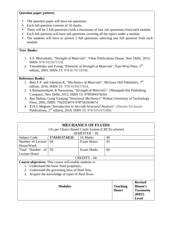## **Question paper pattern:**

- The question paper will have ten questions.
- Each full question consists of 16 marks.
- There will be 2 full questions (with a maximum of four sub questions) from each module.
- Each full question will have sub questions covering all the topics under a module.
- The students will have to answer 5 full questions, selecting one full question from each module.

## **Text Books:**

- 1. S.S. Bhavaikatii, "*Strength of Materials*", Vikas Publications House, New Delhi, 2013, ISBN- 978-9325971578.
- 2. Timoshenko and Young "*Elements of Strength of Materials*', East-West Press, 5<sup>th</sup> edition, 2003, ISBN-13: 978-8176710190.

- 1. Beer.F.P. and Johnston.R, "Mechanics of Materials", McGraw Hill Publishers, 7<sup>th</sup> edition, 2016, ISBN-13: 978-9339217624.
- 2. S.Ramamrutham, R Narayanan, "*Strength of Materials"*, Dhanapath Rai Publishing Company, New Delhi, 2012, ISBN 13: 9789384378264
- 3. Bao Shihua, Gong Yaoqing "*Structural Mechanics*" Wuhan University of Technology Press, 2005, ISBN: 7562924074 9787562924074
- 4. T.H.G Megson "*Introduction to Aircraft Structural Analysis*", Elsevier Exclusive Publications, 2nd edition, 2014, ISBN 13: 978-9351071860.

|                                         | [As per Choice Based Credit System (CBCS) scheme]                                                                                                                                                         | <b>MECHANICS OF FLUIDS</b><br><b>SEMESTER - III</b> |                                 |                                                                |
|-----------------------------------------|-----------------------------------------------------------------------------------------------------------------------------------------------------------------------------------------------------------|-----------------------------------------------------|---------------------------------|----------------------------------------------------------------|
| <b>Subject Code</b>                     | 17AS35/17AE35                                                                                                                                                                                             | <b>IA Marks</b>                                     | 40                              |                                                                |
| Number of Lecture<br>Hours/Week         | 03                                                                                                                                                                                                        |                                                     |                                 |                                                                |
| Total Number of<br><b>Lecture Hours</b> | 50                                                                                                                                                                                                        | <b>Exam Marks</b>                                   | 60                              |                                                                |
|                                         |                                                                                                                                                                                                           | $CREDITS - 04$                                      |                                 |                                                                |
| 1.<br>2.<br>3.                          | <b>Course objectives:</b> This course will enable students to<br>Understand the basic fluid properties.<br>Understand the governing laws of fluid flow.<br>Acquire the knowledge of types of fluid flows. |                                                     |                                 |                                                                |
|                                         | <b>Modules</b>                                                                                                                                                                                            |                                                     | <b>Teaching</b><br><b>Hours</b> | <b>Revised</b><br>Bloom's<br><b>Taxonomy</b><br>(RBT)<br>Level |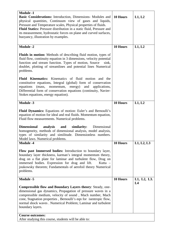| <b>Module -1</b><br>Basic Considerations: Introduction, Dimensions- Modules and<br>physical quantities, Continuum view of gases and liquids,<br>Pressure and Temperature scales, Physical properties of fluids.<br>Fluid Statics: Pressure distribution in a static fluid, Pressure and<br>its measurement, hydrostatic forces on plane and curved surfaces,<br>buoyancy, illustration by examples. | 10 Hours | L1, L2            |
|-----------------------------------------------------------------------------------------------------------------------------------------------------------------------------------------------------------------------------------------------------------------------------------------------------------------------------------------------------------------------------------------------------|----------|-------------------|
| <b>Module -2</b>                                                                                                                                                                                                                                                                                                                                                                                    | 10 Hours | L1, L2            |
| <b>Fluids in motion:</b> Methods of describing fluid motion, types of<br>fluid flow, continuity equation in 3 dimensions, velocity potential<br>function and stream function. Types of motion, Source<br>sink,<br>doublet, plotting of streamlines and potential lines Numerical<br>problems.                                                                                                       |          |                   |
| Fluid Kinematics: Kinematics of fluid motion and the<br>constitutive equations, Integral (global) form of conservation<br>energy)<br>equations<br>(mass,<br>momentum,<br>and<br>applications,<br>Differential form of conservation equations (continuity, Navier-<br>Stokes equations, energy equation).                                                                                            |          |                   |
| <b>Module -3</b>                                                                                                                                                                                                                                                                                                                                                                                    | 10 Hours | L1, L2            |
| <b>Fluid Dynamics:</b> Equations of motion: Euler's and Bernoulli's<br>equation of motion for ideal and real fluids. Momentum equation,<br>Fluid flow measurements. Numerical problems.<br><b>Dimensional</b><br>analysis<br>similarity:<br>Dimensional<br>and<br>homogeneity, methods of dimensional analysis, model analysis,<br>types of similarity and similitude. Dimensionless numbers.       |          |                   |
| Model laws. Numerical problems.<br><b>Module -4</b>                                                                                                                                                                                                                                                                                                                                                 | 10 Hours | L1, L2, L3        |
| Flow past Immersed bodies: Introduction to boundary layer,<br>boundary layer thickness, karman's integral momentum theory,<br>drag on a flat plate for laminar and turbulent flow, Drag on<br>immersed bodies. Expression for drag and lift.<br>Kutta –<br>joukowsky theorem; Fundamentals of aerofoil theory Numerical<br>problems.                                                                |          |                   |
| <b>Module -5</b>                                                                                                                                                                                                                                                                                                                                                                                    | 10 Hours | L1, L2, L3.<br>L4 |
| <b>Compressible flow and Boundary Layers theory: Steady, one-</b><br>dimensional gas dynamics, Propagation of pressure waves in a<br>compressible medium, velocity of sound, Mach number, Mach<br>cone, Stagnation properties, Bernoulli's eqn for isentropic flow,<br>normal shock waves . Numerical Problem; Laminar and turbulent<br>boundary layers.                                            |          |                   |
| <b>Course outcomes:</b><br>After studying this course, students will be able to:                                                                                                                                                                                                                                                                                                                    |          |                   |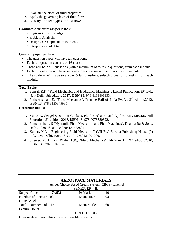- 1. Evaluate the effect of fluid properties.
- 2. Apply the governing laws of fluid flow.
- 3. Classify different types of fluid flows.

#### **Graduate Attributes (as per NBA):**

- Engineering Knowledge.
- Problem Analysis.
- Design / development of solutions.
- Interpretation of data.

#### **Question paper pattern:**

- The question paper will have ten questions.
- Each full question consists of 16 marks.
- There will be 2 full questions (with a maximum of four sub questions) from each module.
- Each full question will have sub questions covering all the topics under a module.
- The students will have to answer 5 full questions, selecting one full question from each module.

#### **Text Books:**

- 1. Bansal, R.K, "Fluid Mechanics and Hydraulics Machines", Laxmi Publications (P) Ltd., New Delhi, 9th edition, 2017, ISBN-13: 978-8131808153.
- 2. Rathakrishnan. E, "Fluid Mechanics", Prentice-Hall of India Pvt.Ltd,3rd edition,2012, ISBN 13: 978-8120345935.

- 1. Yunus A. Cengel & John M Cimbala, Fluid Mechanics and Applications, McGraw Hill Education; 3rd edition, 2013, ISBN-13: 978-0073380322.
- 2. Ramamritham. S "Hydraulic Fluid Mechanics and Fluid Machines", DhanpatRai& Sons, Delhi, 1988, ISBN 13: 9788187433804.
- 3. Kumar. K.L., "Engineering Fluid Mechanics" (VII Ed.) Eurasia Publishing House (P) Ltd., New Delhi, 1995, ISBN 13: 9788121901000.
- 4. Streeter. V. L., and Wylie, E.B., "Fluid Mechanics", McGraw Hill, 9<sup>th</sup> edition, 2010, ISBN 13: 978-0070701403.

| <b>AEROSPACE MATERIALS</b><br>[As per Choice Based Credit System (CBCS) scheme]<br>SEMESTER - III |        |                 |    |  |  |  |
|---------------------------------------------------------------------------------------------------|--------|-----------------|----|--|--|--|
| Subject Code                                                                                      | 17AS36 | <b>IA Marks</b> | 40 |  |  |  |
| Number of Lecture                                                                                 | 03     | Exam Hours      | 03 |  |  |  |
| Hours/Week                                                                                        |        |                 |    |  |  |  |
| Total Number of                                                                                   | 40     | Exam Marks      | 60 |  |  |  |
| <b>Lecture Hours</b>                                                                              |        |                 |    |  |  |  |
| $CREDITS - 03$                                                                                    |        |                 |    |  |  |  |
| <b>Course objectives:</b> This course will enable students to                                     |        |                 |    |  |  |  |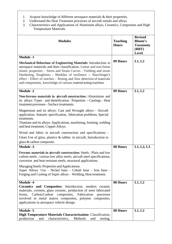- 1. Acquire knowledge of different aerospace materials & their properties.<br>2. Understand the Heat Treatment processes of aircraft metals and alloys
- 2. Understand the Heat Treatment processes of aircraft metals and alloys<br>3. Characteristics and Applications of Aluminum alloys, Ceramics, Comp
- 3. Characteristics and Applications of Aluminum alloys, Ceramics, Composites and High Temperature Materials.

| <b>Modules</b>                                                                                                                                                                                                                                                                                                                                                                                                         | <b>Teaching</b><br><b>Hours</b> | <b>Revised</b><br><b>Bloom's</b><br><b>Taxonomy</b><br>(RBT)<br><b>Level</b> |
|------------------------------------------------------------------------------------------------------------------------------------------------------------------------------------------------------------------------------------------------------------------------------------------------------------------------------------------------------------------------------------------------------------------------|---------------------------------|------------------------------------------------------------------------------|
| <b>Module -1</b>                                                                                                                                                                                                                                                                                                                                                                                                       |                                 |                                                                              |
| Mechanical Behaviour of Engineering Materials: Introduction to<br>aerospace materials and their classification, Linear and non-linear<br>elastic properties - Stress and Strain Curves - Yielding and strain<br>Hardening, Toughness - Modules of resilience -- Bauchinger's<br>effect - Effect of notches - Testing and flaw detection of materials<br>and components, knowledge of various material testing machines | 09 Hours                        | L1, L2                                                                       |
| <b>Module -2</b>                                                                                                                                                                                                                                                                                                                                                                                                       | 09 Hours                        | L1, L2                                                                       |
| Non-ferrous materials in aircraft construction : Aluminium and<br>its alloys: Types and identification. Properties - Castings - Heat<br>treatment processes - Surface treatments.<br>Magnesium and its alloys: Cast and Wrought alloys - Aircraft                                                                                                                                                                      |                                 |                                                                              |
| application, features specification, fabrication problems, Special<br>treatments.<br>Titanium and its alloys: Applications, machining, forming, welding                                                                                                                                                                                                                                                                |                                 |                                                                              |
| and heat treatment, Copper Alloys.                                                                                                                                                                                                                                                                                                                                                                                     |                                 |                                                                              |
| Wood and fabric in aircraft construction and specifications -<br>Glues Use of glass, plastics $\&$ rubber in aircraft, Introduction to<br>glass & carbon composite.                                                                                                                                                                                                                                                    |                                 |                                                                              |
| <b>Module -3</b>                                                                                                                                                                                                                                                                                                                                                                                                       | 08 Hours                        | L1, L2, L3                                                                   |
| <b>Ferrous materials in aircraft construction: Steels: Plain and low</b><br>carbon steels, various low alloy steels, aircraft steel specifications,<br>corrosion and heat resistant steels, structural applications.                                                                                                                                                                                                   |                                 |                                                                              |
| Maraging Steels: Properties and Applications.<br>Super Alloys: Use - Nickel base - Cobalt base - Iron base -<br>Forging and Casting of Super alloys - Welding, Heat treatment.                                                                                                                                                                                                                                         |                                 |                                                                              |
| <b>Module -4</b><br>Ceramics and Composites: Introduction, modern ceramic<br>materials, cermets, glass ceramic, production of semi fabricated<br>Carbon/Carbon<br>composites, Fabrication<br>forms,<br>processes<br>involved in metal matrix composites, polymer composites,<br>applications in aerospace vehicle design.                                                                                              | 08 Hours                        | L1, L2                                                                       |
| <b>Module -5</b>                                                                                                                                                                                                                                                                                                                                                                                                       | 08 Hours                        | L1, L2                                                                       |
| <b>High Temperature Materials Characterization: Classification,</b><br>production<br>characteristics,<br>Methods<br>testing,<br>and<br>and                                                                                                                                                                                                                                                                             |                                 |                                                                              |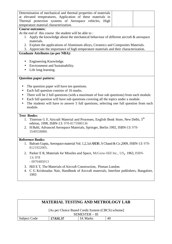| Determination of mechanical and thermal properties of materials |  |  |  |  |
|-----------------------------------------------------------------|--|--|--|--|
| at elevated temperatures, Application of these materials in     |  |  |  |  |
| Thermal protection systems of Aerospace vehicles, High          |  |  |  |  |
| temperature material characterization.                          |  |  |  |  |

#### **Course outcomes:**

At the end of this course the student will be able to :

- 1. Apply the knowledge about the mechanical behaviour of different aircraft & aerospace materials.
- 2. Explain the applications of Aluminum alloys, Ceramics and Composites Materials.
- 3. Appreciate the importance of high temperature materials and their characterization.

## **Graduate Attributes (as per NBA):**

- Engineering Knowledge.
- Environment and Sustainability.
- Life long learning.

## **Question paper pattern:**

- The question paper will have ten questions.
- Each full question consists of 16 marks.
- There will be 2 full questions (with a maximum of four sub questions) from each module.
- Each full question will have sub questions covering all the topics under a module.
- The students will have to answer 5 full questions, selecting one full question from each module.

#### **Text Books:**

- 1. Titterton G F, Aircraft Material and Processes, English Book Store, New Delhi, 5<sup>th</sup> edition, 1998, ISBN-13: 978-8175980136
- 2. H Buhl, Advanced Aerospace Materials, Springer, Berlin 1992, ISBN-13: 978- 3540558880.

- 1. Balram Gupta, Aerospace material Vol. 1,2,3,4 ARDB , S Chand & Co ,2009, ISBN-13: 978- 8121922005.
- 2. Parker E R, Materials for Missiles and Space, McGraw-Hill Inc., US, 1963, ISBN-13**:** 978
	- 0070485013
- 3. Hill E T, The Materials of Aircraft Construction, Pitman London.
- 4. C G Krishnadas Nair, Handbook of Aircraft materials, Interline publishers, Bangalore, 1993

| <b>MATERIAL TESTING AND METROLOGY LAB</b> |                                                   |          |    |  |  |
|-------------------------------------------|---------------------------------------------------|----------|----|--|--|
|                                           |                                                   |          |    |  |  |
|                                           | [As per Choice Based Credit System (CBCS) scheme] |          |    |  |  |
| SEMESTER – III                            |                                                   |          |    |  |  |
| Subject Code                              | 17ASL37                                           | IA Marks | 40 |  |  |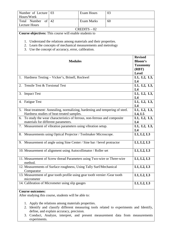| Number of Lecture                                                                        | 03                                                                                                                                                                                                                                                                    | <b>Exam Hours</b> | 03 |                                                              |
|------------------------------------------------------------------------------------------|-----------------------------------------------------------------------------------------------------------------------------------------------------------------------------------------------------------------------------------------------------------------------|-------------------|----|--------------------------------------------------------------|
| Hours/Week                                                                               | 42                                                                                                                                                                                                                                                                    | <b>Exam Marks</b> |    |                                                              |
| Total Number<br>of                                                                       |                                                                                                                                                                                                                                                                       |                   |    |                                                              |
| <b>Lecture Hours</b>                                                                     |                                                                                                                                                                                                                                                                       |                   |    |                                                              |
|                                                                                          |                                                                                                                                                                                                                                                                       | $CREDITS - 02$    |    |                                                              |
| Course objectives: This course will enable students to                                   |                                                                                                                                                                                                                                                                       |                   |    |                                                              |
|                                                                                          | 1. Understand the relations among materials and their properties.<br>2. Learn the concepts of mechanical measurements and metrology<br>3. Use the concept of accuracy, error, calibration.                                                                            |                   |    |                                                              |
|                                                                                          | <b>Modules</b>                                                                                                                                                                                                                                                        |                   |    | <b>Revised</b><br><b>Bloom's</b><br><b>Taxonomy</b><br>(RBT) |
|                                                                                          |                                                                                                                                                                                                                                                                       |                   |    | <b>Level</b>                                                 |
| 1. Hardness Testing - Vicker's, Brinell, Rockwel                                         |                                                                                                                                                                                                                                                                       |                   |    | L1, L2, L3,                                                  |
|                                                                                          |                                                                                                                                                                                                                                                                       |                   |    | L4                                                           |
| Tensile Test & Torsional Test<br>2.                                                      |                                                                                                                                                                                                                                                                       |                   |    | L1, L2, L3,<br>L <sub>4</sub>                                |
| <b>Impact Test</b><br>3.                                                                 |                                                                                                                                                                                                                                                                       |                   |    | L1, L2, L3,<br>L4                                            |
| 4. Fatigue Test                                                                          | L1, L2, L3,<br>L4                                                                                                                                                                                                                                                     |                   |    |                                                              |
| 5. Heat treatment: Annealing, normalizing, hardening and tempering of steel.             |                                                                                                                                                                                                                                                                       |                   |    | L1, L2, L3,                                                  |
| Hardness studies of heat-treated samples.                                                | L4, L5                                                                                                                                                                                                                                                                |                   |    |                                                              |
| To study the wear characteristics of ferrous, non-ferrous and composite<br>6.            | L1, L2, L3,                                                                                                                                                                                                                                                           |                   |    |                                                              |
| materials for different parameters.                                                      | L4                                                                                                                                                                                                                                                                    |                   |    |                                                              |
| 7. Measurement of vibration parameters using vibration setup.                            |                                                                                                                                                                                                                                                                       |                   |    | L1, L2, L3,<br>L4                                            |
| 8. Measurements using Optical Projector / Toolmaker Microscope.                          |                                                                                                                                                                                                                                                                       |                   |    | L1, L2, L3                                                   |
| 9. Measurement of angle using Sine Center / Sine bar / bevel protractor                  |                                                                                                                                                                                                                                                                       |                   |    | L1, L2, L3                                                   |
| 10. Measurement of alignment using Autocollimator / Roller set                           |                                                                                                                                                                                                                                                                       |                   |    | L1, L2, L3                                                   |
| 11. Measurement of Screw thread Parameters using Two-wire or Three-wire<br>method.       |                                                                                                                                                                                                                                                                       |                   |    | L1, L2, L3                                                   |
| 12. Measurements of Surface roughness, Using Tally Surf/Mechanical<br>Comparator         |                                                                                                                                                                                                                                                                       |                   |    | L1, L2, L3                                                   |
| 13. Measurement of gear tooth profile using gear tooth vernier /Gear tooth<br>micrometer | L1, L2, L3                                                                                                                                                                                                                                                            |                   |    |                                                              |
| 14. Calibration of Micrometer using slip gauges                                          | L1, L2, L3                                                                                                                                                                                                                                                            |                   |    |                                                              |
| <b>Course outcomes:</b><br>After studying this course, students will be able to:         |                                                                                                                                                                                                                                                                       |                   |    |                                                              |
|                                                                                          | 1. Apply the relations among materials properties.<br>2. Identify and classify different measuring tools related to experiments and Identify,<br>define, and explain accuracy, precision.<br>Conduct Analyze interpret and present measurement data from measurements |                   |    |                                                              |

3. Conduct, Analyze, interpret, and present measurement data from measurements experiments.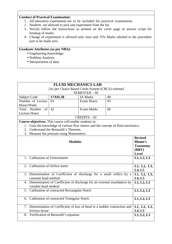## **Conduct of Practical Examination:**

- 1 . All laboratory experiments are to be included for practical examination.
- 2 . Students are allowed to pick one experiment from the lot.
- 3 . Strictly follow the instructions as printed on the cover page of answer script for breakup of marks.
- 4 . Change of experiment is allowed only once and 15% Marks allotted to the procedure part to be made zero.

## **Graduate Attributes (as per NBA):**

- Engineering Knowledge.
- Problem Analysis.
- Interpretation of data.

|                                                         |            | <b>FLUID MECHANICS LAB</b>                                                       |    |                 |
|---------------------------------------------------------|------------|----------------------------------------------------------------------------------|----|-----------------|
|                                                         |            | [As per Choice Based Credit System (CBCS) scheme]                                |    |                 |
|                                                         |            | <b>SEMESTER - III</b>                                                            |    |                 |
| Subject Code                                            |            |                                                                                  |    |                 |
| Number of Lecture                                       | 03         | <b>Exam Hours</b>                                                                | 03 |                 |
| Hours/Week                                              |            |                                                                                  |    |                 |
| Total Number<br>of                                      | 42         | <b>Exam Marks</b>                                                                | 60 |                 |
| <b>Lecture Hours</b>                                    |            |                                                                                  |    |                 |
|                                                         |            | $CREDITS - 02$                                                                   |    |                 |
| Course objectives: This course will enable students to: |            |                                                                                  |    |                 |
|                                                         |            | 1. Gain the knowledge of various flow meters and the concept of fluid mechanics. |    |                 |
| 2. Understand the Bernoulli's Theorem.                  |            |                                                                                  |    |                 |
| 3. Measure the pressure using Manometers.               |            |                                                                                  |    |                 |
|                                                         |            |                                                                                  |    | <b>Revised</b>  |
|                                                         |            | <b>Modules</b>                                                                   |    | <b>Bloom's</b>  |
|                                                         |            |                                                                                  |    | <b>Taxonomy</b> |
|                                                         |            |                                                                                  |    | (RBT)           |
|                                                         |            |                                                                                  |    | <b>Level</b>    |
| 1. Calibration of Venturimeter                          |            |                                                                                  |    | L1, L2, L3      |
|                                                         |            |                                                                                  |    |                 |
| 2. Calibration of Orifice meter                         |            |                                                                                  |    | L1, L2, L3,     |
|                                                         |            |                                                                                  |    | L4, L5          |
|                                                         |            | 3. Determination of Coefficient of discharge for a small orifice by a            |    | L1, L2, L3,     |
| constant head method.                                   |            |                                                                                  |    | L4, L5          |
|                                                         |            | 4. Determination of Coefficient of discharge for an external mouthpiece by       |    | L1, L2, L3      |
| variable head method                                    |            |                                                                                  |    |                 |
| 5. Calibration of contracted Rectangular Notch          |            |                                                                                  |    | L1, L2, L3      |
|                                                         |            |                                                                                  |    |                 |
| 6. Calibration of contracted Triangular Notch           | L1, L2, L3 |                                                                                  |    |                 |
|                                                         |            |                                                                                  |    |                 |
|                                                         |            | 7. Determination of Coefficient of loss of head in a sudden contraction and      |    | L1, L2, L3,     |
| friction factor                                         |            |                                                                                  |    | L4, L5          |
| 8. Verification of Bernoulli's equation                 |            |                                                                                  |    | L1, L2, L3      |
|                                                         |            |                                                                                  |    |                 |
|                                                         |            |                                                                                  |    |                 |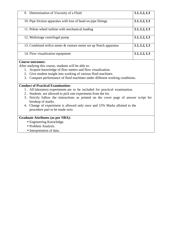| 9. Determination of Viscosity of a Fluid                          | L1, L2, L3 |
|-------------------------------------------------------------------|------------|
| 10. Pipe friction apparatus with loss of head on pipe fittings    | L1, L2, L3 |
| 11. Pelton wheel turbine with mechanical loading                  | L1, L2, L3 |
| 12. Multistage centrifugal pump                                   | L1, L2, L3 |
| 13. Combined orifice meter & venture meter set up Notch apparatus | L1, L2, L3 |
| 14. Flow visualization equipment                                  | L1, L2, L3 |

## **Course outcomes:**

After studying this course, students will be able to:

- 1. Acquire knowledge of flow meters and flow visualization.
- 2. Give student insight into working of various fluid machines.
- 3. Compare performance of fluid machines under different working conditions.

## **Conduct of Practical Examination:**

- 1 . All laboratory experiments are to be included for practical examination.
- 2 . Students are allowed to pick one experiment from the lot.
- 3 . Strictly follow the instructions as printed on the cover page of answer script for breakup of marks.
- 4. Change of experiment is allowed only once and 15% Marks allotted to the procedure part to be made zero.

## **Graduate Attributes (as per NBA):**

- Engineering Knowledge.
- Problem Analysis.
- Interpretation of data.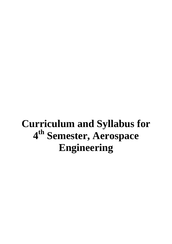# **Curriculum and Syllabus for 4 th Semester, Aerospace Engineering**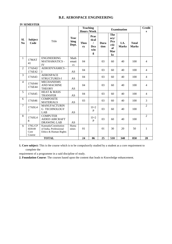## **B.E. AEROSPACE ENGINEERING**

#### **IV SEMESTER**

|                       |                                     |                                                                         |                                         | <b>Teaching</b><br><b>Hours/Week</b> |                                              |                | <b>Examination</b>                                               |                      | <b>Credit</b><br>S           |                |
|-----------------------|-------------------------------------|-------------------------------------------------------------------------|-----------------------------------------|--------------------------------------|----------------------------------------------|----------------|------------------------------------------------------------------|----------------------|------------------------------|----------------|
| SI.<br>N <sub>o</sub> | <b>Subject</b><br>Code              | Title                                                                   | <b>Teac</b><br>hing<br>Dept.            | <b>Theo</b><br>ry                    | Prac<br>tical<br>$\prime$<br>Dra<br>win<br>g | Dura<br>tion   | <b>The</b><br>ory/<br>Pra<br>ctic<br>al<br>Mar<br>$\mathbf{k}$ s | I.A.<br><b>Marks</b> | <b>Total</b><br><b>Marks</b> |                |
| $\mathbf{1}$          | 17MAT<br>41                         | <b>ENGINEERING</b><br><b>MATHAMATICS -</b><br>IV                        | Math<br>emati<br>$\mathbf{c}\mathbf{s}$ | 04                                   |                                              | 0 <sup>3</sup> | 60                                                               | 40                   | 100                          | $\overline{4}$ |
| $\overline{2}$        | 17AS42/<br>17AE42                   | <b>AERODYNAMICS -</b><br>I                                              | AS                                      | 04                                   |                                              | 0 <sub>3</sub> | 60                                                               | 40                   | 100                          | $\overline{4}$ |
| $\overline{3}$        | 17AS43                              | <b>AEROSPACE</b><br>STRUCTURES-I                                        | AS                                      | 04                                   |                                              | 03             | 60                                                               | 40                   | 100                          | $\overline{4}$ |
| $\overline{4}$        | 17AS44/<br>17AE44                   | <b>MECHANISMS</b><br><b>AND MACHINE</b><br><b>THEORY</b>                | AS                                      | 04                                   |                                              | 03             | 60                                                               | 40                   | 100                          | $\overline{4}$ |
| 5                     | 17AS45                              | <b>HEAT &amp; MASS</b><br><b>TRANSFER</b>                               | AS                                      | 04                                   |                                              | 03             | 60                                                               | 40                   | 100                          | $\overline{4}$ |
| 6                     | 17AS46                              | <b>COMPOSITE</b><br><b>MATERIALS</b>                                    | AS                                      | 03                                   |                                              | 03             | 60                                                               | 40                   | 100                          | 3              |
| $\tau$                | 17ASL4<br>$\overline{7}$            | <b>MANUFACTURIN</b><br><b>G TECHNOLOGY</b><br>LAB                       | AS                                      |                                      | $1I + 2$<br>$\mathbf{P}$                     | 03             | 60                                                               | 40                   | 100                          | $\overline{2}$ |
| 8                     | 17ASL4<br>8                         | <b>COMPUTER</b><br><b>AIDED AIRCRAFT</b><br><b>DRAWING LAB</b>          | AS                                      |                                      | $1I+2$<br>$\mathbf{P}$                       | 0 <sub>3</sub> | 60                                                               | 40                   | 100                          | $\overline{2}$ |
| 9                     | 17KL/CP<br>H39/49<br>Core<br>Course | Kannada/Constitution<br>of India, Professional<br>Ethics & Human Rights | Huma<br>nities                          | 01                                   |                                              | 01             | 30                                                               | 20                   | 50                           | $\mathbf{1}$   |
|                       |                                     | <b>TOTAL</b>                                                            |                                         | 24                                   | 06                                           | 25             | 510                                                              | 340                  | 850                          | 28             |

**1. Core subject:** This is the course which is to be compulsorily studied by a student as a core requirement to complete the

requirement of a programme in a said discipline of study.

**2. Foundation Course**: The courses based upon the content that leads to Knowledge enhancement.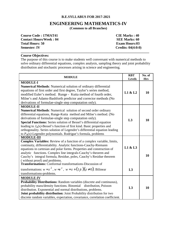#### **B.E.SYLLABUS FOR 2017-2021**

# **ENGINEERING MATHEMATICS-IV**

**(Common to all Branches)** 

**COURSE Code : 17MAT41 CIE Marks : 40 Contact Hours/Week : 04 SEE Marks: 60 Total Hours: 50 Exam Hours:03 Semester: IV** Credits: 04(4:0:0)

## **Course Objectives:**

The purpose of this course is to make students well conversant with numerical methods to solve ordinary differential equations, complex analysis, sampling theory and joint probability distribution and stochastic processes arising in science and engineering.

**\_\_\_\_\_\_\_\_\_\_\_\_\_\_\_\_\_\_\_\_\_\_\_\_\_\_\_\_\_\_\_\_\_\_\_\_\_\_\_\_\_\_\_\_\_\_\_\_\_\_\_\_\_\_\_\_\_\_\_\_\_\_\_\_\_\_\_\_\_\_\_\_\_\_** 

| <b>MODULE</b>                                                                                                                                                                                                                                                                                                                                                                                                                                                                                                                                                                  | <b>RBT</b><br>Levels | No. of<br><b>Hrs</b> |
|--------------------------------------------------------------------------------------------------------------------------------------------------------------------------------------------------------------------------------------------------------------------------------------------------------------------------------------------------------------------------------------------------------------------------------------------------------------------------------------------------------------------------------------------------------------------------------|----------------------|----------------------|
| <b>MODULE-I</b><br>Numerical Methods: Numerical solution of ordinary differential<br>equations of first order and first degree, Taylor's series method,<br>modified Euler's method. Runge - Kutta method of fourth order,<br>Milne's and Adams-Bashforth predictor and corrector methods (No<br>derivations of formulae-single step computation only).                                                                                                                                                                                                                         | L1 & L2              | 10                   |
| <b>MODULE-II</b><br><b>Numerical Methods:</b> Numerical solution of second order ordinary<br>differential equations, Runge-Kutta method and Milne's method. (No<br>derivations of formulae-single step computation only).<br>Special Functions: Series solution of Bessel's differential equation<br>leading to $J_n(x)$ -Bessel's function of first kind. Basic properties and<br>orthogonality. Series solution of Legendre's differential equation leading<br>to $P_n(x)$ -Legendre polynomials. Rodrigue's formula, problems                                               | L3                   | 10                   |
| <b>MODULE-III</b><br><b>Complex Variables:</b> Review of a function of a complex variable, limits,<br>continuity, differentiability. Analytic functions-Cauchy-Riemann<br>equations in cartesian and polar forms. Properties and construction of<br>analytic functions. Complex line integrals-Cauchy's theorem and<br>Cauchy's integral formula, Residue, poles, Cauchy's Residue theorem<br>(without proof) and problems.<br><b>Transformations:</b> Conformal transformations-Discussion of<br>transformations: $w = z^2$ , $w = e^z$ , $w = z + (1/z)(z \ne 0)$ . Bilinear | L1 & L3<br>L3        | 10                   |
| transformations-problems.<br><b>MODULE-IV</b><br><b>Probability Distributions:</b> Random variables (discrete and continuous),<br>probability mass/density functions. Binomial distribution, Poisson<br>distribution. Exponential and normal distributions, problems.<br>Joint probability distribution: Joint Probability distribution for two<br>discrete random variables, expectation, covariance, correlation coefficient.                                                                                                                                                | L3                   | 10                   |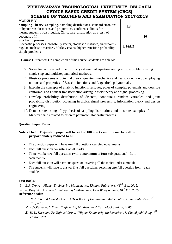| <b>MODULE-V</b>                                                                |                |  |
|--------------------------------------------------------------------------------|----------------|--|
| <b>Sampling Theory:</b> Sampling, Sampling distributions, standard error, test | L <sub>3</sub> |  |
| of hypothesis for means and proportions, confidence limits for                 |                |  |
| means, student's t-distribution, Chi-square distribution as a test of          |                |  |
| goodness of fit.                                                               |                |  |
| <b>Stochastic process:</b>                                                     |                |  |
| Stochastic processes, probability vector, stochastic matrices, fixed points,   |                |  |
| regular stochastic matrices, Markov chains, higher transition probability-     | L1&L2          |  |
| simple problems.                                                               |                |  |

**Course Outcomes:** On completion of this course, students are able to:

- 6. Solve first and second order ordinary differential equation arising in flow problems using single step and multistep numerical methods.
- 7. Illustrate problems of potential theory, quantum mechanics and heat conduction by employing notions and properties of Bessel's functions and Legendre's polynomials.
- 8. Explain the concepts of analytic functions, residues, poles of complex potentials and describe conformal and Bilinear transformation arising in field theory and signal processing.
- 9. Develop probability distribution of discrete, continuous random variables and joint probability distribution occurring in digital signal processing, information theory and design engineering.
- 10. Demonstrate testing of hypothesis of sampling distributions and illustrate examples of Markov chains related to discrete parameter stochastic process.

## **Question Paper Pattern:**

## **Note:- The SEE question paper will be set for 100 marks and the marks will be proportionately reduced to 60.**

- The question paper will have **ten** full questions carrying equal marks.
- Each full question consisting of **20** marks.
- There will be **two** full questions (with a **maximum** of **four** sub questions) from each module.
- Each full question will have sub question covering all the topics under a module.
- The students will have to answer **five** full questions, selecting **one** full question from each module.

## **Text Books:**

- *3. B.S. Grewal: Higher Engineering Mathematics, Khanna Publishers, 43rd Ed., 2015.*
- *4. E. Kreyszig: Advanced Engineering Mathematics, John Wiley & Sons, 10th Ed., 2015.*

## **Reference books**:

*N.P.Bali and Manish Goyal: A Text Book of Engineering Mathematics, Laxmi Publishers,7th Ed., 2010.* 

- 2. *B.V.Ramana: "Higher Engineering M athematics" Tata McGraw-Hill, 2006.*
- 3. *H. K. Dass and Er. RajnishVerma: "Higher Engineerig Mathematics", S. Chand publishing, 1st edition, 2011.*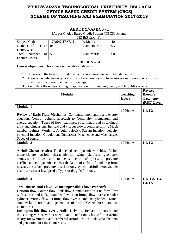|                                                                                                                                                                                                                                                                                                                                                                                                                                                                                                                                                                                                                                              |                                                                                                                                                                                                                                                                                                                            | <b>AERODYNAMICS - I</b>        |        |                 |                 |
|----------------------------------------------------------------------------------------------------------------------------------------------------------------------------------------------------------------------------------------------------------------------------------------------------------------------------------------------------------------------------------------------------------------------------------------------------------------------------------------------------------------------------------------------------------------------------------------------------------------------------------------------|----------------------------------------------------------------------------------------------------------------------------------------------------------------------------------------------------------------------------------------------------------------------------------------------------------------------------|--------------------------------|--------|-----------------|-----------------|
|                                                                                                                                                                                                                                                                                                                                                                                                                                                                                                                                                                                                                                              | [As per Choice Based Credit System (CBCS) scheme]                                                                                                                                                                                                                                                                          |                                |        |                 |                 |
| Subject Code                                                                                                                                                                                                                                                                                                                                                                                                                                                                                                                                                                                                                                 | 17AS42/17AE42                                                                                                                                                                                                                                                                                                              | SEMESTER-IV<br><b>IA Marks</b> | 40     |                 |                 |
| Number of Lecture                                                                                                                                                                                                                                                                                                                                                                                                                                                                                                                                                                                                                            | 04                                                                                                                                                                                                                                                                                                                         | <b>Exam Hours</b>              | 03     |                 |                 |
| Hours/Week                                                                                                                                                                                                                                                                                                                                                                                                                                                                                                                                                                                                                                   |                                                                                                                                                                                                                                                                                                                            |                                |        |                 |                 |
| Number<br>$\sigma$<br>Total                                                                                                                                                                                                                                                                                                                                                                                                                                                                                                                                                                                                                  | 50                                                                                                                                                                                                                                                                                                                         | <b>Exam Marks</b>              | 60     |                 |                 |
| <b>Lecture Hours</b>                                                                                                                                                                                                                                                                                                                                                                                                                                                                                                                                                                                                                         |                                                                                                                                                                                                                                                                                                                            |                                |        |                 |                 |
|                                                                                                                                                                                                                                                                                                                                                                                                                                                                                                                                                                                                                                              |                                                                                                                                                                                                                                                                                                                            | $CREDITS - 04$                 |        |                 |                 |
| Course objectives: This course will enable students to                                                                                                                                                                                                                                                                                                                                                                                                                                                                                                                                                                                       |                                                                                                                                                                                                                                                                                                                            |                                |        |                 |                 |
| 2.<br>3.                                                                                                                                                                                                                                                                                                                                                                                                                                                                                                                                                                                                                                     | 1. Understand the basics of fluid mechanics as a prerequisite to Aerodynamics<br>Acquire knowledge on typical airfoil characteristics and two-dimensional flows over airfoil and<br>study the incompressible over finite wings<br>Assimilate the understanding of application of finite wing theory and high lift systems. |                                |        |                 |                 |
|                                                                                                                                                                                                                                                                                                                                                                                                                                                                                                                                                                                                                                              |                                                                                                                                                                                                                                                                                                                            |                                |        |                 | <b>Revised</b>  |
|                                                                                                                                                                                                                                                                                                                                                                                                                                                                                                                                                                                                                                              | <b>Modules</b>                                                                                                                                                                                                                                                                                                             |                                |        | <b>Teaching</b> | <b>Bloom's</b>  |
|                                                                                                                                                                                                                                                                                                                                                                                                                                                                                                                                                                                                                                              |                                                                                                                                                                                                                                                                                                                            |                                |        | <b>Hours</b>    | <b>Taxonomy</b> |
|                                                                                                                                                                                                                                                                                                                                                                                                                                                                                                                                                                                                                                              |                                                                                                                                                                                                                                                                                                                            |                                |        |                 | (RBT) Level     |
| <b>Module -1</b>                                                                                                                                                                                                                                                                                                                                                                                                                                                                                                                                                                                                                             |                                                                                                                                                                                                                                                                                                                            |                                |        | 10 Hours        | L1, L2          |
| <b>Review of Basic Fluid Mechanics: Continuity, momentum and energy</b><br>equation, Control volume approach to Continuity, momentum and<br>energy equation, Types of flow, pathlines, streamlines, and streaklines,<br>units and dimensions, inviscid and viscous flows, compressibility, Mach<br>number regimes. Vorticity, Angular velocity, Stream function, velocity<br>potential function, Circulation, Numericals, Mach cone and Mach angle,<br>Speed of sound.<br><b>Module -2</b>                                                                                                                                                   |                                                                                                                                                                                                                                                                                                                            |                                |        | 10 Hours        | L1, L2          |
| Airfoil Characteristics: Fundamental aerodynamic variables, Airfoil<br>nomenclature, airfoil characteristics. wing planform geometry,<br>aerodynamic forces and moments, centre of pressure, pressure<br>coefficient, aerodynamic center, calculation of airfoil lift and drag from<br>measured surface pressure distributions, typical airfoil aerodynamic<br>characteristics at low speeds. Types of drag-Definitions.                                                                                                                                                                                                                     |                                                                                                                                                                                                                                                                                                                            |                                |        |                 |                 |
| <b>Module -3</b>                                                                                                                                                                                                                                                                                                                                                                                                                                                                                                                                                                                                                             |                                                                                                                                                                                                                                                                                                                            |                                |        | 10 Hours        | L1, L2, L3,     |
| Two Dimensional Flows & Incompressible Flow Over Airfoil:<br>Uniform flow, Source flow, Sink flow, Combination of a uniform flow<br>with source and sink. Doublet flow. Non-lifting flow over a circular<br>cylinder. Vortex flow. Lifting flow over a circular cylinder. Kutta-<br>Joukowski theorem and generation of Lift, D'Alembert's paradox,<br>Numericals.<br><b>Incompressible flow over airfoils:</b> Kelvin's circulation theorem and<br>the starting vortex, vortex sheet, Kutta condition, Classical thin airfoil<br>theory for symmetric and cambered airfoils. Kutta-Joukowski theorem<br>and generation of Lift, Numericals. |                                                                                                                                                                                                                                                                                                                            |                                | L4, L5 |                 |                 |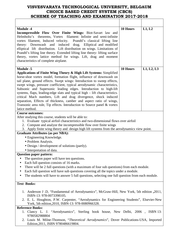| <b>Module -4</b><br>Incompressible Flow Over Finite Wings: Biot-Savart law and<br>Helmholtz's theorems, Vortex filament: Infinite and semi-infinite<br>vortex filament, Induced velocity. Prandtl's classical lifting line<br>theory: Downwash and induced drag.<br>Elliptical and modified<br>elliptical lift distribution. Lift distribution on wings. Limitations of<br>Prandtl's lifting line theory. Extended lifting line theory- lifting surface<br>theory, vortex lattice method for wings. Lift, drag and moment<br>characteristics of complete airplane.                                                                                                                                           | 10 Hours | L1, L2     |
|--------------------------------------------------------------------------------------------------------------------------------------------------------------------------------------------------------------------------------------------------------------------------------------------------------------------------------------------------------------------------------------------------------------------------------------------------------------------------------------------------------------------------------------------------------------------------------------------------------------------------------------------------------------------------------------------------------------|----------|------------|
| <b>Module -5</b><br>Applications of Finite Wing Theory & High Lift Systems: Simplified<br>horse-shoe vortex model, formation flight, influence of downwash on<br>tail plane, ground effects. Swept wings: Introduction to sweep effects,<br>swept wings, pressure coefficient, typical aerodynamic characteristics,<br>Subsonic and Supersonic leading edges. Introduction to high-lift<br>systems, flaps, leading-edge slats and typical high – lift characteristics.<br>critical Mach numbers, Lift and drag divergence, shock induced<br>separation, Effects of thickness, camber and aspect ratio of wings,<br>Transonic area rule, Tip effects. Introduction to Source panel & vortex<br>latice method. | 10 Hours | L1, L2, L3 |
| <b>Course outcomes:</b><br>After studying this course, students will be able to:<br>1. Evaluate typical airfoil characteristics and two-dimensional flows over airfoil<br>2. Compute and analyze the incompressible flow over finite wings<br>3. Apply finite wing theory and design high lift systems from the aerodynamics view point.                                                                                                                                                                                                                                                                                                                                                                     |          |            |
| <b>Graduate Attributes (as per NBA):</b><br>• Engineering Knowledge.<br>• Problem Analysis.<br>• Design / development of solutions (partly).<br>• Interpretation of data.<br><b>Question paper pattern:</b><br>The question paper will have ten questions.<br>Each full question consists of 16 marks.<br>There will be 2 full questions (with a maximum of four sub questions) from each module.<br>Each full question will have sub questions covering all the topics under a module.<br>$\bullet$<br>The students will have to answer 5 full questions, selecting one full question from each module.                                                                                                     |          |            |
| <b>Text Books:</b><br>1. Anderson J .D, "Fundamental of Aerodynamics", McGraw-Hill, New York, 5th edition , 2011,<br>ISBN-13: 978-0073398105.<br>2. E. L. Houghton, P.W. Carpenter, "Aerodynamics for Engineering Students", Elsevier-New<br>York, 5th edition, 2010, ISBN-13: 978-0080966328.                                                                                                                                                                                                                                                                                                                                                                                                               |          |            |
| <b>Reference Books:</b><br>1. Clancy L. J. "Aerodynamics", Sterling book house, New Delhi, 2006, ISBN 13:<br>9780582988804<br>2. Louis M. Milne-Thomson, "Theoretical Aerodynamics", Dover Publications-USA, Imported<br>Edition, 2011, ISBN 9780486619804.                                                                                                                                                                                                                                                                                                                                                                                                                                                  |          |            |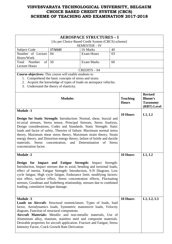|                                                                                                                                                                                                                                                                                                                                                                                                                                                                                                                                                                                    |                                                                                                                                                                        | <b>AEROSPACE STRUCTURES - I</b> |          |                                 |                                                             |
|------------------------------------------------------------------------------------------------------------------------------------------------------------------------------------------------------------------------------------------------------------------------------------------------------------------------------------------------------------------------------------------------------------------------------------------------------------------------------------------------------------------------------------------------------------------------------------|------------------------------------------------------------------------------------------------------------------------------------------------------------------------|---------------------------------|----------|---------------------------------|-------------------------------------------------------------|
| [As per Choice Based Credit System (CBCS) scheme]<br><b>SEMESTER - IV</b>                                                                                                                                                                                                                                                                                                                                                                                                                                                                                                          |                                                                                                                                                                        |                                 |          |                                 |                                                             |
| <b>Subject Code</b>                                                                                                                                                                                                                                                                                                                                                                                                                                                                                                                                                                | 17AS43                                                                                                                                                                 | <b>IA Marks</b>                 | 40       |                                 |                                                             |
| Number of Lecture<br>Hours/Week                                                                                                                                                                                                                                                                                                                                                                                                                                                                                                                                                    | 04                                                                                                                                                                     | <b>Exam Hours</b>               | 03       |                                 |                                                             |
| of<br>Total<br>Number<br><b>Lecture Hours</b>                                                                                                                                                                                                                                                                                                                                                                                                                                                                                                                                      | 50                                                                                                                                                                     | <b>Exam Marks</b>               | 60       |                                 |                                                             |
|                                                                                                                                                                                                                                                                                                                                                                                                                                                                                                                                                                                    |                                                                                                                                                                        | $CREDITS - 04$                  |          |                                 |                                                             |
| <b>Course objectives:</b> This course will enable students to                                                                                                                                                                                                                                                                                                                                                                                                                                                                                                                      | 1. Comprehend the basic concepts of stress and strain.<br>2. Acquire the knowledge of types of loads on aerospace vehicles.<br>3. Understand the theory of elasticity. |                                 |          |                                 |                                                             |
|                                                                                                                                                                                                                                                                                                                                                                                                                                                                                                                                                                                    | <b>Modules</b>                                                                                                                                                         |                                 |          | <b>Teaching</b><br><b>Hours</b> | <b>Revised</b><br>Bloom's<br><b>Taxonomy</b><br>(RBT) Level |
| <b>Module -1</b><br>Design for Static Strength: Introduction: Normal, shear, biaxial and<br>tri-axial stresses, Stress tensor, Principal Stresses, Stress Analysis,<br>Design considerations, Codes and Standards. Static Strength: Static<br>loads and factor of safety, Theories of failure: Maximum normal stress<br>theory, Maximum shear stress theory, Maximum strain theory, Strain<br>energy theory, and Distortion energy theory, failure of brittle and ductile<br>materials, Stress concentration,<br>and Determination<br><b>Stress</b><br>of<br>concentration factor. |                                                                                                                                                                        | 10 Hours                        | L1, L2   |                                 |                                                             |
| <b>Module -2</b><br>Design for Impact and Fatigue Strength: Impact Strength:<br>Introduction, Impact stresses due to axial, bending and torsional loads,<br>effect of inertia. Fatigue Strength: Introduction, S-N Diagram, Low<br>cycle fatigue, High cycle fatigue, Endurance limit, modifying factors:<br>size effect, surface effect, Stress concentration effects, Fluctuating<br>stresses, Goodman and Soderberg relationship, stresses due to combined<br>loading, cumulative fatigue damage.                                                                               |                                                                                                                                                                        |                                 | 10 Hours | L1, L2                          |                                                             |
| <b>Module -3</b><br>Loads on Aircraft: Structural nomenclature, Types of loads, load<br>factor, Aerodynamics loads, Symmetric manoeuvre loads, Velocity<br>diagram, Function of structural components.<br>Aircraft Materials: Metallic and non-metallic materials, Use of<br>Aluminium alloy, titanium, stainless steel and composite materials.<br>Desirable properties for aircraft application. Fracture and Fatigue, Stress<br>Intensity Factor, Crack Growth Rate Derivation.                                                                                                 |                                                                                                                                                                        |                                 |          | 10 Hours                        | L1, L2, L3                                                  |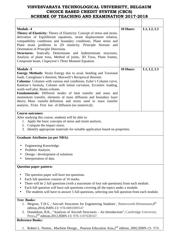| <b>Module -4</b><br><b>Theory of Elasticity:</b> Theory of Elasticity: Concept of stress and strain,<br>derivation of Equilibrium equations, strain displacement relation,<br>compatibility conditions and boundary conditions. Plane stress and<br>Plane strain problems in 2D elasticity. Principle Stresses and<br>Orientation of Principle Directions.<br>Structures: Statically Determinate and Indeterminate structures,<br>Analysis of plane truss, Method of joints, 3D Truss, Plane frames,<br>Composite beam, Clapeyron's Three Moment Equation.                                                          | 10 Hours | L1, L2, L3 |
|---------------------------------------------------------------------------------------------------------------------------------------------------------------------------------------------------------------------------------------------------------------------------------------------------------------------------------------------------------------------------------------------------------------------------------------------------------------------------------------------------------------------------------------------------------------------------------------------------------------------|----------|------------|
| <b>Module -5</b><br><b>Energy Methods:</b> Strain Energy due to axial, bending and Torsional<br>loads. Castigliano's theorem, Maxwell's Reciprocal theorem.<br>Columns: Columns with various end conditions, Euler's Column curve,<br>Rankine's formula, Column with initial curvature, Eccentric loading,<br>south-well plot, Beam-column.<br><b>Fundamentals:</b> Different modes of heat transfer and mass and<br>momentum transfer, elements of mass diffusion and boundary layer<br>theory. Mass transfer definition and terms used in mass transfer<br>analysis, Ficks First law of diffusion (no numerical). | 10 Hours | L1, L2, L3 |
| <b>Course outcomes:</b><br>After studying this course, students will be able to:<br>1. Apply the basic concepts of stress and strain analysis.<br>2. Compute the impact stress.<br>3. Identify appropriate materials for suitable application based on properties.                                                                                                                                                                                                                                                                                                                                                  |          |            |
| <b>Graduate Attributes (as per NBA):</b>                                                                                                                                                                                                                                                                                                                                                                                                                                                                                                                                                                            |          |            |
| Engineering Knowledge.<br>Problem Analysis.<br>Design / development of solutions<br>Interpretation of data                                                                                                                                                                                                                                                                                                                                                                                                                                                                                                          |          |            |
| <b>Question paper pattern:</b>                                                                                                                                                                                                                                                                                                                                                                                                                                                                                                                                                                                      |          |            |
| The question paper will have ten questions.<br>Each full question consists of 16 marks.<br>There will be 2 full questions (with a maximum of four sub questions) from each module.<br>Each full question will have sub questions covering all the topics under a module.<br>The students will have to answer 5 full questions, selecting one full question from each module.                                                                                                                                                                                                                                        |          |            |
| <b>Text Books:</b><br>1. Megson, T.H.G , Aircraft Structures for Engineering Students', Butterworth-Heinemann, 6th<br>edition, 2016, ISBN-13: 978-0081009147<br>2. Donaldson, B.K., "Analysis of Aircraft Structures – An Introduction", Cambridge University                                                                                                                                                                                                                                                                                                                                                       |          |            |

2. Donaldson, B.K., "Analysis of Aircraft Structures – An Introduction", Cambridge University Press, 2<sup>nd</sup> edition, 2012, ISBN-13: 978-1107638167.

# **Reference Books:**

1. Robert L. Norton, Machine Design, , Pearson Education Asia, 2<sup>nd</sup> edition, 2002, ISBN-13: 978-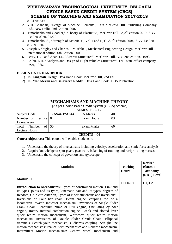8131705339.

- 2. V.B. Bhandari, 'Design of Machine Elements', Tata McGraw Hill Publishing Company Ltd., New Delhi, 2nd Edition, 2007.
- 3. Timoshenko and Goodier," 'Theory of Elasticity', McGraw Hill Co, 3<sup>rd</sup> edition, 2010, ISBN-13: 978-0070701229
- 4. Timoshenko, S., "Strength of Materials", Vol. I and II, CBS, 3<sup>rd</sup> edition, 2004, ISBN-13: 978-8123910307
- 5. Joseph E Shigley and Charles R.Mischke. , Mechanical Engineering Design, McGraw Hill International edition, 6th Edition ,2009.
- 6. Peery, D.J., and Azar, J.J., "Aircraft Structures", McGraw, Hill, N.Y, 2nd edition, 1993.
- 7. Bruhn. E.H. "Analysis and Design of Flight vehicles Structures", Tri state off set company, USA, 1985.

## **DESIGN DATA HANDBOOK:**

- 1) **K. Lingaiah**, Design Data Hand Book, McGraw Hill, 2nd Ed.
- 2) **K. Mahadevan and Balaveera Reddy** , Data Hand Book, CBS Publication

|                       |                                                   | <b>MECHANISMS AND MACHINE THEORY</b> |    |  |
|-----------------------|---------------------------------------------------|--------------------------------------|----|--|
|                       | [As per Choice Based Credit System (CBCS) scheme] |                                      |    |  |
|                       | <b>SEMESTER - IV</b>                              |                                      |    |  |
| Subject Code          | 17AS44/17AE44                                     | <b>IA Marks</b>                      | 40 |  |
| Number of Lecture     | 04                                                | Exam Hours                           | 03 |  |
| Hours/Week            |                                                   |                                      |    |  |
| of<br>Number<br>Total | 50                                                | Exam Marks                           | 60 |  |
| <b>Lecture Hours</b>  |                                                   |                                      |    |  |
| $CREDITS - 04$        |                                                   |                                      |    |  |

- 1. Understand the theory of mechanisms including velocity, acceleration and static force analysis.
- 2. Acquire knowledge of spur gears, gear train, balancing of rotating and reciprocating masses.
- 3. Understand the concept of governors and gyroscope

| <b>Modules</b>                                                            | <b>Teaching</b><br><b>Hours</b> | <b>Revised</b><br><b>Bloom's</b><br><b>Taxonomy</b><br>(RBT) Level |
|---------------------------------------------------------------------------|---------------------------------|--------------------------------------------------------------------|
| <b>Module -1</b>                                                          |                                 |                                                                    |
|                                                                           | 10 Hours                        | L1, L2                                                             |
| Introduction to Mechanisms: Types of constrained motion, Link and         |                                 |                                                                    |
| its types, joints and its types, kinematic pair and its types, degrees of |                                 |                                                                    |
| freedom, Grubler's criterion, Types of kinematic chains and inversions:   |                                 |                                                                    |
| Inversions of Four bar chain: Beam engine, coupling rod of a              |                                 |                                                                    |
| locomotive, Watt's indicator mechanism. Inversions of Single Slider       |                                 |                                                                    |
| Crank Chain: Pendulum pump or Bull engine, Oscillating cylinder           |                                 |                                                                    |
| engine, Rotary internal combustion engine, Crank and slotted lever        |                                 |                                                                    |
| quick return motion mechanism, Whitworth quick return motion              |                                 |                                                                    |
| mechanism. Inversions of Double Slider Crank Chain: Elliptical            |                                 |                                                                    |
| trammels, Scotch yoke mechanism, Oldham's coupling. Straight line         |                                 |                                                                    |
| motion mechanisms: Peaucellier's mechanism and Robert's mechanism.        |                                 |                                                                    |
| Intermittent Motion mechanisms: Geneva wheel mechanism and                |                                 |                                                                    |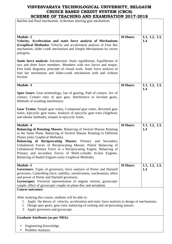| SCHEME OF TEACHING AND EAAMHNATION 4017-4010<br>Ratchet and Pawl mechanism, Ackerman steering gear mechanism.                                                                                                                                                                                                                                                                                                                                                                                                                           |          |                               |
|-----------------------------------------------------------------------------------------------------------------------------------------------------------------------------------------------------------------------------------------------------------------------------------------------------------------------------------------------------------------------------------------------------------------------------------------------------------------------------------------------------------------------------------------|----------|-------------------------------|
|                                                                                                                                                                                                                                                                                                                                                                                                                                                                                                                                         |          |                               |
|                                                                                                                                                                                                                                                                                                                                                                                                                                                                                                                                         |          |                               |
| <b>Module -2</b><br>Velocity, Acceleration and static force analysis of Mechanisms<br>(Graphical Methods): Velocity and acceleration analysis of Four Bar<br>mechanism, slider crank mechanism and Simple Mechanisms by vector<br>polygons.                                                                                                                                                                                                                                                                                             | 10 Hours | L1, L2, L3,<br>L4             |
| <b>Static force analysis:</b> Introduction: Static equilibrium, Equilibrium of<br>two and three force members. Members with two forces and torque.<br>Free body diagrams, principle of virtual work. Static force analysis of<br>four bar mechanism and slider-crank mechanism with and without<br>friction.                                                                                                                                                                                                                            |          |                               |
| <b>Module -3</b>                                                                                                                                                                                                                                                                                                                                                                                                                                                                                                                        | 10 Hours | L1, L2, L3,<br>L4             |
| Spur Gears: Gear terminology, law of gearing, Path of contact, Arc of<br>contact, Contact ratio of spur gear, Interference in involute gears,<br>Methods of avoiding interference.                                                                                                                                                                                                                                                                                                                                                      |          |                               |
| Gear Trains: Simple gear trains, Compound gear trains, Reverted gear<br>trains, Epicyclic gear trains, Analysis of epicyclic gear train (Algebraic<br>and tabular methods), torques in epicyclic trains.                                                                                                                                                                                                                                                                                                                                |          |                               |
| <b>Module -4</b><br><b>Balancing of Rotating Masses: Balancing of Several Masses Rotating</b><br>in the Same Plane, Balancing of Several Masses Rotating in Different<br>Planes (only Graphical Methods).<br>Balancing of Reciprocating Masses: Primary and Secondary<br>Unbalanced Forces of Reciprocating Masses, Partial Balancing of<br>Unbalanced Primary Force in a Reciprocating Engine, Balancing of<br>Primary and secondary Forces of Multi-cylinder In-line Engines,<br>Balancing of Radial Engines (only Graphical Methods) | 10 Hours | L1, L2, L3,<br>L4             |
| <b>Module -5</b><br><b>Governors:</b> Types of governors; force analysis of Porter and Hartnell<br>governors, Controlling force, stability, sensitiveness, isochronism, effort<br>and power of Porter and Hartnell governors.<br>Gyroscopes: Vectorial representation of angular motion, gyroscopic<br>couple, effect of gyroscopic couple on plane disc and aeroplane.                                                                                                                                                                 | 10 Hours | L1, L2, L3,<br>L <sub>4</sub> |
| <b>Course outcomes:</b>                                                                                                                                                                                                                                                                                                                                                                                                                                                                                                                 |          |                               |
| After studying this course, students will be able to:<br>1. Apply the theory of velocity, acceleration and static force analysis to design of mechanisms.                                                                                                                                                                                                                                                                                                                                                                               |          |                               |

- 2. Design spur gears, gear train, balancing of rotating and reciprocating masses.
- 3. Apply governors and gyroscope.

## **Graduate Attributes (as per NBA):**

- Engineering Knowledge.
- Problem Analysis.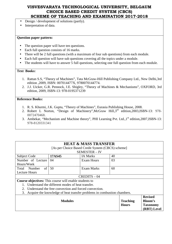- Design / development of solutions (partly).
- Interpretation of data.

## **Question paper pattern:**

- The question paper will have ten questions.
- Each full question consists of 16 marks.
- There will be 2 full questions (with a maximum of four sub questions) from each module.
- Each full question will have sub questions covering all the topics under a module.
- The students will have to answer 5 full questions, selecting one full question from each module.

#### **Text Books:**

- 1. Rattan S.S, "Theory of Machines", Tata McGraw-Hill Publishing Company Ltd., New Delhi,3rd edition ,2009, ISBN: 007014477X, 9780070144774.
- 2. J.J. Uicker, G.R. Pennock, J.E. Shigley, "Theory of Machines & Mechanisms", OXFORD, 3rd edition, 2009, ISBN-13: 978-0195371239

- 1. R. S. Khurmi, J.K. Gupta, "Theory of Machines", Eurasia Publishing House, 2008.
- 2. Robert L Norton, "Design of Machinery", McGraw Hill, 3<sup>rd</sup> edition, 2003, ISBN-13: 978-0072470468.
- 3. Ambekar, "Mechanism and Machine theory", PHI Learning Pvt. Ltd., 1<sup>st</sup> edition, 2007, ISBN-13: 978-8120331341

| <b>HEAT &amp; MASS TRANSFER</b><br>[As per Choice Based Credit System (CBCS) scheme]<br>SEMESTER - IV |                                                                         |                   |    |                                 |                                                                    |
|-------------------------------------------------------------------------------------------------------|-------------------------------------------------------------------------|-------------------|----|---------------------------------|--------------------------------------------------------------------|
| <b>Subject Code</b>                                                                                   | 17AS45                                                                  | <b>IA Marks</b>   | 40 |                                 |                                                                    |
| Number of Lecture<br>Hours/Week                                                                       | 04                                                                      | <b>Exam Hours</b> | 03 |                                 |                                                                    |
| $\sigma$ f<br>Total Number<br><b>Lecture Hours</b>                                                    | 50                                                                      | <b>Exam Marks</b> | 60 |                                 |                                                                    |
|                                                                                                       |                                                                         | $CREDITS - 04$    |    |                                 |                                                                    |
| <b>Course objectives:</b> This course will enable students to                                         |                                                                         |                   |    |                                 |                                                                    |
|                                                                                                       | Understand the different modes of heat transfer.                        |                   |    |                                 |                                                                    |
| $2^{\circ}$                                                                                           | Understand the free convection and forced convection.                   |                   |    |                                 |                                                                    |
| 3.                                                                                                    | Acquire the knowledge of heat transfer problems in combustion chambers. |                   |    |                                 |                                                                    |
|                                                                                                       | <b>Modules</b>                                                          |                   |    | <b>Teaching</b><br><b>Hours</b> | <b>Revised</b><br><b>Bloom's</b><br><b>Taxonomy</b><br>(RBT) Level |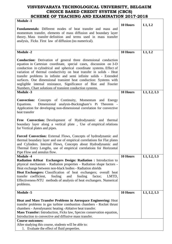| <b>Module -1</b>                                                                                                                                                                                                                                                                                                                                                                                                                                                                                                                                                       |          |            |
|------------------------------------------------------------------------------------------------------------------------------------------------------------------------------------------------------------------------------------------------------------------------------------------------------------------------------------------------------------------------------------------------------------------------------------------------------------------------------------------------------------------------------------------------------------------------|----------|------------|
| <b>Fundamentals:</b> Different modes of heat transfer and mass and<br>momentum transfer, elements of mass diffusion and boundary layer<br>theory. Mass transfer definition and terms used in mass transfer<br>analysis, Ficks First law of diffusion (no numerical).                                                                                                                                                                                                                                                                                                   | 10 Hours | L1, L2     |
| <b>Module -2</b>                                                                                                                                                                                                                                                                                                                                                                                                                                                                                                                                                       | 10 Hours | L1, L2     |
| <b>Conduction:</b> Derivation of general three dimensional conduction<br>equation in Cartesian coordinate, special cases, discussion on 3-D<br>conduction in cylindrical and spherical coordinate systems. Effect of<br>variation of thermal conductivity on heat transfer in solids - Heat<br>transfer problems in infinite and semi infinite solids - Extended<br>surfaces. One dimensional transient heat conduction: Systems with<br>negligible internal resistance, Significance of Biot and Fourier<br>Numbers, Chart solutions of transient conduction systems. |          |            |
| <b>Module -3</b>                                                                                                                                                                                                                                                                                                                                                                                                                                                                                                                                                       | 10 Hours | L1, L2, L3 |
| <b>Convection:</b> Concepts of Continuity, Momentum and Energy<br>Dimensional analysis-Buckingham's Pi Theorem -<br>Equations.<br>Application for developing non-dimensional correlation for convective<br>heat transfer                                                                                                                                                                                                                                                                                                                                               |          |            |
| Free Convection: Development of Hydrodynamic and thermal<br>boundary layer along a vertical plate, Use of empirical relations<br>for Vertical plates and pipes.                                                                                                                                                                                                                                                                                                                                                                                                        |          |            |
| Forced Convection: External Flows, Concepts of hydrodynamic and<br>thermal boundary layer and use of empirical correlations for Flat plates<br>and Cylinders. Internal Flows, Concepts about Hydrodynamic and<br>Thermal Entry Lengths, use of empirical correlations for Horizontal<br>Pipe Flow and annulus flow.                                                                                                                                                                                                                                                    |          |            |
| <b>Module -4</b><br><b>Radiation &amp; Heat</b> Exchangers Design: Radiation : Introduction to<br>physical mechanism - Radiation properties - Radiation shape factors -<br>Heat exchange between non-black bodies - Radiation shields<br><b>Heat Exchangers:</b> Classification of heat exchangers; overall heat<br>transfer coefficient,<br>fouling<br>and<br>fouling<br>factor;<br>LMTD,<br>Effectiveness-NTU methods of analysis of heat exchangers. Numerical<br>problems.                                                                                         | 10 Hours | L1, L2, L3 |
| <b>Module -5</b>                                                                                                                                                                                                                                                                                                                                                                                                                                                                                                                                                       | 10 Hours | L1, L2, L3 |
| Heat and Mass Transfer Problems in Aerospace Engineering: Heat<br>transfer problems in gas turbine combustion chambers - Rocket thrust<br>chambers - Aerodynamic heating - Ablative heat transfer.<br>Mass Transfer: Introduction, Ficks law, Species conservation equation,<br>Introduction to convective and diffusive mass transfer.                                                                                                                                                                                                                                |          |            |
| <b>Course outcomes:</b>                                                                                                                                                                                                                                                                                                                                                                                                                                                                                                                                                |          |            |
| After studying this course, students will be able to:<br>1. Evaluate the effect of fluid properties.                                                                                                                                                                                                                                                                                                                                                                                                                                                                   |          |            |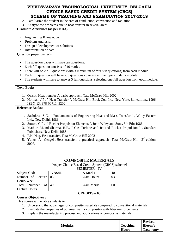2. Familiarize the student in the area of conduction, convection and radiation.

3. Analyze the problems due to heat transfer in several areas.

## **Graduate Attributes (as per NBA):**

- Engineering Knowledge.
- Problem Analysis.
- Design / development of solutions
- Interpretation of data

## **Question paper pattern:**

- The question paper will have ten questions.
- Each full question consists of 16 marks.
- There will be 2 full questions (with a maximum of four sub questions) from each module.
- Each full question will have sub questions covering all the topics under a module.
- The students will have to answer 5 full questions, selecting one full question from each module.

## **Text Books:**

- 1. Ozisik, Heat transfer-A basic approach, Tata McGraw Hill 2002
- 2. Holman, J.P., " Heat Transfer ", McGraw Hill Book Co., Inc., New York, 8th edition., 1996, ISBN-13: 978-0071143202

## **Reference Books:**

- 1. Sachdeva, S.C., " Fundamentals of Engineering Heat and Mass Transfer " , Wiley Eastern Ltd., New Delhi, 1981.
- 2. Sutton, G.P., " Rocket Propulsion Elements ", John Wiley and Sons, 5th Edn.1986.
- 3. Mathur, M.and Sharma, R.P., " Gas Turbine and Jet and Rocket Propulsion " , Standard Publishers, New Delhi 1988.
- 4. P.K. Nag, Heat transfer, Tata McGraw Hill 2002
- 5. Yunus A- Cengel, Heat transfer, a practical approach, Tata McGraw Hill, 3<sup>rd</sup> edition, 2007.

|                           |        | <b>COMPOSITE MATERIALS</b>                        |    |
|---------------------------|--------|---------------------------------------------------|----|
|                           |        | [As per Choice Based Credit System (CBCS) scheme] |    |
|                           |        | <b>SEMESTER - IV</b>                              |    |
| Subject Code              | 17AS46 | <b>IA Marks</b>                                   | 40 |
| Number of Lecture         | 03     | Exam Hours                                        | 03 |
| Hours/Week                |        |                                                   |    |
| Total<br>Number<br>of     | 40     | Exam Marks                                        | 60 |
| <b>Lecture Hours</b>      |        |                                                   |    |
| <b>CREDITS - 03</b>       |        |                                                   |    |
| <b>Course Objectives:</b> |        |                                                   |    |

This course will enable students to

- 1. Understand the advantages of composite materials compared to conventional materials
- 2. Evaluate the properties of polymer matrix composites with fiber reinforcements
- 3. Explain the manufacturing process and applications of composite materials

|                |                 | <b>Revised</b>  |
|----------------|-----------------|-----------------|
| <b>Modules</b> | <b>Teaching</b> | <b>Bloom's</b>  |
|                | <b>Hours</b>    | <b>Taxonomy</b> |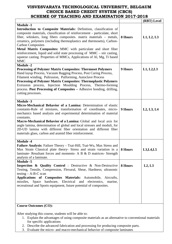|                                                                                                                                                                                                                                                                                                                                                                                                                                                                                                                                                                                    |         | (RBT) Level |
|------------------------------------------------------------------------------------------------------------------------------------------------------------------------------------------------------------------------------------------------------------------------------------------------------------------------------------------------------------------------------------------------------------------------------------------------------------------------------------------------------------------------------------------------------------------------------------|---------|-------------|
| <b>Module -1</b><br>Introduction to Composite Materials: Definition, classification of<br>composite materials, classification of reinforcement - particulate, short<br>fiber, whiskers, long fibers composites. matrix materials - metals,<br>ceramics, polymers (including thermoplastics and thermosets), Carbon-<br><b>Carbon Composites</b><br>Metal Matrix Composites: MMC with particulate and short fiber<br>reinforcement, liquid and solid state processing of MMC – stir casting,<br>squeeze casting. Properties of MMCs, Applications of Al, Mg, Ti based<br><b>MMC</b> | 8 Hours | L1, L2, L3  |
| <b>Module -2</b><br><b>Processing of Polymer Matrix Composites: Thermoset Polymers</b><br>Hand layup Process, Vacuum Bagging Process, Post Curing Process,<br>Filament winding, Pultrusion, Pulforming, Autoclave Process<br><b>Processing of Polymer Matrix Composites: Thermoplastic Polymers</b><br>Extrusion process, Injection Moulding Process, Thermo-forming<br>process. Post Processing of Composites - Adhesive bonding, drilling,<br>cutting processes.                                                                                                                 | 9 Hours | L1, L2, L3  |
| <b>Module -3</b><br>Micro-Mechanical Behavior of a Lamina: Determination of elastic<br>constants-Rule of mixtures, transformation of coordinates, micro-<br>mechanics based analysis and experimental determination of material<br>constants.<br>Macro-Mechanical Behavior of a Lamina: Global and local axis for<br>angle lamina, determination of global and local stresses and moduli, for<br>2D-UD lamina with different fiber orientation and different fiber<br>materials glass, carbon and aramid fiber reinforcement.                                                      | 9 Hours | L2, L3, L4  |
| <b>Module -4</b><br>Failure Analysis: Failure Theory - Tsai-Hill, Tsai-Wu, Max Stress and<br>Max Strain Classical plate theory- Stress and strain variation in a $\vert$ 8 Hours<br>laminate- Resultant forces and moments- A B & D matrices- Strength<br>analysis of a laminate.                                                                                                                                                                                                                                                                                                  |         | L3, L4, L5  |
| <b>Module -5</b><br><b>Inspection &amp; Quality Control</b> : Destructive & Non-Destructive<br>Testing, Tensile, Compression, Flexural, Shear, Hardness; ultrasonic<br>testing $- A-B-C$ scan<br>Applications of Composites Materials: Automobile, Aircrafts,<br>missiles, Space hardware, Electrical and electronics, marine,<br>recreational and Sports equipment, future potential of composites.                                                                                                                                                                               | 8 Hours | L2, L3      |

## **Course Outcomes (CO):**

After studying this course, students will be able to:

- 1. Explain the advantages of using composite materials as an alternative to conventional materials for specific applications
- 2. Describe the advanced fabrication and processing for producing composite parts.
- 3. Evaluate the micro- and macro-mechanical behavior of composite laminates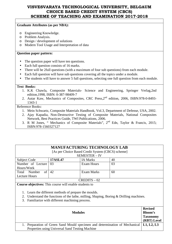#### **Graduate Attributes (as per NBA):**

- o Engineering Knowledge.
- o Problem Analysis.
- o Design / development of solutions
- o Modern Tool Usage and Interpretation of data

### **Question paper pattern:**

- The question paper will have ten questions.
- Each full question consists of 16 marks.
- There will be 2full questions (with a maximum of four sub questions) from each module.
- Each full question will have sub questions covering all the topics under a module.
- The students will have to answer 5 full questions, selecting one full question from each module.

#### **Text Books:**

- 1. K.K Chawla, Composite Materials- Science and Engineering, Springer Verlag,2nd edition,1998, ISBN: 0-387-98409-7
- 2. Autar Kaw, Mechanics of Composites, CRC Press,2nd edition, 2006, ISBN:978-0-8493- 1343-1

- 1. Mein Schwartz, Composite Materials Handbook, Vol.3, Department of Defense, USA, 2002.
- 2. Ajay Kapadia, Non-Destructive Testing of Composite Materials, National Composites Network, Best Practices Guide, TWI Publications, 2006.
- 3. R M Jones, " Mechanics of Composite Materials", 2nd Edn, Taylor & Francis, 2015; ISBN:978-1560327127

| <b>MANUFACTURING TECHNOLOGY LAB</b>                                                     |                |                   |    |  |  |
|-----------------------------------------------------------------------------------------|----------------|-------------------|----|--|--|
| [As per Choice Based Credit System (CBCS) scheme]                                       |                |                   |    |  |  |
| <b>SEMESTER - IV</b>                                                                    |                |                   |    |  |  |
| Subject Code                                                                            | <b>17ASL47</b> | <b>IA Marks</b>   | 40 |  |  |
| Number of Lecture                                                                       | 03             | <b>Exam Hours</b> | 03 |  |  |
| Hours/Week                                                                              |                |                   |    |  |  |
| of<br>Total Number                                                                      | 42             | <b>Exam Marks</b> | 60 |  |  |
| Lecture Hours                                                                           |                |                   |    |  |  |
| $CREDITS - 02$                                                                          |                |                   |    |  |  |
| <b>Course objectives:</b> This course will enable students to                           |                |                   |    |  |  |
|                                                                                         |                |                   |    |  |  |
| 1. Learn the different methods of prepare the moulds.                                   |                |                   |    |  |  |
| 2. Understand the functions of the lathe, milling, Shaping, Boring & Drilling machines. |                |                   |    |  |  |
| 3. Familiarize with different machining process.                                        |                |                   |    |  |  |
|                                                                                         |                |                   |    |  |  |

|                                                                                          | <b>Revised</b>  |
|------------------------------------------------------------------------------------------|-----------------|
| <b>Modules</b>                                                                           |                 |
|                                                                                          | <b>Taxonomy</b> |
|                                                                                          | (RBT) Level     |
| 1. Preparation of Green Sand Mould specimen and determination of Mechanical   L1, L2, L3 |                 |
| Properties using Universal Sand Testing Machine                                          |                 |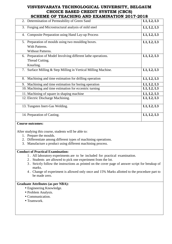| SCAEME OF TEACAING AND EAAMINATION 2017-2016                   |            |
|----------------------------------------------------------------|------------|
| 2. Determination of Permeability of Green Sand                 | L1, L2, L3 |
| 3. Forging and Microstructural analysis of mild steel          | L1, L2, L3 |
| 4. Composite Preparation using Hand Lay-up Process             | L1, L2, L3 |
| 5. Preparation of moulds using two moulding boxes.             | L1, L2, L3 |
| With Patterns.                                                 |            |
| Without Patterns.                                              |            |
| 6. Preparation of Model Involving different lathe operations.  | L1, L2, L3 |
| Thread Cutting.                                                |            |
| Knurling.                                                      |            |
| 7. Surface Milling & Step Milling in Vertical Milling Machine. | L1, L2, L3 |
| 8. Machining and time estimation for drilling operation        | L1, L2, L3 |
| Machining and time estimation for boring operation<br>9.       | L1, L2, L3 |
| 10. Machining and time estimation for eccentric turning        | L1, L2, L3 |
| 11. Machining of square in shaping machine                     | L1, L2, L3 |
| 12. Electric Discharge Machining.                              | L1, L2, L3 |
| 13. Tungsten Inert-Gas Welding.                                | L1, L2, L3 |
| 14. Preparation of Casting.                                    | L1, L2, L3 |

## **Course outcomes:**

After studying this course, students will be able to:

- 1. Prepare the moulds.
- 2. Differentiate among different types of machining operations.
- 3. Manufacture a product using different machining process.

## **Conduct of Practical Examination:**

- 1 . All laboratory experiments are to be included for practical examination.
- 2 . Students are allowed to pick one experiment from the lot.
- 3 . Strictly follow the instructions as printed on the cover page of answer script for breakup of marks.
- 4 . Change of experiment is allowed only once and 15% Marks allotted to the procedure part to be made zero.

## **Graduate Attributes (as per NBA):**

- Engineering Knowledge.
- Problem Analysis.
- Communication.
- Teamwork.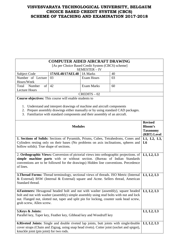## **COMPUTER AIDED AIRCRAFT DRAWING**

[As per Choice Based Credit System (CBCS) scheme]

|                       |                              | <b>SEMESTER – IV</b> |    |
|-----------------------|------------------------------|----------------------|----|
| Subject Code          | $17ASL48/17AEL48$   IA Marks |                      | 40 |
| Number of Lecture 03  |                              | Exam Hours           | 03 |
| Hours/Week            |                              |                      |    |
| of<br>Total<br>Number | -42                          | Exam Marks           | 60 |
| Lecture Hours         |                              |                      |    |
|                       |                              | $CREDITS - 02$       |    |

**Course objectives:** This course will enable students to

- 1. Understand and interpret drawings of machine and aircraft components
- 2. Prepare assembly drawings either manually or by using standard CAD packages.
- 3. Familiarize with standard components and their assembly of an aircraft.

| <b>Modules</b><br>1. Sections of Solids: Sections of Pyramids, Prisms, Cubes, Tetrahedrons, Cones and<br>Cylinders resting only on their bases (No problems on axis inclinations, spheres and<br>hollow solids). True shape of sections.                                                                   | <b>Revised</b><br><b>Bloom's</b><br><b>Taxonomy</b><br>(RBT) Level<br>L1, L2, L3,<br>L <sub>6</sub> |
|------------------------------------------------------------------------------------------------------------------------------------------------------------------------------------------------------------------------------------------------------------------------------------------------------------|-----------------------------------------------------------------------------------------------------|
| 2. Orthographic Views: Conversion of pictorial views into orthographic projections. of<br>simple machine parts with or without section. (Bureau of Indian Standards<br>conventions are to be followed for the drawings) Hidden line conventions. Precedence<br>of lines.                                   | L1, L2, L3                                                                                          |
| <b>3. Thread Forms:</b> Thread terminology, sectional views of threads. ISO Metric (Internal<br>& External) BSW (Internal & External) square and Acme. Sellers thread, American<br>Standard thread.                                                                                                        | L1, L2, L3                                                                                          |
| <b>4. Fasteners:</b> Hexagonal headed bolt and nut with washer (assembly), square headed<br>bolt and nut with washer (assembly) simple assembly using stud bolts with nut and lock<br>nut. Flanged nut, slotted nut, taper and split pin for locking, counter sunk head screw,<br>grub screw, Allen screw. | L1, L2, L3                                                                                          |
| 5. Keys & Joints:<br>Parallel key, Taper key, Feather key, Gibhead key and Woodruff key                                                                                                                                                                                                                    | L1, L2, L3                                                                                          |
| <b>6. Riveted Joints:</b> Single and double riveted lap joints, butt joints with single/double<br>cover straps (Chain and Zigzag, using snap head rivets). Cotter joint (socket and spigot),<br>knuckle joint (pin joint) for two rods.                                                                    | L1, L2, L3                                                                                          |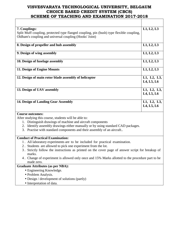| 7. Couplings:<br>Split Muff coupling, protected type flanged coupling, pin (bush) type flexible coupling,<br>Oldham's coupling and universal coupling (Hooks' Joint)                                                                                                                                                                                                                                                                                                                                                                                                                               | L1, L2, L3                  |
|----------------------------------------------------------------------------------------------------------------------------------------------------------------------------------------------------------------------------------------------------------------------------------------------------------------------------------------------------------------------------------------------------------------------------------------------------------------------------------------------------------------------------------------------------------------------------------------------------|-----------------------------|
| 8. Design of propeller and hub assembly                                                                                                                                                                                                                                                                                                                                                                                                                                                                                                                                                            | L1, L2, L3                  |
| 9. Design of wing assembly                                                                                                                                                                                                                                                                                                                                                                                                                                                                                                                                                                         | L1, L2, L3                  |
| 10. Design of fuselage assembly                                                                                                                                                                                                                                                                                                                                                                                                                                                                                                                                                                    | L1, L2, L3                  |
| 11. Design of Engine Mounts                                                                                                                                                                                                                                                                                                                                                                                                                                                                                                                                                                        | L1, L2, L3                  |
| 12. Design of main rotor blade assembly of helicopter                                                                                                                                                                                                                                                                                                                                                                                                                                                                                                                                              | L1, L2, L3,<br>$L4, L5, L6$ |
| 13. Design of UAV assembly                                                                                                                                                                                                                                                                                                                                                                                                                                                                                                                                                                         | L1, L2, L3,<br>L4, L5, L6   |
| 14. Design of Landing Gear Assembly                                                                                                                                                                                                                                                                                                                                                                                                                                                                                                                                                                | L1, L2, L3,<br>$L4, L5, L6$ |
| <b>Course outcomes:</b><br>After studying this course, students will be able to:<br>1. Distinguish drawings of machine and aircraft components<br>2. Identify assembly drawings either manually or by using standard CAD packages.<br>3. Practise with standard components and their assembly of an aircraft                                                                                                                                                                                                                                                                                       |                             |
| <b>Conduct of Practical Examination:</b><br>1. All laboratory experiments are to be included for practical examination.<br>2. Students are allowed to pick one experiment from the lot.<br>3. Strictly follow the instructions as printed on the cover page of answer script for breakup of<br>marks.<br>4. Change of experiment is allowed only once and 15% Marks allotted to the procedure part to be<br>made zero.<br><b>Graduate Attributes (as per NBA):</b><br>• Engineering Knowledge.<br>• Problem Analysis.<br>· Design / development of solutions (partly)<br>• Interpretation of data. |                             |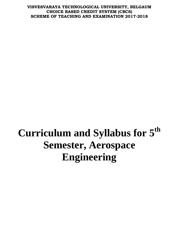# **Curriculum and Syllabus for 5th Semester, Aerospace Engineering**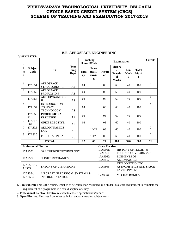|                             | <b>V SEMESTER</b>            |                                                             |                              |                   |                                       |                      |                                                |                                              |                                                       |                               |
|-----------------------------|------------------------------|-------------------------------------------------------------|------------------------------|-------------------|---------------------------------------|----------------------|------------------------------------------------|----------------------------------------------|-------------------------------------------------------|-------------------------------|
|                             |                              |                                                             |                              |                   | <b>Teaching</b><br><b>Hours /Week</b> |                      | <b>Examination</b>                             |                                              |                                                       | <b>Credits</b>                |
| S<br>l.<br>N<br>$\mathbf 0$ | <b>Subject</b><br>Code       | Title                                                       | <b>Teac</b><br>hing<br>Dept. | <b>Theo</b><br>ry | Pract<br>ical/D<br>rawin<br>g         | Durati<br>on         | <b>Theory</b><br>Practic<br>al<br><b>Marks</b> | I.A.<br><b>Mark</b><br>$\bf{s}$              | <b>Total</b><br><b>Mark</b><br>$\mathbf{s}$           |                               |
| 1                           | 17AS51                       | <b>AEROSPACE</b><br><b>STRUCTURES-II</b>                    | AS                           | 04                |                                       | 03                   | 60                                             | 40                                           | 100                                                   | $\overline{4}$                |
| $\overline{2}$              | 17AS52                       | <b>AEROSPACE</b><br><b>PROPULSION</b>                       | AS                           | 04                |                                       | 03                   | 60                                             | 40                                           | 100                                                   | $\overline{4}$                |
| 3                           | 17AS53                       | <b>AERODYNAMICS -</b><br>$\mathbf{I}$                       | AS                           | 04                |                                       | 03                   | 60                                             | 40                                           | 100                                                   | $\overline{4}$                |
| $\overline{4}$              | 17AS54                       | <b>INTRODUCTION</b><br><b>TO SPACE</b><br><b>TECHNOLOGY</b> | AS                           | 04                |                                       | 03                   | 60                                             | 40                                           | 100                                                   | $\overline{4}$                |
| 5                           | 17AS55<br>$\mathbf X$        | <b>PROFESSIONAL</b><br><b>ELECTIVE</b>                      | AS                           | 03                |                                       | 03                   | 60                                             | 40                                           | 100                                                   | 3                             |
| 6                           | 17ASL5<br>66X                | <b>OPEN ELECTIVE</b>                                        | AS                           | 03                |                                       | 03                   | 60                                             | 40                                           | 100                                                   | $\overline{3}$                |
| 7                           | 17ASL5<br>7                  | <b>AERODYNAMICS</b><br>LAB                                  | AS                           |                   | $1I+2P$                               | 03                   | 60                                             | 40                                           | 100                                                   | $\overline{2}$                |
| 8                           | 17ASL5<br>8                  | PROPULSION LAB                                              | AS                           |                   | $1I+2P$                               | 03                   | 60                                             | 40                                           | 100                                                   | $\overline{2}$                |
|                             |                              | <b>TOTAL</b>                                                |                              | 22                | 06                                    | 24                   | 480                                            | 320                                          | 800                                                   | 26                            |
|                             | <b>Professional Elective</b> |                                                             |                              |                   |                                       | <b>Open Elective</b> |                                                |                                              |                                                       |                               |
|                             | 17AS551                      | <b>GAS TURBINE TECHNOLOGY</b>                               |                              |                   |                                       | 17AS561/<br>17AE561  |                                                |                                              | <b>HISTORY OF FLIGHT &amp;</b><br>TECHNOLOGY FORECAST |                               |
|                             | 17AS552                      | <b>FLIGHT MECHANICS</b>                                     |                              |                   |                                       | 17AS562/<br>17AE562  |                                                | <b>ELEMENTS OF</b><br><b>AERONAUTICS</b>     |                                                       |                               |
|                             | 17AS553/17<br>AE553          | THEORY OF VIBRATIONS                                        |                              |                   |                                       | 17AS563              |                                                | <b>INTRODUCTION TO</b><br><b>ENVIRONMENT</b> |                                                       | <b>ASTROPHYSICS AND SPACE</b> |
|                             | 17AS554/<br>17AE554          | AIRCRAFT ELECTRICAL SYSTEMS &<br><b>INSTRUMENTATION</b>     |                              |                   |                                       | 17AS564              |                                                | <b>MECHATRONICS</b>                          |                                                       |                               |

## **B.E. AEROSPACE ENGINEERING**

**1. Core subject:** This is the course, which is to be compulsorily studied by a student as a core requirement to complete the requirement of a programme in a said discipline of study.

**2. Professional Elective:** Elective relevant to chosen specialization/ branch

**3. Open Elective**: Electives from other technical and/or emerging subject areas.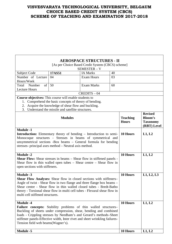|                                                                                                                                                                                                                                                                                                                                                                                 |                                                                                                                                                                 | <b>AEROSPACE STRUCTURES - II</b><br>[As per Choice Based Credit System (CBCS) scheme] |          |                                 |                                                                    |
|---------------------------------------------------------------------------------------------------------------------------------------------------------------------------------------------------------------------------------------------------------------------------------------------------------------------------------------------------------------------------------|-----------------------------------------------------------------------------------------------------------------------------------------------------------------|---------------------------------------------------------------------------------------|----------|---------------------------------|--------------------------------------------------------------------|
|                                                                                                                                                                                                                                                                                                                                                                                 |                                                                                                                                                                 | SEMESTER - V                                                                          |          |                                 |                                                                    |
| Subject Code                                                                                                                                                                                                                                                                                                                                                                    | 17AS51                                                                                                                                                          | <b>IA Marks</b>                                                                       | 40       |                                 |                                                                    |
| Number of Lecture<br>Hours/Week                                                                                                                                                                                                                                                                                                                                                 | 04                                                                                                                                                              | <b>Exam Hours</b>                                                                     | 03       |                                 |                                                                    |
| Total<br>Number<br>of<br><b>Lecture Hours</b>                                                                                                                                                                                                                                                                                                                                   | 50                                                                                                                                                              | Exam Marks                                                                            | 60       |                                 |                                                                    |
|                                                                                                                                                                                                                                                                                                                                                                                 |                                                                                                                                                                 | $CREDITS - 04$                                                                        |          |                                 |                                                                    |
| Course objectives: This course will enable students to<br>2.<br>3.                                                                                                                                                                                                                                                                                                              | 1. Comprehend the basic concepts of theory of bending.<br>Acquire the knowledge of shear flow and buckling.<br>Understand the missile and satellite structures. |                                                                                       |          |                                 |                                                                    |
|                                                                                                                                                                                                                                                                                                                                                                                 | <b>Modules</b>                                                                                                                                                  |                                                                                       |          | <b>Teaching</b><br><b>Hours</b> | <b>Revised</b><br><b>Bloom's</b><br><b>Taxonomy</b><br>(RBT) Level |
| <b>Module -1</b><br><b>Introduction:</b> Elementary theory of bending – Introduction to semi-<br>Monocoque structures - Stresses in beams of symmetrical and<br>unsymmetrical sections -Box beams – General formula for bending<br>stresses- principal axes method - Neutral axis method.                                                                                       |                                                                                                                                                                 |                                                                                       |          | 10 Hours                        | L1, L2                                                             |
| <b>Module -2</b><br><b>Shear Flow:</b> Shear stresses in beams – Shear flow in stiffened panels -<br>Shear flow in thin walled open tubes $-$ Shear centre $-$ Shear flow in<br>open sections with stiffeners.                                                                                                                                                                  |                                                                                                                                                                 |                                                                                       |          | 10 Hours                        | L1, L2                                                             |
| <b>Module -3</b><br>Shear Flow Analyses: Shear flow in closed sections with stiffeners-<br>Angle of twist - Shear flow in two flange and three flange box beams –<br>Shear centre - Shear flow in thin walled closed tubes - Bredt-Batho<br>theory - Torsional shear flow in multi cell tubes - Flexural shear flow in<br>multi cell stiffened structures.                      |                                                                                                                                                                 |                                                                                       | 10 Hours | L1, L2, L3                      |                                                                    |
| <b>Module -4</b><br><b>Failure concepts:</b> Stability problems of thin walled structures–<br>Buckling of sheets under compression, shear, bending and combined<br>loads - Crippling stresses by Needham's and Gerard's methods-Sheet<br>stiffener panels-Effective width, Inter rivet and sheet wrinkling failures-<br>Tension field web beams (Wagner's).<br><b>Module -5</b> |                                                                                                                                                                 |                                                                                       |          | 10 Hours<br>10 Hours            | L1, L2<br>L1, L2                                                   |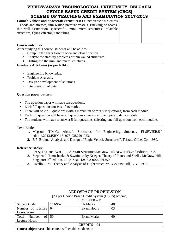| Launch Vehicle and Spacecraft Structures: Launch vehicle structures<br>- Loads and stresses, thin walled pressure vessels, Buckling of beams, |
|-----------------------------------------------------------------------------------------------------------------------------------------------|
|                                                                                                                                               |
|                                                                                                                                               |
| thin wall assumption. spacecraft - mini, micro structures, inflatable                                                                         |
| structures, flying effector, nanotubing.                                                                                                      |
|                                                                                                                                               |
|                                                                                                                                               |
| <b>Course outcomes:</b>                                                                                                                       |
| After studying this course, students will be able to:                                                                                         |
| 1. Compute the shear flow in open and closed section.                                                                                         |
| 2. Analyze the stability problems of thin walled structures.                                                                                  |
| 3. Distinguish the mini and micro structures.                                                                                                 |
| <b>Graduate Attributes (as per NBA):</b>                                                                                                      |
|                                                                                                                                               |
| Engineering Knowledge.<br>$\bullet$                                                                                                           |
| Problem Analysis.<br>$\bullet$                                                                                                                |
| Design / development of solutions                                                                                                             |
| Interpretation of data                                                                                                                        |
|                                                                                                                                               |
| <b>Question paper pattern:</b>                                                                                                                |
|                                                                                                                                               |
| The question paper will have ten questions.<br>$\bullet$                                                                                      |
| Each full question consists of 16 marks.<br>$\bullet$                                                                                         |
| There will be 2 full questions (with a maximum of four sub questions) from each module.                                                       |
| Each full question will have sub questions covering all the topics under a module.                                                            |
| The students will have to answer 5 full questions, selecting one full question from each module.<br>$\bullet$                                 |
|                                                                                                                                               |
| <b>Text Books:</b>                                                                                                                            |
| ELSEVIER, 5 <sup>th</sup><br>Engineering<br>Students,<br>T.M.G;<br>Aircraft<br><b>Structures</b><br>for<br>1. Megson,                         |
| edition, 2013, ISBN-13: 978-9382291053.                                                                                                       |
| 2. E.F. Bruhn, "Analysis and Design of Flight Vehicle Structures", Tristate Offset Co., 1980.                                                 |

### **Reference Books:**

- 1. Peery, D.J. and Azar, J.J., Aircraft Structures,McGraw-Hill,New York,2nd Edition,1993.
- 2. Stephen P. Timoshenko & S.woinowsky Krieger, Theory of Plates and Shells, McGraw-Hill, Singapore, 2<sup>nd</sup> edition, 2010, ISBN-13: 978-0070701250.
- 3. Rivello, R.M., Theory and Analysis of Flight structures, McGraw-Hill, N.Y., 1993.

|                                                               |        | <b>AEROSPACE PROPULSION</b><br>[As per Choice Based Credit System (CBCS) scheme]<br>SEMESTER - V |    |
|---------------------------------------------------------------|--------|--------------------------------------------------------------------------------------------------|----|
| Subject Code                                                  | 17AS52 | <b>IA Marks</b>                                                                                  | 40 |
| Number of Lecture                                             | 04     | Exam Hours                                                                                       | 03 |
| Hours/Week                                                    |        |                                                                                                  |    |
| of 1<br>Number<br>Total                                       | 50     | Exam Marks                                                                                       | 60 |
| Lecture Hours                                                 |        |                                                                                                  |    |
|                                                               |        | $CREDITS - 04$                                                                                   |    |
| <b>Course objectives:</b> This course will enable students to |        |                                                                                                  |    |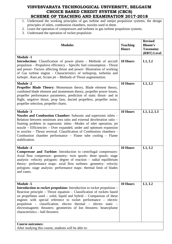- 1. Understand the working principles of gas turbine and ramjet propulsion systems, the design principles of inlets, combustion chambers, nozzles used in them.
- 2. Learn the operation of compressors and turbines in gas turbine propulsion systems.
- 3. Understand the operation of rocket propulsion

| <b>Modules</b>                                                                                                                                                                                                                                                                                                                                                                                                                                                                                                           | <b>Teaching</b><br><b>Hours</b> | <b>Revised</b><br><b>Bloom's</b><br><b>Taxonomy</b><br>(RBT) Level |
|--------------------------------------------------------------------------------------------------------------------------------------------------------------------------------------------------------------------------------------------------------------------------------------------------------------------------------------------------------------------------------------------------------------------------------------------------------------------------------------------------------------------------|---------------------------------|--------------------------------------------------------------------|
| <b>Module -1</b><br><b>Introduction:</b> Classification of power plants - Methods of aircraft<br>propulsion – Propulsive efficiency – Specific fuel consumption - Thrust<br>and power- Factors affecting thrust and power- Illustration of working<br>of Gas turbine engine - Characteristics of turboprop, turbofan and<br>turbojet, Ram jet, Scram jet - Methods of Thrust augmentation.                                                                                                                               | 10 Hours                        | L1, L2                                                             |
| <b>Module -2</b><br>Propeller Blade Theory: Momentum theory, Blade element theory,<br>combined blade element and momentum theory, propeller power losses,<br>propeller performance parameters, prediction of static thrust- and in<br>flight, negative thrust, prop fans, ducted propellers, propeller noise,<br>propeller selection, propeller charts.                                                                                                                                                                  | 10 Hours                        | L1, L2                                                             |
| <b>Module -3</b><br>Nozzles and Combustion Chamber: Subsonic and supersonic inlets –<br>Relation between minimum area ratio and external deceleration ratio –<br>Starting problem in supersonic inlets -Modes of inlet operation, jet<br>nozzle – Efficiencies – Over expanded, under and optimum expansion<br>in nozzles - Thrust reversal. Classification of Combustion chambers -<br>Combustion chamber performance – Flame tube cooling – Flame<br>stabilization.                                                    | 10 Hours                        | L1, L2, L3                                                         |
| <b>Module -4</b><br><b>Compressor and Turbine:</b> Introduction to centrifugal compressors-<br>Axial flow compressor- geometry- twin spools- three spools- stage<br>analysis- velocity polygons- degree of reaction - radial equilibrium<br>theory- performance maps- axial flow turbines- geometry- velocity<br>polygons- stage analysis- performance maps- thermal limit of blades<br>and vanes.                                                                                                                       | 10 Hours                        | L1, L2                                                             |
| Module -5<br><b>Introduction to rocket propulsion:</b> Introduction to rocket propulsion –<br>Reaction principle - Thrust equation - Classification of rockets based<br>on propellants used – solid, liquid and hybrid – Comparison of these<br>engines with special reference to rocket performance – electric<br>propulsion – classification- electro thermal – electro static –<br>electromagnetic thrusters- geometries of Ion thrusters- beam/plume<br>characteristics - hall thrusters.<br><b>Course outcomes:</b> | 10 Hours                        | L1, L2                                                             |
| After studying this course, students will be able to:                                                                                                                                                                                                                                                                                                                                                                                                                                                                    |                                 |                                                                    |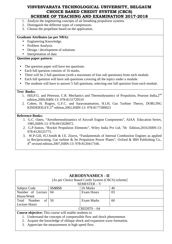- 1. Analyze the engineering concepts of air breathing propulsion systems.
- 2. Distinguish the different types of compressors.
- 3. Choose the propellant based on the application.

#### **Graduate Attributes (as per NBA):**

- Engineering Knowledge.
- Problem Analysis.
- Design / development of solutions
- Interpretation of data

## **Question paper pattern:**

- The question paper will have ten questions.
- Each full question consists of 16 marks.
- There will be 2 full questions (with a maximum of four sub questions) from each module.
- Each full question will have sub questions covering all the topics under a module.
- The students will have to answer 5 full questions, selecting one full question from each module.

#### **Text Books:**

- 1. Hill, P.G. and Peterson, C.R. Mechanics and Thermodynamics of Propulsion, Pearson India, 2<sup>nd</sup> edition,2009,ISBN-13: 978-8131729519
- 2. Cohen, H. Rogers, G.F.C. and Saravanamuttoo, H.I.H, Gas Turbine Theory, DORLING KINDERSLEY,5th edition,2002,ISBN-13: 978-8177589023

#### **Reference Books:**

- 1. G.C. Oates, "Aerothermodynamics of Aircraft Engine Components", AIAA Education Series, 1985,ISBN-13: 978-0915928972.
- 2. G.P.Sutton, "Rocket Propulsion Elements", Wiley India Pvt Ltd, 7th Edition,2010,ISBN-13: 978-8126525775.
- 3. W.P.Gill, H.J.Smith & J.E. Ziurys, "Fundamentals of Internal Combustion Engines as applied to Reciprocating, Gas turbine & Jet Propulsion Power Plants", Oxford & IBH Publishing Co., 4<sup>th</sup> revised edition, 2007, ISBN-13: 978-8120417106.

|                                                              |        | <b>AERODYNAMICS - II</b>                                                |    |
|--------------------------------------------------------------|--------|-------------------------------------------------------------------------|----|
|                                                              |        | [As per Choice Based Credit System (CBCS) scheme]                       |    |
|                                                              |        | SEMESTER - V                                                            |    |
| Subject Code                                                 | 15AS53 | <b>IA Marks</b>                                                         | 40 |
| Number of Lecture                                            | 04     | <b>Exam Hours</b>                                                       | 03 |
| Hours/Week                                                   |        |                                                                         |    |
| Number<br>of<br>Total                                        | 50     | Exam Marks                                                              | 60 |
| Lecture Hours                                                |        |                                                                         |    |
|                                                              |        | $CREDITS - 04$                                                          |    |
| <b>Course objective:</b> This course will enable students to |        |                                                                         |    |
|                                                              |        | 1. Understand the concepts of compressible flow and shock phenomenon    |    |
|                                                              |        | 2. Acquire the knowledge of oblique shock and expansion wave formation. |    |
|                                                              |        |                                                                         |    |

3. Appreciate the measurement in high speed flow.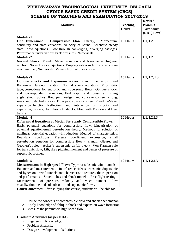| <b>Modules</b>                                                                                                                                                                                                                                                                                                                                                                                                                                                                                                                                                                                                                                     | <b>Teaching</b><br><b>Hours</b> | <b>Revised</b><br><b>Bloom's</b><br><b>Taxonomy</b><br>(RBT) Level |
|----------------------------------------------------------------------------------------------------------------------------------------------------------------------------------------------------------------------------------------------------------------------------------------------------------------------------------------------------------------------------------------------------------------------------------------------------------------------------------------------------------------------------------------------------------------------------------------------------------------------------------------------------|---------------------------------|--------------------------------------------------------------------|
| <b>Module -1</b><br><b>One</b> Dimensional<br><b>Compressible Flow:</b> Energy, Momentum,<br>continuity and state equations, velocity of sound, Adiabatic steady<br>state flow equations, Flow through converging, diverging passages,<br>Performance under various back pressures. Numericals.                                                                                                                                                                                                                                                                                                                                                    | 10 Hours                        | L1, L2                                                             |
| <b>Module -2</b><br>Normal Shock: Prandtl Meyer equation and Rankine - Hugonoit<br>relation, Normal shock equations: Property ratios in terms of upstream<br>mach number, Numericals, Moving Normal Shock wave.                                                                                                                                                                                                                                                                                                                                                                                                                                    | 10 Hours                        | L1, L2                                                             |
| <b>Module -3</b><br><b>Oblique shocks and Expansion waves: Prandtl</b><br>equation<br>and<br>Rankine – Hugonoit relation, Normal shock equations, Pitot static<br>tube, corrections for subsonic and supersonic flows, Oblique shocks<br>and corresponding equations, Hodograph and pressure<br>turning<br>angle, shock polars, flow past wedges and concave corners, strong,<br>weak and detached shocks, Flow past convex corners, Prandtl -Meyer<br>expansion function, Reflection and interaction of shocks<br>and<br>expansion, waves, Families of shocks. Flow with Friction and Heat<br>transfer.                                           | 10 Hours                        | L1, L2, L3                                                         |
| <b>Module -4</b><br><b>Differential Equations of Motion for Steady Compressible Flows:</b><br>Basic potential equations for compressible flow. Linearisation of<br>potential equation-small perturbation theory. Methods for solution of<br>nonlinear potential equation --Introduction, Method of characteristics,<br>Boundary<br>conditions, Pressure<br>coefficient<br>expression,<br>small<br>perturbation equation for compressible flow - Prandtl, Glauret and<br>Geothert's rules - Ackert's supersonic airfoil theory, Von-Karman rule<br>for transonic flow, Lift, drag pitching moment and center of pressure of<br>supersonic profiles. | 10 Hours                        | L1, L2, L3                                                         |
| <b>Module -5</b><br><b>Measurements in High speed Flow:</b> Types of subsonic wind tunnels -<br>Balances and measurements - Interference effects- transonic, Supersonic<br>and hypersonic wind tunnels and characteristic features, their operation<br>and performance - Shock tubes and shock tunnels - Free flight testing -<br>Measurements of pressure, velocity and Mach number -Flow<br>visualization methods of subsonic and supersonic flows.<br><b>Course outcomes:</b> After studying this course, students will be able to:                                                                                                             | 10 Hours                        | L1, L2, L3                                                         |
| Utilize the concepts of compressible flow and shock phenomenon<br>1.<br>Apply knowledge of oblique shock and expansion wave formation.<br>2.<br>Measure the parameters high speed flow.<br>3.                                                                                                                                                                                                                                                                                                                                                                                                                                                      |                                 |                                                                    |
| <b>Graduate Attributes (as per NBA):</b><br>Engineering Knowledge.<br>Problem Analysis.                                                                                                                                                                                                                                                                                                                                                                                                                                                                                                                                                            |                                 |                                                                    |

• Design / development of solutions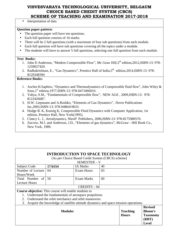• Interpretation of data

## **Question paper pattern:**

- The question paper will have ten questions.
- Each full question consists of 16 marks.
- There will be 2 full questions (with a maximum of four sub questions) from each module.
- Each full question will have sub questions covering all the topics under a module.
- The students will have to answer 5 full questions, selecting one full question from each module.

## **Text Books:**

- 1. John D Anderson, "Modern Compressible Flow", Mc Graw Hill,3rd edition,2012,ISBN-13: 978- 1259027420.
- 2. Radhakrishnan, E., "Gas Dynamics", Prentice Hall of India, 5<sup>th</sup> edition, 2014, ISBN-13: 978-8120348394

## **Reference Books:**

- 1. Ascher.H.Saphiro, "Dynamics and Thermodynamics of Compressible fluid flow", John Wiley & Sons, 1<sup>st</sup> edition, 1977, ISBN-13: 978-0471066910.
- 2. Yahya, S.M., "Fundamentals of Compressible flow", NEW AGE , 2009,ISBN-13: 978- 8122426687.
- 3. H.W. Liepmann and A.Roshko, "Elements of Gas Dynamics", Dover Publications Inc,2003,ISBN-13: 978-0486419633.
- 4. Hodge B. K, Koenig K, Compressible Fluid Dynamics with Computer Application, 1st edition, Prentice Hall, New York(1995).
- 5. Clancy L. J., Aerodynamics, Shroff Publishers, 2006,ISBN-13: 978-8175980570.
- 6. Zucrow, M.J. and Anderson, J.D., "Elements of gas dynamics", McGraw Hill Book Co., New York, 1989.

|                                                              | <b>INTRODUCTION TO SPACE TECHNOLOGY</b>                                            |                                                   |    |                 |                           |
|--------------------------------------------------------------|------------------------------------------------------------------------------------|---------------------------------------------------|----|-----------------|---------------------------|
|                                                              |                                                                                    | [As per Choice Based Credit System (CBCS) scheme] |    |                 |                           |
|                                                              |                                                                                    | <b>SEMESTER - V</b>                               |    |                 |                           |
| <b>Subject Code</b>                                          | 17AS54                                                                             | <b>IA Marks</b>                                   | 40 |                 |                           |
| Number of Lecture                                            | 04                                                                                 | <b>Exam Hours</b>                                 | 03 |                 |                           |
| Hours/Week                                                   |                                                                                    |                                                   |    |                 |                           |
| Total Number of                                              | 50                                                                                 | <b>Exam Marks</b>                                 | 60 |                 |                           |
| <b>Lecture Hours</b>                                         |                                                                                    |                                                   |    |                 |                           |
|                                                              |                                                                                    | $CREDITS - 04$                                    |    |                 |                           |
| <b>Course objective:</b> This course will enable students to |                                                                                    |                                                   |    |                 |                           |
|                                                              | Understand the fundamentals of aerospace propulsion.                               |                                                   |    |                 |                           |
| 2.                                                           | Understand the orbit mechanics and orbit maneuvers.                                |                                                   |    |                 |                           |
| 3.                                                           | Acquire the knowledge of satellite attitude dynamics and space mission operations. |                                                   |    |                 |                           |
|                                                              | <b>Modules</b>                                                                     |                                                   |    | <b>Teaching</b> | <b>Revised</b><br>Bloom's |
|                                                              |                                                                                    |                                                   |    | <b>Hours</b>    | <b>Taxonomy</b>           |
|                                                              |                                                                                    |                                                   |    |                 | (RBT)                     |
|                                                              |                                                                                    |                                                   |    |                 | <b>Level</b>              |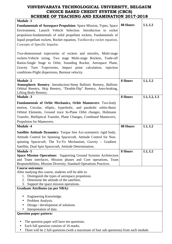| <b>Module -1</b>                                                                               |          |            |
|------------------------------------------------------------------------------------------------|----------|------------|
| <b>Fundamentals of Aerospace Propulsion:</b> Space Mission, Types, Space                       | 08 Hours | L1, L2     |
| Environment, Launch Vehicle Selection. Introduction to rocket                                  |          |            |
| propulsion-fundamentals of solid propellant rockets, Fundamentals of                           |          |            |
| liquid propellant rockets, Rocket equation, Tsiolkovsky rocket equation,                       |          |            |
|                                                                                                |          |            |
| Concepts of Specific Impulse.                                                                  |          |            |
|                                                                                                |          |            |
| Two-dimensional trajectories of rockets and missiles, Multi-stage                              |          |            |
| rockets-Vehicle sizing, Two stage Multi-stage Rockets, Trade-off                               |          |            |
| Ratios-Single Stage to Orbit, Sounding Rocket, Aerospace Plane,                                |          |            |
| Gravity Turn Trajectories, Impact point calculation, injection                                 |          |            |
| conditions-Flight dispersions, Burnout velocity.                                               |          |            |
|                                                                                                |          |            |
| <b>Module -2</b>                                                                               | 8 Hours  | L1, L2     |
| Atmospheric Reentry: Introduction-Steep Ballistic Reentry, Ballistic                           |          |            |
| Orbital Reentry, Skip Reentry, "Double-Dip" Reentry, Aero-braking,                             |          |            |
| Lifting Body Reentry.<br><b>Module -3</b>                                                      | 8 Hours  | L1, L2, L3 |
|                                                                                                |          |            |
| Fundamentals of Orbit Mechanics, Orbit Maneuvers: Two-body                                     |          |            |
| motion, Circular, elliptic, hyperbolic, and parabolic orbits-Basic                             |          |            |
| Orbital Elements, Ground trace In-Plane Orbit changes, Hohmann                                 |          |            |
| Transfer, Bielliptical Transfer, Plane Changes, Combined Maneuvers,                            |          |            |
| Propulsion for Maneuvers.                                                                      |          |            |
|                                                                                                | 08 Hours | L1, L2     |
| <b>Module -4</b>                                                                               |          |            |
|                                                                                                |          |            |
| Satellite Attitude Dynamics: Torque free Axi-symmetric rigid body,                             |          |            |
| Attitude Control for Spinning Spacecraft, Attitude Control for Non-                            |          |            |
| spinning Spacecraft, The Yo-Yo Mechanism, Gravity - Gradient                                   |          |            |
| Satellite, Dual Spin Spacecraft, Attitude Determination.                                       |          |            |
| <b>Module -5</b>                                                                               | 8 Hours  | L1, L2     |
| <b>Space Mission Operations:</b> Supporting Ground Systems Architecture                        |          |            |
| and Team interfaces, Mission phases and Core operations, Team                                  |          |            |
| Responsibilities, Mission Diversity, Standard Operations Practices.<br><b>Course outcomes:</b> |          |            |
| After studying this course, students will be able to:                                          |          |            |
| 1. Distinguish the types of aerospace propulsion.                                              |          |            |
| Determine the attitude of the satellites.<br>2.                                                |          |            |
| 3. Support the space mission operations.                                                       |          |            |
| <b>Graduate Attributes (as per NBA):</b>                                                       |          |            |
|                                                                                                |          |            |
| Engineering Knowledge.                                                                         |          |            |
| Problem Analysis.                                                                              |          |            |
| Design / development of solutions                                                              |          |            |
| Interpretation of data                                                                         |          |            |
| <b>Question paper pattern:</b>                                                                 |          |            |
|                                                                                                |          |            |
| The question paper will have ten questions.<br>Each full question consists of 16 marks.        |          |            |

<sup>•</sup> There will be 2 full questions (with a maximum of four sub questions) from each module.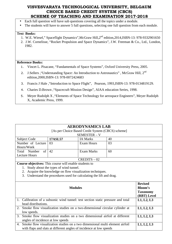- Each full question will have sub questions covering all the topics under a module.
- The students will have to answer 5 full questions, selecting one full question from each module.

#### **Text Books:**

- 1. W.E. Wiesel," Spaceflight Dynamics",McGraw Hill,2nd edition,2014,ISBN-13: 978-9332901650
- 2. J.W. Cornelisse, "Rocket Propulsion and Space Dynamics", J.W. Freeman & Co., Ltd., London, 1982.

#### **Reference Books:**

- 1. Vincet L. Pisacane, "Fundamentals of Space Systems", Oxford University Press, 2005.
- 2. J.Sellers , "Understanding Space: An Introduction to Astronautics", McGraw Hill, 2<sup>nd</sup> edition,2000,ISBN-13: 978-0072424683
- 3. Francis J Hale ,"Introduction to Space Flight", Pearson, 1993,ISBN-13: 978-0134819129.
- 4. Charies D.Brown ,"Spacecraft Mission Design", AIAA education Series, 1998.
- 5. Meyer Rudolph X ,"Elements of Space Technology for aerospace Engineers", Meyer Rudolph X, Academic Press, 1999.

| [As per Choice Based Credit System (CBCS) scheme]                                                         |                   |                                                                                                                                   |                                                                                                                                                                                                                                                                                                                                                                                                                                                                                 |  |  |
|-----------------------------------------------------------------------------------------------------------|-------------------|-----------------------------------------------------------------------------------------------------------------------------------|---------------------------------------------------------------------------------------------------------------------------------------------------------------------------------------------------------------------------------------------------------------------------------------------------------------------------------------------------------------------------------------------------------------------------------------------------------------------------------|--|--|
|                                                                                                           |                   |                                                                                                                                   |                                                                                                                                                                                                                                                                                                                                                                                                                                                                                 |  |  |
| 17ASL57                                                                                                   | <b>IA Marks</b>   | 40                                                                                                                                |                                                                                                                                                                                                                                                                                                                                                                                                                                                                                 |  |  |
| 03                                                                                                        | Exam Hours        | 03                                                                                                                                |                                                                                                                                                                                                                                                                                                                                                                                                                                                                                 |  |  |
|                                                                                                           |                   |                                                                                                                                   |                                                                                                                                                                                                                                                                                                                                                                                                                                                                                 |  |  |
| 42                                                                                                        | <b>Exam Marks</b> | 60                                                                                                                                |                                                                                                                                                                                                                                                                                                                                                                                                                                                                                 |  |  |
|                                                                                                           |                   |                                                                                                                                   |                                                                                                                                                                                                                                                                                                                                                                                                                                                                                 |  |  |
|                                                                                                           | $CREDITS - 02$    |                                                                                                                                   |                                                                                                                                                                                                                                                                                                                                                                                                                                                                                 |  |  |
|                                                                                                           |                   |                                                                                                                                   |                                                                                                                                                                                                                                                                                                                                                                                                                                                                                 |  |  |
|                                                                                                           |                   |                                                                                                                                   |                                                                                                                                                                                                                                                                                                                                                                                                                                                                                 |  |  |
|                                                                                                           |                   |                                                                                                                                   |                                                                                                                                                                                                                                                                                                                                                                                                                                                                                 |  |  |
|                                                                                                           |                   |                                                                                                                                   |                                                                                                                                                                                                                                                                                                                                                                                                                                                                                 |  |  |
|                                                                                                           |                   |                                                                                                                                   |                                                                                                                                                                                                                                                                                                                                                                                                                                                                                 |  |  |
|                                                                                                           |                   |                                                                                                                                   | <b>Revised</b>                                                                                                                                                                                                                                                                                                                                                                                                                                                                  |  |  |
|                                                                                                           |                   |                                                                                                                                   | Bloom's                                                                                                                                                                                                                                                                                                                                                                                                                                                                         |  |  |
|                                                                                                           |                   |                                                                                                                                   | <b>Taxonomy</b>                                                                                                                                                                                                                                                                                                                                                                                                                                                                 |  |  |
|                                                                                                           |                   |                                                                                                                                   | (RBT) Level                                                                                                                                                                                                                                                                                                                                                                                                                                                                     |  |  |
|                                                                                                           |                   |                                                                                                                                   | L1, L2, L3                                                                                                                                                                                                                                                                                                                                                                                                                                                                      |  |  |
| head distributions.                                                                                       |                   |                                                                                                                                   |                                                                                                                                                                                                                                                                                                                                                                                                                                                                                 |  |  |
|                                                                                                           |                   |                                                                                                                                   | L1, L2, L3                                                                                                                                                                                                                                                                                                                                                                                                                                                                      |  |  |
| low speeds.                                                                                               |                   |                                                                                                                                   |                                                                                                                                                                                                                                                                                                                                                                                                                                                                                 |  |  |
| Smoke flow visualization studies on a two dimensional airfoil at different<br>$\mathcal{R}$<br>L1, L2, L3 |                   |                                                                                                                                   |                                                                                                                                                                                                                                                                                                                                                                                                                                                                                 |  |  |
| angles of incidence at low speeds                                                                         |                   |                                                                                                                                   |                                                                                                                                                                                                                                                                                                                                                                                                                                                                                 |  |  |
|                                                                                                           |                   |                                                                                                                                   | L1, L2, L3                                                                                                                                                                                                                                                                                                                                                                                                                                                                      |  |  |
|                                                                                                           |                   |                                                                                                                                   |                                                                                                                                                                                                                                                                                                                                                                                                                                                                                 |  |  |
|                                                                                                           |                   | SEMESTER - V<br>Course objectives: This course will enable students to<br>Study about the types of wind tunnel.<br><b>Modules</b> | <b>AERODYNAMICS LAB</b><br>Acquire the knowledge on flow visualization techniques.<br>Understand the procedures used for calculating the lift and drag.<br>1. Calibration of a subsonic wind tunnel: test section static pressure and total<br>Smoke flow visualization studies on a two-dimensional circular cylinder at<br>Smoke flow visualization studies on a two dimensional multi element airfoil<br>with flaps and slats at different angles of incidence at low speeds |  |  |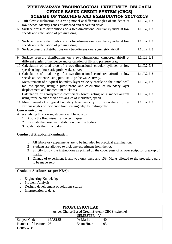| SCHEME OF TEACHING AND EAAMHNATION 2017-2018                                    |            |
|---------------------------------------------------------------------------------|------------|
| 5. Tuft flow visualization on a wing model at different angles of incidence at  | L1, L2, L3 |
| low speeds: identify zones of attached and separated flows.                     |            |
| 6. Surface pressure distributions on a two-dimensional circular cylinder at low | L1, L2, L3 |
| speeds and calculation of pressure drag.                                        |            |
|                                                                                 |            |
| 7. Surface pressure distributions on a two-dimensional circular cylinder at low | L1, L2, L3 |
| speeds and calculation of pressure drag.                                        |            |
| 8. Surface pressure distributions on a two-dimensional symmetric airfoil        | L1, L2, L3 |
|                                                                                 |            |
| 9. Surface pressure distributions on a two-dimensional cambered airfoil at      | L1, L2, L3 |
| different angles of incidence and calculation of lift and pressure drag.        |            |
| 10. Calculation of total drag of a two-dimensional circular cylinder at low     | L1, L2, L3 |
| speeds using pitot-static probe wake survey.                                    |            |
| 11. Calculation of total drag of a two-dimensional cambered airfoil at low      | L1, L2, L3 |
|                                                                                 |            |
| speeds at incidence using pitot-static probe wake survey.                       |            |
| 12. Measurement of a typical boundary layer velocity profile on the tunnel wall | L1, L2, L3 |
| (at low speeds) using a pitot probe and calculation of boundary layer           |            |
| displacement and momentum thickness.                                            |            |
| 13. Calculation of aerodynamic coefficients forces acting on a model aircraft   | L1, L2, L3 |
| using force balance at various angles of incidence, speed.                      |            |
| 14. Measurement of a typical boundary layer velocity profile on the airfoil at  | L1, L2, L3 |
| various angles of incidence from leading edge to trailing edge                  |            |
| <b>Course outcomes:</b>                                                         |            |
| After studying this course, students will be able to:                           |            |
| 1. Apply the flow visualization techniques.                                     |            |

- 2. Estimate the pressure distribution over the bodies.
- 3. Calculate the lift and drag.

#### **Conduct of Practical Examination:**

- 1 . All laboratory experiments are to be included for practical examination.
- 2 . Students are allowed to pick one experiment from the lot.
- 3 . Strictly follow the instructions as printed on the cover page of answer script for breakup of marks.
- 4 . Change of experiment is allowed only once and 15% Marks allotted to the procedure part to be made zero.

#### **Graduate Attributes (as per NBA):**

- o Engineering Knowledge.
- o Problem Analysis.
- o Design / development of solutions (partly)
- o Interpretation of data.

| <b>PROPULSION LAB</b>  |                |                                                   |    |  |  |  |
|------------------------|----------------|---------------------------------------------------|----|--|--|--|
|                        |                | [As per Choice Based Credit System (CBCS) scheme] |    |  |  |  |
|                        | SEMESTER – V   |                                                   |    |  |  |  |
| Subject Code           | <b>17ASL58</b> | <b>IA Marks</b>                                   | 40 |  |  |  |
| Number of Lecture   03 |                | Exam Hours                                        | 03 |  |  |  |
| Hours/Week             |                |                                                   |    |  |  |  |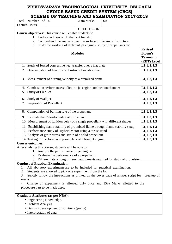|                                          |                                                                                                                                       |                   | SCAEME OF TEACAING AND EAAMINATION ZOT7-Z018                                                  |                                                                    |
|------------------------------------------|---------------------------------------------------------------------------------------------------------------------------------------|-------------------|-----------------------------------------------------------------------------------------------|--------------------------------------------------------------------|
| of<br>Total Number                       | 42                                                                                                                                    | <b>Exam Marks</b> | 60                                                                                            |                                                                    |
| <b>Lecture Hours</b>                     |                                                                                                                                       | $CREDITS - 02$    |                                                                                               |                                                                    |
|                                          | Course objectives: This course will enable students to                                                                                |                   |                                                                                               |                                                                    |
|                                          | 1. Understand how to do the heat transfer                                                                                             |                   |                                                                                               |                                                                    |
|                                          | 2. Comprehend the analysis over the surface of the aircraft structure,                                                                |                   |                                                                                               |                                                                    |
| 3.                                       | Study the working of different jet engines, study of propellants etc.                                                                 |                   |                                                                                               |                                                                    |
|                                          |                                                                                                                                       | <b>Modules</b>    |                                                                                               | <b>Revised</b><br><b>Bloom's</b><br><b>Taxonomy</b><br>(RBT) Level |
| 1.                                       | Study of forced convective heat transfer over a flat plate.                                                                           |                   |                                                                                               | L1, L2, L3                                                         |
| 2.                                       | Determination of heat of combustion of aviation fuel.                                                                                 |                   |                                                                                               | L1, L2, L3                                                         |
|                                          | 3. Measurement of burning velocity of a premixed flame.                                                                               |                   |                                                                                               | L1, L2, L3                                                         |
| 4.                                       | Combustion performance studies in a jet engine combustion chamber                                                                     |                   |                                                                                               | L1, L2, L3                                                         |
| Study of Free Jet<br>5.                  |                                                                                                                                       |                   |                                                                                               | L1, L2, L3                                                         |
| Study of Wall jet<br>6.                  |                                                                                                                                       |                   |                                                                                               | L1, L2, L3                                                         |
| 7. Preparation of Propellant             |                                                                                                                                       |                   |                                                                                               | L1, L2, L3                                                         |
|                                          | 8. Computation of burning rate of the propellant.                                                                                     |                   |                                                                                               | L1, L2, L3                                                         |
|                                          | 9. Estimate the Calorific value of propellant                                                                                         |                   |                                                                                               | L1, L2, L3                                                         |
|                                          | 10. Measurement of Ignition delay of a single propellant with different shapes                                                        |                   |                                                                                               | L1, L2, L3                                                         |
|                                          |                                                                                                                                       |                   | 11. Establishing flame stability of pre-mixed flame through flame stability setup.            | L1, L2, L3                                                         |
|                                          | 12. Performance study of Hybrid Motor using a thrust stand                                                                            |                   |                                                                                               | L1, L2, L3                                                         |
|                                          | 13. Analysis of grain stress and strain of a solid propellant                                                                         |                   |                                                                                               | L1, L2, L3                                                         |
|                                          | 14. Testing for performance parameters of a Ramjet engine                                                                             |                   |                                                                                               | L1, L2, L3                                                         |
| <b>Course outcomes:</b>                  |                                                                                                                                       |                   |                                                                                               |                                                                    |
|                                          | After studying this course, students will be able to:                                                                                 |                   |                                                                                               |                                                                    |
|                                          | 1. Analyze the performance of jet engine.                                                                                             |                   |                                                                                               |                                                                    |
|                                          | 2. Evaluate the performance of a propellant.                                                                                          |                   |                                                                                               |                                                                    |
|                                          |                                                                                                                                       |                   | 3. Differentiate among different equipments required for study of propulsion.                 |                                                                    |
| <b>Conduct of Practical Examination:</b> |                                                                                                                                       |                   |                                                                                               |                                                                    |
| 1.<br>2.                                 | All laboratory experiments are to be included for practical examination.<br>Students are allowed to pick one experiment from the lot. |                   |                                                                                               |                                                                    |
| $3$ .                                    |                                                                                                                                       |                   | Strictly follow the instructions as printed on the cover page of answer script for breakup of |                                                                    |
| marks.                                   |                                                                                                                                       |                   |                                                                                               |                                                                    |
| 4.                                       |                                                                                                                                       |                   | Change of experiment is allowed only once and 15% Marks allotted to the                       |                                                                    |
| procedure part to be made zero.          |                                                                                                                                       |                   |                                                                                               |                                                                    |
| <b>Graduate Attributes (as per NBA):</b> |                                                                                                                                       |                   |                                                                                               |                                                                    |
| • Engineering Knowledge.                 |                                                                                                                                       |                   |                                                                                               |                                                                    |
| • Problem Analysis.                      |                                                                                                                                       |                   |                                                                                               |                                                                    |
|                                          | • Design / development of solutions (partly)                                                                                          |                   |                                                                                               |                                                                    |
| • Interpretation of data.                |                                                                                                                                       |                   |                                                                                               |                                                                    |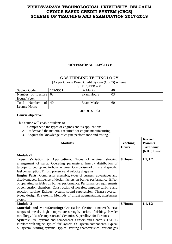#### **PROFESSIONAL ELECTIVE**

| <b>GAS TURBINE TECHNOLOGY</b><br>[As per Choice Based Credit System (CBCS) scheme]                                                                                                                                                                                                                                                                                                                                                                                                                                                                                                                                                                                                                                                                            |                                                          |                                                                                                                                                                                                                                                                                                     |    |                                 |                                                  |  |
|---------------------------------------------------------------------------------------------------------------------------------------------------------------------------------------------------------------------------------------------------------------------------------------------------------------------------------------------------------------------------------------------------------------------------------------------------------------------------------------------------------------------------------------------------------------------------------------------------------------------------------------------------------------------------------------------------------------------------------------------------------------|----------------------------------------------------------|-----------------------------------------------------------------------------------------------------------------------------------------------------------------------------------------------------------------------------------------------------------------------------------------------------|----|---------------------------------|--------------------------------------------------|--|
|                                                                                                                                                                                                                                                                                                                                                                                                                                                                                                                                                                                                                                                                                                                                                               |                                                          | SEMESTER - V                                                                                                                                                                                                                                                                                        |    |                                 |                                                  |  |
| Subject Code                                                                                                                                                                                                                                                                                                                                                                                                                                                                                                                                                                                                                                                                                                                                                  | 17AS551                                                  | <b>IA Marks</b>                                                                                                                                                                                                                                                                                     | 40 |                                 |                                                  |  |
| Number of Lecture                                                                                                                                                                                                                                                                                                                                                                                                                                                                                                                                                                                                                                                                                                                                             | 03                                                       | <b>Exam Hours</b>                                                                                                                                                                                                                                                                                   | 03 |                                 |                                                  |  |
| Hours/Week                                                                                                                                                                                                                                                                                                                                                                                                                                                                                                                                                                                                                                                                                                                                                    |                                                          |                                                                                                                                                                                                                                                                                                     |    |                                 |                                                  |  |
| of<br>Number<br>Total                                                                                                                                                                                                                                                                                                                                                                                                                                                                                                                                                                                                                                                                                                                                         | 40                                                       | <b>Exam Marks</b>                                                                                                                                                                                                                                                                                   | 60 |                                 |                                                  |  |
| <b>Lecture Hours</b>                                                                                                                                                                                                                                                                                                                                                                                                                                                                                                                                                                                                                                                                                                                                          |                                                          |                                                                                                                                                                                                                                                                                                     |    |                                 |                                                  |  |
|                                                                                                                                                                                                                                                                                                                                                                                                                                                                                                                                                                                                                                                                                                                                                               |                                                          | $CREDITS - 03$                                                                                                                                                                                                                                                                                      |    |                                 |                                                  |  |
| <b>Course objective:</b>                                                                                                                                                                                                                                                                                                                                                                                                                                                                                                                                                                                                                                                                                                                                      |                                                          |                                                                                                                                                                                                                                                                                                     |    |                                 |                                                  |  |
| This course will enable students to<br>2.<br>3.                                                                                                                                                                                                                                                                                                                                                                                                                                                                                                                                                                                                                                                                                                               | 1. Comprehend the types of engines and its applications. | Understand the materials required for engine manufacturing.<br>Acquire the knowledge of engine performance and testing.                                                                                                                                                                             |    |                                 |                                                  |  |
|                                                                                                                                                                                                                                                                                                                                                                                                                                                                                                                                                                                                                                                                                                                                                               |                                                          |                                                                                                                                                                                                                                                                                                     |    |                                 | <b>Revised</b>                                   |  |
| <b>Modules</b>                                                                                                                                                                                                                                                                                                                                                                                                                                                                                                                                                                                                                                                                                                                                                |                                                          |                                                                                                                                                                                                                                                                                                     |    | <b>Teaching</b><br><b>Hours</b> | <b>Bloom's</b><br><b>Taxonomy</b><br>(RBT) Level |  |
| <b>Module -1</b>                                                                                                                                                                                                                                                                                                                                                                                                                                                                                                                                                                                                                                                                                                                                              |                                                          |                                                                                                                                                                                                                                                                                                     |    |                                 |                                                  |  |
| 8 Hours<br>Types, Variation & Applications: Types of engines showing<br>arrangement of parts. Operating parameters. Energy distribution of<br>turbojet, turboprop and turbofan engines. Comparison of thrust and specific<br>fuel consumption. Thrust, pressure and velocity diagrams.<br><b>Engine Parts:</b> Compressor assembly, types of burners: advantages and<br>disadvantages. Influence of design factors on burner performance. Effect<br>of operating variables on burner performance. Performance requirements<br>of combustion chambers. Construction of nozzles. Impulse turbine and<br>reaction turbine. Exhaust system, sound suppression. Thrust reversal:<br>types, design & systems. Methods of thrust augmentation, afterburner<br>system |                                                          |                                                                                                                                                                                                                                                                                                     |    |                                 | L1, L2                                           |  |
| <b>Module -2</b>                                                                                                                                                                                                                                                                                                                                                                                                                                                                                                                                                                                                                                                                                                                                              |                                                          |                                                                                                                                                                                                                                                                                                     |    | 8 Hours                         | L1, L2                                           |  |
| metallurgy. Use of composites and Ceramics. Superalloys for Turbines.<br>oil system. Starting systems. Typical starting characteristics. Various gas                                                                                                                                                                                                                                                                                                                                                                                                                                                                                                                                                                                                          |                                                          | Materials and Manufacturing: Criteria for selection of materials. Heat<br>ranges of metals, high temperature strength. surface finishing. Powder<br>Systems: Fuel systems and components. Sensors and Controls. FADEC<br>interface with engine. Typical fuel system. Oil system components. Typical |    |                                 |                                                  |  |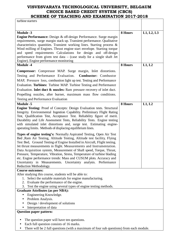| turbine starters                                                                                                                                                                                                                                                                                                                                                                                                                                                                                                                                   |         |            |
|----------------------------------------------------------------------------------------------------------------------------------------------------------------------------------------------------------------------------------------------------------------------------------------------------------------------------------------------------------------------------------------------------------------------------------------------------------------------------------------------------------------------------------------------------|---------|------------|
|                                                                                                                                                                                                                                                                                                                                                                                                                                                                                                                                                    |         |            |
| <b>Module -3</b><br><b>Engine Performance:</b> Design & off-design Performance. Surge margin<br>requirements, surge margin stack up. Transient performance. Qualitative<br>characteristics quantities. Transient working lines. Starting process &<br>Wind milling of Engines. Thrust engine start envelope. Starting torque<br>and speed requirements Calculations for design and off-design<br>performance from given test data $-$ (case study for a single shaft Jet<br>Engine). Engine performance monitoring                                 | 8 Hours | L1, L2, L3 |
| <b>Module -4</b>                                                                                                                                                                                                                                                                                                                                                                                                                                                                                                                                   | 8 Hours | L1, L2     |
| <b>Compressor:</b> Compressor MAP. Surge margin, Inlet distortions.<br>Testing and Performance Evaluation. Combustor: Combustor<br>MAP, Pressure loss, combustion light up test. Testing and Performance<br>Evaluation. Turbines: Turbine MAP. Turbine Testing and Performance<br>Evaluation. Inlet duct & nozzles: Ram pressure recovery of inlet duct.<br>Propelling nozzles, after burner, maximum mass flow conditions.<br><b>Testing and Performance Evaluation</b>                                                                           |         |            |
| <b>Module -5</b>                                                                                                                                                                                                                                                                                                                                                                                                                                                                                                                                   | 8 Hours | L1, L2     |
| <b>Engine Testing:</b> Proof of Concepts: Design Evaluation tests. Structural<br>Integrity. Environmental Ingestion Capability. Preliminary Flight Rating<br>Test, Qualification Test, Acceptance Test. Reliability figure of merit.<br>Durability and Life Assessment Tests, Reliability Tests. Engine testing<br>with simulated inlet distortions and, surge test. Estimating engine-<br>operating limits. Methods of displacing equilibrium lines.<br>Types of engine testing's: Normally Aspirated Testing, Open Air Test                      |         |            |
| Bed , Ram Air Testing, Altitude Testing, Altitude test facility, Flying<br>Test Bed, Ground Testing of Engine Installed in Aircraft, Flight testing.<br>Jet thrust measurements in flight. Measurements and Instrumentation.<br>Data Acquisition system, Measurement of Shaft speed, Torque, Thrust,<br>Pressure, Temperature, Vibration, Stress, Temperature of turbine blading<br>etc. Engine performance trends: Mass and CUSUM plots. Accuracy and<br>Uncertainty in Measurements. Uncertainty analysis. Performance<br>Reduction Methodology. |         |            |
| <b>Course outcomes:</b>                                                                                                                                                                                                                                                                                                                                                                                                                                                                                                                            |         |            |
| After studying this course, students will be able to:<br>1. Select the suitable materials for engine manufacturing.<br>2. Evaluate the performance of the engine.<br>3. Test the engine using several types of engine testing methods.                                                                                                                                                                                                                                                                                                             |         |            |
| <b>Graduate Attributes (as per NBA):</b>                                                                                                                                                                                                                                                                                                                                                                                                                                                                                                           |         |            |
| Engineering Knowledge.<br>$\bullet$<br>Problem Analysis.<br>Design / development of solutions<br>Interpretation of data                                                                                                                                                                                                                                                                                                                                                                                                                            |         |            |
| <b>Question paper pattern:</b>                                                                                                                                                                                                                                                                                                                                                                                                                                                                                                                     |         |            |
| The question paper will have ten questions.<br>Each full question consists of 16 marks.<br>There will be 2 full questions (with a maximum of four sub questions) from each module.                                                                                                                                                                                                                                                                                                                                                                 |         |            |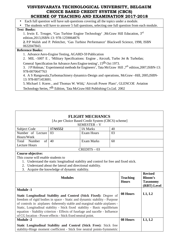- Each full question will have sub questions covering all the topics under a module.
- The students will have to answer 5 full questions, selecting one full question from each module.

# **Text Books:**

- 1. Irwin E. Treager, **'**Gas Turbine Engine Technology' ,McGraw Hill Education, 3rd edition,2013,ISBN-13: 978-1259064876
- **2.** P.P Walsh and P. Peletcher, 'Gas Turbine Performance' Blackwell Science, 1998, ISBN 0632047843.

### **Reference Books:**

- 1. Advance Aero-Engine Testing, AGARD-59 Publication
- 2. MIL –5007 E , 'Military Specifications: Engine , Aircraft, Turbo Jet & Turbofan;

General Specification for Advance Aero Engine testing', 15th Oct 1973.

3. J P Holman,' Experimental methods for Engineers', Tata McGraw Hill ,7th edition,2007,ISBN-13: 978-0070647763

4. A S Rangawala,Turbomachinery dynamics-Design and operations, McGraw –Hill, 2005,ISBN-13: 978-0071453691.

5. Michael J. Kores , and Thomas W. Wild**,**' Aircraft Power Plant', GLENCOE Aviation

Technology Series, 7th Edition, Tata McGraw Hill Publishing Co.Ltd. 2002

|                                                                                                                                                           |                                                                                       | <b>FLIGHT MECHANICS</b> |                                 |                                                                    |        |
|-----------------------------------------------------------------------------------------------------------------------------------------------------------|---------------------------------------------------------------------------------------|-------------------------|---------------------------------|--------------------------------------------------------------------|--------|
|                                                                                                                                                           | [As per Choice Based Credit System (CBCS) scheme]                                     |                         |                                 |                                                                    |        |
|                                                                                                                                                           |                                                                                       | SEMESTER - V            |                                 |                                                                    |        |
| <b>Subject Code</b>                                                                                                                                       | 17AS552                                                                               | <b>IA Marks</b>         | 40                              |                                                                    |        |
| Number of Lecture                                                                                                                                         | 03                                                                                    | <b>Exam Hours</b>       | 03                              |                                                                    |        |
| Hours/Week                                                                                                                                                |                                                                                       |                         |                                 |                                                                    |        |
| of<br>Total<br>Number                                                                                                                                     | 40                                                                                    | <b>Exam Marks</b>       | 60                              |                                                                    |        |
| <b>Lecture Hours</b>                                                                                                                                      |                                                                                       |                         |                                 |                                                                    |        |
|                                                                                                                                                           |                                                                                       | $CREDITS - 03$          |                                 |                                                                    |        |
| <b>Course objective:</b>                                                                                                                                  |                                                                                       |                         |                                 |                                                                    |        |
| This course will enable students to                                                                                                                       |                                                                                       |                         |                                 |                                                                    |        |
|                                                                                                                                                           | 1. Understand the static longitudinal stability and control for free and fixed stick. |                         |                                 |                                                                    |        |
|                                                                                                                                                           | 2. Understand about the lateral and directional stability.                            |                         |                                 |                                                                    |        |
| 3.                                                                                                                                                        | Acquire the knowledge of dynamic stability.                                           |                         |                                 |                                                                    |        |
| <b>Modules</b>                                                                                                                                            |                                                                                       |                         | <b>Teaching</b><br><b>Hours</b> | <b>Revised</b><br><b>Bloom's</b><br><b>Taxonomy</b><br>(RBT) Level |        |
| <b>Module -1</b>                                                                                                                                          |                                                                                       |                         |                                 |                                                                    |        |
| Static Longitudinal Stability and Control (Stick Fixed): Degree of                                                                                        |                                                                                       |                         |                                 | 08 Hours                                                           | L1, L2 |
|                                                                                                                                                           |                                                                                       |                         |                                 |                                                                    |        |
| freedom of rigid bodies in space - Static and dynamic stability - Purpose<br>of controls in airplanes - Inherently stable and marginal stable airplanes - |                                                                                       |                         |                                 |                                                                    |        |
| Static, Longitudinal stability - Stick fixed stability - Basic equilibrium                                                                                |                                                                                       |                         |                                 |                                                                    |        |
| equation - Stability criterion - Effects of fuselage and nacelle - Influence                                                                              |                                                                                       |                         |                                 |                                                                    |        |
| of CG location - Power effects - Stick fixed neutral point.                                                                                               |                                                                                       |                         |                                 |                                                                    |        |
| <b>Module -2</b>                                                                                                                                          |                                                                                       |                         |                                 | 08 Hours                                                           | L1, L2 |
| Static Longitudinal Stability and Control (Stick Free): Stick free                                                                                        |                                                                                       |                         |                                 |                                                                    |        |
| stability-Hinge moment coefficient - Stick free neutral points-Symmetric                                                                                  |                                                                                       |                         |                                 |                                                                    |        |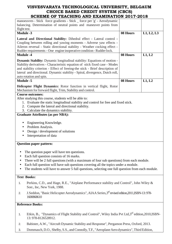| manoeuvres - Stick force gradients - Stick _ force per 'g' - Aerodynamic                                                                   |          |            |
|--------------------------------------------------------------------------------------------------------------------------------------------|----------|------------|
| balancing. Determination of neutral points and maneuver points from                                                                        |          |            |
| flight test.                                                                                                                               |          |            |
| <b>Module -3</b>                                                                                                                           | 08 Hours | L1, L2, L3 |
| Lateral and Directional Stability: Dihedral effect - Lateral control -                                                                     |          |            |
| Coupling between rolling and yawing moments - Adverse yaw effects -                                                                        |          |            |
| Aileron reversal - Static directional stability - Weather cocking effect -                                                                 |          |            |
| Rudder requirements - One engine inoperative condition - Rudder lock.                                                                      |          |            |
| <b>Module -4</b>                                                                                                                           | 08 Hours | L1, L2     |
|                                                                                                                                            |          |            |
| <b>Dynamic Stability:</b> Dynamic longitudinal stability: Equations of motion -                                                            |          |            |
| Stability derivatives - Characteristic equation of stick fixed case - Modes                                                                |          |            |
| and stability criterion - Effect of freeing-the stick - Brief description of                                                               |          |            |
| lateral and directional. Dynamic stability - Spiral, divergence, Dutch roll,                                                               |          |            |
| auto rotation and spin.                                                                                                                    |          |            |
| <b>Module -5</b>                                                                                                                           | 08 Hours | L1, L2     |
| Helicopter Flight Dynamics: Rotor function in vertical flight, Rotor                                                                       |          |            |
| Mechanism for forward flight, Trim, Stability and control.                                                                                 |          |            |
| <b>Course outcomes:</b>                                                                                                                    |          |            |
| After studying this course, students will be able to:                                                                                      |          |            |
| 1. Evaluate the static longitudinal stability and control for free and fixed stick.                                                        |          |            |
| 2. Compute the lateral and directional stability.                                                                                          |          |            |
| 3. Calculate the dynamics stability.                                                                                                       |          |            |
| <b>Graduate Attributes (as per NBA):</b>                                                                                                   |          |            |
|                                                                                                                                            |          |            |
| Engineering Knowledge.                                                                                                                     |          |            |
| Problem Analysis.                                                                                                                          |          |            |
| Design / development of solutions                                                                                                          |          |            |
| Interpretation of data                                                                                                                     |          |            |
|                                                                                                                                            |          |            |
| <b>Question paper pattern:</b>                                                                                                             |          |            |
| The question paper will have ten questions.<br>$\bullet$                                                                                   |          |            |
| Each full question consists of 16 marks.                                                                                                   |          |            |
| There will be 2 full questions (with a maximum of four sub questions) from each module.                                                    |          |            |
| Each full question will have sub questions covering all the topics under a module.                                                         |          |            |
|                                                                                                                                            |          |            |
| The students will have to answer 5 full questions, selecting one full question from each module.                                           |          |            |
| <b>Text Books:</b>                                                                                                                         |          |            |
| Perkins, C.D., and Hage, R.E., "Airplane Performance stability and Control", John Wiley &<br>1.                                            |          |            |
| Son:, Inc, New York, 1988.                                                                                                                 |          |            |
| J.Seddon, "Basic Helicopter Aerodynamics", AIAA Series, 3 <sup>rd</sup> revised edition, 2011, ISBN-13: 978-<br>2.<br>1600868610           |          |            |
| <b>Reference Books:</b>                                                                                                                    |          |            |
|                                                                                                                                            |          |            |
| Etkin, B., "Dynamics of Flight Stability and Control", Wiley India Pvt Ltd,3 <sup>rd</sup> edition,2010,ISBN-<br>1.<br>13: 978-8126528912. |          |            |
| Babister, A.W., "Aircraft Dynamic Stability and Response", Pergamon Press, Oxford, 2013.<br>2.                                             |          |            |

3. Dommasch, D.O., Shelby, S.S., and Connolly, T.F., "Aeroplane Aero dynamics", Third Edition,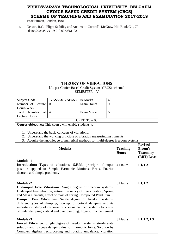Issac Pitman, London, 1981.

4. Nelson, R.C. "Flight Stability and Automatic Control", McGraw-Hill Book Co., 2nd edition,2007,ISBN-13: 978-0070661103

# **THEORY OF VIBRATIONS**

[As per Choice Based Credit System (CBCS) scheme] SEMESTER – V

| Subject Code             | 17AS553/17AE553   IA Marks |            | 40 |  |
|--------------------------|----------------------------|------------|----|--|
| Number of Lecture   03   |                            | Exam Hours | 03 |  |
| Hours/Week               |                            |            |    |  |
| Number of $ 40$<br>Total |                            | Exam Marks | 60 |  |
| Lecture Hours            |                            |            |    |  |
| $CREDITS - 03$           |                            |            |    |  |

**Course objectives:** This course will enable students to

1. Understand the basic concepts of vibrations.

- 2. Understand the working principle of vibration measuring instruments.
- 3. Acquire the knowledge of numerical methods for multi-degree freedom systems.

| <b>Modules</b>                                                                                                                                                                                                                                                                                                                                                                                                                                                                                               | <b>Teaching</b><br><b>Hours</b> | <b>Revised</b><br><b>Bloom's</b><br><b>Taxonomy</b><br>(RBT) Level |
|--------------------------------------------------------------------------------------------------------------------------------------------------------------------------------------------------------------------------------------------------------------------------------------------------------------------------------------------------------------------------------------------------------------------------------------------------------------------------------------------------------------|---------------------------------|--------------------------------------------------------------------|
| <b>Module -1</b><br><b>Introduction:</b> Types of vibrations, S.H.M, principle of super<br>position applied to Simple Harmonic Motions. Beats, Fourier<br>theorem and simple problems.                                                                                                                                                                                                                                                                                                                       | <b>4 Hours</b>                  | L1, L2                                                             |
| <b>Module -2</b><br><b>Undamped Free Vibrations:</b> Single degree of freedom systems.<br>Undamped free vibration, natural frequency of free vibration, Spring<br>and Mass elements, effect of mass of spring, Compound Pendulum.<br>Damped Free Vibrations: Single degree of freedom systems,<br>different types of damping, concept of critical damping and its<br>importance, study of response of viscous damped systems for cases<br>of under damping, critical and over damping, Logarithmic decrement | 8 Hours                         | L1, L2                                                             |
| <b>Module -3</b><br>Forced Vibration: Single degree of freedom systems, steady state<br>solution with viscous damping due to harmonic force. Solution by<br>Complex algebra, reciprocating and rotating unbalance, vibration                                                                                                                                                                                                                                                                                 | 8 Hours                         | L1, L2, L3                                                         |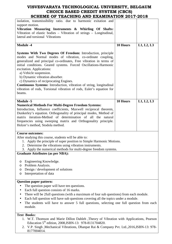| SCHEME OF TEACHING AND EAAMINATION 2017-2018                                                                                                                                                                                                                                                                                                                                                                                                                                                                                                                    |                 |            |
|-----------------------------------------------------------------------------------------------------------------------------------------------------------------------------------------------------------------------------------------------------------------------------------------------------------------------------------------------------------------------------------------------------------------------------------------------------------------------------------------------------------------------------------------------------------------|-----------------|------------|
| isolation, transmissibility ratio. due to harmonic exitation and<br>support motion.<br>Vibration Measuring Instruments & Whirling Of Shafts:<br>Vibration of elastic bodies - Vibration of strings - Longitudinal,<br>lateral and torsional Vibrations                                                                                                                                                                                                                                                                                                          |                 |            |
| <b>Module -4</b>                                                                                                                                                                                                                                                                                                                                                                                                                                                                                                                                                | 10 Hours        | L1, L2, L3 |
| Systems With Two Degrees Of Freedom: Introduction, principle<br>modes and Normal modes of vibration, co-ordinate coupling,<br>generalized and principal co-ordinates, Free vibration in terms of<br>initial conditions. Geared systems. Forced Oscillations-Harmonic<br>excitation. Applications:<br>a) Vehicle suspension.<br>b) Dynamic vibration absorber.<br>c) Dynamics of reciprocating Engines.<br>Continuous Systems: Introduction, vibration of string, longitudinal<br>vibration of rods, Torsional vibration of rods, Euler's equation for<br>beams. |                 |            |
| <b>Module -5</b><br><b>Numerical Methods For Multi-Degree Freedom Systems:</b><br>Introduction, Influence coefficients, Maxwell reciprocal theorem,<br>Dunkerley's equation. Orthogonality of principal modes, Method of<br>matrix iteration-Method of determination of all the natural<br>frequencies using sweeping matrix and Orthogonality principle.<br>Holzer's method, Stodola method.                                                                                                                                                                   | <b>10 Hours</b> | L1, L2, L3 |
| <b>Course outcomes:</b><br>After studying this course, students will be able to:<br>1. Apply the principle of super position to Simple Harmonic Motions.<br>2. Determine the vibrations using vibration instruments.<br>3. Apply the numerical methods for multi-degree freedom systems.                                                                                                                                                                                                                                                                        |                 |            |
| <b>Graduate Attributes (as per NBA):</b>                                                                                                                                                                                                                                                                                                                                                                                                                                                                                                                        |                 |            |
| Engineering Knowledge.<br>O<br>Problem Analysis.<br>O<br>Design / development of solutions<br>O<br>Interpretation of data<br>O                                                                                                                                                                                                                                                                                                                                                                                                                                  |                 |            |
| <b>Question paper pattern:</b>                                                                                                                                                                                                                                                                                                                                                                                                                                                                                                                                  |                 |            |
| The question paper will have ten questions.                                                                                                                                                                                                                                                                                                                                                                                                                                                                                                                     |                 |            |
| Each full question consists of 16 marks.                                                                                                                                                                                                                                                                                                                                                                                                                                                                                                                        |                 |            |
| There will be 2full questions (with a maximum of four sub questions) from each module.                                                                                                                                                                                                                                                                                                                                                                                                                                                                          |                 |            |
| Each full question will have sub questions covering all the topics under a module.<br>The students will have to answer 5 full questions, selecting one full question from each<br>module.                                                                                                                                                                                                                                                                                                                                                                       |                 |            |
| <b>Text Books:</b>                                                                                                                                                                                                                                                                                                                                                                                                                                                                                                                                              |                 |            |

- 1. W.T. Thomson and Marie Dillon Dahleh ,Theory of Vibration with Applications, Pearson Education  $5^{th}$  edition, 2008, ISBN-13: 978-8131704820.
- 2. V.P. Singh ,Mechanical Vibrations, Dhanpat Rai & Company Pvt. Ltd.,2016,ISBN-13: 978- 8177004014.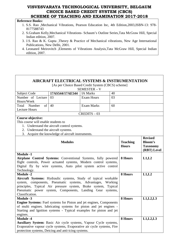#### **Reference Books:**

engines.

**Module -4** 

- 1. S.S. Rao ,Mechanical Vibrations, Pearson Education Inc, 4th Edition,2003,ISBN-13: 978- 8177588743
- 2. S.Graham Kelly,Mechanical Vibrations- Schaum's Outline Series,Tata McGraw Hill, Special Indian edition, 2007.
- 3. J.S. Rao & K. Gupta ,Theory & Practice of Mechanical vibrations, New Age International Publications, New Delhi, 2001.
- 4. Leonanrd Meirovitch ,Elements of Vibrations Analysis,Tata McGraw Hill, Special Indian edition, 2007.

# **AIRCRAFT ELECTRICAL SYSTEMS & INSTRUMENTATION**

[As per Choice Based Credit System (CBCS) scheme]

|                                                                                                                                                                                                                                                                                |                                                   | $\alpha$ per Choice Dascu Create System (CDCS) scheme |    |                                 |                                                                    |
|--------------------------------------------------------------------------------------------------------------------------------------------------------------------------------------------------------------------------------------------------------------------------------|---------------------------------------------------|-------------------------------------------------------|----|---------------------------------|--------------------------------------------------------------------|
|                                                                                                                                                                                                                                                                                |                                                   | SEMESTER - V                                          |    |                                 |                                                                    |
| Subject Code                                                                                                                                                                                                                                                                   | 17AS544/17AE544                                   | <b>IA Marks</b>                                       | 40 |                                 |                                                                    |
| Number of Lecture                                                                                                                                                                                                                                                              | 03                                                | <b>Exam Hours</b>                                     | 03 |                                 |                                                                    |
| Hours/Week                                                                                                                                                                                                                                                                     |                                                   |                                                       |    |                                 |                                                                    |
| Number<br>Total                                                                                                                                                                                                                                                                | of $\vert$ 40                                     | <b>Exam Marks</b>                                     | 60 |                                 |                                                                    |
| <b>Lecture Hours</b>                                                                                                                                                                                                                                                           |                                                   |                                                       |    |                                 |                                                                    |
|                                                                                                                                                                                                                                                                                |                                                   | $CREDITS - 03$                                        |    |                                 |                                                                    |
| <b>Course objective:</b>                                                                                                                                                                                                                                                       |                                                   |                                                       |    |                                 |                                                                    |
| This course will enable students to                                                                                                                                                                                                                                            |                                                   |                                                       |    |                                 |                                                                    |
|                                                                                                                                                                                                                                                                                | 1. Understand the aircraft control systems.       |                                                       |    |                                 |                                                                    |
| 2. Understand the aircraft systems.                                                                                                                                                                                                                                            |                                                   |                                                       |    |                                 |                                                                    |
|                                                                                                                                                                                                                                                                                | 3. Acquire the knowledge of aircraft instruments. |                                                       |    |                                 |                                                                    |
| <b>Modules</b>                                                                                                                                                                                                                                                                 |                                                   |                                                       |    | <b>Teaching</b><br><b>Hours</b> | <b>Revised</b><br><b>Bloom's</b><br><b>Taxonomy</b><br>(RBT) Level |
| <b>Module -1</b><br>Airplane Control Systems: Conventional Systems, fully powered<br>flight controls, Power actuated systems, Modern control systems,<br>Digital fly by wire systems, Auto pilot system active control<br>Technology.                                          |                                                   |                                                       |    | 8 Hours                         | L1,L2                                                              |
| <b>Module -2</b>                                                                                                                                                                                                                                                               |                                                   |                                                       |    | 8 Hours                         | L1,L2                                                              |
| Aircraft Systems: Hydraulic systems, Study of typical workable<br>system, components, Pneumatic systems, Advantages, Working<br>principles, Typical Air pressure system, Brake system, Typical<br>Pneumatic power system, Components, Landing Gear systems,<br>Classification. |                                                   |                                                       |    |                                 |                                                                    |
| <b>Module -3</b>                                                                                                                                                                                                                                                               |                                                   |                                                       |    | 8 Hours                         | L1, L2, L3                                                         |
| <b>Engine Systems:</b> Fuel systems for Piston and jet engines, Components                                                                                                                                                                                                     |                                                   |                                                       |    |                                 |                                                                    |
| of multi engines. lubricating systems for piston and jet engines -                                                                                                                                                                                                             |                                                   |                                                       |    |                                 |                                                                    |

**8 Hours L1,L2,L3** 

Starting and Ignition systems - Typical examples for piston and jet

**Auxiliary System:** Basic Air cycle systems, Vapour Cycle systems, Evaporative vapour cycle systems, Evaporative air cycle systems, Fire

protection systems, Deicing and anti-icing systems.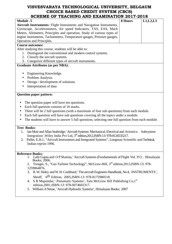| SCHEME OF TEACHING AND EAAMINATION 2017-2018                                                                                                                                                                                                                                                                                                                                                                                                                                                                                                                                                                                               |         |            |
|--------------------------------------------------------------------------------------------------------------------------------------------------------------------------------------------------------------------------------------------------------------------------------------------------------------------------------------------------------------------------------------------------------------------------------------------------------------------------------------------------------------------------------------------------------------------------------------------------------------------------------------------|---------|------------|
| <b>Module -5</b><br>Aircraft Instruments: Flight Instruments and Navigation Instruments,<br>Gyroscope, Accelerometers, Air speed Indicators, TAS, EAS, Mach<br>Meters, Altimeters, Principles and operation, Study of various types of<br>engine instruments, Tachometers, Temperature gauges, Pressure gauges,                                                                                                                                                                                                                                                                                                                            | 8 Hours | L1, L2, L3 |
| Operation and Principles.                                                                                                                                                                                                                                                                                                                                                                                                                                                                                                                                                                                                                  |         |            |
| <b>Course outcomes:</b><br>After studying this course, students will be able to:<br>1. Distinguish the conventional and modern control systems.<br>2. Classify the aircraft systems.<br>3. Categorize different types of aircraft instruments.                                                                                                                                                                                                                                                                                                                                                                                             |         |            |
| <b>Graduate Attributes (as per NBA):</b>                                                                                                                                                                                                                                                                                                                                                                                                                                                                                                                                                                                                   |         |            |
| Engineering Knowledge.<br>$\bullet$<br>Problem Analysis.<br>٠<br>Design / development of solutions<br>Interpretation of data                                                                                                                                                                                                                                                                                                                                                                                                                                                                                                               |         |            |
| <b>Question paper pattern:</b>                                                                                                                                                                                                                                                                                                                                                                                                                                                                                                                                                                                                             |         |            |
| The question paper will have ten questions.<br>Each full question consists of 16 marks.<br>$\bullet$<br>There will be 2 full questions (with a maximum of four sub questions) from each module.<br>Each full question will have sub questions covering all the topics under a module.<br>The students will have to answer 5 full questions, selecting one full question from each module.                                                                                                                                                                                                                                                  |         |            |
| <b>Text Books:</b><br>Ian Moir and Allan Seabridge, 'Aircraft Systems: Mechanical, Electrical and Avionics- Subsystem<br>1.<br>Integration', Wiley India Pvt Ltd, 3 <sup>rd</sup> edition, 2012, ISBN-13: 978-8126535217.<br>Pallet, E.H.J., "Aircraft Instruments and Integrated Systems", Longman Scientific and Technical,<br>2.<br>Indian reprint 1996.                                                                                                                                                                                                                                                                                |         |            |
| <b>Reference Books:</b><br>1. Lalit Gupta and OP Sharma, 'Aircraft Systems (Fundamentals of Flight Vol. IV)', Himalayan<br>Books; 2006.<br>Treager, S., "Gas Turbine Technology", McGraw-Hill, 3 <sup>rd</sup> edition, 2013, ISBN-13: 978-<br>2.<br>1259064876.<br>R. W. Sloley and W. H. Coulthard, 'The aircraft Engineers Handbook, No 4, INSTRUMENTS',<br>3.<br>Shroff, 6 <sup>th</sup> Edition, 2005, ISBN-13: 978-8175980518<br>S R Majumdar, ' Pneumatic Systems', Tata McGraw Hill Publishing Co, 1st<br>4.<br>edition, 2001, ISBN-13: 978-0074602317.<br>5. William A Neese, 'Aircraft Hydraulic Systems', Himalayan Books; 2007 |         |            |
|                                                                                                                                                                                                                                                                                                                                                                                                                                                                                                                                                                                                                                            |         |            |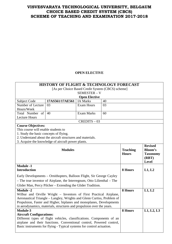## **OPEN ELECTIVE**

|                                                                                                                                                                                                                                                                                               | <b>HISTORY OF FLIGHT &amp; TECHNOLOGY FORECAST</b>         |                                                   |    |                                 |                                                                       |
|-----------------------------------------------------------------------------------------------------------------------------------------------------------------------------------------------------------------------------------------------------------------------------------------------|------------------------------------------------------------|---------------------------------------------------|----|---------------------------------|-----------------------------------------------------------------------|
|                                                                                                                                                                                                                                                                                               |                                                            | [As per Choice Based Credit System (CBCS) scheme] |    |                                 |                                                                       |
|                                                                                                                                                                                                                                                                                               |                                                            | <b>SEMESTER - V</b>                               |    |                                 |                                                                       |
|                                                                                                                                                                                                                                                                                               |                                                            | <b>Open Elective</b>                              |    |                                 |                                                                       |
| Subject Code                                                                                                                                                                                                                                                                                  | 17AS561/17AE561                                            | <b>IA Marks</b>                                   | 40 |                                 |                                                                       |
| Number of Lecture                                                                                                                                                                                                                                                                             | 03                                                         | <b>Exam Hours</b>                                 | 03 |                                 |                                                                       |
| Hours/Week                                                                                                                                                                                                                                                                                    |                                                            |                                                   |    |                                 |                                                                       |
| Total Number of                                                                                                                                                                                                                                                                               | 40                                                         | <b>Exam Marks</b>                                 | 60 |                                 |                                                                       |
| <b>Lecture Hours</b>                                                                                                                                                                                                                                                                          |                                                            |                                                   |    |                                 |                                                                       |
|                                                                                                                                                                                                                                                                                               |                                                            | $CREDITS - 03$                                    |    |                                 |                                                                       |
| <b>Course Objectives:</b>                                                                                                                                                                                                                                                                     |                                                            |                                                   |    |                                 |                                                                       |
| This course will enable students to                                                                                                                                                                                                                                                           |                                                            |                                                   |    |                                 |                                                                       |
| 1. Study the basic concepts of flying.                                                                                                                                                                                                                                                        |                                                            |                                                   |    |                                 |                                                                       |
|                                                                                                                                                                                                                                                                                               | 2. Understand about the aircraft structures and materials. |                                                   |    |                                 |                                                                       |
|                                                                                                                                                                                                                                                                                               | 3. Acquire the knowledge of aircraft power plants.         |                                                   |    |                                 |                                                                       |
| <b>Modules</b>                                                                                                                                                                                                                                                                                |                                                            |                                                   |    | <b>Teaching</b><br><b>Hours</b> | <b>Revised</b><br><b>Bloom's</b><br><b>Taxonomy</b><br>(RBT)<br>Level |
| <b>Module -1</b><br><b>Introduction</b>                                                                                                                                                                                                                                                       |                                                            |                                                   |    | 8 Hours                         | L1, L2                                                                |
| Early Developments – Ornithopters, Balloon Flight, Sir George Cayley<br>- The true inventor of Airplane, the Interregnum, Otto Lilienthal - The<br>Glider Man, Percy Pilcher – Extending the Glider Tradition.                                                                                |                                                            |                                                   |    |                                 |                                                                       |
| <b>Module -2</b>                                                                                                                                                                                                                                                                              |                                                            |                                                   |    | <b>8 Hours</b>                  | L1, L2                                                                |
| Wilbur and Orville Wright - Inventors of First Practical Airplane,<br>Aeronautical Triangle – Langley, Wrights and Glenn Curtiss, Problem of<br>Propulsion, Faster and Higher, biplanes and monoplanes, Developments<br>in aerodynamics, materials, structures and propulsion over the years. |                                                            |                                                   |    |                                 |                                                                       |
| Module-3                                                                                                                                                                                                                                                                                      | 8 Hours                                                    | L1, L2, L3                                        |    |                                 |                                                                       |
| <b>Aircraft Configurations:</b>                                                                                                                                                                                                                                                               |                                                            |                                                   |    |                                 |                                                                       |
| Different types of flight vehicles, classifications. Components of an                                                                                                                                                                                                                         |                                                            |                                                   |    |                                 |                                                                       |
| airplane and their functions. Conventional control, Powered control,                                                                                                                                                                                                                          |                                                            |                                                   |    |                                 |                                                                       |
| Basic instruments for flying - Typical systems for control actuation.                                                                                                                                                                                                                         |                                                            |                                                   |    |                                 |                                                                       |
|                                                                                                                                                                                                                                                                                               |                                                            |                                                   |    |                                 |                                                                       |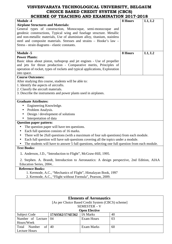| <b>Module -4</b>                                                                                 | 8 Hours | L1, L2 |
|--------------------------------------------------------------------------------------------------|---------|--------|
| <b>Airplane Structures and Materials:</b>                                                        |         |        |
| General types of construction, Monocoque, semi-monocoque and                                     |         |        |
| geodesic constructions, Typical wing and fuselage structure. Metallic                            |         |        |
| and non-metallic materials, Use of aluminium alloy, titanium, stainless                          |         |        |
| steel and composite materials. Stresses and strains - Hooke's law -                              |         |        |
| Stress - strain diagrams - elastic constants.                                                    |         |        |
| <b>Module -5</b>                                                                                 | 8 Hours | L1, L2 |
| <b>Power Plants:</b>                                                                             |         |        |
| Basic ideas about piston, turboprop and jet engines - Use of propeller                           |         |        |
| and jets for thrust production - Comparative merits, Principles of                               |         |        |
| operation of rocket, types of rockets and typical applications, Exploration                      |         |        |
| into space.                                                                                      |         |        |
| <b>Course Outcomes:</b>                                                                          |         |        |
| After studying this course, students will be able to:                                            |         |        |
| 1. Identify the aspects of aircrafts.                                                            |         |        |
| 2. Classify the aircraft materials.                                                              |         |        |
| 3. Describe the instruments and power plants used in airplanes.                                  |         |        |
|                                                                                                  |         |        |
| <b>Graduate Attributes:</b>                                                                      |         |        |
| Engineering Knowledge.                                                                           |         |        |
| Problem Analysis.                                                                                |         |        |
| Design / development of solutions                                                                |         |        |
| Interpretation of data                                                                           |         |        |
| <b>Question paper pattern:</b>                                                                   |         |        |
| The question paper will have ten questions.<br>$\bullet$                                         |         |        |
| Each full question consists of 16 marks.<br>$\bullet$                                            |         |        |
| There will be 2full questions (with a maximum of four sub questions) from each module.           |         |        |
| Each full question will have sub questions covering all the topics under a module.               |         |        |
| The students will have to answer 5 full questions, selecting one full question from each module. |         |        |
| <b>Text Books:</b>                                                                               |         |        |
| 1. Anderson, J.D., "Introduction to Flight", McGraw-Hill, 1995.                                  |         |        |
| 2. Stephen. A. Brandt, Introduction to Aeronautics: A design perspective, 2nd Edition, AIAA      |         |        |
| Education Series, 2004                                                                           |         |        |
| <b>Reference Books:</b>                                                                          |         |        |
| 1. Kermode, A.C., "Mechanics of Flight", Himalayan Book, 1997                                    |         |        |
|                                                                                                  |         |        |
| 2. Kermode, A.C., "Flight without Formula", Pearson, 2009.                                       |         |        |

| <b>Elements of Aeronautics</b>                  |                      |                                                   |    |  |  |  |  |
|-------------------------------------------------|----------------------|---------------------------------------------------|----|--|--|--|--|
|                                                 |                      | [As per Choice Based Credit System (CBCS) scheme] |    |  |  |  |  |
|                                                 |                      | SEMESTER – V                                      |    |  |  |  |  |
|                                                 | <b>Open Elective</b> |                                                   |    |  |  |  |  |
| Subject Code                                    | 17AS562/17AE562      | IA Marks                                          | 40 |  |  |  |  |
| Number of Lecture                               | $\overline{04}$      | Exam Hours                                        | 03 |  |  |  |  |
| Hours/Week                                      |                      |                                                   |    |  |  |  |  |
| of<br>40<br>Exam Marks<br>Total<br>Number<br>60 |                      |                                                   |    |  |  |  |  |
| <b>Lecture Hours</b>                            |                      |                                                   |    |  |  |  |  |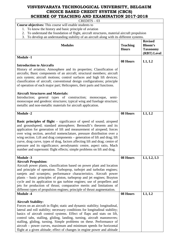CREDITS – 03

## **Course objectives:** This course will enable students to

- 1. To know the history and basic principle of aviation
- 2. To understand the foundation of flight, aircraft structures, material aircraft propulsion
- 3. To develop an understanding stability of an aircraft along with its different systems.

| <b>Modules</b>                                                                                                                                                                                                                                                                                                                                                                                                                                                                                                                                                                                                                                                                        | <b>Teaching</b><br><b>Hours</b> | <b>Revised</b><br><b>Bloom's</b><br><b>Taxonomy</b><br>(RBT) Level |
|---------------------------------------------------------------------------------------------------------------------------------------------------------------------------------------------------------------------------------------------------------------------------------------------------------------------------------------------------------------------------------------------------------------------------------------------------------------------------------------------------------------------------------------------------------------------------------------------------------------------------------------------------------------------------------------|---------------------------------|--------------------------------------------------------------------|
| <b>Module -1</b>                                                                                                                                                                                                                                                                                                                                                                                                                                                                                                                                                                                                                                                                      | 08 Hours                        | L1, L2                                                             |
| <b>Introduction to Aircrafts</b><br>History of aviation; Atmosphere and its properties; Classification of<br>aircrafts; Basic components of an aircraft; structural members; aircraft<br>axis system; aircraft motions; control surfaces and high lift devices;<br>classification of aircraft; conventional design configurations; principle<br>of operation of each major part; Helicopters, their parts and functions.<br><b>Aircraft Structures and Materials:</b><br>Introduction; general types of construction; monocoque,<br>semi-<br>monocoque and geodesic structures; typical wing and fuselage structure;<br>metallic and non-metallic materials for aircraft application. |                                 |                                                                    |
| <b>Module -2</b>                                                                                                                                                                                                                                                                                                                                                                                                                                                                                                                                                                                                                                                                      | 08 Hours                        | L1, L2                                                             |
| <b>Basic principles of flight</b> – significance of speed of sound; airspeed<br>and groundspeed; standard atmosphere; Bernoulli's theorem and its<br>application for generation of lift and measurement of airspeed; forces<br>over wing section, aerofoil nomenclature, pressure distribution over a<br>wing section. Lift and drag components - generation of lift and drag; lift<br>curve, drag curve, types of drag, factors affecting lift and drag; centre of<br>pressure and its significance; aerodynamic centre, aspect ratio, Mach<br>number and supersonic flight effects; simple problems on lift and drag.                                                               |                                 |                                                                    |
| <b>Module -3</b><br><b>Aircraft Propulsion:</b><br>Aircraft power plants, classification based on power plant and location<br>and principle of operation. Turboprop, turbojet and turbofan engines;<br>ramjets and scramjets; performance characteristics. Aircraft power<br>plants – basic principles of piston, turboprop and jet engines; Brayton<br>cycle and its application to gas turbine engines; use of propellers and<br>jets for production of thrust; comparative merits and limitations of<br>different types of propulsion engines; principle of thrust augmentation.                                                                                                   | 08 Hours                        | L1, L2, L3                                                         |
| <b>Module -4</b>                                                                                                                                                                                                                                                                                                                                                                                                                                                                                                                                                                                                                                                                      | 08 Hours                        | L1, L2                                                             |
| <b>Aircraft Stability:</b><br>Forces on an aircraft in flight; static and dynamic stability; longitudinal,<br>lateral and roll stability; necessary conditions for longitudinal stability;<br>basics of aircraft control systems. Effect of flaps and stats on lift,<br>control tabs, stalling, gliding, landing, turning, aircraft manoeuvres;<br>stalling, gliding, turning. Simple problems on these. Performance of<br>aircraft – power curves, maximum and minimum speeds for horizontal<br>flight at a given altitude; effect of changes in engine power and altitude                                                                                                           |                                 |                                                                    |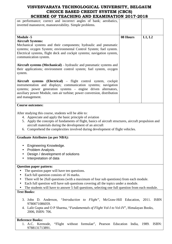| SCHEME OF TEACHING AND EAAMINATION ZOIT-ZOIG                                                                                                                                                                                                                                                                                                                                                                                            |          |        |
|-----------------------------------------------------------------------------------------------------------------------------------------------------------------------------------------------------------------------------------------------------------------------------------------------------------------------------------------------------------------------------------------------------------------------------------------|----------|--------|
| on performance; correct and incorrect angles of bank; aerobatics,<br>inverted manoeuvre, manoeuvrability. Simple problems.                                                                                                                                                                                                                                                                                                              |          |        |
| <b>Module -5</b><br><b>Aircraft Systems:</b>                                                                                                                                                                                                                                                                                                                                                                                            | 08 Hours | L1, L2 |
| Mechanical systems and their components; hydraulic and pneumatic<br>systems; oxygen System; environmental Control System; fuel system.<br>Electrical systems, flight deck and cockpit systems; navigation system,<br>communication system.                                                                                                                                                                                              |          |        |
| Aircraft systems (Mechanical) – hydraulic and pneumatic systems and<br>their applications; environment control system; fuel system, oxygen<br>system.                                                                                                                                                                                                                                                                                   |          |        |
| Aircraft systems (Electrical) – flight control system, cockpit<br>instrumentation and displays; communication systems; navigation<br>systems; power generation systems - engine driven alternators,<br>auxiliary power Module, ram air turbine; power conversion, distribution<br>and management.                                                                                                                                       |          |        |
| <b>Course outcomes:</b>                                                                                                                                                                                                                                                                                                                                                                                                                 |          |        |
| After studying this course, students will be able to:<br>4. Appreciate and apply the basic principle of aviation<br>5. Apply the concepts of fundaments of flight, basics of aircraft structures, aircraft propulsion and<br>aircraft materials during the development of an aircraft<br>6. Comprehend the complexities involved during development of flight vehicles.                                                                 |          |        |
| <b>Graduate Attributes (as per NBA):</b>                                                                                                                                                                                                                                                                                                                                                                                                |          |        |
| Engineering Knowledge.<br>Problem Analysis.<br>$\bullet$<br>Design / development of solutions<br>Interpretation of data                                                                                                                                                                                                                                                                                                                 |          |        |
| <b>Question paper pattern:</b><br>The question paper will have ten questions.<br>Each full question consists of 16 marks.<br>$\bullet$<br>There will be 2full questions (with a maximum of four sub questions) from each module.<br>Each full question will have sub questions covering all the topics under a module.<br>$\bullet$<br>The students will have to answer 5 full questions, selecting one full question from each module. |          |        |
| <b>Text Books:</b>                                                                                                                                                                                                                                                                                                                                                                                                                      |          |        |
| 3. John D. Anderson, "Introduction to Flight", McGraw-Hill Education, 2011. ISBN<br>9780071086059.<br>4. Lalit Gupta and O P Sharma, "Fundamentals of Flight Vol-I to Vol-IV", Himalayan Books,<br>2006, ISBN: 706.                                                                                                                                                                                                                     |          |        |
| <b>Reference Books:</b>                                                                                                                                                                                                                                                                                                                                                                                                                 |          |        |

1. A.C. Kermode, "Flight without formulae", Pearson Education India, 1989. ISBN: 9788131713891.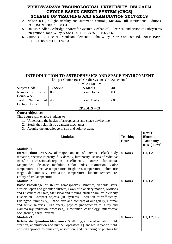- 2. Nelson R.C., "Flight stability and automatic control", McGraw-Hill International Editions, 1998. ISBN 9780071158381.
- 5. Ian Moir, Allan Seabridge, "Aircraft Systems: Mechanical, Electrical and Avionics Subsystems Integration", John Wiley & Sons, 2011. ISBN 978111965006.
- 6. Sutton G.P., "Rocket Propulsion Elements", John Wiley, New York, 8th Ed., 2011; ISBN: 1118174208, 9781118174203.

#### **INTRODUCTION TO ASTROPHYSICS AND SPACE ENVIRONMENT**  [As per Choice Based Credit System (CBCS) scheme] SEMESTER – V Subject Code **17AS563** IA Marks 40 Number of Lecture Hours/Week 03 Exam Hours 03 Total Number of Lecture Hours 40 Exam Marks 160 CREDITS – 03 **Course objective:**  This course will enable students to 1. Understand the basics of astrophysics and space environment. 2. Study the relativistic quantum mechanics. 3. Acquire the knowledge of sun and solar system. Modules **Teaching Hours Revised Bloom's Taxonomy (RBT) Level Module -1 Introduction:** Overview of major contents of universe, Black body radiation, specific intensity, flux density, luminosity, Basics of radiative transfer (Emission/absorption coefficients, source functions), Magnitudes, distance modulus, Color index, Extinction, Color temperature, effective temperature, Brightness temperature, bolometric magnitude/luminosity, Excitation temperature, kinetic temperature, Utility of stellar spectrum. **8 Hours L1, L2 Module -2 Basic knowledge of stellar atmospheres:** Binaries, variable stars, clusters, open and globular clusters, Laws of planetary motion, Motions and Distances of Stars, Statistical and moving cluster parallax, Velocity Dispersion, Compact objects (BH-systems, Accretion rate/efficiency, Eddington luminosity), Shape, size and contents of our galaxy, Normal and active galaxies, High energy physics (introduction to X-ray and Gamma-ray radiation processes), Newtonian cosmology, microwave background, early universe. **8 Hours L1, L2 Module -3 Relativistic Quantum Mechanics**: Scattering, classical radiation field, creation, annihilation and number operators. Quantized radiation field, unified approach to emission, absorption, and scattering of photons by **8 Hours L1, L2, L3**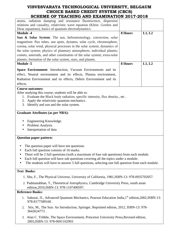| SCHEME OF TEACHING AND EAGMINATION 2017-2010                                                                  |         |        |
|---------------------------------------------------------------------------------------------------------------|---------|--------|
| atoms, radiation damping and resonance fluorescence, dispersion                                               |         |        |
| relations and causality, relativistic wave equation (Klein- Gordon and                                        |         |        |
| Dirac equations), basics of quantum electrodynamics.                                                          |         |        |
| <b>Module -4</b>                                                                                              | 8 Hours | L1, L2 |
| Sun & Solar System: The sun, helioseismology, convection, solar                                               |         |        |
| magnetism: flux tubes, sun spots, dynamo, solar cycle, chromosphere,                                          |         |        |
| corona, solar wind, physical processes in the solar system; dynamics of                                       |         |        |
| the solar system; physics of planetary atmospheres; individual planets;                                       |         |        |
| comets, asteroids, and other constituents of the solar system; extra-solar                                    |         |        |
| planets; formation of the solar system, stars, and planets.                                                   |         |        |
| <b>Module -5</b>                                                                                              | 8 Hours | L1, L2 |
| Space Environment: Introduction, Vacuum Environments and its                                                  |         |        |
| effect, Neutral environment and its effects, Plasma environment,                                              |         |        |
| Radiation Environment and its effects, Debris Environment and its                                             |         |        |
| effects.                                                                                                      |         |        |
| <b>Course outcomes:</b>                                                                                       |         |        |
| After studying this course, students will be able to:                                                         |         |        |
| 1. Evaluate the Black body radiation, specific intensity, flux density., etc.                                 |         |        |
| Apply the relativistic quantum mechanics.<br>2.                                                               |         |        |
| 3. Identify and sun and the solar system.                                                                     |         |        |
|                                                                                                               |         |        |
| <b>Graduate Attributes (as per NBA):</b>                                                                      |         |        |
|                                                                                                               |         |        |
| Engineering Knowledge.                                                                                        |         |        |
| Problem Analysis.                                                                                             |         |        |
| Interpretation of data                                                                                        |         |        |
|                                                                                                               |         |        |
| <b>Question paper pattern:</b>                                                                                |         |        |
|                                                                                                               |         |        |
| The question paper will have ten questions.                                                                   |         |        |
| Each full question consists of 16 marks.<br>$\bullet$                                                         |         |        |
| There will be 2 full questions (with a maximum of four sub questions) from each module.                       |         |        |
| Each full question will have sub questions covering all the topics under a module.                            |         |        |
| The students will have to answer 5 full questions, selecting one full question from each module.              |         |        |
| <b>Text Books:</b>                                                                                            |         |        |
| 1. Shu, F., The Physical Universe, University of California, 1981, ISBN-13: 978-0935702057.                   |         |        |
|                                                                                                               |         |        |
| 2. Padmanabhan, T., Theoretical Astrophysics, Cambridge University Press, south asian                         |         |        |
| edition, 2010, ISBN-13: 978-1107400597.                                                                       |         |        |
| <b>Reference Books:</b>                                                                                       |         |        |
| 1. Sakurai, JJ., Advanced Quantum Mechanics, Pearson Education India, 1 <sup>st</sup> edition, 2002, ISBN-13: |         |        |
| 978-8177589160.                                                                                               |         |        |
|                                                                                                               |         |        |

- 2. Stix, M., The Sun: An Introduction, Springer, Reprinted edition, 2012, ISBN-13: 978- 3642624773 .
- 3. Alan C. Tribble, The Space Environment, Princeton University Press,Revised edition, 2003,ISBN-13: 978-0691102993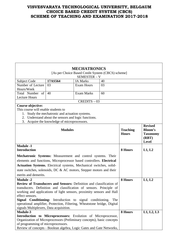|                                                                            |                                                                                                      | <b>MECHATRONICS</b>                               |    |                 |                 |
|----------------------------------------------------------------------------|------------------------------------------------------------------------------------------------------|---------------------------------------------------|----|-----------------|-----------------|
|                                                                            |                                                                                                      | [As per Choice Based Credit System (CBCS) scheme] |    |                 |                 |
|                                                                            |                                                                                                      | SEMESTER - V                                      |    |                 |                 |
| <b>Subject Code</b>                                                        | 17AS564                                                                                              | <b>IA Marks</b>                                   | 40 |                 |                 |
| Number of Lecture                                                          | 03                                                                                                   | <b>Exam Hours</b>                                 | 03 |                 |                 |
| Hours/Week                                                                 |                                                                                                      |                                                   |    |                 |                 |
| Total Number<br>of                                                         | 40                                                                                                   | <b>Exam Marks</b>                                 | 60 |                 |                 |
| <b>Lecture Hours</b>                                                       |                                                                                                      |                                                   |    |                 |                 |
|                                                                            |                                                                                                      | $CREDITS - 03$                                    |    |                 |                 |
| <b>Course objective:</b>                                                   |                                                                                                      |                                                   |    |                 |                 |
| This course will enable students to                                        |                                                                                                      |                                                   |    |                 |                 |
| 1.                                                                         | Study the mechatronic and actuation systems.                                                         |                                                   |    |                 |                 |
|                                                                            | 2. Understand about the sensors and logic functions.<br>3. Acquire the knowledge of microprocessors. |                                                   |    |                 |                 |
|                                                                            |                                                                                                      |                                                   |    |                 | <b>Revised</b>  |
|                                                                            | <b>Modules</b>                                                                                       |                                                   |    | <b>Teaching</b> | <b>Bloom's</b>  |
|                                                                            |                                                                                                      |                                                   |    | <b>Hours</b>    | <b>Taxonomy</b> |
|                                                                            |                                                                                                      |                                                   |    |                 | (RBT)           |
|                                                                            |                                                                                                      |                                                   |    |                 | <b>Level</b>    |
| <b>Module -1</b>                                                           |                                                                                                      |                                                   |    |                 |                 |
| <b>Introduction</b>                                                        |                                                                                                      |                                                   |    | 8 Hours         | L1, L2          |
| Mechatronic Systems: Measurement and control systems. Their                |                                                                                                      |                                                   |    |                 |                 |
| elements and functions, Microprocessor based controllers. Electrical       |                                                                                                      |                                                   |    |                 |                 |
| Actuation Systems. Electrical systems, Mechanical switches, solid-         |                                                                                                      |                                                   |    |                 |                 |
| state switches, solenoids, DC & AC motors, Stepper motors and their        |                                                                                                      |                                                   |    |                 |                 |
| merits and demerits.                                                       |                                                                                                      |                                                   |    |                 |                 |
| <b>Module -2</b>                                                           |                                                                                                      |                                                   |    | 8 Hours         | L1, L2          |
| <b>Review of Transducers and Sensors:</b> Definition and classification of |                                                                                                      |                                                   |    |                 |                 |
| transducers. Definition and classification of sensors. Principle of        |                                                                                                      |                                                   |    |                 |                 |
| working and applications of light sensors, proximity sensors and Hall      |                                                                                                      |                                                   |    |                 |                 |
| effect sensors.                                                            |                                                                                                      |                                                   |    |                 |                 |
| Signal Conditioning: Introduction to signal conditioning. The              |                                                                                                      |                                                   |    |                 |                 |
| operational amplifier, Protection, Filtering, Wheatstone bridge, Digital   |                                                                                                      |                                                   |    |                 |                 |
| signals Multiplexers, Data acquisition.                                    |                                                                                                      |                                                   |    |                 |                 |
| Module-3                                                                   |                                                                                                      |                                                   |    | 8 Hours         | L1, L2, L3      |
| Introduction to Microprocessors: Evolution of Microprocessor,              |                                                                                                      |                                                   |    |                 |                 |
| Organization of Microprocessors (Preliminary concepts), basic concepts     |                                                                                                      |                                                   |    |                 |                 |
| of programming of microprocessors.                                         |                                                                                                      |                                                   |    |                 |                 |
| Review of concepts - Boolean algebra, Logic Gates and Gate Networks,       |                                                                                                      |                                                   |    |                 |                 |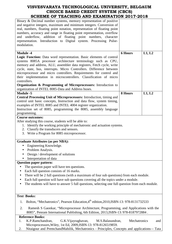| SCHEME OF TEACHING AND EAAMHNATION 2017-2010                                                                                                                                                                                                                                                                                                                                                                                                                                                                                                                                                 |                |        |
|----------------------------------------------------------------------------------------------------------------------------------------------------------------------------------------------------------------------------------------------------------------------------------------------------------------------------------------------------------------------------------------------------------------------------------------------------------------------------------------------------------------------------------------------------------------------------------------------|----------------|--------|
| Binary & Decimal number systems, memory representation of positive<br>and negative integers, maximum and minimum integers. Conversion of<br>real, numbers, floating point notation, representation of floating point<br>numbers, accuracy and range in floating point representation, overflow<br>and underflow, addition of floating point numbers, character<br>representation. Introduction to Digital system. Processing Pulse-<br>modulation.                                                                                                                                           |                |        |
| <b>Module -4</b><br>Logic Function: Data word representation. Basic elements of control<br>systems 8085A processor architecture terminology such as CPU,<br>memory and address, ALU, assembler data registers, Fetch cycle, write<br>cycle, state, bus, interrupts. Micro Controllers. Difference between<br>microprocessor and micro controllers. Requirements for control and<br>their implementation in microcontrollers. Classification of micro<br>controllers.<br>Organization & Programming of Microprocessors: Introduction to<br>organization of INTEL 8085-Data and Address buses. | <b>6 Hours</b> | L1, L2 |
| <b>Module -5</b><br>Central Processing Unit of Microprocessors: Introduction, timing and<br>control unit basic concepts, Instruction and data flow, system timing,<br>examples of INTEL 8085 and INTEL 4004 register organization.<br>Instruction set of 8085, programming the 8085, assembly language<br>programming.                                                                                                                                                                                                                                                                       | 8 Hours        | L1, L2 |
| <b>Course outcomes:</b><br>After studying this course, students will be able to:<br>1. Identify the working principle of mechatronic and actuation systems.<br>2. Classify the transducers and sensors.<br>3. Write a Program for 8085 microprocessor.                                                                                                                                                                                                                                                                                                                                       |                |        |
| <b>Graduate Attributes (as per NBA):</b><br>Engineering Knowledge.<br>Problem Analysis.<br>Design / development of solutions<br>Interpretation of data                                                                                                                                                                                                                                                                                                                                                                                                                                       |                |        |
| <b>Question paper pattern:</b><br>The question paper will have ten questions.<br>Each full question consists of 16 marks.<br>٠<br>There will be 2 full questions (with a maximum of four sub questions) from each module.<br>Each full question will have sub questions covering all the topics under a module.<br>The students will have to answer 5 full questions, selecting one full question from each module.                                                                                                                                                                          |                |        |
| <b>Text Books:</b>                                                                                                                                                                                                                                                                                                                                                                                                                                                                                                                                                                           |                |        |
| Bolton, "Mechatronics", Pearson Education, 4th edition, 2010, ISBN-13: 978-8131732533<br>1.                                                                                                                                                                                                                                                                                                                                                                                                                                                                                                  |                |        |
| 2.<br>Ramesh S Gaonkar, "Microprocessor Architecture, Programming, and Applications with the<br>8085", Penram International Publishing, 6th Edition, 2013, ISBN-13: 978-8187972884.                                                                                                                                                                                                                                                                                                                                                                                                          |                |        |
| <b>Reference Books:</b>                                                                                                                                                                                                                                                                                                                                                                                                                                                                                                                                                                      |                |        |
| K.P.Ramchandran,<br>G.K.Vijayraghavan,<br>M.S.Balasundran,<br>1.<br>Microprocessors, Wiley, 1st Ed, 2009, ISBN-13: 978-8126519859.                                                                                                                                                                                                                                                                                                                                                                                                                                                           | Mechatronics   | and    |

2. Nitaigour and PremchandMahilik, Mechatronics - Principles, Concepts and applications–- Tata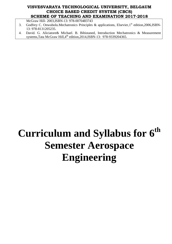McGraw Hill- 2003,ISBN-13: 978-0070483743

- 3. Godfrey C. Onwubolu.Mechatronics Principles & applications, Elsevier, 1<sup>st</sup> edition, 2006, ISBN-13: 978-8131205235.
- 4. David. G. Aliciatore& Michael. B. Bihistaned, Introduction Mechatronics & Measurement systems, Tata McGraw Hill, 4<sup>th</sup> edition, 2014, ISBN-13: 978-9339204365.

# **Curriculum and Syllabus for 6th Semester Aerospace Engineering**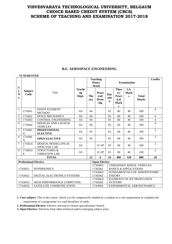#### **B.E. AEROSPACE ENGINEERING**

|                                                                                                                             | <b>VI SEMESTER</b>                                                                                            |                                                 |                              |                                                                |                                      |                            |                                                                        |                                                |                                   |                |
|-----------------------------------------------------------------------------------------------------------------------------|---------------------------------------------------------------------------------------------------------------|-------------------------------------------------|------------------------------|----------------------------------------------------------------|--------------------------------------|----------------------------|------------------------------------------------------------------------|------------------------------------------------|-----------------------------------|----------------|
|                                                                                                                             |                                                                                                               |                                                 |                              | <b>Teaching</b><br><b>Hours</b><br><b>Examination</b><br>/Week |                                      |                            |                                                                        | <b>Credits</b>                                 |                                   |                |
| ${\bf S}$<br>l.<br>N<br>$\bf{0}$                                                                                            | <b>Subject</b><br>Code                                                                                        | Title                                           | <b>Teachi</b><br>ng<br>Dept. | The<br>ory                                                     | Pract<br>ical/<br>Draw<br>ing        | Dur<br>atio<br>$\mathbf n$ | <b>Theo</b><br>ry/<br><b>Pract</b><br>ical<br><b>Mark</b><br>${\bf S}$ | I.A.<br><b>Mark</b><br>$\overline{\mathbf{s}}$ | <b>Total</b><br><b>Marks</b>      |                |
| 1                                                                                                                           | 17AS61                                                                                                        | <b>FINITE ELEMENT</b><br><b>METHOD</b>          | AS                           | 04                                                             |                                      | 03                         | 60                                                                     | 40                                             | 100                               | 4              |
| $\overline{2}$                                                                                                              | 17AS62                                                                                                        | <b>SPACE MECHANICS</b>                          | AS                           | 04                                                             |                                      | 03                         | 60                                                                     | 40                                             | 100                               | 4              |
| 3                                                                                                                           | 17AS63                                                                                                        | <b>CONTROL ENGINEERING</b>                      | AS                           | 04                                                             |                                      | 03                         | 60                                                                     | 40                                             | 100                               | $\overline{4}$ |
| 4                                                                                                                           | 17AS64                                                                                                        | MISSILES AND LAUNCH<br><b>VEHICLES</b>          | AS                           | 04                                                             |                                      | 03                         | 60                                                                     | 40                                             | 100                               | 4              |
| 5                                                                                                                           | 17AS65<br>X                                                                                                   | <b>PROFESSIONAL</b><br><b>ELECTIVE</b>          | AS                           | 03                                                             |                                      | 03                         | 60                                                                     | 40                                             | 100                               | $\overline{3}$ |
| 6                                                                                                                           | 17AS66<br>X                                                                                                   | <b>OPEN ELECTIVE</b>                            | AS                           | 03                                                             |                                      | 03                         | 60                                                                     | 40                                             | 100                               | $\overline{3}$ |
| $\tau$                                                                                                                      | 17ASL6<br>7                                                                                                   | DESIGN, MODELLING &<br><b>ANALYSIS LAB</b>      | AS                           |                                                                | $1I+2P$                              | 03                         | 60                                                                     | 40                                             | 100                               | $\overline{2}$ |
| 8                                                                                                                           | 17ASL6<br>8                                                                                                   | <b>STRUCTURES &amp;</b><br><b>VIBRATION LAB</b> | AS                           |                                                                | $1I+2P$                              | 03                         | 60                                                                     | 40                                             | 100                               | $\overline{2}$ |
|                                                                                                                             |                                                                                                               | <b>TOTAL</b>                                    |                              | 22                                                             | 6                                    | 24                         | 480                                                                    | 320                                            | 800                               | 26             |
|                                                                                                                             |                                                                                                               | <b>Professional Elective</b>                    |                              |                                                                | <b>Open Elective</b>                 |                            |                                                                        |                                                |                                   |                |
| <b>UNMANNED AERIAL VEHICLES</b><br>17AS661/<br>17AS651<br><b>HYPERSONICS</b><br>17AE661<br><b>BASICS &amp; APPLICATIONS</b> |                                                                                                               |                                                 |                              |                                                                |                                      |                            |                                                                        |                                                |                                   |                |
|                                                                                                                             | 17AS662/<br>FUNDAMENTALS OF AERODYNAMIC<br>DIGITAL ELECTRONICS SYSTEMS<br><b>THEORY</b><br>17AS652<br>17AE662 |                                                 |                              |                                                                |                                      |                            |                                                                        |                                                |                                   |                |
|                                                                                                                             |                                                                                                               |                                                 |                              |                                                                | 17AS663/                             |                            |                                                                        |                                                | <b>ELEMENTS OF JET PROPULSION</b> |                |
|                                                                                                                             | 17AS653                                                                                                       | HIGH PERFORMANCE COMPUTING                      |                              |                                                                | <b>SYSTEMS</b><br>17AE663            |                            |                                                                        |                                                |                                   |                |
|                                                                                                                             | 17AS654                                                                                                       | SATELLITE COMMUNICATION                         |                              |                                                                | 17AS664<br>EXPERIMENTAL AERODYNAMICS |                            |                                                                        |                                                |                                   |                |

**1. Core subject:** This is the course, which is to be compulsorily studied by a student as a core requirement to complete the requirement of a programme in a said discipline of study.

**2. Professional Elective:** Elective relevant to chosen specialization/ branch

**3. Open Elective**: Electives from other technical and/or emerging subject areas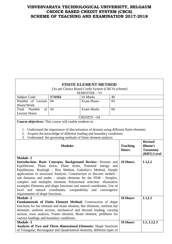# **FINITE ELEMENT METHOD**

[As per Choice Based Credit System (CBCS) scheme]

|                                                                                                                                          |                | $\alpha$ per Choice Dasca Create System (CDCS) seneme<br><b>SEMESTER - VI</b>            |             |                 |                 |
|------------------------------------------------------------------------------------------------------------------------------------------|----------------|------------------------------------------------------------------------------------------|-------------|-----------------|-----------------|
| Subject Code                                                                                                                             | 17AS61         | <b>IA Marks</b>                                                                          | 40          |                 |                 |
| Number of Lecture                                                                                                                        | 04             | <b>Exam Hours</b>                                                                        | 03          |                 |                 |
| Hours/Week                                                                                                                               |                |                                                                                          |             |                 |                 |
| Total<br>Number<br>of                                                                                                                    | 50             | <b>Exam Marks</b>                                                                        | 60          |                 |                 |
| <b>Lecture Hours</b>                                                                                                                     |                |                                                                                          |             |                 |                 |
|                                                                                                                                          |                | $CREDITS - 04$                                                                           |             |                 |                 |
| <b>Course objectives:</b> This course will enable students to                                                                            |                |                                                                                          |             |                 |                 |
|                                                                                                                                          |                |                                                                                          |             |                 |                 |
|                                                                                                                                          |                | 1. Understand the importance of discretisation of domain using different finite elements |             |                 |                 |
| 2.                                                                                                                                       |                | Acquire the knowledge of different loading and boundary conditions                       |             |                 |                 |
|                                                                                                                                          |                | 3. Understand the governing methods of finite element analysis                           |             |                 |                 |
|                                                                                                                                          |                |                                                                                          |             |                 | <b>Revised</b>  |
|                                                                                                                                          | <b>Modules</b> |                                                                                          |             | <b>Teaching</b> | <b>Bloom's</b>  |
|                                                                                                                                          |                |                                                                                          |             | <b>Hours</b>    | <b>Taxonomy</b> |
|                                                                                                                                          |                |                                                                                          |             |                 | (RBT) Level     |
| <b>Module -1</b>                                                                                                                         |                |                                                                                          |             |                 |                 |
| Introduction: Basic Concepts, Background Review: Stresses and                                                                            |                |                                                                                          |             | 10 Hours        | L1,L2           |
| Equilibrium, Plane stress, Plane strain, Potential                                                                                       |                | energy                                                                                   | and         |                 |                 |
| Equilibrium. Rayleigh - Ritz Method, Galerkin's Method, Simple                                                                           |                |                                                                                          |             |                 |                 |
| applications in structural Analysis. Construction or discrete models -                                                                   |                |                                                                                          |             |                 |                 |
| sub domains and nodes - simple elements for the FEM - Simplex,                                                                           |                |                                                                                          |             |                 |                 |
| complex and multiples elements Polynomial selection -illustrative                                                                        |                |                                                                                          |             |                 |                 |
| examples Elements and shape functions and natural coordinates, Use of<br>local                                                           |                |                                                                                          |             |                 |                 |
| and natural<br>requirements of shape functions.                                                                                          | coordinates,   | compatibility<br>and                                                                     | convergence |                 |                 |
| <b>Module -2</b>                                                                                                                         |                |                                                                                          |             | 10 Hours        | L1,L2           |
| Fundamentals of Finite Element Method: Construction of shape                                                                             |                |                                                                                          |             |                 |                 |
|                                                                                                                                          |                |                                                                                          |             |                 |                 |
| functions for bar element and beam element, Bar elements, uniform bar                                                                    |                |                                                                                          |             |                 |                 |
| elements, uniform section, mechanical and thermal loading, varying<br>section, truss analysis, Frame element, Beam element, problems for |                |                                                                                          |             |                 |                 |
| various loadings and boundary conditions.                                                                                                |                |                                                                                          |             |                 |                 |
| <b>Module -3</b>                                                                                                                         |                |                                                                                          |             |                 |                 |
|                                                                                                                                          |                |                                                                                          |             |                 |                 |
| Analysis of Two and Three dimensional Elements: Shape functions                                                                          |                |                                                                                          |             | 10 Hours        | L1, L2, L3      |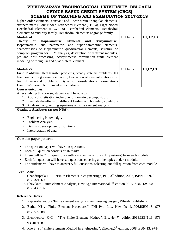| 12110111110 11112 2111111111                                                                                |          |            |
|-------------------------------------------------------------------------------------------------------------|----------|------------|
| higher order elements, constant and linear strain triangular elements,                                      |          |            |
| stiffness matrix Four-Noded Tetrahedral Element (TET 4), Eight-Noded                                        |          |            |
| Hexahedral Element (HEXA 8), Tetrahedral elements, Hexahedral                                               |          |            |
| elements: Serendipity family, Hexahedral elements: Lagrange family.                                         |          |            |
| <b>Module -4</b>                                                                                            | 10 Hours | L1, L2, L3 |
| Theory of<br>Isoparametric Elements<br>and<br><b>Axisymmetric:</b>                                          |          |            |
| sub parametric and super-parametric elements,<br>Isoparametric,                                             |          |            |
| characteristics of Isoparametric quadrilateral elements, structure of                                       |          |            |
| computer program for FEM analysis, description of different modules,                                        |          |            |
| pre and post processing, Axisymmetric formulation finite element                                            |          |            |
| modeling of triangular and quadrilateral element.                                                           |          |            |
|                                                                                                             |          |            |
| <b>Module -5</b>                                                                                            | 10 Hours | L1, L2, L3 |
| Field Problems: Heat transfer problems, Steady state fin problems, 1D                                       |          |            |
|                                                                                                             |          |            |
| heat conduction governing equation, Derivation of element matrices for                                      |          |            |
| two dimensional problems, Dynamic consideration- Formulation-                                               |          |            |
| Hamilton's principle, Element mass matrices.                                                                |          |            |
| <b>Course outcomes:</b>                                                                                     |          |            |
| After studying this course, students will be able to:                                                       |          |            |
| 1. Apply discretisation technique for domain decomposition.                                                 |          |            |
| 2. Evaluate the effects of different loading and boundary conditions                                        |          |            |
| 3. Analyze the governing equations of finite element analysis                                               |          |            |
| <b>Graduate Attributes (as per NBA):</b>                                                                    |          |            |
|                                                                                                             |          |            |
| Engineering Knowledge.                                                                                      |          |            |
| Problem Analysis.<br>٠                                                                                      |          |            |
| Design / development of solutions                                                                           |          |            |
| Interpretation of data                                                                                      |          |            |
|                                                                                                             |          |            |
| <b>Question paper pattern:</b>                                                                              |          |            |
|                                                                                                             |          |            |
|                                                                                                             |          |            |
| The question paper will have ten questions.                                                                 |          |            |
| Each full question consists of 16 marks.<br>$\bullet$                                                       |          |            |
| There will be 2 full questions (with a maximum of four sub questions) from each module.                     |          |            |
| Each full question will have sub questions covering all the topics under a module.                          |          |            |
| The students will have to answer 5 full questions, selecting one full question from each module.            |          |            |
|                                                                                                             |          |            |
| <b>Text Books:</b>                                                                                          |          |            |
| 1. Chandrupatla T. R., "Finite Elements in engineering", PHI, 3 <sup>rd</sup> edition, 2002, ISBN-13: 978-  |          |            |
| 8120321069.                                                                                                 |          |            |
| 2. Bhavikatti, Finite element Analysis, New Age International, 3 <sup>rd</sup> edition, 2015, ISBN-13: 978- |          |            |
| 8122436716                                                                                                  |          |            |
|                                                                                                             |          |            |
| <b>Reference Books:</b>                                                                                     |          |            |
| 1. Rajasekharan. S - "Finite element analysis in engineering design", Wheeler Publishers                    |          |            |
|                                                                                                             |          |            |
| 2. Bathe. KJ, "Finite Element Procedures", PHI Pvt. Ltd., New Delhi, 1996, ISBN-13: 978-                    |          |            |
| 8126529988                                                                                                  |          |            |

- 3. Zienkiewicz. O.C. "The Finite Element Method", Elsevier, 7<sup>th</sup> edition, 2013, ISBN-13: 978-9351071587
- 4. Rao S. S., "Finite Elements Method in Engineering", Elsevier, 5<sup>th</sup> edition, 2008, ISBN-13: 978-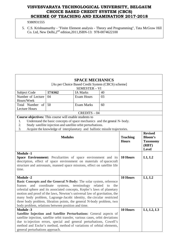## 9380931555

5. C.S. Krishnamurthy - "Finite Element analysis - Theory and Programming", Tata McGraw Hill Co. Ltd, New Delhi, $2^{nd}$  edition, 2011, ISBN-13: 978-0074622100

| <b>SPACE MECHANICS</b>                                                                                                                                                                                                                                                                                                                                                                                                                                                                      |                                                                          |                                                                              |    |  |  |  |  |
|---------------------------------------------------------------------------------------------------------------------------------------------------------------------------------------------------------------------------------------------------------------------------------------------------------------------------------------------------------------------------------------------------------------------------------------------------------------------------------------------|--------------------------------------------------------------------------|------------------------------------------------------------------------------|----|--|--|--|--|
| [As per Choice Based Credit System (CBCS) scheme]<br><b>SEMESTER - VI</b>                                                                                                                                                                                                                                                                                                                                                                                                                   |                                                                          |                                                                              |    |  |  |  |  |
| Subject Code                                                                                                                                                                                                                                                                                                                                                                                                                                                                                | 17AS62                                                                   | <b>IA Marks</b>                                                              | 40 |  |  |  |  |
| Number of Lecture                                                                                                                                                                                                                                                                                                                                                                                                                                                                           | 04                                                                       | <b>Exam Hours</b>                                                            | 03 |  |  |  |  |
| Hours/Week                                                                                                                                                                                                                                                                                                                                                                                                                                                                                  |                                                                          |                                                                              |    |  |  |  |  |
| Total Number of                                                                                                                                                                                                                                                                                                                                                                                                                                                                             | 50                                                                       | <b>Exam Marks</b>                                                            | 60 |  |  |  |  |
| <b>Lecture Hours</b>                                                                                                                                                                                                                                                                                                                                                                                                                                                                        |                                                                          | $CREDITS - 04$                                                               |    |  |  |  |  |
| Course objectives: This course will enable students to                                                                                                                                                                                                                                                                                                                                                                                                                                      |                                                                          |                                                                              |    |  |  |  |  |
| 1.                                                                                                                                                                                                                                                                                                                                                                                                                                                                                          | Understand the basic concepts of space mechanics and the general N-body. |                                                                              |    |  |  |  |  |
| 2.                                                                                                                                                                                                                                                                                                                                                                                                                                                                                          | Study satellite injection and satellite orbit perturbations.             |                                                                              |    |  |  |  |  |
| 3.<br>Acquire the knowledge of interplanetary and ballistic missile trajectories.                                                                                                                                                                                                                                                                                                                                                                                                           |                                                                          |                                                                              |    |  |  |  |  |
|                                                                                                                                                                                                                                                                                                                                                                                                                                                                                             | <b>Teaching</b><br><b>Hours</b>                                          | <b>Revised</b><br><b>Bloom's</b><br><b>Taxonomy</b><br>(RBT)<br><b>Level</b> |    |  |  |  |  |
| <b>Module -1</b><br>Space Environment: Peculiarities of space environment and its<br>description, effect of space environment on materials of spacecraft<br>structure and astronauts, manned space missions, effect on satellite life<br>time.                                                                                                                                                                                                                                              | 10 Hours                                                                 | L1, L2                                                                       |    |  |  |  |  |
| <b>Module -2</b><br><b>Basic Concepts and the General N-Body:</b> The solar system, reference<br>coordinate<br>frames<br>and<br>celestial sphere and its associated concepts, Kepler's laws of planetary<br>motion and proof of the laws, Newton's universal law of gravitation, the<br>many body problem, Lagrange-Jacobi identity, the circular restricted<br>three body problem, libration points, the general N-body problem, two<br>body problem, relations between position and time. | 10 Hours                                                                 | L1, L2                                                                       |    |  |  |  |  |
| <b>Module -3</b><br>Satellite Injection and Satellite Perturbations: General aspects of<br>satellite injection, satellite orbit transfer, various cases, orbit deviations<br>due to injection errors, special and general perturbations, Cowell's<br>method and Encke's method, method of variations of orbital elements,<br>general perturbations approach.                                                                                                                                | 10 Hours                                                                 | L1, L2, L3                                                                   |    |  |  |  |  |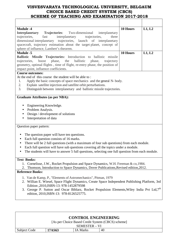| <b>Module -4</b>                                                                                              | 10 Hours | L1, L2 |  |  |  |
|---------------------------------------------------------------------------------------------------------------|----------|--------|--|--|--|
| <b>Interplanetary</b><br>Two-dimensional<br><b>Trajectories:</b><br>interplanetary                            |          |        |  |  |  |
| trajectories,<br>fast<br>interplanetary<br>trajectories,<br>three                                             |          |        |  |  |  |
| dimensional interplanetary trajectories, launch of interplanetary                                             |          |        |  |  |  |
| spacecraft, trajectory estimation about the target planet, concept of                                         |          |        |  |  |  |
| sphere of influence, Lambert's theorem.                                                                       |          |        |  |  |  |
| <b>Module -5</b>                                                                                              | 10 Hours | L1, L2 |  |  |  |
| Ballistic Missile Trajectories: Introduction to ballistic missile                                             |          |        |  |  |  |
| ballistic<br>trajectories,<br>boost<br>phase,<br>the<br>phase,<br>trajectory                                  |          |        |  |  |  |
| geometry, optimal flights, time of flight, re-entry phase, the position of                                    |          |        |  |  |  |
| impact point, influence coefficients.                                                                         |          |        |  |  |  |
| <b>Course outcomes:</b>                                                                                       |          |        |  |  |  |
| At the end of this course the student will be able to:                                                        |          |        |  |  |  |
| Apply the basic concepts of space mechanics and the general N-body.<br>1.                                     |          |        |  |  |  |
| 2.<br>Explain satellite injection and satellite orbit perturbations.                                          |          |        |  |  |  |
| 3.<br>Distinguish between interplanetary and ballistic missile trajectories.                                  |          |        |  |  |  |
|                                                                                                               |          |        |  |  |  |
| <b>Graduate Attributes (as per NBA):</b>                                                                      |          |        |  |  |  |
|                                                                                                               |          |        |  |  |  |
| Engineering Knowledge.                                                                                        |          |        |  |  |  |
| Problem Analysis.                                                                                             |          |        |  |  |  |
| Design / development of solutions                                                                             |          |        |  |  |  |
| Interpretation of data                                                                                        |          |        |  |  |  |
| Question paper pattern:                                                                                       |          |        |  |  |  |
|                                                                                                               |          |        |  |  |  |
| The question paper will have ten questions.<br>$\bullet$                                                      |          |        |  |  |  |
| Each full question consists of 16 marks.                                                                      |          |        |  |  |  |
| There will be 2 full questions (with a maximum of four sub questions) from each module.                       |          |        |  |  |  |
| Each full question will have sub questions covering all the topics under a module.                            |          |        |  |  |  |
|                                                                                                               |          |        |  |  |  |
| The students will have to answer 5 full questions, selecting one full question from each module.<br>$\bullet$ |          |        |  |  |  |
| <b>Text Books:</b>                                                                                            |          |        |  |  |  |
| 1. Cornelisse, J.W., Rocket Propulsion and Space Dynamics, W.H. Freeman & co, 1984.                           |          |        |  |  |  |
| Thomson, Introduction to Space Dynamics, Dover Publications, Revised edition, 2012.<br>2.                     |          |        |  |  |  |
| <b>Reference Books:</b>                                                                                       |          |        |  |  |  |
|                                                                                                               |          |        |  |  |  |
| 1. Van de Kamp, P., "Elements of Astromechanics", Pitman, 1979                                                |          |        |  |  |  |
| 2. Willian E. Wiesel, Space Flight Dynamics, Create Space Independent Publishing Platform, 3rd                |          |        |  |  |  |
| Edition , 2010, ISBN-13: 978-1452879598                                                                       |          |        |  |  |  |
| George P. Sutton and Oscar Biblarz, Rocket Propulsion Elements, Wiley India Pvt Ltd, 7th<br>3.                |          |        |  |  |  |
| edition, 2010, ISBN-13: 978-8126525775.                                                                       |          |        |  |  |  |
|                                                                                                               |          |        |  |  |  |

| <b>CONTROL ENGINEERING</b>                        |        |          |    |  |  |  |  |
|---------------------------------------------------|--------|----------|----|--|--|--|--|
| [As per Choice Based Credit System (CBCS) scheme] |        |          |    |  |  |  |  |
| SEMESTER – VI                                     |        |          |    |  |  |  |  |
| Subject Code                                      | 17AS63 | IA Marks | 40 |  |  |  |  |

ı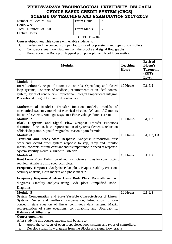|                                                                                                                                                                                                                                                                                                                | SCHEME OF TEACHING AND EXAMINATION 2017-2018                                        |                   |                                 |                                                                       |            |
|----------------------------------------------------------------------------------------------------------------------------------------------------------------------------------------------------------------------------------------------------------------------------------------------------------------|-------------------------------------------------------------------------------------|-------------------|---------------------------------|-----------------------------------------------------------------------|------------|
| Number of Lecture                                                                                                                                                                                                                                                                                              | 04                                                                                  | <b>Exam Hours</b> | 03                              |                                                                       |            |
| Hours/Week                                                                                                                                                                                                                                                                                                     |                                                                                     |                   |                                 |                                                                       |            |
| Total Number<br>of                                                                                                                                                                                                                                                                                             | 50                                                                                  | <b>Exam Marks</b> | 60                              |                                                                       |            |
| <b>Lecture Hours</b>                                                                                                                                                                                                                                                                                           |                                                                                     |                   |                                 |                                                                       |            |
|                                                                                                                                                                                                                                                                                                                |                                                                                     | $CREDITS - 04$    |                                 |                                                                       |            |
| <b>Course objectives:</b> This course will enable students to<br>1.                                                                                                                                                                                                                                            | Understand the concepts of open loop, closed loop systems and types of controllers. |                   |                                 |                                                                       |            |
| 2.                                                                                                                                                                                                                                                                                                             | Construct signal flow diagram from the Blocks and signal flow graphs.               |                   |                                 |                                                                       |            |
| 3.                                                                                                                                                                                                                                                                                                             | Know about the Bode plot, Nyquist plot, polar plot and Root locus method.           |                   |                                 |                                                                       |            |
|                                                                                                                                                                                                                                                                                                                |                                                                                     |                   |                                 |                                                                       |            |
| <b>Modules</b>                                                                                                                                                                                                                                                                                                 |                                                                                     |                   | <b>Teaching</b><br><b>Hours</b> | <b>Revised</b><br><b>Bloom's</b><br><b>Taxonomy</b><br>(RBT)<br>Level |            |
| <b>Module -1</b>                                                                                                                                                                                                                                                                                               |                                                                                     |                   |                                 |                                                                       |            |
| <b>Introduction:</b> Concept of automatic controls, Open loop and closed<br>loop systems, Concepts of feedback, requirements of an ideal control<br>system, Types of controllers- Proportional, Integral Proportional Integral,                                                                                |                                                                                     |                   |                                 | 10 Hours                                                              | L1, L2     |
| Proportional Integral Differential controllers.                                                                                                                                                                                                                                                                |                                                                                     |                   |                                 |                                                                       |            |
| Mathematical Models: Transfer function models, models<br>mechanical systems, models of electrical circuits, DC and AC motors<br>in control systems, Analogous systems: Force voltage, Force current                                                                                                            |                                                                                     |                   | - of                            |                                                                       |            |
| <b>Module -2</b>                                                                                                                                                                                                                                                                                               |                                                                                     |                   |                                 | 10 Hours                                                              | L1, L2     |
| Block Diagrams and Signal Flow Graphs: Transfer Functions                                                                                                                                                                                                                                                      |                                                                                     |                   |                                 |                                                                       |            |
| definition, function, block representation of systems elements, reduction                                                                                                                                                                                                                                      |                                                                                     |                   |                                 |                                                                       |            |
| of block diagrams, Signal flow graphs: Mason's gain formula                                                                                                                                                                                                                                                    |                                                                                     |                   |                                 |                                                                       |            |
| <b>Module -3</b>                                                                                                                                                                                                                                                                                               |                                                                                     |                   |                                 | 10 Hours                                                              | L1, L2, L3 |
| Transient and Steady State Response Analysis: Introduction, first<br>order and second order system response to step, ramp and impulse<br>inputs, concepts of time constant and its importance in speed of response.<br>System stability: Routh's- Hurwitz Criterion                                            |                                                                                     |                   |                                 |                                                                       |            |
| <b>Module -4</b>                                                                                                                                                                                                                                                                                               |                                                                                     |                   |                                 | 10 Hours                                                              | L1, L2     |
| <b>Root Locus Plots:</b> Definition of root loci, General rules for constructing                                                                                                                                                                                                                               |                                                                                     |                   |                                 |                                                                       |            |
| root loci, Analysis using root locus plots.                                                                                                                                                                                                                                                                    |                                                                                     |                   |                                 |                                                                       |            |
| Frequency Response Analysis: Polar plots, Nyquist stability criterion,                                                                                                                                                                                                                                         |                                                                                     |                   |                                 |                                                                       |            |
| Stability analysis, Gain margin and phase margin.                                                                                                                                                                                                                                                              |                                                                                     |                   |                                 |                                                                       |            |
| Frequency Response Analysis Using Bode Plots: Bode attenuation                                                                                                                                                                                                                                                 |                                                                                     |                   |                                 |                                                                       |            |
| diagrams, Stability analysis using Bode plots, Simplified Bode                                                                                                                                                                                                                                                 |                                                                                     |                   |                                 |                                                                       |            |
| Diagrams.                                                                                                                                                                                                                                                                                                      |                                                                                     |                   |                                 |                                                                       |            |
| <b>Module -5</b>                                                                                                                                                                                                                                                                                               |                                                                                     |                   |                                 | 10 Hours                                                              | L1, L2     |
| System Compensation and State Variable Characteristics of Linear<br>Systems: Series and feedback compensation, Introduction to state<br>concepts, state equation of linear continuous data system. Matrix<br>representation of state equations, controllability and Observability,<br>Kalman and Gilberts test |                                                                                     |                   |                                 |                                                                       |            |
| <b>Course outcomes:</b>                                                                                                                                                                                                                                                                                        |                                                                                     |                   |                                 |                                                                       |            |
| After studying this course, students will be able to:                                                                                                                                                                                                                                                          |                                                                                     |                   |                                 |                                                                       |            |
| 1.                                                                                                                                                                                                                                                                                                             | Apply the concepts of open loop, closed loop systems and types of controllers.      |                   |                                 |                                                                       |            |
| 2.                                                                                                                                                                                                                                                                                                             | Develop signal flow diagram from the Blocks and signal flow graphs.                 |                   |                                 |                                                                       |            |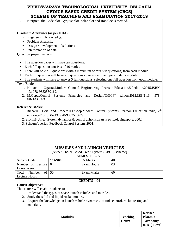3. Interpret the Bode plot, Nyquist plot, polar plot and Root locus method.

#### **Graduate Attributes (as per NBA):**

- Engineering Knowledge.
- Problem Analysis.
- Design / development of solutions
- Interpretation of data

#### **Question paper pattern:**

- The question paper will have ten questions.
- Each full question consists of 16 marks.
- There will be 2 full questions (with a maximum of four sub questions) from each module.
- Each full question will have sub questions covering all the topics under a module.
- The students will have to answer 5 full questions, selecting one full question from each module.

#### **Text Books:**

- 1. Katsuhiko Ogatta,Modern Control Engineering, Pearson Education,5<sup>th</sup> edition,2015,ISBN-13: 978-9332550162.
- 2. M.Gopal,Control Systems Principles and Design,TMH,4<sup>th</sup> edition,2012,ISBN-13: 978-0071333269.

#### **Reference Books:**

- 1. Richard.C.Dorf and Robert.H.Bishop,Modern Control Systems, Pearson Education India,12<sup>th</sup> edition,2013,ISBN-13: 978-9332518629
- 2. Eronini-Umez, System dynamics & control ,Thomson Asia pvt Ltd. singapore, 2002.
- 3. Schaum's series ,Feedback Control System, 2001.

## **MISSILES AND LAUNCH VEHICLES**

[As per Choice Based Credit System (CBCS) scheme]

SEMESTER – VI

| Subject Code         | 17AS64 | <b>IA Marks</b> | 40 |
|----------------------|--------|-----------------|----|
| Number of Lecture 04 |        | Exam Hours      | 03 |
| Hours/Week           |        |                 |    |
| Total Number of 50   |        | Exam Marks      | 60 |
| Lecture Hours        |        |                 |    |
|                      |        | $CREDITS - 04$  |    |

#### **Course objective:**

This course will enable students to

- 1. Understand the types of space launch vehicles and missiles.
- 2. Study the solid and liquid rocket motors.
- 3. Acquire the knowledge on launch vehicle dynamics, attitude control, rocket testing and materials.

| <b>Modules</b> | <b>Teaching</b><br><b>Hours</b> | <b>Revised</b><br><b>Bloom's</b><br><b>Taxonomy</b><br>(RBT) Level |
|----------------|---------------------------------|--------------------------------------------------------------------|
|----------------|---------------------------------|--------------------------------------------------------------------|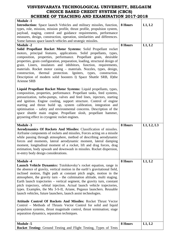| <b>Module -1</b><br><b>Introduction:</b> Space launch Vehicles and military missiles, function,<br>types, role, mission, mission profile, thrust profile, propulsion system,<br>payload, staging, control and guidance requirements, performance<br>measures, design, construction, operation, similarities and differences.<br>Some famous space launch vehicles and strategic missiles.<br><b>Module -2</b><br>Solid Propellant Rocket Motor Systems: Solid Propellant rocket                                                                                                                       | 8 Hours<br>8 Hours | L1, L2<br>L1, L2 |
|-------------------------------------------------------------------------------------------------------------------------------------------------------------------------------------------------------------------------------------------------------------------------------------------------------------------------------------------------------------------------------------------------------------------------------------------------------------------------------------------------------------------------------------------------------------------------------------------------------|--------------------|------------------|
| motors, principal features, applications. Solid propellants, types,<br>composition, properties, performance. Propellant grain, desirable<br>properties, grain configuration, preparation, loading, structural design of<br>grain. Liners, insulators and inhibitors, function, requirements,<br>materials. Rocket motor casing - materials. Nozzles, types, design,<br>thermal protection. Igniters, types, construction.<br>construction,<br>Description of modern solid boosters I) Space Shuttle SRB, II) the<br><b>Arienne SRB</b>                                                                |                    |                  |
| Liquid Propellant Rocket Motor Systems: Liquid propellants, types,<br>composition, properties, performance. Propellant tanks, feed systems,<br>pressurization, turbo-pumps, valves and feed lines, injectors, starting<br>and ignition. Engine cooling, support structure. Control of engine<br>starting and thrust build up, system calibration, integration and<br>optimisation – safety and environmental concerns. Description of the<br>space shuttle main engine. Propellant slosh, propellant hammer,<br>geysering effect in cryogenic rocket engines.                                         |                    |                  |
| <b>Module -3</b><br>Aerodynamics Of Rockets And Missiles: Classification of missiles.<br>Airframe components of rockets and missiles, Forces acting on a missile<br>while passing through atmosphere, method of describing aerodynamic<br>forces and moments, lateral aerodynamic moment, lateral damping<br>moment, longitudinal moment of a rocket, lift and drag forces, drag<br>estimation, body upwash and downwash in missiles. Rocket dispersion,<br>re-entry body design considerations.                                                                                                      | 8 Hours            | L1, L2, L3       |
| <b>Module -4</b>                                                                                                                                                                                                                                                                                                                                                                                                                                                                                                                                                                                      |                    |                  |
| Launch Vehicle Dynamics: Tsiolskovsky's rocket equation, range in<br>the absence of gravity, vertical motion in the earth's gravitational field,<br>inclined motion, flight path at constant pitch angle, motion in the<br>atmosphere, the gravity turn $-$ the culmination altitude, multi staging.<br>Earth launch trajectories - vertical segment, the gravity turn, constant<br>pitch trajectory, orbital injection. Actual launch vehicle trajectories,<br>types. Examples, the Mu 3-S-II, Ariane, Pegasus launchers. Reusable<br>launch vehicles, future launchers, launch assist technologies. | 8 Hours            | L1, L2           |
| Attitude Control Of Rockets And Missiles: Rocket Thrust Vector<br>Control - Methods of Thrusts Vector Control for solid and liquid<br>propulsion systems, thrust magnitude control, thrust termination; stage<br>separation dynamics, separation techniques.                                                                                                                                                                                                                                                                                                                                          |                    |                  |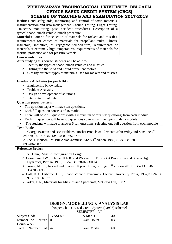# **VISVESVARAYA TECHNOLOGICAL UNIVERSITY, BELGAUM CHOICE BASED CREDIT SYSTEM (CBCS)**

| SCHEME OF TEACHING AND EXAMINATION 2017-2018                                                                               |
|----------------------------------------------------------------------------------------------------------------------------|
| facilities and safeguards, monitoring and control of toxic materials,                                                      |
| instrumentation and data management. Ground Testing, Flight Testing,                                                       |
| Trajectory monitoring, post -accident procedures. Description of a                                                         |
| typical space launch vehicle launch procedure.                                                                             |
| Materials: Criteria for selection of materials for rockets and missiles,                                                   |
| requirements for choice of materials for propellant tanks,<br>liners,                                                      |
| insulators, inhibitors, at cryogenic temperatures, requirements of                                                         |
| materials at extremely high temperatures, requirements of materials for                                                    |
| thermal protection and for pressure vessels.                                                                               |
| <b>Course outcomes:</b>                                                                                                    |
| After studying this course, students will be able to:                                                                      |
| 1. Identify the types of space launch vehicles and missiles.                                                               |
| 2. Distinguish the solid and liquid propellant motors.                                                                     |
| 3. Classify different types of materials used for rockets and missies.                                                     |
| <b>Graduate Attributes (as per NBA):</b>                                                                                   |
| Engineering Knowledge.<br>$\bullet$                                                                                        |
| Problem Analysis.<br>٠                                                                                                     |
| Design / development of solutions<br>$\bullet$                                                                             |
| Interpretation of data                                                                                                     |
| <b>Question paper pattern:</b>                                                                                             |
| The question paper will have ten questions.                                                                                |
| Each full question consists of 16 marks.<br>$\bullet$                                                                      |
| There will be 2 full questions (with a maximum of four sub questions) from each module.<br>$\bullet$                       |
| Each full question will have sub questions covering all the topics under a module.<br>$\bullet$                            |
| The students will have to answer 5 full questions, selecting one full question from each module.<br>$\bullet$              |
| <b>Text Books:</b>                                                                                                         |
| 1. George P Sutton and Oscar Biblarz, 'Rocket Propulsion Element', John Wiley and Sons Inc, 7 <sup>th</sup>                |
| edition, 2010, ISBN-13: 978-8126525775.                                                                                    |
| 2. Jack N Neilson, 'Missile Aerodynamics', AIAA,1 <sup>st</sup> edition, 1988, ISBN-13: 978-                               |
| 0962062902                                                                                                                 |
| <b>Reference Books:</b>                                                                                                    |
| 1. S S Chin, 'Missile Configuration Design'.                                                                               |
| 2. Cornelisse, J.W., Schoyer H.F.R. and Wakker,. K.F., Rocket Propulsion and Space-Flight                                  |
| Dynamics, Pitman, 1979, ISBN-13: 978-0273011415                                                                            |
| 3. Turner, M.J.L., Rocket and Spacecraft propulsion, Springer, 3 <sup>rd</sup> edition, 2010, ISBN-13: 978-<br>3642088698. |
| 4. Ball, K.J., Osborne, G.F., Space Vehicle Dynamics, Oxford University Press, 1967, ISBN-13:                              |

978-0198561071

ा

5. Parker, E.R., Materials for Missiles and Spacecraft, McGraw Hill, 1982.

| DESIGN, MODELLING & ANALYSIS LAB |                                                   |                 |    |  |
|----------------------------------|---------------------------------------------------|-----------------|----|--|
|                                  | [As per Choice Based Credit System (CBCS) scheme] |                 |    |  |
| SEMESTER - VI                    |                                                   |                 |    |  |
| Subject Code                     | <b>17ASL67</b>                                    | <b>IA Marks</b> | 40 |  |
| Number of Lecture 03             |                                                   | Exam Hours      | 03 |  |
| Hours/Week                       |                                                   |                 |    |  |
| Total<br>Number                  | 42                                                | Exam Marks      | 60 |  |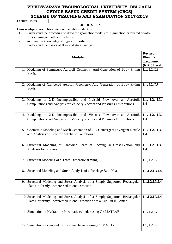| <b>Lecture Hours</b>                                                                                                                                                                         |                                                                    |
|----------------------------------------------------------------------------------------------------------------------------------------------------------------------------------------------|--------------------------------------------------------------------|
| $CREDITS - 02$                                                                                                                                                                               |                                                                    |
| Course objectives: This course will enable students to<br>Understand the procedure to draw the geometric models of symmetric, cambered aerofoil,<br>1.<br>nozzle, wing and other structures. |                                                                    |
| Acquire the knowledge of types of meshing.<br>2.<br>3.<br>Understand the basics of flow and stress analysis.                                                                                 |                                                                    |
| <b>Modules</b>                                                                                                                                                                               | <b>Revised</b><br><b>Bloom's</b><br><b>Taxonomy</b><br>(RBT) Level |
| 1. Modeling of Symmetric Aerofoil Geometry, And Generation of Body Fitting<br>Mesh.                                                                                                          | L1, L2, L3                                                         |
| 2. Modeling of Cambered Aerofoil Geometry, And Generation of Body Fitting<br>Mesh.                                                                                                           | L1, L2, L3                                                         |
| 3. Modeling of 2-D Incompressible and Inviscid Flow over an Aerofoil.<br>Computations and Analysis for Velocity Vectors and Pressures Distributions.                                         | L1, L2, L3,<br>L4                                                  |
| 4. Modeling of 2-D Incompressible and Viscous Flow over an Aerofoil.<br>Computations and Analysis for Velocity Vectors and Pressures Distributions.                                          | L1, L2, L3,<br>L4                                                  |
| 5. Geometric Modeling and Mesh Generation of 2-D Convergent Divergent Nozzle<br>and Analyses of Flow for Adiabatic Conditions.                                                               | L1, L2, L3,<br>L4                                                  |
| 6. Structural Modeling of Sandwich Beam of Rectangular Cross-Section and L1, L2, L3,<br>Analyses for Stresses.                                                                               | L <sub>4</sub>                                                     |
| 7. Structural Modeling of a Three Dimensional Wing.                                                                                                                                          | L1, L2, L3                                                         |
| 8. Structural Modeling and Stress Analysis of a Fuselage Bulk Head.                                                                                                                          | L1, L2, L3, L4                                                     |
| Structural Modeling and Stress Analysis of a Simply Supported Rectangular<br>9.<br>Plate Uniformly Compressed In one Direction.                                                              | L1, L2, L3, L4                                                     |
| 10. Structural Modeling and Stress Analysis of a Simply Supported Rectangular<br>Plate Uniformly Compressed In one Direction with a Cut-Out in Center.                                       | L1, L2, L3, L4                                                     |
| 11. Simulation of Hydraulic / Pneumatic cylinder using C / MATLAB.                                                                                                                           | L1, L2, L3                                                         |
| 12. Simulation of cam and follower mechanism using C / MAT Lab.                                                                                                                              | L1, L2, L3                                                         |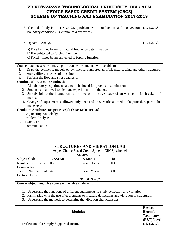| 13. Thermal Analysis - 1D $\&$ 2D problem with conduction and convection                            | L1, L2, L3 |
|-----------------------------------------------------------------------------------------------------|------------|
| boundary conditions. (Minimum 4 exercises)                                                          |            |
|                                                                                                     |            |
| 14. Dynamic Analysis                                                                                | L1, L2, L3 |
|                                                                                                     |            |
| a) Fixed – fixed beam for natural frequency determination                                           |            |
| b) Bar subjected to forcing function                                                                |            |
| c) Fixed – fixed beam subjected to forcing function                                                 |            |
|                                                                                                     |            |
| Course outcomes: After studying the course the students will be able to                             |            |
| Draw the geometric models of symmetric, cambered aerofoil, nozzle, wing and other structures.<br>1. |            |
| Apply different types of meshing.<br>2.                                                             |            |
| Perform the flow and stress analysis.<br>3.                                                         |            |
| <b>Conduct of Practical Examination:</b>                                                            |            |
| 1. All laboratory experiments are to be included for practical examination.                         |            |
| 2. Students are allowed to pick one experiment from the lot.                                        |            |
| 3. Strictly follow the instructions as printed on the cover page of answer script for breakup of    |            |
| marks.                                                                                              |            |
| 4. Change of experiment is allowed only once and 15% Marks allotted to the procedure part to be     |            |
| made zero.                                                                                          |            |
| Graduate Attributes (as per NBA)[TO BE MODIFIED]:                                                   |            |
| Engineering Knowledge.<br>$\circ$                                                                   |            |
| Problem Analysis.<br>$\circ$                                                                        |            |
| Team work<br>$\circ$                                                                                |            |
| Communication                                                                                       |            |

| Communication |
|---------------|
|               |

| <b>STRUCTURES AND VIBRATION LAB</b>                                       |                |                   |    |  |
|---------------------------------------------------------------------------|----------------|-------------------|----|--|
| [As per Choice Based Credit System (CBCS) scheme]<br><b>SEMESTER - VI</b> |                |                   |    |  |
| Subject Code                                                              | <b>17ASL68</b> | <b>IA Marks</b>   | 40 |  |
| Number of Lecture 03                                                      |                | <b>Exam Hours</b> | 03 |  |
| Hours/Week                                                                |                |                   |    |  |
| of<br>Number<br>Total                                                     | 42             | Exam Marks        | 60 |  |
| <b>Lecture Hours</b>                                                      |                |                   |    |  |
| $CREDITS - 02$                                                            |                |                   |    |  |

**Course objectives:** This course will enable students to

- 1. Understand the functions of different equipments to study deflection and vibration
- 2. Familiarize with the use of equipments to measure deflections and vibration of structures.
- 3. Understand the methods to determine the vibration characteristics.

|                                           | <b>Revised</b>  |
|-------------------------------------------|-----------------|
| <b>Modules</b>                            | <b>Bloom's</b>  |
|                                           | <b>Taxonomy</b> |
|                                           | (RBT) Level     |
| 1. Deflection of a Simply Supported Beam. | L1, L2, L3      |
|                                           |                 |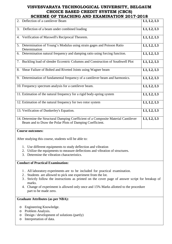| SCHEME OF TEACHING AND EAAMINATION 2017-2018                                                                                                    |            |
|-------------------------------------------------------------------------------------------------------------------------------------------------|------------|
| 2. Deflection of a cantilever Beam                                                                                                              | L1, L2, L3 |
| Deflection of a beam under combined loading<br>3.                                                                                               | L1, L2, L3 |
| Verification of Maxwell's Reciprocal Theorem.<br>4.                                                                                             | L1, L2, L3 |
| Determination of Young's Modulus using strain gages and Poisson Ratio<br>5.<br>Determination                                                    | L1, L2, L3 |
| 6. Determination natural frequency and damping ratio using forcing function.                                                                    | L1, L2, L3 |
| 7. Buckling load of slender Eccentric Columns and Construction of Southwell Plot                                                                | L1, L2, L3 |
| 8. Shear Failure of Bolted and Riveted Joints using Wagner beam                                                                                 | L1, L2, L3 |
| 9. Determination of fundamental frequency of a cantilever beam and harmonics.                                                                   | L1, L2, L3 |
| 10. Frequency spectrum analysis for a cantilever beam.                                                                                          | L1, L2, L3 |
| 11. Estimation of the natural frequency for a rigid body-spring system                                                                          | L1, L2, L3 |
| 12. Estimation of the natural frequency for two rotor system                                                                                    | L1, L2, L3 |
| 13. Verification of Dunkerley's Equation.                                                                                                       | L1, L2, L3 |
| 14. Determine the Structural Damping Coefficient of a Composite Material Cantilever<br>Beam and to Draw the Polar Plots of Damping Coefficient. | L1, L2, L3 |
| <b>Course outcomes:</b>                                                                                                                         |            |
| After studying this course, students will be able to:                                                                                           |            |

- 1. Use different equipments to study deflection and vibration
- 2. Utilize the equipments to measure deflections and vibration of structures.
- 3. Determine the vibration characteristics.

## **Conduct of Practical Examination:**

- 1 . All laboratory experiments are to be included for practical examination.
- 2 . Students are allowed to pick one experiment from the lot.
- 3 . Strictly follow the instructions as printed on the cover page of answer script for breakup of marks.
- 4. Change of experiment is allowed only once and 15% Marks allotted to the procedure part to be made zero.

#### **Graduate Attributes (as per NBA):**

- o Engineering Knowledge.
- o Problem Analysis.
- o Design / development of solutions (partly)
- o Interpretation of data.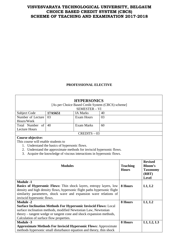# **PROFESSIONAL ELECTIVE**

|                                                                                                                                               |                                                                         | <b>HYPERSONICS</b>                                                   |                                 |                                                                              |            |
|-----------------------------------------------------------------------------------------------------------------------------------------------|-------------------------------------------------------------------------|----------------------------------------------------------------------|---------------------------------|------------------------------------------------------------------------------|------------|
|                                                                                                                                               |                                                                         | [As per Choice Based Credit System (CBCS) scheme]                    |                                 |                                                                              |            |
|                                                                                                                                               |                                                                         | SEMESTER - VI                                                        |                                 |                                                                              |            |
| <b>Subject Code</b>                                                                                                                           | 17AS651                                                                 | <b>IA Marks</b>                                                      | 40                              |                                                                              |            |
| Number of Lecture                                                                                                                             | 03                                                                      | <b>Exam Hours</b>                                                    | 03                              |                                                                              |            |
| Hours/Week                                                                                                                                    |                                                                         |                                                                      |                                 |                                                                              |            |
| Total Number<br>of                                                                                                                            | 40                                                                      | <b>Exam Marks</b>                                                    | 60                              |                                                                              |            |
| <b>Lecture Hours</b>                                                                                                                          |                                                                         |                                                                      |                                 |                                                                              |            |
|                                                                                                                                               |                                                                         | $CREDITS - 03$                                                       |                                 |                                                                              |            |
| <b>Course objective:</b>                                                                                                                      |                                                                         |                                                                      |                                 |                                                                              |            |
| This course will enable students to                                                                                                           |                                                                         |                                                                      |                                 |                                                                              |            |
|                                                                                                                                               | 1. Understand the basics of hypersonic flows.                           |                                                                      |                                 |                                                                              |            |
|                                                                                                                                               |                                                                         | 2. Understand the approximate methods for inviscid hypersonic flows. |                                 |                                                                              |            |
| 3.                                                                                                                                            |                                                                         | Acquire the knowledge of viscous interactions in hypersonic flows.   |                                 |                                                                              |            |
|                                                                                                                                               |                                                                         |                                                                      |                                 |                                                                              |            |
| <b>Modules</b>                                                                                                                                |                                                                         |                                                                      | <b>Teaching</b><br><b>Hours</b> | <b>Revised</b><br><b>Bloom's</b><br><b>Taxonomy</b><br>(RBT)<br><b>Level</b> |            |
| <b>Module -1</b>                                                                                                                              |                                                                         |                                                                      |                                 |                                                                              |            |
| Basics of Hypersonic Flows: Thin shock layers, entropy layers, low                                                                            |                                                                         |                                                                      |                                 | 8 Hours                                                                      | L1, L2     |
| density and high density flows, hypersonic flight paths hypersonic flight                                                                     |                                                                         |                                                                      |                                 |                                                                              |            |
| similarity parameters, shock wave and expansion wave relations of                                                                             |                                                                         |                                                                      |                                 |                                                                              |            |
|                                                                                                                                               | inviscid hypersonic flows.                                              |                                                                      |                                 |                                                                              |            |
| <b>Module -2</b>                                                                                                                              |                                                                         |                                                                      |                                 | 8 Hours                                                                      | L1, L2     |
|                                                                                                                                               | <b>Surface Inclination Methods For Hypersonic Inviscid Flows: Local</b> |                                                                      |                                 |                                                                              |            |
| surface inclination methods, modified Newtonian Law, Newtonian                                                                                |                                                                         |                                                                      |                                 |                                                                              |            |
|                                                                                                                                               | theory – tangent wedge or tangent cone and shock expansion methods,     |                                                                      |                                 |                                                                              |            |
|                                                                                                                                               | Calculation of surface flow properties.                                 |                                                                      |                                 |                                                                              |            |
| <b>Module -3</b>                                                                                                                              |                                                                         |                                                                      |                                 | 8 Hours                                                                      | L1, L2, L3 |
| <b>Approximate Methods For Inviscid Hypersonic Flows: Approximate</b><br>methods hypersonic small disturbance equation and theory, thin shock |                                                                         |                                                                      |                                 |                                                                              |            |
|                                                                                                                                               |                                                                         |                                                                      |                                 |                                                                              |            |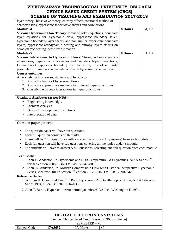# **VISVESVARAYA TECHNOLOGICAL UNIVERSITY, BELGAUM CHOICE BASED CREDIT SYSTEM (CBCS)**

| SCHEME OF TEACHING AND EXAMINATION 2017-2018                                                        |         |        |
|-----------------------------------------------------------------------------------------------------|---------|--------|
| layer theory, blast wave theory, entropy effects, rotational method of                              |         |        |
| characteristics, hypersonic shock wave shapes and correlations                                      |         |        |
| <b>Module -4</b>                                                                                    | 8 Hours | L1, L2 |
| Viscous Hypersonic Flow Theory: Navier-Stokes equations, boundary                                   |         |        |
| layer equations for hypersonic flow, hypersonic boundary layer,                                     |         |        |
| hypersonic boundary layer theory and non similar hypersonic boundary                                |         |        |
| layers, hypersonic aerodynamic heating and entropy layers effects on                                |         |        |
| aerodynamic heating, heat flux estimation                                                           |         |        |
| Module $-5$                                                                                         | 8 Hours | L1, L2 |
| Viscous Interactions In Hypersonic Flows: Strong and weak viscous                                   |         |        |
| interactions, hypersonic shockwaves and boundary layer interactions,                                |         |        |
| Estimation of hypersonic boundary layer transition, Role of similarity                              |         |        |
| parameter for laminar viscous interactions in hypersonic viscous flow.                              |         |        |
| <b>Course outcomes:</b>                                                                             |         |        |
| After studying this course, students will be able to:                                               |         |        |
| 1. Apply the basics of hypersonic flows.                                                            |         |        |
| 2. Apply the approximate methods for inviscid hypersonic flows.                                     |         |        |
| 3. Classify the viscous interactions in hypersonic flows.                                           |         |        |
| <b>Graduate Attributes (as per NBA):</b>                                                            |         |        |
| Engineering Knowledge.                                                                              |         |        |
|                                                                                                     |         |        |
| Problem Analysis.                                                                                   |         |        |
| Design / development of solutions                                                                   |         |        |
| Interpretation of data                                                                              |         |        |
| <b>Question paper pattern:</b>                                                                      |         |        |
| The question paper will have ten questions.                                                         |         |        |
| Each full question consists of 16 marks.                                                            |         |        |
| There will be 2 full questions (with a maximum of four sub questions) from each module.             |         |        |
|                                                                                                     |         |        |
| Each full question will have sub questions covering all the topics under a module.                  |         |        |
| The students will have to answer 5 full questions, selecting one full question from each module.    |         |        |
| <b>Text Books:</b>                                                                                  |         |        |
| 1. John D. Anderson, Jr, Hypersonic and High Temperature Gas Dynamics, AIAA Series, 2 <sup>nd</sup> |         |        |
| revised edition, 2006, ISBN-13: 978-1563477805.                                                     |         |        |
| 2. John. D. Anderson, Jr., Modern Compressible Flow with Historical perspective Hypersonic          |         |        |
| Series, McGraw Hill Education, 3 <sup>rd</sup> edition, 2012, ISBN-13: 978-1259027420               |         |        |
| <b>Reference Books:</b>                                                                             |         |        |
| 1. William H. Heiser and David T. Pratt, Hypersonic Air Breathing propulsion, AIAA Education        |         |        |

- Series,1994,ISBN-13: 978-1563470356
- 2. John T. Bertin, Hypersonic Aerothermodynamics,AIAA Inc., Washington D,1994.

| <b>DIGITAL ELECTRONICS SYSTEMS</b> |                                                   |          |    |  |  |
|------------------------------------|---------------------------------------------------|----------|----|--|--|
|                                    | [As per Choice Based Credit System (CBCS) scheme] |          |    |  |  |
| SEMESTER – VI                      |                                                   |          |    |  |  |
| Subject Code                       | 17AS652                                           | IA Marks | 40 |  |  |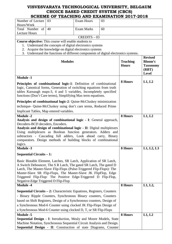| Number of Lecture                                                                                                                                                                                                                                                                                                                                                                              | 03                                                                               | <b>Exam Hours</b> | 03 |                                 |                                                                              |
|------------------------------------------------------------------------------------------------------------------------------------------------------------------------------------------------------------------------------------------------------------------------------------------------------------------------------------------------------------------------------------------------|----------------------------------------------------------------------------------|-------------------|----|---------------------------------|------------------------------------------------------------------------------|
| Hours/Week<br>Total Number of                                                                                                                                                                                                                                                                                                                                                                  | 40                                                                               | <b>Exam Marks</b> | 60 |                                 |                                                                              |
| <b>Lecture Hours</b>                                                                                                                                                                                                                                                                                                                                                                           |                                                                                  |                   |    |                                 |                                                                              |
|                                                                                                                                                                                                                                                                                                                                                                                                |                                                                                  | $CREDITS - 03$    |    |                                 |                                                                              |
| Course objective: This course will enable students to                                                                                                                                                                                                                                                                                                                                          |                                                                                  |                   |    |                                 |                                                                              |
|                                                                                                                                                                                                                                                                                                                                                                                                | 1. Understand the concepts of digital electronics systems                        |                   |    |                                 |                                                                              |
| 2.                                                                                                                                                                                                                                                                                                                                                                                             | Acquire the knowledge on digital electronics systems                             |                   |    |                                 |                                                                              |
| 3.                                                                                                                                                                                                                                                                                                                                                                                             | Understand the functions of different components of digital electronics systems. |                   |    |                                 |                                                                              |
|                                                                                                                                                                                                                                                                                                                                                                                                | <b>Modules</b>                                                                   |                   |    | <b>Teaching</b><br><b>Hours</b> | <b>Revised</b><br><b>Bloom's</b><br><b>Taxonomy</b><br>(RBT)<br><b>Level</b> |
| <b>Module -1</b>                                                                                                                                                                                                                                                                                                                                                                               |                                                                                  |                   |    |                                 |                                                                              |
| Principles of combinational logic-1: Definition of combinational<br>logic, Canonical forms, Generation of switching equations from truth<br>tables Karnaugh maps-3, 4 and 5 variables, Incompletely specified<br>functions (Don't Care terms), Simplifying Max term equations.                                                                                                                 |                                                                                  |                   |    | 8 Hours                         | L1, L2                                                                       |
| <b>Principles of combinational logic-2:</b> Quine-McCluskey minimization                                                                                                                                                                                                                                                                                                                       |                                                                                  |                   |    |                                 |                                                                              |
| technique- Quine-McCluskey using don't care terms, Reduced Prime                                                                                                                                                                                                                                                                                                                               |                                                                                  |                   |    |                                 |                                                                              |
| Implicant Tables, Map entered variables.                                                                                                                                                                                                                                                                                                                                                       |                                                                                  |                   |    |                                 |                                                                              |
| <b>Module -2</b>                                                                                                                                                                                                                                                                                                                                                                               |                                                                                  |                   |    | 8 Hours                         | L1, L2                                                                       |
| Analysis and design of combinational logic - I: General approach,<br>Decoders-BCD decoders, Encoders.<br>Analysis and design of combinational logic - II: Digital multiplexers<br>Using multiplexers as Boolean function generators. Adders and<br>subtractors - Cascading full adders, Look ahead carry, Binary<br>comparators. Design methods of building blocks of combinational<br>logics. |                                                                                  |                   |    |                                 |                                                                              |
| Module -3                                                                                                                                                                                                                                                                                                                                                                                      |                                                                                  |                   |    | 8 Hours                         | L1, L2, L3                                                                   |
| Sequential Circuits $-1$ :                                                                                                                                                                                                                                                                                                                                                                     |                                                                                  |                   |    |                                 |                                                                              |
| Basic Bistable Element, Latches, SR Latch, Application of SR Latch,<br>A Switch Debouncer, The S R Latch, The gated SR Latch, The gated D<br>Latch, The Master-Slave Flip-Flops (Pulse-Triggered Flip-Flops): The<br>Master-Slave SR Flip-Flops, The Master-Slave JK FlipFlop, Edge<br>Triggered Flip-Flop: The Positive Edge-Triggered D Flip-Flop,<br>Negative-Edge Triggered D Flip-Flop.   |                                                                                  |                   |    |                                 |                                                                              |
| <b>Module -4</b>                                                                                                                                                                                                                                                                                                                                                                               |                                                                                  |                   |    | 8 Hours                         | L1, L2,                                                                      |
| Sequential Circuits - 2: Characteristic Equations, Registers, Counters<br>- Binary Ripple Counters, Synchronous Binary counters, Counters<br>based on Shift Registers, Design of a Synchronous counters, Design of<br>a Synchronous Mod-6 Counter using clocked JK Flip-Flops Design of<br>a Synchronous Mod-6 Counter using clocked D, T, or SR Flip-Flops                                    |                                                                                  |                   |    |                                 |                                                                              |
| <b>Module -5</b>                                                                                                                                                                                                                                                                                                                                                                               |                                                                                  |                   |    | 8 Hours                         | L1, L2                                                                       |
| Sequential Design - I: Introduction, Mealy and Moore Models, State<br>Machine Notation, Synchronous Sequential Circuit Analysis and Design.<br>Sequential Design - II: Construction of state Diagrams, Counter                                                                                                                                                                                 |                                                                                  |                   |    |                                 |                                                                              |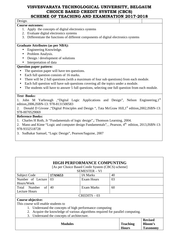| SCHEME OF TEACHING AND EXAMINATION 2017-2018                                                                  |
|---------------------------------------------------------------------------------------------------------------|
| Design.                                                                                                       |
| <b>Course outcomes:</b>                                                                                       |
| 1. Apply the concepts of digital electronics systems                                                          |
| 2. Evaluate digital electronics systems                                                                       |
| 3. Differentiate the functions of different components of digital electronics systems                         |
| <b>Graduate Attributes (as per NBA):</b>                                                                      |
| Engineering Knowledge.<br>$\bullet$                                                                           |
| Problem Analysis.<br>$\bullet$                                                                                |
| Design / development of solutions<br>$\bullet$                                                                |
| Interpretation of data                                                                                        |
| <b>Question paper pattern:</b>                                                                                |
| The question paper will have ten questions.                                                                   |
| Each full question consists of 16 marks.<br>$\bullet$                                                         |
| There will be 2 full questions (with a maximum of four sub questions) from each module.                       |
| Each full question will have sub questions covering all the topics under a module.                            |
| The students will have to answer 5 full questions, selecting one full question from each module.<br>$\bullet$ |
| <b>Text Books:</b>                                                                                            |
| John M Yarbrough , "Digital Logic Applications and Design", Nelson Engineering, 1st<br>1.                     |
| edition, 2006, ISBN-13: 978-8131500583                                                                        |
| Donald D Givone, "Digital Principles and Design ", Tata McGraw Hill, 1st edition, 2002, ISBN-13:<br>2.        |
| 978-0070529069                                                                                                |
| <b>Reference Books:</b>                                                                                       |
| 1. Charles H Roth, Jr "Fundamentals of logic design",; Thomson Learning, 2004.                                |
| 2. Mano and Kime "Logic and computer design Fundamentals", Pearson, 4 <sup>th</sup> edition, 2013, ISBN-13:   |
| 978-9332518728                                                                                                |
| 3. Sudhakar Samuel, "Logic Design", Pearson/Saguine, 2007                                                     |
|                                                                                                               |

|                                                          |                                                                                 | <b>HIGH PERFORMANCE COMPUNTING</b> |    |         |  |  |
|----------------------------------------------------------|---------------------------------------------------------------------------------|------------------------------------|----|---------|--|--|
| [As per Choice Based Credit System (CBCS) scheme]        |                                                                                 |                                    |    |         |  |  |
|                                                          |                                                                                 | <b>SEMESTER - VI</b>               |    |         |  |  |
| <b>Subject Code</b>                                      | 17AS653                                                                         | <b>IA Marks</b>                    | 40 |         |  |  |
| Number of Lecture                                        | 03                                                                              | Exam Hours                         | 03 |         |  |  |
| Hours/Week                                               |                                                                                 |                                    |    |         |  |  |
| of<br>Total Number                                       | 40                                                                              | <b>Exam Marks</b>                  | 60 |         |  |  |
| Lecture Hours                                            |                                                                                 |                                    |    |         |  |  |
|                                                          |                                                                                 | $CREDITS - 03$                     |    |         |  |  |
| Course objective:                                        |                                                                                 |                                    |    |         |  |  |
| This course will enable students to                      |                                                                                 |                                    |    |         |  |  |
| 1. Understand the concepts of high performance computing |                                                                                 |                                    |    |         |  |  |
|                                                          | 2. Acquire the knowledge of various algorithms required for parallel computing. |                                    |    |         |  |  |
|                                                          | 3. Understand the concepts of architecture.                                     |                                    |    |         |  |  |
|                                                          |                                                                                 |                                    |    | Revised |  |  |

|                |                 | <b>Revised</b>  |
|----------------|-----------------|-----------------|
| <b>Modules</b> | <b>Teaching</b> | Bloom's         |
|                | <b>Hours</b>    | <b>Taxonomy</b> |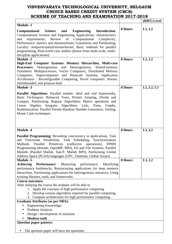|                                                                                                                                                                                                                                                                                                                                                                                                                                                                            |         | (RBT) Level |
|----------------------------------------------------------------------------------------------------------------------------------------------------------------------------------------------------------------------------------------------------------------------------------------------------------------------------------------------------------------------------------------------------------------------------------------------------------------------------|---------|-------------|
| <b>Module -1</b>                                                                                                                                                                                                                                                                                                                                                                                                                                                           |         |             |
| <b>Engineering</b><br>Introduction:<br>Computational<br><b>Science</b><br>and<br>Computational Science and Engineering Applications; characteristics<br>Review of Computational<br>requirements,<br>Complexity,<br>and<br>Performance: metrics and measurements, Granularity and Partitioning,<br>Locality: temporal/spatial/stream/kernel, Basic methods for parallel<br>programming, Real-world case studies (drawn from multi-scale, multi-<br>discipline applications) | 8 Hours | L1, L2      |
| <b>Module -2</b><br>High-End Computer Systems: Memory Hierarchies, Multi-core                                                                                                                                                                                                                                                                                                                                                                                              | 8 Hours | L1, L2      |
| Homogeneous and Heterogeneous, Shared-memory<br><b>Processors:</b><br>Symmetric Multiprocessors, Vector Computers, Distributed Memory<br>Computers, Supercomputers and Petascale Systems, Application<br>Accelerators / Reconfigurable Computing, Novel computers: Stream,<br>multithreaded, and purpose-built                                                                                                                                                             |         |             |
| <b>Module -3</b>                                                                                                                                                                                                                                                                                                                                                                                                                                                           | 8 Hours | L1, L2, L3  |
| Parallel Algorithms: Parallel models: ideal and real frameworks,<br>Basic Techniques: Balanced Trees, Pointer Jumping, Divide and<br>Conquer, Partitioning, Regular Algorithms: Matrix operations and<br>Linear Algebra, Irregular Algorithms: Lists, Trees,<br>Graphs,<br>Randomization: Parallel Pseudo-Random Number Generators, Sorting,<br>Monte Carlo techniques.                                                                                                    |         |             |
| <b>Module -4</b>                                                                                                                                                                                                                                                                                                                                                                                                                                                           | 8 Hours | L1, L2      |
| Parallel Programming: Revealing concurrency in applications, Task<br>and Functional Parallelism, Task Scheduling, Synchronization<br>Methods, Parallel Primitives (collective operations),<br><b>SPMD</b><br>Programming (threads, OpenMP, MPI), I/O and File Systems, Parallel<br>Matlabs (Parallel Matlab, Star-P, Matlab MPI), Partitioning Global<br>Address Space (PGAS) languages (UPC, Titanium, Global Arrays)                                                     |         |             |
| <b>Module -5</b>                                                                                                                                                                                                                                                                                                                                                                                                                                                           | 8 Hours | L1, L2      |
| <b>Achieving</b><br>Measuring<br><b>Performance:</b><br>performance,<br>Identifying<br>performance bottlenecks, Restructuring applications for deep memory<br>hierarchies, Partitioning applications for heterogeneous resources, Using<br>existing libraries, tools, and frameworks.                                                                                                                                                                                      |         |             |
| <b>Course outcomes:</b>                                                                                                                                                                                                                                                                                                                                                                                                                                                    |         |             |
| After studying the course the students will be able to<br>1. Apply the concepts of high performance computing<br>2. Develop various algorithms required for parallel computing.<br>3. Compare architectures for high performance computing.                                                                                                                                                                                                                                |         |             |
| <b>Graduate Attributes (as per NBA):</b>                                                                                                                                                                                                                                                                                                                                                                                                                                   |         |             |
| Engineering Knowledge.                                                                                                                                                                                                                                                                                                                                                                                                                                                     |         |             |
| Problem Analysis.                                                                                                                                                                                                                                                                                                                                                                                                                                                          |         |             |
| Design / development of solutions                                                                                                                                                                                                                                                                                                                                                                                                                                          |         |             |
| <b>Modern tools</b>                                                                                                                                                                                                                                                                                                                                                                                                                                                        |         |             |
| <b>Question paper pattern:</b>                                                                                                                                                                                                                                                                                                                                                                                                                                             |         |             |
| The question paper will have ten questions.                                                                                                                                                                                                                                                                                                                                                                                                                                |         |             |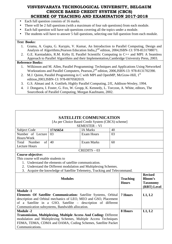- Each full question consists of 16 marks.
- There will be 2 full questions (with a maximum of four sub questions) from each module.
- Each full question will have sub questions covering all the topics under a module.
- The students will have to answer 5 full questions, selecting one full question from each module.

#### **Text Books:**

- 1. Grama, A. Gupta, G. Karypis, V. Kumar, An Introduction to Parallel Computing, Design and Analysis of Algorithms, Pearson Education India, 2<sup>nd</sup> edition, 2004, ISBN-13: 978-8131708071.
- 2. G.E. Karniadakis, R.M. Kirby II, Parallel Scientific Computing in C++ and MPI: A Seamless Approach to Parallel Algorithms and their Implementation,Cambridge University Press, 2003.

#### **Reference Books:**

- 1. Wilkinson and M. Allen, Parallel Programming: Techniques and Applications Using Networked Workstations and Parallel Computers, Pearson, 2<sup>nd</sup> edition, 2006, ISBN-13: 978-8131702390.
- 2. M.J. Quinn, Parallel Programming in C with MPI and OpenMP, McGraw-Hill,  $1<sup>st</sup>$ edition,2003,ISBN-13: 978-0070582019.
- 3. G.S. Almasi and A. Gottlieb, Highly Parallel Computing, 2/E, Addison-Wesley, 1994.
- 4. J. Dongarra, I. Foster, G. Fox, W. Gropp, K. Kennedy, L. Torczon, A. White, editors, The Sourcebook of Parallel Computing, Morgan Kaufmann, 2002.

| <b>SATELLITE COMMUNICATION</b>                                         |                                                                            |                                                   |                                 |                                                                    |        |
|------------------------------------------------------------------------|----------------------------------------------------------------------------|---------------------------------------------------|---------------------------------|--------------------------------------------------------------------|--------|
|                                                                        |                                                                            | [As per Choice Based Credit System (CBCS) scheme] |                                 |                                                                    |        |
|                                                                        |                                                                            | <b>SEMESTER - VI</b>                              |                                 |                                                                    |        |
| <b>Subject Code</b>                                                    | 17AS654                                                                    | <b>IA Marks</b>                                   | 40                              |                                                                    |        |
| Number of Lecture                                                      | 03                                                                         | <b>Exam Hours</b>                                 | 03                              |                                                                    |        |
| Hours/Week                                                             |                                                                            |                                                   |                                 |                                                                    |        |
| $\sigma$<br>Total<br>Number                                            | 40                                                                         | <b>Exam Marks</b>                                 | 60                              |                                                                    |        |
| <b>Lecture Hours</b>                                                   |                                                                            |                                                   |                                 |                                                                    |        |
|                                                                        |                                                                            | $CREDITS - 03$                                    |                                 |                                                                    |        |
| Course objective:                                                      |                                                                            |                                                   |                                 |                                                                    |        |
| This course will enable students to                                    |                                                                            |                                                   |                                 |                                                                    |        |
|                                                                        | 1. Understand the elements of satellite communication.                     |                                                   |                                 |                                                                    |        |
|                                                                        | 2. Understand the Different modulation and Multiplexing Schemes.           |                                                   |                                 |                                                                    |        |
|                                                                        | 3. Acquire the knowledge of Satellite Telemetry, Tracking and Telecommand. |                                                   |                                 |                                                                    |        |
| <b>Modules</b>                                                         |                                                                            |                                                   | <b>Teaching</b><br><b>Hours</b> | <b>Revised</b><br><b>Bloom's</b><br><b>Taxonomy</b><br>(RBT) Level |        |
| <b>Module -1</b>                                                       |                                                                            |                                                   |                                 |                                                                    |        |
| <b>Elements Of Satellite Communication:</b> Satellite Systems, Orbital |                                                                            |                                                   |                                 | <b>7 Hours</b>                                                     | L1, L2 |
| description and Orbital mechanics of LEO, MEO and GSO, Placement       |                                                                            |                                                   |                                 |                                                                    |        |
|                                                                        | of a Satellite in a GSO, Satellite - description of different              |                                                   |                                 |                                                                    |        |
| Communication subsystems, Bandwidth allocation.                        |                                                                            |                                                   |                                 |                                                                    |        |
| <b>Module -2</b>                                                       |                                                                            |                                                   |                                 | 8 Hours                                                            | L1, L2 |
| Transmission, Multiplexing, Multiple Access And Coding: Different      |                                                                            |                                                   |                                 |                                                                    |        |
| modulation and Multiplexing Schemes, Multiple Access Techniques        |                                                                            |                                                   |                                 |                                                                    |        |
| FDMA, TDMA, CDMA and DAMA, Coding Schemes, Satellite Packet            |                                                                            |                                                   |                                 |                                                                    |        |
| Communications.                                                        |                                                                            |                                                   |                                 |                                                                    |        |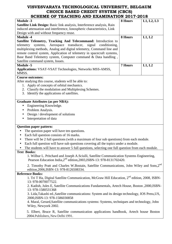| SCHEME OF TEACHING AND EAAMINATION ZOT7-Z018                                                                                                                                  |                |            |  |
|-------------------------------------------------------------------------------------------------------------------------------------------------------------------------------|----------------|------------|--|
| <b>Module -3</b>                                                                                                                                                              | 8 Hours        | L1, L2, L3 |  |
| <b>Satellite Link Design:</b> Basic link analysis, Interference analysis, Rain                                                                                                |                |            |  |
| induced attenuation and interference, Ionospheric characteristics, Link                                                                                                       |                |            |  |
| Design with and without frequency reuse.                                                                                                                                      |                |            |  |
| <b>Module -4</b>                                                                                                                                                              | 8 Hours        | L1, L2     |  |
| Satellite Telemetry, Tracking And Telecommand: Introduction to                                                                                                                |                |            |  |
| Aerospace<br>transducer,<br>telemetry<br>systems,<br>signal<br>conditioning,                                                                                                  |                |            |  |
| multiplexing methods, Analog and digital telemetry, Command line and                                                                                                          |                |            |  |
| remote control system, Application of telemetry in spacecraft systems,                                                                                                        |                |            |  |
| Base Band Telemetry system, Computer command & Data handling,                                                                                                                 |                |            |  |
| Satellite command system, Issues.                                                                                                                                             |                |            |  |
| <b>Module -5</b>                                                                                                                                                              | <b>7 Hours</b> | L1, L2     |  |
| Applications: VSAT-VSAT Technologies, Networks MSS-AMSS,<br>MMSS.                                                                                                             |                |            |  |
| <b>Course outcomes:</b>                                                                                                                                                       |                |            |  |
| After studying this course, students will be able to:                                                                                                                         |                |            |  |
| 1. Apply of concepts of orbital mechanics.                                                                                                                                    |                |            |  |
| 2. Classify the modulation and Multiplexing Schemes.                                                                                                                          |                |            |  |
| 3. Identify the applications of satellites.                                                                                                                                   |                |            |  |
|                                                                                                                                                                               |                |            |  |
| <b>Graduate Attributes (as per NBA):</b>                                                                                                                                      |                |            |  |
| Engineering Knowledge.                                                                                                                                                        |                |            |  |
| Problem Analysis.<br>$\bullet$                                                                                                                                                |                |            |  |
| Design / development of solutions                                                                                                                                             |                |            |  |
| Interpretation of data<br>$\bullet$                                                                                                                                           |                |            |  |
|                                                                                                                                                                               |                |            |  |
| <b>Question paper pattern:</b>                                                                                                                                                |                |            |  |
| The question paper will have ten questions.                                                                                                                                   |                |            |  |
| Each full question consists of 16 marks.<br>$\bullet$                                                                                                                         |                |            |  |
| There will be 2 full questions (with a maximum of four sub questions) from each module.                                                                                       |                |            |  |
| Each full question will have sub questions covering all the topics under a module.                                                                                            |                |            |  |
| $\bullet$                                                                                                                                                                     |                |            |  |
| The students will have to answer 5 full questions, selecting one full question from each module.                                                                              |                |            |  |
| <b>Text Books:</b>                                                                                                                                                            |                |            |  |
| 1. Wilbur L. Pritchard and Joseph A.Sciulli, Satellite Communication Systems Engineering,<br>Pearson Education India, 2 <sup>nd</sup> edition, 2003, ISBN-13: 978-8131702420. |                |            |  |
| 2. Timothy Pratt and Charles W.Bostain, Satellite Communications, John Wiley and Sons,2nd<br>edition, 2006, ISBN-13: 978-8126508334.                                          |                |            |  |
| <b>Reference Books:</b>                                                                                                                                                       |                |            |  |
| 1. Tri T Ha, Digital Satellite Communication, McGraw Hill Education, 2 <sup>nd</sup> edition, 2008, ISBN-                                                                     |                |            |  |
| 13: 978-0070077522.                                                                                                                                                           |                |            |  |
| 2. Kadish, Jules E, Satellite Communications Fundamentals, Artech House, Boston , 2000, ISBN-                                                                                 |                |            |  |
| 13: 978-1580531368                                                                                                                                                            |                |            |  |
| 3. Lida, Takashi ed., Satellite communications: System and its design technology, IOS Press, US,                                                                              |                |            |  |
| 2000, ISBN-13: 978-1586030858                                                                                                                                                 |                |            |  |
| 4. Maral, Gerard, Satellite communications systems: Systems, techniques and technology, John                                                                                  |                |            |  |
| Wiley, Newyork 2002.                                                                                                                                                          |                |            |  |
|                                                                                                                                                                               |                |            |  |
| 5. Elbert, Bruce R, Satellite communication applications handbook, Artech house Boston                                                                                        |                |            |  |
| 2004. Publishers, New Delhi 1991.                                                                                                                                             |                |            |  |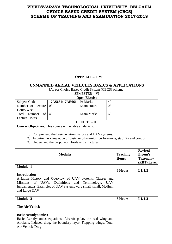# **OPEN ELECTIVE**

**UNMANNED AERIAL VEHICLES BASICS & APPLICATIONS** 

#### [As per Choice Based Credit System (CBCS) scheme] SEMESTER – VI **Open Elective**  Subject Code **17AS661/17AE661 1A Marks** 40 Number of Lecture Hours/Week 03 Exam Hours 03 Total Number of 40 Lecture Hours Exam Marks 60 CREDITS – 03 **Course Objectives:** This course will enable students to 1. Comprehend the basic aviation history and UAV systems. 2. Acquire the knowledge of basic aerodynamics, performance, stability and control. 3. Understand the propulsion, loads and structures. Modules **Teaching Hours Revised Bloom's Taxonomy (RBT) Level Module -1 Introduction**  Aviation History and Overview of UAV systems, Classes and Missions of UAVs, Definitions and Terminology, UAV fundamentals, Examples of UAV systems-very small, small, Medium and Large UAV **6 Hours L1, L2 Module -2 The Air Vehicle Basic Aerodynamics:**  Basic Aerodynamics equations, Aircraft polar, the real wing and Airplane, Induced drag, the boundary layer, Flapping wings, Total Air-Vehicle Drag **6 Hours L1, L2**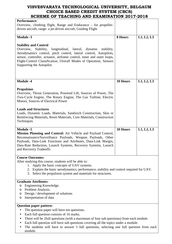| Chdmd of Terching and Examination 2011-2010                                                                                                                                                                                                                                                                                                                                            |          |            |  |  |
|----------------------------------------------------------------------------------------------------------------------------------------------------------------------------------------------------------------------------------------------------------------------------------------------------------------------------------------------------------------------------------------|----------|------------|--|--|
| <b>Performance:</b><br>Overview, climbing flight, Range and Endurance – for propeller-<br>driven aircraft, range- a jet-driven aircraft, Guiding Flight                                                                                                                                                                                                                                |          |            |  |  |
| <b>Module -3</b>                                                                                                                                                                                                                                                                                                                                                                       | 8 Hours  | L1, L2, L3 |  |  |
|                                                                                                                                                                                                                                                                                                                                                                                        |          |            |  |  |
| <b>Stability and Control</b><br>Overview,<br>Stability,<br>longitudinal, lateral, dynamic<br>stability,<br>Aerodynamics control, pitch control, lateral control, Autopilots,<br>sensor, controller, actuator, airframe control, inner and outer loops,<br>Flight-Control Classification, Overall Modes of Operation, Sensors<br>Supporting the Autopilot.                              |          |            |  |  |
| <b>Module -4</b>                                                                                                                                                                                                                                                                                                                                                                       | 10 Hours | L1, L2, L3 |  |  |
| <b>Propulsion</b><br>Overview, Thrust Generation, Powered Lift, Sources of Power, The<br>Two-Cycle Engine, The Rotary Engine, The Gas Turbine, Electric<br>Motors, Sources of Electrical Power<br><b>Loads and Structures</b><br>Loads, Dynamic Loads, Materials, Sandwich Construction, Skin or<br>Reinforcing Materials, Resin Materials, Core Materials, Construction<br>Techniques |          |            |  |  |
| <b>Module -5</b>                                                                                                                                                                                                                                                                                                                                                                       | 10 Hours | L1, L2, L3 |  |  |
| Mission Planning and Control: Air Vehicle and Payload Control,<br>Reconnaissance/Surveillance Payloads, Weapon Payloads, Other<br>Payloads, Data-Link Functions and Attributes, Data-Link Margin,<br>Data-Rate Reduction, Launch Systems, Recovery Systems, Launch<br>and Recovery Tradeoffs                                                                                           |          |            |  |  |
| <b>Course Outcomes:</b>                                                                                                                                                                                                                                                                                                                                                                |          |            |  |  |
| After studying this course, students will be able to:<br>Apply the basic concepts of UAV systems.<br>1.<br>2. Explain the basic aerodynamics, performance, stability and control required for UAV.<br>3. Select the propulsion system and materials for structures.                                                                                                                    |          |            |  |  |
| <b>Graduate Attributes:</b>                                                                                                                                                                                                                                                                                                                                                            |          |            |  |  |
| Engineering Knowledge.<br>O<br>Problem Analysis.<br>O<br>Design / development of solutions<br>O<br>Interpretation of data<br>O                                                                                                                                                                                                                                                         |          |            |  |  |
|                                                                                                                                                                                                                                                                                                                                                                                        |          |            |  |  |
| <b>Question paper pattern:</b><br>The question paper will have ten questions.<br>Each full question consists of 16 marks.<br>There will be 2full questions (with a maximum of four sub questions) from each module.<br>Each full question will have sub questions covering all the topics under a module.                                                                              |          |            |  |  |

• The students will have to answer 5 full questions, selecting one full question from each module.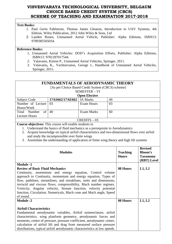#### **Text Books:**

- 1. Paul Gerin Fahlstrom, Thomas James Gleason, Introduction to UAV Systems, 4th Edition, Wiley Publication, 2012 John Wiley & Sons, Ltd
- 2. Landen Rosen, Unmanned Aerial Vehicle, Publisher: Alpha Editions, ISBN13: 9789385505034.

#### **Reference Books:**

- 1. Unmanned Aerial Vehicles: DOD's Acquisition Efforts, Publisher: Alpha Editions, ISBN13: 9781297017544.
- 2. Valavanis, Kimon P., Unmanned Aerial Vehicles, Springer, 2011.
- 3. Valavanis**,** K., Vachtsevanos, George J., Handbook of Unmanned Aerial Vehicles, Springer, 2015.

#### **FUNDAMENTALS OF AERODYNAMIC THEORY**

[As per Choice Based Credit System (CBCS) scheme]

#### SEMESTER – VI

| <b>Open Elective</b>  |                            |            |    |  |
|-----------------------|----------------------------|------------|----|--|
| Subject Code          | 17AS662/17AE662   IA Marks |            | 40 |  |
| Number of Lecture 03  |                            | Exam Hours | 03 |  |
| Hours/Week            |                            |            |    |  |
| Total<br>Number<br>of | 40                         | Exam Marks | 60 |  |
| Lecture Hours         |                            |            |    |  |
| $CREDITS - 03$        |                            |            |    |  |

**Course objectives:** This course will enable students to

- 1. Understand the basics of fluid mechanics as a prerequisite to Aerodynamics
- 2. Acquire knowledge on typical airfoil characteristics and two-dimensional flows over airfoil and study the incompressible over finite wings
- 3. Assimilate the understanding of application of finite wing theory and high lift systems

| <b>Modules</b>                                                                                                                                                                                                                                                                                                                                                                                                                 | <b>Teaching</b><br><b>Hours</b> | <b>Revised</b><br><b>Bloom's</b><br><b>Taxonomy</b><br>(RBT) Level |
|--------------------------------------------------------------------------------------------------------------------------------------------------------------------------------------------------------------------------------------------------------------------------------------------------------------------------------------------------------------------------------------------------------------------------------|---------------------------------|--------------------------------------------------------------------|
| <b>Module -1</b>                                                                                                                                                                                                                                                                                                                                                                                                               |                                 |                                                                    |
| <b>Review of Basic Fluid Mechanics</b>                                                                                                                                                                                                                                                                                                                                                                                         | 08 Hours                        | L1, L2                                                             |
| Continuity, momentum and energy equation, Control volume<br>approach to Continuity, momentum and energy equation, Types of<br>flow, pathlines, streamlines, and streaklines, units and dimensions,<br>inviscid and viscous flows, compressibility, Mach number regimes.<br>Vorticity, Angular velocity, Stream function, velocity potential<br>function, Circulation, Numericals, Mach cone and Mach angle, Speed<br>of sound. |                                 |                                                                    |
| <b>Module -2</b>                                                                                                                                                                                                                                                                                                                                                                                                               | 08 Hours                        | L1, L2                                                             |
| <b>Airfoil Characteristics</b><br>Fundamental aerodynamic variables, Airfoil nomenclature, airfoil<br>characteristics. wing planform geometry, aerodynamic forces and<br>moments, centre of pressure, pressure coefficient, aerodynamic center,<br>calculation of airfoil lift and drag from measured surface pressure<br>distributions, typical airfoil aerodynamic characteristics at low speeds.                            |                                 |                                                                    |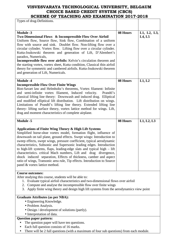| Types of drag-Definitions.                                                                                                                                                                                                                                                                                                                                                                                                                                                                                                                                                                                                                                                               |          |                       |
|------------------------------------------------------------------------------------------------------------------------------------------------------------------------------------------------------------------------------------------------------------------------------------------------------------------------------------------------------------------------------------------------------------------------------------------------------------------------------------------------------------------------------------------------------------------------------------------------------------------------------------------------------------------------------------------|----------|-----------------------|
|                                                                                                                                                                                                                                                                                                                                                                                                                                                                                                                                                                                                                                                                                          |          |                       |
| <b>Module -3</b><br>Two Dimensional Flows & Incompressible Flow Over Airfoil<br>Uniform flow, Source flow, Sink flow, Combination of a uniform<br>flow with source and sink. Doublet flow. Non-lifting flow over a<br>circular cylinder. Vortex flow. Lifting flow over a circular cylinder.<br>Kutta-Joukowski theorem and generation of Lift, D'Alembert's<br>paradox, Numericals,<br><b>Incompressible flow over airfoils:</b> Kelvin's circulation theorem and<br>the starting vortex, vortex sheet, Kutta condition, Classical thin airfoil<br>theory for symmetric and cambered airfoils. Kutta-Joukowski theorem<br>and generation of Lift, Numericals.                           | 08 Hours | L1, L2, L3,<br>L4, L5 |
| <b>Module -4</b><br><b>Incompressible Flow Over Finite Wings</b><br>Biot-Savart law and Helmholtz's theorems, Vortex filament: Infinite<br>and semi-infinite vortex filament, Induced velocity.<br>Prandtl's<br>classical lifting line theory: Downwash and induced drag. Elliptical<br>and modified elliptical lift distribution. Lift distribution on wings.<br>Limitations of Prandtl's lifting line theory. Extended lifting line<br>theory- lifting surface theory, vortex lattice method for wings. Lift,<br>drag and moment characteristics of complete airplane.                                                                                                                 | 08 Hours | L1, L2                |
| <b>Module -5</b>                                                                                                                                                                                                                                                                                                                                                                                                                                                                                                                                                                                                                                                                         | 08 Hours | L1, L2, L3            |
| Applications of Finite Wing Theory & High Lift Systems<br>Simplified horse-shoe vortex model, formation flight, influence of<br>downwash on tail plane, ground effects. Swept wings: Introduction to<br>sweep effects, swept wings, pressure coefficient, typical aerodynamic<br>characteristics, Subsonic and Supersonic leading edges. Introduction<br>to high-lift systems, flaps, leading-edge slats and typical high – lift<br>characteristics. critical Mach numbers, Lift and drag divergence,<br>shock induced separation, Effects of thickness, camber and aspect<br>ratio of wings, Transonic area rule, Tip effects. Introduction to Source<br>panel & vortex lattice method. |          |                       |
| <b>Course outcomes:</b><br>After studying this course, students will be able to:<br>1. Evaluate typical airfoil characteristics and two-dimensional flows over airfoil<br>2. Compute and analyse the incompressible flow over finite wings<br>3. Apply finite wing theory and design high lift systems from the aerodynamics view point                                                                                                                                                                                                                                                                                                                                                  |          |                       |
| <b>Graduate Attributes (as per NBA):</b><br>• Engineering Knowledge.<br>• Problem Analysis.<br>• Design / development of solutions (partly).<br>• Interpretation of data.<br><b>Question paper pattern:</b><br>The question paper will have ten questions.<br>Each full question consists of 16 marks.                                                                                                                                                                                                                                                                                                                                                                                   |          |                       |

• There will be 2 full questions (with a maximum of four sub questions) from each module.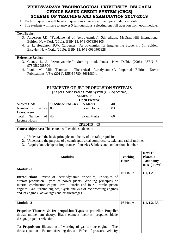- Each full question will have sub questions covering all the topics under a module.
- The students will have to answer 5 full questions, selecting one full question from each module.

#### **Text Books:**

- 3. Anderson J.D, "Fundamental of Aerodynamics", 5th edition, McGraw-Hill International Edition, New York **(**2011), ISBN-13: 978-0073398105.
- 4. E. L. Houghton, P.W. Carpenter, "Aerodynamics for Engineering Students", 5th edition, Elsevier, New York. (2010), ISBN-13: 978-0080966328

#### **Reference Books:**

- 3. Clancy L. J. "Aerodynamics", Sterling book house, New Delhi. (2006), ISBN 13: 9780582988804
- 4. Louis M. Milne-Thomson, "Theoretical Aerodynamics", Imported Edition, Dover Publications, USA (2011), ISBN 9780486619804.

#### **ELEMENTS OF JET PROPULSION SYSTEMS**

[As per Choice Based Credit System (CBCS) scheme]

#### SEMESTER – VI

| Open Elective         |                 |                 |    |  |  |
|-----------------------|-----------------|-----------------|----|--|--|
| <b>Subject Code</b>   | 17AS663/17AE663 | <b>IA Marks</b> | 40 |  |  |
| Number of Lecture 03  |                 | Exam Hours      | 03 |  |  |
| Hours/Week            |                 |                 |    |  |  |
| Total<br>Number<br>of | 40              | Exam Marks      | 60 |  |  |
| Lecture Hours         |                 |                 |    |  |  |
| $CREDITS - 03$        |                 |                 |    |  |  |

**Course objectives:** This course will enable students to

1. Understand the basic principle and theory of aircraft propulsion.

- 2. Understand the purpose of a centrifugal, axial compressors, axial and radial turbines
- 3. Acquire knowledge of importance of nozzles & inlets and combustion chamber

| <b>Modules</b>                                                                                                                                                                                                                                                                                                                                                    | <b>Teaching</b><br><b>Hours</b> | <b>Revised</b><br><b>Bloom's</b><br><b>Taxonomy</b><br>(RBT) Level |
|-------------------------------------------------------------------------------------------------------------------------------------------------------------------------------------------------------------------------------------------------------------------------------------------------------------------------------------------------------------------|---------------------------------|--------------------------------------------------------------------|
| <b>Module -1</b><br>Introduction: Review of thermodynamic principles, Principles of<br>aircraft propulsion, Types of power plants, Working principles of<br>internal combustion engine, $Two$ – stroke and four – stroke piston<br>engines, Gas- turbine engines, Cycle analysis of reciprocating engines<br>and jet engines, advantages and disadvantages.       | 08 Hours                        | L1, L2                                                             |
| <b>Module -2</b><br><b>Propeller Theories &amp; Jet propulsion</b> Types of propeller, Propeller<br>thrust: momentum theory, Blade element theories, propeller blade<br>design, propeller selection.<br><b>Jet Propulsion:</b> Illustration of working of gas turbine engine – The<br>$thrust$ equation – Factors affecting thrust – Effect of pressure, velocity | 08 Hours                        | L1, L2, L3                                                         |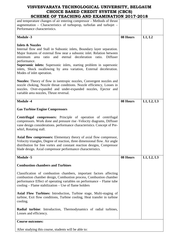| and temperature changes of air entering compressor – Methods of thrust      |          |            |
|-----------------------------------------------------------------------------|----------|------------|
| augmentation – Characteristics of turboprop, turbofan and turbojet –        |          |            |
| Performance characteristics.                                                |          |            |
|                                                                             |          |            |
| <b>Module -3</b>                                                            | 08 Hours | L1, L2     |
|                                                                             |          |            |
| <b>Inlets &amp; Nozzles</b>                                                 |          |            |
| Internal flow and Stall in Subsonic inlets, Boundary layer separation.      |          |            |
| Major features of external flow near a subsonic inlet. Relation between     |          |            |
| minimum area ratio and eternal deceleration ratio. Diffuser                 |          |            |
| performance.                                                                |          |            |
| <b>Supersonic inlets:</b> Supersonic inlets, starting problem in supersonic |          |            |
| inlets, Shock swallowing by area variation, External deceleration.          |          |            |
| Modes of inlet operation.                                                   |          |            |
|                                                                             |          |            |
| Nozzles: Theory of flow in isentropic nozzles, Convergent nozzles and       |          |            |
| nozzle choking, Nozzle throat conditions. Nozzle efficiency, Losses in      |          |            |
| nozzles. Over-expanded and under-expanded nozzles, Ejector and              |          |            |
| variable area nozzles, Thrust reversal.                                     |          |            |
|                                                                             |          |            |
| <b>Module -4</b>                                                            | 08 Hours | L1, L2, L3 |
|                                                                             |          |            |
| <b>Gas Turbine Engine Compressors</b>                                       |          |            |
|                                                                             |          |            |
| <b>Centrifugal compressors:</b> Principle of operation of centrifugal       |          |            |
| compressors. Work done and pressure rise -Velocity diagrams, Diffuser       |          |            |
| vane design considerations. performance characteristics. Concept of Pre-    |          |            |
| whirl, Rotating stall.                                                      |          |            |
|                                                                             |          |            |
| Axial flow compressors: Elementary theory of axial flow compressor,         |          |            |
| Velocity triangles, Degree of reaction, three dimensional flow. Air angle   |          |            |
| distribution for free vortex and constant reaction designs, Compressor      |          |            |
| blade design. Axial compressor performance characteristics.                 |          |            |
|                                                                             |          |            |
|                                                                             |          |            |
| <b>Module -5</b>                                                            | 08 Hours | L1, L2, L3 |
| <b>Combustion chambers and Turbines</b>                                     |          |            |
|                                                                             |          |            |
| Classification of combustion chambers, important factors affecting          |          |            |
| combustion chamber design, Combustion process, Combustion chamber           |          |            |
| performance Effect of operating variables on performance – Flame tube       |          |            |
| cooling – Flame stabilization – Use of flame holders                        |          |            |
|                                                                             |          |            |
| Axial Flow Turbines: Introduction, Turbine stage, Multi-staging of          |          |            |
| turbine, Exit flow conditions, Turbine cooling, Heat transfer in turbine    |          |            |
| cooling.                                                                    |          |            |
|                                                                             |          |            |
| Radial turbine: Introduction, Thermodynamics of radial turbines,            |          |            |
| Losses and efficiency.                                                      |          |            |
|                                                                             |          |            |
| <b>Course outcomes:</b>                                                     |          |            |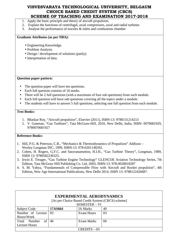- 1. Apply the basic principle and theory of aircraft propulsion.
- 2. Explain the functions of centrifugal, axial compressors, axial and radial turbines
- 3. Analyse the performance of nozzles & inlets and combustion chamber

#### **Graduate Attributes (as per NBA):**

- Engineering Knowledge.
- Problem Analysis.
- Design / development of solutions (partly).
- Interpretation of data.

#### **Question paper pattern:**

- The question paper will have ten questions.
- Each full question consists of 16 marks.
- There will be 2 full questions (with a maximum of four sub questions) from each module.
- Each full question will have sub questions covering all the topics under a module.
- The students will have to answer 5 full questions, selecting one full question from each module.

#### **Text Books:**

- 1. Bhaskar Roy, "Aircraft propulsion", Elsevier (2011), ISBN-13: 9788131214213
- 2. V. Ganesan, "Gas Turbines", Tata McGraw-Hill, 2010, New Delhi, India, ISBN: 0070681929, 9780070681927

#### **Reference Books:**

- 1. Hill, P.G. & Peterson, C.R., "Mechanics & Thermodynamics of Propulsion" Addison Wesley Longman INC, 1999, ISBN-13: 978-0201146592.
- 2. Cohen, H. Rogers, G.F.C. and Saravanamuttoo, H.I.H., "Gas Turbine Theory", Longman, 1989, ISBN 13: 9780582236325.
- 3. Irwin E. Treager, "Gas Turbine Engine Technology" GLENCOE Aviation Technology Series, 7th Edition, Tata McGraw Hill Publishing Co. Ltd, 2003, ISBN-13: 978-0028018287
- 4. S. M. Yahya, "Fundamentals of Compressible Flow with Aircraft and Rocket propulsion", 4th Edition, New Age International Publications, New Delhi 2014, ISBN 13: 9788122426687.

| <b>EXPERIMENTAL AERODYNAMICS</b><br>[As per Choice Based Credit System (CBCS) scheme]<br><b>SEMESTER - VI</b> |         |                 |    |  |  |  |
|---------------------------------------------------------------------------------------------------------------|---------|-----------------|----|--|--|--|
| Subject Code                                                                                                  | 17AS664 | <b>IA Marks</b> | 40 |  |  |  |
| Number of Lecture<br>03<br>03<br>Exam Hours                                                                   |         |                 |    |  |  |  |
| Hours/Week                                                                                                    |         |                 |    |  |  |  |
| Number<br>of<br>Total                                                                                         | 40      | Exam Marks      | 60 |  |  |  |
| Lecture Hours                                                                                                 |         |                 |    |  |  |  |
|                                                                                                               |         | $CREDITS - 03$  |    |  |  |  |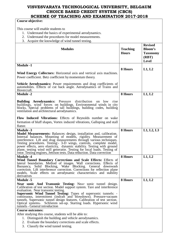# **Course objective:**

This course will enable students to

- 1. Understand the basics of experimental aerodynamics.
- 2. Understand the procedures for model measurements.
- 3. Acquire the knowledge of wind tunnel testing.

| <i>r</i> require the knowledge of white tunner testing.                                                                                                                                                                                                                                                                                                                                                                                                                                                               |                                 |                                                                              |
|-----------------------------------------------------------------------------------------------------------------------------------------------------------------------------------------------------------------------------------------------------------------------------------------------------------------------------------------------------------------------------------------------------------------------------------------------------------------------------------------------------------------------|---------------------------------|------------------------------------------------------------------------------|
| <b>Modules</b>                                                                                                                                                                                                                                                                                                                                                                                                                                                                                                        | <b>Teaching</b><br><b>Hours</b> | <b>Revised</b><br><b>Bloom's</b><br><b>Taxonomy</b><br>(RBT)<br><b>Level</b> |
| <b>Module -1</b>                                                                                                                                                                                                                                                                                                                                                                                                                                                                                                      |                                 |                                                                              |
| Wind Energy Collectors: Horizontal axis and vertical axis machines.<br>Power coefficient. Betz coefficient by momentum theory.                                                                                                                                                                                                                                                                                                                                                                                        | 8 Hours                         | L1, L2                                                                       |
| Vehicle Aerodynamics: Power requirements and drag coefficients of<br>automobiles. Effects of cut back angle. Aerodynamics of Trains and<br>Hovercraft.                                                                                                                                                                                                                                                                                                                                                                |                                 |                                                                              |
| <b>Module -2</b>                                                                                                                                                                                                                                                                                                                                                                                                                                                                                                      | 8 Hours                         | L1, L2                                                                       |
| <b>Building Aerodynamics:</b> Pressure distribution on low rise<br>buildings, wind forces on buildings. Environmental winds in city<br>blocks, Special problems of tall buildings, building codes, building<br>ventilation and architectural aerodynamics.                                                                                                                                                                                                                                                            |                                 |                                                                              |
| Flow Induced Vibrations: Effects of Reynolds number on wake<br>formation of bluff shapes, Vortex induced vibrations, Galloping and stall<br>flutter.                                                                                                                                                                                                                                                                                                                                                                  |                                 |                                                                              |
| <b>Module -3</b>                                                                                                                                                                                                                                                                                                                                                                                                                                                                                                      | 8 Hours                         | L1, L2, L3                                                                   |
| Model Measurements: Balances: design, installation and, calibration.<br>Internal balances. Mounting of models, rigidity. Measurement of<br>interference. Lift and drag measurements through various techniques.<br>Testing procedures. Testing:- 3-D wings, controls, complete model,<br>power effects, aero elasticity, dynamic stability. Testing with ground<br>plane, testing wind mill generator. Testing for local loads. Testing of<br>rotor. Testing engines, Jettison tests. Data reduction. Data correction |                                 |                                                                              |
| <b>Module -4</b>                                                                                                                                                                                                                                                                                                                                                                                                                                                                                                      | 8 Hours                         | L1, L2                                                                       |
| Wind Tunnel Boundary Corrections and Scale Effects: Effects of<br>lateral boundaries. Method of images. Wall corrections. Effects of<br>Solid Blocking, Wake Blocking. General downwash<br>Buoyancy,<br>correction. Lift interference correction. Corrections for reflection plane<br>models. Scale effects on aerodynamic characteristics and stability<br>derivatives                                                                                                                                               |                                 |                                                                              |
| <b>Module -5</b>                                                                                                                                                                                                                                                                                                                                                                                                                                                                                                      | 8 Hours                         | L1, L2                                                                       |
| Near sonic And Transonic Testing: Near sonic tunnel design.<br>Calibration of test section. Model support system. Tare and interference<br>evaluation. Near transonic testing.<br><b>Supersonic Wind Tunnel Testing:</b> Types of supersonic tunnels: -<br>continuous, intermittent (indraft and blowdown). Pressure-vacuum<br>tunnels. Supersonic tunnel design features. Calibration of test section.<br>Optical systems- Schlieren set-up. Starting loads. Hypersonic wind<br>tunnels - General introduction       |                                 |                                                                              |
| <b>Course outcomes:</b>                                                                                                                                                                                                                                                                                                                                                                                                                                                                                               |                                 |                                                                              |
| After studying this course, students will be able to:<br>1. Distinguish the building and vehicle aerodynamics.<br>2. Evaluate the boundary corrections and scale effects.                                                                                                                                                                                                                                                                                                                                             |                                 |                                                                              |
| 3. Classify the wind tunnel testing.                                                                                                                                                                                                                                                                                                                                                                                                                                                                                  |                                 |                                                                              |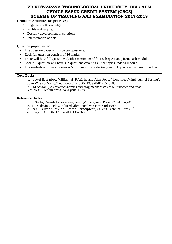#### **Graduate Attributes (as per NBA):**

- Engineering Knowledge.
- Problem Analysis.
- Design / development of solutions
- Interpretation of data

#### **Question paper pattern:**

- The question paper will have ten questions.
- Each full question consists of 16 marks.
- There will be 2 full questions (with a maximum of four sub questions) from each module.
- Each full question will have sub questions covering all the topics under a module.
- The students will have to answer 5 full questions, selecting one full question from each module.

#### **Text Books:**

1. Jewel B. Barlow, William H RAE, Jr. and Alan Pope**,** ' Low speedWind Tunnel Testing', John Wiley & Sons,3rd edition,2010,ISBN-13: 978-8126525683 2. M.Sovran (Ed), "Aerodynamics and drag mechanisms of bluff bodies and road Vehicles", Plenum press, New york, 1978.

#### **Reference Books:**

- 1. P.Sachs, "Winds forces in engineering", Pergamon Press,  $2<sup>nd</sup>$  edition, 2013.
- 2. R.D.Blevins, " Flow induced vibrations",Van Nostrand,1990.
- $\overline{3}$ . N.G.Calvent, "Wind Power Principles", Calvert Technical Press, 2<sup>nd</sup>

edition,2004,ISBN-13: 978-0951362068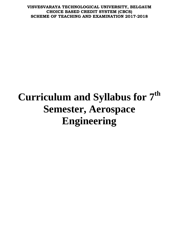# **Curriculum and Syllabus for 7th Semester, Aerospace Engineering**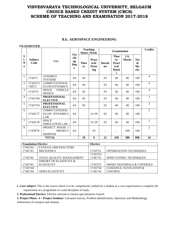|                          | <b>VII SEMESTER</b>    |                                                            |                                      |                   |                                       |                    |                                                         |                      |                               |                |
|--------------------------|------------------------|------------------------------------------------------------|--------------------------------------|-------------------|---------------------------------------|--------------------|---------------------------------------------------------|----------------------|-------------------------------|----------------|
|                          |                        |                                                            |                                      |                   | <b>Teaching</b><br><b>Hours /Week</b> | <b>Examination</b> |                                                         |                      | <b>Credits</b>                |                |
| S<br>1.<br>N<br>$\bf{0}$ | <b>Subject</b><br>Code | Title                                                      | <b>Tea</b><br>chi<br>ng<br>Dep<br>t. | <b>Theo</b><br>ry | Pract<br>ical/<br>Draw<br>ing         | Durati<br>on       | <b>Theo</b><br>ry/<br>Pract<br>ical<br><b>Mark</b><br>S | I.A.<br><b>Marks</b> | <b>Tot</b><br>al<br>Ma<br>rks |                |
| 1                        | 17AS71                 | <b>AVIONICS</b><br><b>SYSTEMS</b>                          | AS                                   | 04                |                                       | 03                 | 60                                                      | 40                   | 100                           | $\overline{4}$ |
| $\overline{2}$           | 17AS72/1<br>7AE72      | <b>COMPUTATIONAL</b><br><b>FLUID DYNAMICS</b>              | AS                                   | 04                |                                       | 03                 | 60                                                      | 40                   | 100                           | $\overline{4}$ |
| 3                        | 17AS73/                | <b>SPACE</b><br><b>VEHICLE</b><br><b>DESIGN</b>            | AS                                   | 04                |                                       | 03                 | 60                                                      | 40                   | 100                           | $\overline{4}$ |
| $\overline{4}$           | 17AS74X                | <b>PROFESSIONAL</b><br><b>ELECTIVE</b>                     | AS                                   | 03                |                                       | 03                 | 60                                                      | 40                   | 100                           | $\overline{3}$ |
| 5                        | 17AS75X                | <b>PROFESSIONAL</b><br><b>ELECTIVE</b>                     | AS                                   | 03                |                                       | 03                 | 60                                                      | 40                   | 100                           | $\overline{3}$ |
| 6                        | 17ASL77                | <b>COMPUTATIONAL</b><br><b>FLUID DYNAMICS</b><br>LAB       | AS                                   |                   | $1I+2P$                               | 03                 | 60                                                      | 40                   | 100                           | $\overline{2}$ |
| $\overline{7}$           | 17ASL78                | <b>SPACE</b><br><b>SIMULATION LAB</b>                      | AS                                   |                   | $1I+2P$                               | 03                 | 60                                                      | 40                   | 100                           | 2              |
| 8                        | 17ASP78                | PROJECT PHASE I<br><b>PROJECT</b><br>$+$<br><b>SEMINAR</b> | AS                                   |                   | 03                                    |                    |                                                         | 100                  | 100                           | $\overline{2}$ |
|                          |                        | <b>TOTAL</b>                                               |                                      | 18                | $\boldsymbol{9}$                      | 21                 | 420                                                     | 380                  | 800                           | 24             |

#### **B.E. AEROSPACE ENGINEERING**

| <b>Foundation Elective</b> |                             | <b>Elective</b> |                                       |
|----------------------------|-----------------------------|-----------------|---------------------------------------|
| 17AS741/                   | <b>FATIGUE AND FRACTURE</b> |                 |                                       |
| 17AE741                    | <b>MECHANICS</b>            | 17AS751         | <b>OPTIMIZATION TECHNIQUES</b>        |
|                            |                             | 17AS752/        |                                       |
| 17AS742                    | TOTAL QUALITY MANAGEMENT    | 17AE752         | WIND TUNNEL TECHNIQUES.               |
|                            | THEORY OF ELASTICITY &      |                 |                                       |
| 17AS743                    | <b>PLASTICITY</b>           | 17AS753         | <b>SMART MATERIALS &amp; CONTROLS</b> |
| 17AS744/                   |                             | 17AS754/        | <b>GUIDANCE, NAVIGATION &amp;</b>     |
| 17AE744                    | <b>AERO-ELASTICITY</b>      | 17AE754         | <b>CONTROL</b>                        |

#### **1. Core subject:** This is the course which is to be compulsorily studied by a student as a core requirement to complete the requirement of a programme in a said discipline of study.

**2. Professional Elective:** Elective relevant to chosen specialization/ branch

**3. Project Phase –I + Project Seminar:** Literature Survey, Problem Identification, objectives and Methodology.

Submission of synopsis and seminar.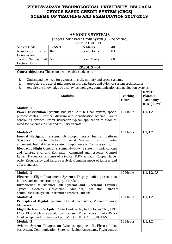| <b>AVIONICS SYSTEMS</b>                                                                                                                                                                                                                                                                                                                                                                                                                                                                                                                         |                |                                                                                                                                                                                                                                                        |        |                                 |                                                                    |
|-------------------------------------------------------------------------------------------------------------------------------------------------------------------------------------------------------------------------------------------------------------------------------------------------------------------------------------------------------------------------------------------------------------------------------------------------------------------------------------------------------------------------------------------------|----------------|--------------------------------------------------------------------------------------------------------------------------------------------------------------------------------------------------------------------------------------------------------|--------|---------------------------------|--------------------------------------------------------------------|
|                                                                                                                                                                                                                                                                                                                                                                                                                                                                                                                                                 |                | [As per Choice Based Credit System (CBCS) scheme]<br><b>SEMESTER - VII</b>                                                                                                                                                                             |        |                                 |                                                                    |
| <b>Subject Code</b>                                                                                                                                                                                                                                                                                                                                                                                                                                                                                                                             | 17AS71         | <b>IA Marks</b>                                                                                                                                                                                                                                        | 40     |                                 |                                                                    |
| Number of Lecture                                                                                                                                                                                                                                                                                                                                                                                                                                                                                                                               | 04             | <b>Exam Hours</b>                                                                                                                                                                                                                                      | 03     |                                 |                                                                    |
| Hours/Week                                                                                                                                                                                                                                                                                                                                                                                                                                                                                                                                      |                |                                                                                                                                                                                                                                                        |        |                                 |                                                                    |
| Number<br>of<br>Total                                                                                                                                                                                                                                                                                                                                                                                                                                                                                                                           | 50             | <b>Exam Marks</b>                                                                                                                                                                                                                                      | 60     |                                 |                                                                    |
| <b>Lecture Hours</b>                                                                                                                                                                                                                                                                                                                                                                                                                                                                                                                            |                |                                                                                                                                                                                                                                                        |        |                                 |                                                                    |
|                                                                                                                                                                                                                                                                                                                                                                                                                                                                                                                                                 |                | $CREDITS - 04$                                                                                                                                                                                                                                         |        |                                 |                                                                    |
| Course objectives: This course will enable students to                                                                                                                                                                                                                                                                                                                                                                                                                                                                                          |                |                                                                                                                                                                                                                                                        |        |                                 |                                                                    |
| 1.<br>2.<br>3.                                                                                                                                                                                                                                                                                                                                                                                                                                                                                                                                  |                | Understand the need for avionics in civil, military and space systems.<br>Appreciate the use of microprocessors, data buses and avionics system architectures.<br>Acquire the knowledge of display technologies, communication and navigation systems. |        |                                 |                                                                    |
|                                                                                                                                                                                                                                                                                                                                                                                                                                                                                                                                                 | <b>Modules</b> |                                                                                                                                                                                                                                                        |        | <b>Teaching</b><br><b>Hours</b> | <b>Revised</b><br><b>Bloom's</b><br><b>Taxonomy</b><br>(RBT) Level |
| <b>Module -1</b><br>Power Distribution System: Bus Bar, split bus bar system, special<br>purpose cables. Electrical diagram and identification scheme. Circuit<br>controlling devices. Power utilisation-typical application to avionics.<br>Need for Avionics in civil and military aircraft.                                                                                                                                                                                                                                                  |                | 10 Hours                                                                                                                                                                                                                                               | L1, L2 |                                 |                                                                    |
| <b>Module -2</b><br>Inertial Navigation System: Gyroscopic versus Inertial platform.<br>Structure of stable platform. Inertial Navigation units. Inertial<br>alignment. Inertial interface system. Importance of Compass swing.<br>Electronic Flight Control System: Fly-by-wire system: - basic concept<br>and features. Pitch and Roll rate: - command and response. Control<br>Laws. Frequency response of a typical FBW actuator. Cooper Harper<br>scale. Redundancy and failure survival. Common mode of failures and<br>effects analysis. |                | 10 Hours                                                                                                                                                                                                                                               | L1, L2 |                                 |                                                                    |
| <b>Module -3</b>                                                                                                                                                                                                                                                                                                                                                                                                                                                                                                                                |                |                                                                                                                                                                                                                                                        |        | 10 Hours                        | L1, L2, L3                                                         |
| <b>Electronic Flight Instrument Systems:</b> Display -units, presentation,<br>failure, and annunciation. Display of air data.<br>Introduction to Avionics Sub Systems and Electronic Circuits:<br>Typical<br>avionics<br>subsystems.<br>communication system, transmitter, receiver, antenna.                                                                                                                                                                                                                                                   | aircraft       |                                                                                                                                                                                                                                                        |        |                                 |                                                                    |
| <b>Module -4</b>                                                                                                                                                                                                                                                                                                                                                                                                                                                                                                                                |                |                                                                                                                                                                                                                                                        |        | 10 Hours                        | L1, L2                                                             |
| Principles of Digital Systems: Digital Computers, Microprocessors,<br>Memories<br>Flight Deck and Cockpits: Control and display technologies CRT, LED,<br>LCD, EL and plasma panel, Touch screen, Direct voice input (DVI) -                                                                                                                                                                                                                                                                                                                    |                |                                                                                                                                                                                                                                                        |        |                                 |                                                                    |
|                                                                                                                                                                                                                                                                                                                                                                                                                                                                                                                                                 |                | Civil cockpit and military cockpit: MFDS, HUD, MFK, HOTAS.                                                                                                                                                                                             |        |                                 |                                                                    |
| <b>Module -5</b>                                                                                                                                                                                                                                                                                                                                                                                                                                                                                                                                |                |                                                                                                                                                                                                                                                        |        | 10 Hours                        | L1, L2                                                             |
|                                                                                                                                                                                                                                                                                                                                                                                                                                                                                                                                                 |                | Avionics Systems Integration: Avionics equipment fit. Electrical data<br>bus system. Communication Systems, Navigation systems, Flight control                                                                                                         |        |                                 |                                                                    |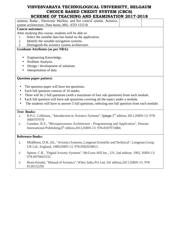# **VISVESVARAYA TECHNOLOGICAL UNIVERSITY, BELGAUM CHOICE BASED CREDIT SYSTEM (CBCS)**

| SCHEME OF TEACHING AND EXAMINATION 2017-2018                                                                        |  |
|---------------------------------------------------------------------------------------------------------------------|--|
| systems, Radar, Electronic Warfare, and fire control system. Avionics                                               |  |
| system architecture, Data buses, MIL-STD 1553 B.                                                                    |  |
| <b>Course outcomes:</b>                                                                                             |  |
| After studying this course, students will be able to:                                                               |  |
| Select the suitable data bus based on the application.<br>1.                                                        |  |
| 2.<br>Identify the suitable navigation systems.                                                                     |  |
| 3.<br>Distinguish the avionics system architecture.                                                                 |  |
| <b>Graduate Attributes (as per NBA):</b>                                                                            |  |
|                                                                                                                     |  |
| Engineering Knowledge.<br>$\bullet$                                                                                 |  |
| Problem Analysis.                                                                                                   |  |
| Design / development of solutions                                                                                   |  |
| Interpretation of data                                                                                              |  |
|                                                                                                                     |  |
| <b>Question paper pattern:</b>                                                                                      |  |
|                                                                                                                     |  |
| The question paper will have ten questions.                                                                         |  |
| Each full question consists of 16 marks.                                                                            |  |
| There will be 2 full questions (with a maximum of four sub questions) from each module.                             |  |
| Each full question will have sub questions covering all the topics under a module.                                  |  |
| The students will have to answer 5 full questions, selecting one full question from each module.                    |  |
|                                                                                                                     |  |
| <b>Text Books:</b>                                                                                                  |  |
| R.P.G. Collinson., "Introduction to Avionics Systems", Springer, 3 <sup>rd</sup> edition, 2011, ISBN-13: 978-<br>1. |  |
| 9400707078                                                                                                          |  |
| Gaonkar, R.S., "Microprocessors Architecture - Programming and Application", Penram<br>2.                           |  |
| International Publishing, $6th$ edition, 2013, ISBN-13: 978-8187972884.                                             |  |
|                                                                                                                     |  |
| <b>Reference Books:</b>                                                                                             |  |
|                                                                                                                     |  |
| Middleton, D.H., Ed., "Avionics Systems, Longman Scientific and Technical", Longman Group<br>1.                     |  |
| UK Ltd., England, 1989, ISBN-13: 978-0582018815.                                                                    |  |
| Spitzer, C.R., "Digital Avionic Systems", McGraw-Hill Inc., US, 2nd edition, 1992, ISBN-13:<br>2.                   |  |
| 978-0070603332.                                                                                                     |  |

3. Brain Kendal, "Manual of Avionics", Wiley India Pvt Ltd, 3rd edition,2011,ISBN-13: 978- 8126532292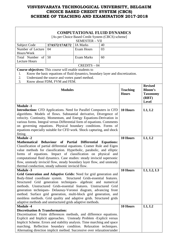| <b>COMPUTATIONAL FLUID DYNAMICS</b>                                                                                                                                                                                                                                                                                                                                                                                                                                                                                    |                                                                                |                   |        |                                 |                                                            |  |  |
|------------------------------------------------------------------------------------------------------------------------------------------------------------------------------------------------------------------------------------------------------------------------------------------------------------------------------------------------------------------------------------------------------------------------------------------------------------------------------------------------------------------------|--------------------------------------------------------------------------------|-------------------|--------|---------------------------------|------------------------------------------------------------|--|--|
| [As per Choice Based Credit System (CBCS) scheme]                                                                                                                                                                                                                                                                                                                                                                                                                                                                      |                                                                                |                   |        |                                 |                                                            |  |  |
| <b>SEMESTER - VII</b>                                                                                                                                                                                                                                                                                                                                                                                                                                                                                                  |                                                                                |                   |        |                                 |                                                            |  |  |
| Subject Code                                                                                                                                                                                                                                                                                                                                                                                                                                                                                                           | 17AS72/17AE72                                                                  | <b>IA Marks</b>   | 40     |                                 |                                                            |  |  |
| Number of Lecture                                                                                                                                                                                                                                                                                                                                                                                                                                                                                                      | 04                                                                             | <b>Exam Hours</b> | 03     |                                 |                                                            |  |  |
| Hours/Week                                                                                                                                                                                                                                                                                                                                                                                                                                                                                                             |                                                                                |                   |        |                                 |                                                            |  |  |
| Total Number of                                                                                                                                                                                                                                                                                                                                                                                                                                                                                                        | 50                                                                             | <b>Exam Marks</b> | 60     |                                 |                                                            |  |  |
| <b>Lecture Hours</b>                                                                                                                                                                                                                                                                                                                                                                                                                                                                                                   |                                                                                |                   |        |                                 |                                                            |  |  |
|                                                                                                                                                                                                                                                                                                                                                                                                                                                                                                                        |                                                                                | $CREDITS - 04$    |        |                                 |                                                            |  |  |
| <b>Course objectives:</b> This course will enable students to                                                                                                                                                                                                                                                                                                                                                                                                                                                          |                                                                                |                   |        |                                 |                                                            |  |  |
| 1.                                                                                                                                                                                                                                                                                                                                                                                                                                                                                                                     | Know the basic equations of fluid dynamics, boundary layer and discretization. |                   |        |                                 |                                                            |  |  |
| 2.<br>3.                                                                                                                                                                                                                                                                                                                                                                                                                                                                                                               | Understand the source and vortex panel method.<br>Know about FDM, FVM and FEM. |                   |        |                                 |                                                            |  |  |
|                                                                                                                                                                                                                                                                                                                                                                                                                                                                                                                        |                                                                                |                   |        |                                 | <b>Revised</b>                                             |  |  |
|                                                                                                                                                                                                                                                                                                                                                                                                                                                                                                                        | <b>Modules</b>                                                                 |                   |        | <b>Teaching</b><br><b>Hours</b> | <b>Bloom's</b><br><b>Taxonomy</b><br>(RBT)<br><b>Level</b> |  |  |
| <b>Module -1</b><br>Introduction: CFD Applications. Need for Parallel Computers in CFD<br>algorithms. Models of flows. Substantial derivative, Divergence of<br>velocity. Continuity, Momentum, and Energy Equations-Derivation in<br>various forms. Integral versus Differential form of equations. Comments<br>on governing equations. Physical boundary conditions. Forms of<br>equations especially suitable for CFD work. Shock capturing, and shock<br>fitting.                                                  |                                                                                | <b>10 Hours</b>   | L1, L2 |                                 |                                                            |  |  |
| <b>Module -2</b>                                                                                                                                                                                                                                                                                                                                                                                                                                                                                                       |                                                                                |                   |        | 10 Hours                        | L1, L2                                                     |  |  |
| Mathematical Behaviour of Partial Differential Equations:<br>Classification of partial differential equations. Cramer Rule and Eigen<br>value methods for classification. Hyperbolic, parabolic, and elliptic<br>forms of equations. Impact of classification on physical and<br>computational fluid dynamics. Case studies: steady inviscid supersonic<br>flow, unsteady inviscid flow, steady boundary layer flow, and unsteady                                                                                      |                                                                                |                   |        |                                 |                                                            |  |  |
| thermal conduction, steady subsonic inviscid flow.                                                                                                                                                                                                                                                                                                                                                                                                                                                                     |                                                                                |                   |        |                                 |                                                            |  |  |
| <b>Module -3</b>                                                                                                                                                                                                                                                                                                                                                                                                                                                                                                       |                                                                                |                   |        | 10 Hours                        | L1, L2, L3                                                 |  |  |
| Grid Generation and Adaptive Grids: Need for grid generation and<br>Body-fitted coordinate system.<br>Structured Grid generation techniques- algebraic and numerical<br>methods. Unstructured Grids-essential features. Unstructured Grid<br>generation techniques- Delaunay-Voronoi diagram, advancing front<br>method. Surface grid generation, multi-block grid generation, and<br>meshless methods. Grid quality and adaptive grids. Structured grids<br>adaptive methods and unstructured grids adaptive methods. |                                                                                |                   |        |                                 |                                                            |  |  |
| <b>Module -4</b>                                                                                                                                                                                                                                                                                                                                                                                                                                                                                                       |                                                                                |                   |        | 10 Hours                        | L1, L2                                                     |  |  |
| <b>Discretisation &amp; Transformation:</b><br>Discretisation: Finite differences methods, and difference equations.<br>Explicit and Implicit approaches. Unsteady Problem - Explicit versus<br>Implicit Scheme. Errors and stability analysis. Time marching and space<br>marching. Reflection boundary condition. Relaxation techniques.<br>Alternating direction implicit method. Successive over relaxation/under                                                                                                  |                                                                                |                   |        |                                 |                                                            |  |  |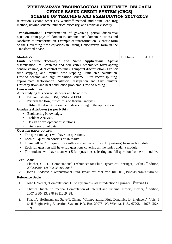| SCHEME OF TEACHING AND EXAMINATION 2017-2018                                                                                                                                                                                                                                                                                                                                                                                                                                                               |                                   |          |        |  |  |
|------------------------------------------------------------------------------------------------------------------------------------------------------------------------------------------------------------------------------------------------------------------------------------------------------------------------------------------------------------------------------------------------------------------------------------------------------------------------------------------------------------|-----------------------------------|----------|--------|--|--|
| relaxation. Second order Lax-Wendroff method, mid-point Leap frog<br>method, upwind scheme, numerical viscosity, and artificial viscosity.                                                                                                                                                                                                                                                                                                                                                                 |                                   |          |        |  |  |
| <b>Transformation:</b> Transformation of governing partial differential<br>equations from physical domain to computational domain. Matrices and<br>Jacobians of transformation. Example of transformation. Generic form<br>of the Governing flow equations in Strong Conservative form in the<br><b>Transformed Space.</b>                                                                                                                                                                                 |                                   |          |        |  |  |
| <b>Module -5</b><br>Finite Volume<br>Technique and Some Applications:<br>discretisation- cell centered and cell vertex techniques (overlapping<br>control volume, duel control volume). Temporal discretisation- Explicit<br>time stepping, and implicit time stepping. Time step calculation.<br>Upwind scheme and high resolution scheme. Flux vector splitting,<br>approximate factorisation. Artificial dissipation and flux limiters.<br>Unsteady flows and heat conduction problems. Upwind biasing. | Spatial                           | 10 Hours | L1, L2 |  |  |
| <b>Course outcomes:</b>                                                                                                                                                                                                                                                                                                                                                                                                                                                                                    |                                   |          |        |  |  |
| After studying this course, students will be able to:                                                                                                                                                                                                                                                                                                                                                                                                                                                      |                                   |          |        |  |  |
| Differentiate the FDM, FVM and FEM<br>1.                                                                                                                                                                                                                                                                                                                                                                                                                                                                   |                                   |          |        |  |  |
| 2.<br>Perform the flow, structural and thermal analysis.                                                                                                                                                                                                                                                                                                                                                                                                                                                   |                                   |          |        |  |  |
| 3.<br>Utilize the discretization methods according to the application.                                                                                                                                                                                                                                                                                                                                                                                                                                     |                                   |          |        |  |  |
| <b>Graduate Attributes (as per NBA):</b>                                                                                                                                                                                                                                                                                                                                                                                                                                                                   |                                   |          |        |  |  |
| Engineering Knowledge.                                                                                                                                                                                                                                                                                                                                                                                                                                                                                     |                                   |          |        |  |  |
|                                                                                                                                                                                                                                                                                                                                                                                                                                                                                                            |                                   |          |        |  |  |
|                                                                                                                                                                                                                                                                                                                                                                                                                                                                                                            | Problem Analysis.<br>$\bullet$    |          |        |  |  |
|                                                                                                                                                                                                                                                                                                                                                                                                                                                                                                            | Design / development of solutions |          |        |  |  |
| Interpretation of data                                                                                                                                                                                                                                                                                                                                                                                                                                                                                     |                                   |          |        |  |  |
| <b>Question paper pattern:</b>                                                                                                                                                                                                                                                                                                                                                                                                                                                                             |                                   |          |        |  |  |
| The question paper will have ten questions.<br>$\bullet$                                                                                                                                                                                                                                                                                                                                                                                                                                                   |                                   |          |        |  |  |
| Each full question consists of 16 marks.<br>$\bullet$                                                                                                                                                                                                                                                                                                                                                                                                                                                      |                                   |          |        |  |  |
| There will be 2 full questions (with a maximum of four sub questions) from each module.                                                                                                                                                                                                                                                                                                                                                                                                                    |                                   |          |        |  |  |
| Each full question will have sub questions covering all the topics under a module.                                                                                                                                                                                                                                                                                                                                                                                                                         |                                   |          |        |  |  |
| The students will have to answer 5 full questions, selecting one full question from each module.                                                                                                                                                                                                                                                                                                                                                                                                           |                                   |          |        |  |  |
|                                                                                                                                                                                                                                                                                                                                                                                                                                                                                                            |                                   |          |        |  |  |
| <b>Text Books:</b>                                                                                                                                                                                                                                                                                                                                                                                                                                                                                         |                                   |          |        |  |  |
| Fletcher, C.A.J., "Computational Techniques for Fluid Dynamics", Springer, Berlin, 2 <sup>nd</sup> edition,<br>1.<br>2002, ISBN-13: 978-3540543046                                                                                                                                                                                                                                                                                                                                                         |                                   |          |        |  |  |
| John D. Anderson, "Computational Fluid Dynamics", McGraw Hill, 2013, ISBN-13: 978-0070016859.<br>2.                                                                                                                                                                                                                                                                                                                                                                                                        |                                   |          |        |  |  |
| <b>Reference Books:</b>                                                                                                                                                                                                                                                                                                                                                                                                                                                                                    |                                   |          |        |  |  |
| John F. Wendt, "Computational Fluid Dynamics - An Introduction", Springer, 3 <sup>rd</sup> edition, 2013<br>1.                                                                                                                                                                                                                                                                                                                                                                                             |                                   |          |        |  |  |
| Charles Hirsch, "Numerical Computation of Internal and External Flows", Elsevier, 1 <sup>st</sup> edition,<br>2.<br>2007, ISBN-13: 978-9381269428.                                                                                                                                                                                                                                                                                                                                                         |                                   |          |        |  |  |
| Klaus A Hoffmann and Steve T. Chiang. "Computational Fluid Dynamics for Engineers", Vols. I<br>3.<br>$\&$ II Engineering Education System $DO$ Boy 20078 W Wichita $KS$ 67208 1078 USA                                                                                                                                                                                                                                                                                                                     |                                   |          |        |  |  |

& II Engineering Education System, P.O. Box 20078, W. Wichita, K.S., 67208 - 1078 USA, 1993.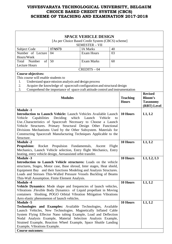| <b>SPACE VEHICLE DESIGN</b>                                             |                                                                               |                       |        |                 |                 |  |
|-------------------------------------------------------------------------|-------------------------------------------------------------------------------|-----------------------|--------|-----------------|-----------------|--|
|                                                                         | [As per Choice Based Credit System (CBCS) scheme]                             |                       |        |                 |                 |  |
|                                                                         |                                                                               | <b>SEMESTER - VII</b> |        |                 |                 |  |
| Subject Code                                                            | 17AS73                                                                        | <b>IA Marks</b>       | 40     |                 |                 |  |
| Number of Lecture                                                       | 04                                                                            | <b>Exam Hours</b>     | 03     |                 |                 |  |
| Hours/Week                                                              |                                                                               |                       |        |                 |                 |  |
| Total<br>Number<br>of                                                   | 50                                                                            | <b>Exam Marks</b>     | 60     |                 |                 |  |
| <b>Lecture Hours</b>                                                    |                                                                               | $CREDITS - 04$        |        |                 |                 |  |
| <b>Course objectives:</b>                                               |                                                                               |                       |        |                 |                 |  |
| This course will enable students to                                     |                                                                               |                       |        |                 |                 |  |
| 1.                                                                      | Understand space mission analysis and design process                          |                       |        |                 |                 |  |
| 2.                                                                      | Acquire the knowledge of spacecraft configuration and structural design       |                       |        |                 |                 |  |
| 3.                                                                      | Comprehend the importance of space craft attitude control and instrumentation |                       |        |                 |                 |  |
|                                                                         |                                                                               |                       |        |                 | <b>Revised</b>  |  |
|                                                                         | <b>Modules</b>                                                                |                       |        | <b>Teaching</b> | <b>Bloom's</b>  |  |
|                                                                         |                                                                               |                       |        | <b>Hours</b>    | <b>Taxonomy</b> |  |
|                                                                         |                                                                               |                       |        |                 | (RBT) Level     |  |
| <b>Module -1</b>                                                        |                                                                               |                       |        |                 |                 |  |
| Introduction to Launch Vehicle: Launch Vehicles Available Launch        |                                                                               |                       |        | 10 Hours        | L1, L2          |  |
| Capabilities<br>Vehicle                                                 | Deciding which Launch                                                         | Vehicle               | to     |                 |                 |  |
| UseCharacteristics of Spacecraft Necessary to Choose a Launch           |                                                                               |                       |        |                 |                 |  |
| Vehicle Structures. Primary Structural Design Other Functional          |                                                                               |                       |        |                 |                 |  |
| Divisions Mechanisms Used by the Other Subsystem. Materials for         |                                                                               |                       |        |                 |                 |  |
| Constructing Spacecraft Manufacturing Techniques Applicable to the      |                                                                               |                       |        |                 |                 |  |
| Structure.                                                              |                                                                               |                       |        |                 |                 |  |
| <b>Module -2</b>                                                        |                                                                               | 10 Hours              | L1, L2 |                 |                 |  |
| <b>Propulsion:</b>                                                      | Rocket Propulsion Fundamentals,                                               | Ascent                | Flight |                 |                 |  |
| Mechanics, Launch Vehicle selection, Entry flight Mechanics, Entry      |                                                                               |                       |        |                 |                 |  |
| heating, entry vehicle design, Aeroassisted orbit transfer.             |                                                                               |                       |        |                 |                 |  |
| <b>Module -3</b>                                                        |                                                                               |                       |        | 10 Hours        | L1, L2, L3      |  |
| Introduction to Launch Vehicle structures: Loads on the vehicle         |                                                                               |                       |        |                 |                 |  |
| structures, Stages, Motor case, Base shroud, Inter stages, Heat shield, |                                                                               |                       |        |                 |                 |  |
| Equipment Bay and their functions Modeling and Analysis Structures.     |                                                                               |                       |        |                 |                 |  |
| Loads and Stresses Thin-Walled Pressure Vessels Buckling of Beams       |                                                                               |                       |        |                 |                 |  |
| Thin-Wall Assumption. Finite Element Analysis.                          |                                                                               |                       |        |                 |                 |  |
| <b>Module -4</b>                                                        |                                                                               |                       |        | 10 Hours        | L1, L2          |  |
| Vehicle Dynamics: Mode shape and frequencies of launch vehicles,        |                                                                               |                       |        |                 |                 |  |
| Vibrations .Flexible Body Dynamics of Liquid propellant in Moving       |                                                                               |                       |        |                 |                 |  |
| containers Sloshing, POGO Orbital Vibration Mitigation Vibrations       |                                                                               |                       |        |                 |                 |  |
| Aero elastic phenomenon of launch vehicles.                             |                                                                               |                       |        |                 |                 |  |
| <b>Module -5</b>                                                        |                                                                               |                       |        | 10 Hours        | L1, L2          |  |
| Technologies and Examples: Available Technologies, Available            |                                                                               |                       |        |                 |                 |  |
| Launch Vehicles, New Technologies. Magnetically Inflated Cable          |                                                                               |                       |        |                 |                 |  |
| System Flying Effector Nano tubing Example, Load and Deflection         |                                                                               |                       |        |                 |                 |  |
| Nodal Analysis Example, Material Selection Analysis Example,            |                                                                               |                       |        |                 |                 |  |
| Strained Example, Reaction Wheel Example, Space Shuttle Landing         |                                                                               |                       |        |                 |                 |  |
| Example, Vibrations Example.                                            |                                                                               |                       |        |                 |                 |  |
| <b>Course outcomes:</b>                                                 |                                                                               |                       |        |                 |                 |  |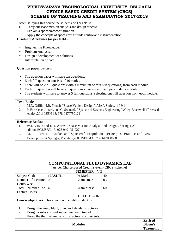After studying this course the students will be able to :

- 1. Carry out space mission analysis and design process
- 2. Explain a spacecraft configuration.
- 3. Apply the concepts of space craft attitude control and instrumentation

#### **Graduate Attributes (as per NBA):**

- Engineering Knowledge.
- Problem Analysis.
- Design / development of solutions
- Interpretation of data

#### **Question paper pattern:**

- The question paper will have ten questions.
- Each full question consists of 16 marks.
- There will be 2 full questions (with a maximum of four sub questions) from each module.
- Each full question will have sub questions covering all the topics under a module.
- The students will have to answer 5 full questions, selecting one full question from each module.

#### **Text Books:**

- 1. M.D. Griffin, J.R. French, "Space Vehicle Design", AIAA Series, 1 9 9 1 .
- 2. P. Fortescue, J. stark, and G. Swinerd, "Spacecraft Systems Engineering" Wiley-Blackwell, 4<sup>th</sup> revised edition,2011,ISBN-13: 978-0470750124

#### **Reference Books:**

- 1. W.J. Larson and J. R. Wertz., "Space Mission Analysis and design", Springer, 2<sup>nd</sup> edition,1992,ISBN-13: 978-9401051927
- 2. M.J.L. Turner, "Rocket and Spacecraft Propulsion" (Principles, Practice and New Developments), Springer,3rd edition,2009,ISBN-13: 978-3642088698

| <b>COMPUTATIONAL FLUID DYNAMICS LAB</b>                       |         |                                                   |    |                                                     |  |
|---------------------------------------------------------------|---------|---------------------------------------------------|----|-----------------------------------------------------|--|
|                                                               |         | [As per Choice Based Credit System (CBCS) scheme] |    |                                                     |  |
|                                                               |         | <b>SEMESTER - VII</b>                             |    |                                                     |  |
| <b>Subject Code</b>                                           | 17ASL76 | <b>IA Marks</b>                                   | 40 |                                                     |  |
| Number of Lecture                                             | 03      | <b>Exam Hours</b>                                 | 03 |                                                     |  |
| Hours/Week                                                    |         |                                                   |    |                                                     |  |
| Total Number of                                               | 42      | <b>Exam Marks</b>                                 | 60 |                                                     |  |
| <b>Lecture Hours</b>                                          |         |                                                   |    |                                                     |  |
| $CREDITS - 02$                                                |         |                                                   |    |                                                     |  |
| <b>Course objectives:</b> This course will enable students to |         |                                                   |    |                                                     |  |
|                                                               |         |                                                   |    |                                                     |  |
| Design the wing, bluff, blunt and slender structures.<br>1.   |         |                                                   |    |                                                     |  |
| Design a subsonic and supersonic wind tunnel.<br>2.           |         |                                                   |    |                                                     |  |
| 3.<br>Know the thermal analysis of structural components.     |         |                                                   |    |                                                     |  |
|                                                               |         | <b>Modules</b>                                    |    | <b>Revised</b><br><b>Bloom's</b><br><b>Taxonomy</b> |  |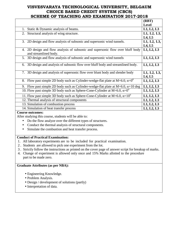|                                                                                                         | (RBT)                 |
|---------------------------------------------------------------------------------------------------------|-----------------------|
|                                                                                                         | <b>Level</b>          |
| Static & Dynamic analysis of beams.                                                                     | L1, L2, L3            |
| Structural analysis of wing structure.<br>2.                                                            | L1, L2, L3,           |
|                                                                                                         | L4, L5                |
| 3. 2D design and flow analysis of subsonic and supersonic wind tunnels.                                 | L1, L2, L3,           |
|                                                                                                         | L4, L5                |
| 4. 2D design and flow analysis of subsonic and supersonic flow over bluff body<br>and streamlined body. | L1, L2, L3            |
| 3D design and flow analysis of subsonic and supersonic wind tunnels<br>5.                               | L1, L2, L3            |
| 6. 3D design and analysis of subsonic flow over bluff body and streamlined body.                        | L1, L2, L3            |
| 3D design and analysis of supersonic flow over blunt body and slender body<br>7.                        | L1, L2, L3,<br>L4, L5 |
| 8. Flow past simple 2D body such as Cylinder-wedge-flat plate at M=6.0, $\alpha=0^0$                    | L1, L2, L3            |
| 9. Flow past simple 2D body such as Cylinder-wedge-flat plate at M=6.0, $\alpha$ =10 deg                | L1, L2, L3            |
| 10. Flow past simple 3D body such as Sphere-Cone-Cylinder at M=6.0, $\alpha=0^{\circ}$                  | L1, L2, L3            |
| 11. Flow past simple 3D body such as Sphere-Cone-Cylinder at M=6.0, $\alpha$ =10 <sup>o</sup>           | L1, L2, L3            |
| 12. Thermal analysis of structural components                                                           | L1, L2, L3            |
| 13. Simulation of combustion process                                                                    | L1, L2, L3            |
| 14. Simulation of heat transfer process                                                                 | L1, L2, L3            |

#### **Course outcomes:**

After studying this course, students will be able to:

- Do the flow analyze over the different types of structures.
- Conduct the thermal analysis of structural components.
- Simulate the combustion and heat transfer process.

#### **Conduct of Practical Examination:**

- 1. All laboratory experiments are to be included for practical examination.
- 2 . Students are allowed to pick one experiment from the lot.
- 3 . Strictly follow the instructions as printed on the cover page of answer script for breakup of marks.
- 4. Change of experiment is allowed only once and 15% Marks allotted to the procedure part to be made zero.

#### **Graduate Attributes (as per NBA):**

- Engineering Knowledge.
- Problem Analysis.
- Design / development of solutions (partly)
- Interpretation of data.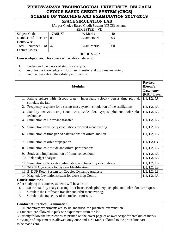|                                                                                                                                                                                          |                                                                                                | <b>SPACE SIMULATION LAB</b>                                                     |            |                           |  |
|------------------------------------------------------------------------------------------------------------------------------------------------------------------------------------------|------------------------------------------------------------------------------------------------|---------------------------------------------------------------------------------|------------|---------------------------|--|
| [As per Choice Based Credit System (CBCS) scheme]                                                                                                                                        |                                                                                                |                                                                                 |            |                           |  |
| SEMESTER - VII                                                                                                                                                                           |                                                                                                |                                                                                 |            |                           |  |
| Subject Code                                                                                                                                                                             | 17ASL77                                                                                        | <b>IA Marks</b>                                                                 | 40         |                           |  |
| Number of Lecture<br>Hours/Week                                                                                                                                                          | 03                                                                                             | <b>Exam Hours</b>                                                               | 03         |                           |  |
| Total<br>Number<br>of                                                                                                                                                                    | 42                                                                                             | <b>Exam Marks</b>                                                               | 60         |                           |  |
| <b>Lecture Hours</b>                                                                                                                                                                     |                                                                                                |                                                                                 |            |                           |  |
|                                                                                                                                                                                          |                                                                                                | $CREDITS - 02$                                                                  |            |                           |  |
| Course objectives: This course will enable students to                                                                                                                                   |                                                                                                |                                                                                 |            |                           |  |
| 1.<br>2.<br>3.                                                                                                                                                                           | Understand the basics of stability analysis.<br>Get the ideas about the orbital perturbations. | Acquire the knowledge on Hoffmann transfer and orbit manoeuvring.               |            |                           |  |
|                                                                                                                                                                                          |                                                                                                |                                                                                 |            | <b>Revised</b>            |  |
|                                                                                                                                                                                          |                                                                                                | <b>Modules</b>                                                                  |            | <b>Bloom's</b>            |  |
|                                                                                                                                                                                          |                                                                                                |                                                                                 |            | <b>Taxonomy</b>           |  |
|                                                                                                                                                                                          |                                                                                                |                                                                                 |            | (RBT) Level<br>L1, L2, L3 |  |
| 1. Falling sphere with viscous drag - Investigate velocity versus time plot; $\&$<br>simulate the fall.                                                                                  |                                                                                                |                                                                                 |            |                           |  |
|                                                                                                                                                                                          |                                                                                                | 2. Frequency response for a spring-mass system; simulation of the oscillations. |            | L1, L2, L3                |  |
| Stability analysis using Root locus, Bode plot, Nyquist plot and Polar plot<br>3.                                                                                                        |                                                                                                |                                                                                 |            | L1, L2, L3                |  |
| techniques<br>Simulation of Hoffmann transfer<br>$\overline{4}$ .                                                                                                                        |                                                                                                |                                                                                 |            | L1, L2, L3                |  |
|                                                                                                                                                                                          |                                                                                                |                                                                                 |            |                           |  |
| Simulation of velocity calculations for orbit maneuvering<br>5.                                                                                                                          |                                                                                                |                                                                                 |            | L1, L2, L3                |  |
| Simulation of time period calculations for orbital motion<br>6.                                                                                                                          |                                                                                                |                                                                                 |            | L1, L2, L3                |  |
| 7. Simulation of orbit propagation                                                                                                                                                       |                                                                                                |                                                                                 |            | L1, L2, L3                |  |
| 8. Simulation of Attitude and orbital perturbations                                                                                                                                      |                                                                                                |                                                                                 |            | $\overline{L}$ 1, L2, L3  |  |
| 9. Study and implementation of frame conversions                                                                                                                                         |                                                                                                |                                                                                 | L1, L2, L3 |                           |  |
| 10. Link budget analysis                                                                                                                                                                 |                                                                                                |                                                                                 |            | L1, L2, L3                |  |
| 11. Simulation of Rocketry culmination and trajectory calculations                                                                                                                       |                                                                                                |                                                                                 | L1, L2, L3 |                           |  |
| 12. 3-DOF Gyroscope for System Identification.                                                                                                                                           |                                                                                                |                                                                                 | L1, L2, L3 |                           |  |
| 13. 2- DOF Rotor System for Coupled Dynamic Analysis                                                                                                                                     |                                                                                                |                                                                                 | L1, L2, L3 |                           |  |
| 14. Magnetic Levitation system for close loop Control                                                                                                                                    |                                                                                                |                                                                                 | L1, L2, L3 |                           |  |
| <b>Course outcomes:</b><br>After studying this course, students will be able to:<br>Do the stability analysis using Root locus, Bode plot, Nyquist plot and Polar plot techniques.<br>1. |                                                                                                |                                                                                 |            |                           |  |
| 2.<br>Simulate the Hoffmann transfer and orbit maneuvering.                                                                                                                              |                                                                                                |                                                                                 |            |                           |  |
| Simulate the trajectory of the rocket or missile.<br>3.                                                                                                                                  |                                                                                                |                                                                                 |            |                           |  |
| <b>Conduct of Practical Examination:</b><br>2. Students are allowed to pick one experiment from the lot.                                                                                 |                                                                                                | 1. All laboratory experiments are to be included for practical examination.     |            |                           |  |
| 3. Strictly follow the instructions as printed on the cover page of answer script for breakup of marks.                                                                                  |                                                                                                |                                                                                 |            |                           |  |
| 4. Change of experiment is allowed only once and 15% Marks allotted to the procedure part                                                                                                |                                                                                                |                                                                                 |            |                           |  |
| to be made zero.                                                                                                                                                                         |                                                                                                |                                                                                 |            |                           |  |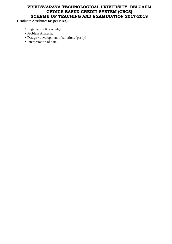# **Graduate Attributes (as per NBA):**

- Engineering Knowledge.
- Problem Analysis.
- Design / development of solutions (partly)
- Interpretation of data.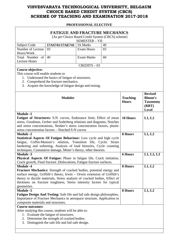#### **PROFESSIONAL ELECTIVE**

|                                                                                                                                                                                                                                                                                                                                           | <b>FATIGUE AND FRACTURE MECHANICS</b>                                                                                                                                                              |                                                                              |          |                |            |  |
|-------------------------------------------------------------------------------------------------------------------------------------------------------------------------------------------------------------------------------------------------------------------------------------------------------------------------------------------|----------------------------------------------------------------------------------------------------------------------------------------------------------------------------------------------------|------------------------------------------------------------------------------|----------|----------------|------------|--|
| [As per Choice Based Credit System (CBCS) scheme]                                                                                                                                                                                                                                                                                         |                                                                                                                                                                                                    |                                                                              |          |                |            |  |
| <b>SEMESTER - VII</b>                                                                                                                                                                                                                                                                                                                     |                                                                                                                                                                                                    |                                                                              |          |                |            |  |
| <b>Subject Code</b><br>Number of Lecture                                                                                                                                                                                                                                                                                                  | 17AS741/17AE741                                                                                                                                                                                    | <b>IA Marks</b><br><b>Exam Hours</b>                                         | 40<br>03 |                |            |  |
| Hours/Week                                                                                                                                                                                                                                                                                                                                | 03                                                                                                                                                                                                 |                                                                              |          |                |            |  |
| Total Number of                                                                                                                                                                                                                                                                                                                           | 40                                                                                                                                                                                                 | <b>Exam Marks</b>                                                            | 60       |                |            |  |
| <b>Lecture Hours</b>                                                                                                                                                                                                                                                                                                                      |                                                                                                                                                                                                    |                                                                              |          |                |            |  |
|                                                                                                                                                                                                                                                                                                                                           |                                                                                                                                                                                                    | $CREDITS - 03$                                                               |          |                |            |  |
| Course objective:                                                                                                                                                                                                                                                                                                                         |                                                                                                                                                                                                    |                                                                              |          |                |            |  |
| This course will enable students to                                                                                                                                                                                                                                                                                                       | 1. Understand the basics of fatigue of structures.<br>2. Comprehend the fracture mechanics.<br>3. Acquire the knowledge of fatigue design and testing.                                             |                                                                              |          |                |            |  |
|                                                                                                                                                                                                                                                                                                                                           | <b>Teaching</b><br><b>Hours</b>                                                                                                                                                                    | <b>Revised</b><br><b>Bloom's</b><br><b>Taxonomy</b><br>(RBT)<br><b>Level</b> |          |                |            |  |
| <b>Module -1</b><br>Fatigue of Structures: S.N. curves, Endurance limit, Effect of mean<br>stress, Goodman, Gerber and Soderberg relations and diagrams, Notches<br>and stress concentrations, Neuber's stress concentration factors, plastic<br>stress concentration factors - Notched S-N curves                                        | 10 Hours                                                                                                                                                                                           | L1, L2                                                                       |          |                |            |  |
| <b>Module -2</b>                                                                                                                                                                                                                                                                                                                          |                                                                                                                                                                                                    | 8 Hours                                                                      | L1, L2   |                |            |  |
| Statistical Aspects Of Fatigue Behaviour: Low cycle and high cycle<br>fatigue, Coffin-Manson's relation, Transition life, Cyclic Strain<br>hardening and softening, Analysis of load histories, Cycle counting<br>techniques, Cumulative damage, Miner's theory, other theories.                                                          |                                                                                                                                                                                                    |                                                                              |          |                |            |  |
| <b>Module -3</b><br>Physical Aspects Of Fatigue: Phase in fatigue life, Crack initiation,<br>Crack growth, Final fracture , Dislocations, Fatigue fracture surfaces.                                                                                                                                                                      |                                                                                                                                                                                                    |                                                                              |          | <b>6 Hours</b> | L1, L2, L3 |  |
| <b>Module -4</b><br>Fracture Mechanics: Strength of cracked bodies, potential energy and<br>surface energy, Griffith's theory, Irwin - Orwin extension of Griffith's<br>theory to ductile materials, Stress analysis of cracked bodies, Effect of<br>thickness on fracture toughness, Stress intensity factors for typical<br>geometries. |                                                                                                                                                                                                    |                                                                              |          | 8 Hours        | L1, L2     |  |
| Module -5<br><b>Fatigue Design And Testing:</b> Safe life and fail safe design philosophies,<br>Importance of Fracture Mechanics in aerospace structure, Application to<br>composite materials and structures.                                                                                                                            |                                                                                                                                                                                                    |                                                                              | 8 Hours  | L1, L2         |            |  |
| <b>Course outcomes:</b><br>3.                                                                                                                                                                                                                                                                                                             | After studying this course, students will be able to:<br>1. Evaluate the fatigue of structures.<br>2. Determine the strength of cracked bodies.<br>Distinguish the safe life and fail safe design. |                                                                              |          |                |            |  |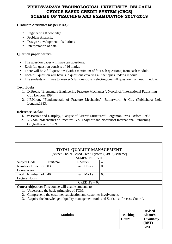#### **Graduate Attributes (as per NBA):**

- Engineering Knowledge.
- Problem Analysis.
- Design / development of solutions
- Interpretation of data

#### **Question paper pattern:**

- The question paper will have ten questions.
- Each full question consists of 16 marks.
- There will be 2 full questions (with a maximum of four sub questions) from each module.
- Each full question will have sub questions covering all the topics under a module.
- The students will have to answer 5 full questions, selecting one full question from each module.

#### **Text Books:**

- 1. D.Brock, "Elementary Engineering Fracture Mechanics", Noordhoff International Publishing Co., London, 1994.
- 2. J.F.Knott, "Fundamentals of Fracture Mechanics", Butterworth & Co., (Publishers) Ltd., London,1983.

#### **Reference Books:**

- **1.** W.Barrois and L.Ripley, "Fatigue of Aircraft Structures", Pergamon Press, Oxford, 1983.
- 2. C.G.Sih, "Mechanics of Fracture", Vol.1 Sijthoff and Noordhoff International Publishing Co.,Netherland, 1989.

| <b>TOTAL QUALITY MANAGEMENT</b>                                                          |                                            |                                                   |    |                 |                 |
|------------------------------------------------------------------------------------------|--------------------------------------------|---------------------------------------------------|----|-----------------|-----------------|
|                                                                                          |                                            | [As per Choice Based Credit System (CBCS) scheme] |    |                 |                 |
|                                                                                          |                                            | <b>SEMESTER - VII</b>                             |    |                 |                 |
| Subject Code                                                                             | 17AS742                                    | <b>IA Marks</b>                                   | 40 |                 |                 |
| Number of Lecture                                                                        | 03                                         | <b>Exam Hours</b>                                 | 03 |                 |                 |
| Hours/Week                                                                               |                                            |                                                   |    |                 |                 |
| Total Number of                                                                          | 40                                         | Exam Marks                                        | 60 |                 |                 |
| <b>Lecture Hours</b>                                                                     |                                            |                                                   |    |                 |                 |
|                                                                                          |                                            | $CREDITS - 03$                                    |    |                 |                 |
| <b>Course objective:</b> This course will enable students to                             |                                            |                                                   |    |                 |                 |
|                                                                                          | 1. Understand the basic principles of TQM. |                                                   |    |                 |                 |
| Comprehend the customer satisfaction and customer involvement.<br>2.                     |                                            |                                                   |    |                 |                 |
| Acquire the knowledge of quality management tools and Statistical Process Control.<br>3. |                                            |                                                   |    |                 |                 |
|                                                                                          |                                            |                                                   |    |                 |                 |
|                                                                                          |                                            |                                                   |    |                 |                 |
|                                                                                          |                                            |                                                   |    |                 | <b>Revised</b>  |
|                                                                                          | <b>Modules</b>                             |                                                   |    | <b>Teaching</b> | Bloom's         |
|                                                                                          |                                            |                                                   |    | <b>Hours</b>    | <b>Taxonomy</b> |
|                                                                                          |                                            |                                                   |    |                 | (RBT)           |
|                                                                                          |                                            |                                                   |    |                 | Level           |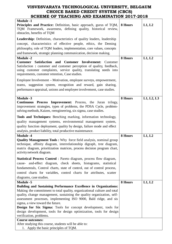| <b>Module -1</b><br>Principles and Practice: Definition, basic approach, gurus of TQM,<br>TQM Framework, awareness, defining quality, historical review,<br>obstacles, benefits of TQM                                                                                                                         | 8 Hours | L1, L2     |
|----------------------------------------------------------------------------------------------------------------------------------------------------------------------------------------------------------------------------------------------------------------------------------------------------------------|---------|------------|
| <b>Leadership:</b> Definition, characteristics of quality leaders, leadership                                                                                                                                                                                                                                  |         |            |
| concept, characteristics of effective people, ethics, the Deming                                                                                                                                                                                                                                               |         |            |
| philosophy, role of TQM leaders, implementation, core values, concepts                                                                                                                                                                                                                                         |         |            |
| and framework, strategic planning communication, decision making.                                                                                                                                                                                                                                              |         |            |
|                                                                                                                                                                                                                                                                                                                |         |            |
| <b>Module -2</b><br><b>Customer</b><br>Satisfaction and<br><b>Customer</b><br><b>Involvement:</b><br>Customer<br>Satisfaction: customer and customer perception of quality, feedback,<br>using customer complaints, service quality, translating needs into<br>requirements, customer retention, Case studies. | 8 Hours | L1, L2     |
| Employee Involvement - Motivation, employee surveys, empowerment,<br>teams, suggestion system, recognition and reward, gain sharing,<br>performance appraisal, unions and employee involvement, case studies.                                                                                                  |         |            |
| <b>Module -3</b>                                                                                                                                                                                                                                                                                               | 8 Hours | L1, L2, L3 |
| <b>Continuous Process Improvement:</b> Process, the Juran trilogy,<br>improvement strategies, types of problems, the PDSA Cycle, problem-<br>solving methods, Kaizen, reengineering, six sigma, case studies.                                                                                                  |         |            |
| Tools and Techniques: Benching marking, information technology,                                                                                                                                                                                                                                                |         |            |
| quality management systems, environmental management system,<br>quality function deployment, quality by design, failure mode and effect<br>analysis, product liability, total productive maintenance.                                                                                                          |         |            |
| <b>Module -4</b><br><b>Quality Management Tools:</b> Why force field analysis, nominal group<br>technique, affinity diagram, interrelationship digraph, tree diagram,<br>matrix diagram, prioritization matrices, process decision program chart,<br>activity network diagram.                                 | 8 Hours | L1, L2     |
| Statistical Process Control: Pareto diagram, process flow diagram,                                                                                                                                                                                                                                             |         |            |
| cause- and-effect diagram, check sheets, histograms, statistical                                                                                                                                                                                                                                               |         |            |
| fundamentals, Control charts, state of control, out of control process,                                                                                                                                                                                                                                        |         |            |
| control charts for variables, control charts for attributes, scatter                                                                                                                                                                                                                                           |         |            |
| diagrams, case studies.                                                                                                                                                                                                                                                                                        |         |            |
| <b>Module -5</b>                                                                                                                                                                                                                                                                                               | 8 Hours | L1, L2     |
| Building and Sustaining Performance Excellence in Organizations:                                                                                                                                                                                                                                               |         |            |
| Making the commitment to total quality, organizational culture and total                                                                                                                                                                                                                                       |         |            |
| quality, change management, sustaining the quality organization, self-                                                                                                                                                                                                                                         |         |            |
| assessment processes, implementing ISO 9000, Bald ridge, and sis                                                                                                                                                                                                                                               |         |            |
| sigma, a view toward the future.                                                                                                                                                                                                                                                                               |         |            |
| <b>Design for Six Sigma:</b> Tools for concept development, tools for                                                                                                                                                                                                                                          |         |            |
| design development, tools for design optimization, tools for design                                                                                                                                                                                                                                            |         |            |
| verification, problems.                                                                                                                                                                                                                                                                                        |         |            |
| <b>Course outcomes:</b><br>After studying this course, students will be able to:<br>1. Apply the basic principles of TQM.                                                                                                                                                                                      |         |            |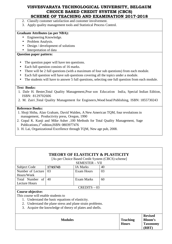- 2. Classify customer satisfaction and customer involvement.
- 3. Apply quality management tools and Statistical Process Control.

#### **Graduate Attributes (as per NBA):**

- Engineering Knowledge.
- Problem Analysis.
- Design / development of solutions
- Interpretation of data

#### **Question paper pattern:**

- The question paper will have ten questions.
- Each full question consists of 16 marks.
- There will be 2 full questions (with a maximum of four sub questions) from each module.
- Each full question will have sub questions covering all the topics under a module.
- The students will have to answer 5 full questions, selecting one full question from each module.

#### **Text Books:**

- 1. Dale H. Bester,Total Quality Management,Pear son Education India, Special Indian Edition, ISBN: 8129702606
- 2. M. Zairi ,Total Quality Management for Engineers,Wood head Publishing, ISBN: 1855730243

- 1. Shoji Shiba, Alan Graham, David Walden, A New American TQM, four revolutions in management, Productivity press, Oregon, 1990
- 2. Gopal K. Kanji and Mike Asher ,100 Methods for Total Quality Management, Sage Publications, 1<sup>st</sup> edition, ISBN: 0803977476
- 3. H. Lai, Organizational Excellence through TQM, New age pub, 2008.

|                                     |                                                        | <b>THEORY OF ELASTICITY &amp; PLASTICITY</b>      |    |                                 |                                                     |
|-------------------------------------|--------------------------------------------------------|---------------------------------------------------|----|---------------------------------|-----------------------------------------------------|
|                                     |                                                        | [As per Choice Based Credit System (CBCS) scheme] |    |                                 |                                                     |
|                                     |                                                        | <b>SEMESTER - VII</b>                             |    |                                 |                                                     |
| Subject Code                        | 17AS743                                                | <b>IA Marks</b>                                   | 40 |                                 |                                                     |
| Number of Lecture                   | 03                                                     | Exam Hours                                        | 03 |                                 |                                                     |
| Hours/Week                          |                                                        |                                                   |    |                                 |                                                     |
| Total Number of                     | 40                                                     | Exam Marks                                        | 60 |                                 |                                                     |
| <b>Lecture Hours</b>                |                                                        |                                                   |    |                                 |                                                     |
|                                     |                                                        | $CREDITS - 03$                                    |    |                                 |                                                     |
| Course objective:                   |                                                        |                                                   |    |                                 |                                                     |
| This course will enable students to |                                                        |                                                   |    |                                 |                                                     |
|                                     | Understand the basic equations of elasticity.          |                                                   |    |                                 |                                                     |
| 2.                                  | Understand the plane stress and plane strain problems. |                                                   |    |                                 |                                                     |
| 3.                                  | Acquire the knowledge of theory of plates and shells.  |                                                   |    |                                 |                                                     |
|                                     |                                                        |                                                   |    |                                 |                                                     |
|                                     | <b>Modules</b>                                         |                                                   |    | <b>Teaching</b><br><b>Hours</b> | <b>Revised</b><br><b>Bloom's</b><br><b>Taxonomy</b> |
|                                     |                                                        |                                                   |    |                                 | (RBT)                                               |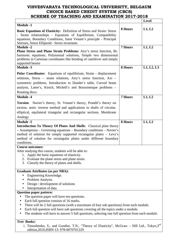|                                                                                                                                                                                                                                                                                                                                                                              |                | <b>Level</b> |
|------------------------------------------------------------------------------------------------------------------------------------------------------------------------------------------------------------------------------------------------------------------------------------------------------------------------------------------------------------------------------|----------------|--------------|
| <b>Module -1</b>                                                                                                                                                                                                                                                                                                                                                             |                |              |
| Basic Equations of Elasticity: Definition of Stress and Strain: Stress<br>- Strain relationships - Equations of Equilibrium, Compatibility<br>equations, Boundary Conditions, Saint Venant's principle - Principal<br>Stresses, Stress Ellipsoid - Stress invariants.                                                                                                        | 8 Hours        | L1, L2       |
| <b>Module -2</b>                                                                                                                                                                                                                                                                                                                                                             | <b>7 Hours</b> | L1, L2       |
| Plane Stress and Plane Strain Problems: Airy's stress function, Bi-<br>harmonic equations, Polynomial solutions, Simple two dimensional<br>problems in Cartesian coordinates like bending of cantilever and simply<br>supported beams                                                                                                                                        |                |              |
| <b>Module -3</b>                                                                                                                                                                                                                                                                                                                                                             | 8 Hours        | L1, L2, L3   |
| <b>Polar Coordinates:</b> Equations of equilibrium, Strain - displacement<br>relations, Stress - strain relations, Airy's stress function, Axi -<br>symmetric problems, Introduction to Dunder's table, Curved beam<br>analysis, Lame's, Kirsch, Michell's and Boussinesque problems -<br>Rotating discs.                                                                    |                |              |
| <b>Module -4</b>                                                                                                                                                                                                                                                                                                                                                             | <b>7 Hours</b> | L1, L2       |
| Torsion: Navier's theory, St. Venant's theory, Prandtl's theory on<br>torsion, semi- inverse method and applications to shafts of circular,<br>elliptical, equilateral triangular and rectangular sections. Membrane<br>Analogy<br><b>Module -5</b>                                                                                                                          | 8 Hours        | L1, L2       |
| <b>Introduction To Theory Of Plates And Shells:</b> Classical plate theory<br>- Assumptions - Governing equations - Boundary conditions - Navier's<br>method of solution for simply supported rectangular plates – Levy's<br>method of solution for rectangular plates under different boundary<br>conditions.                                                               |                |              |
| Course outcomes:                                                                                                                                                                                                                                                                                                                                                             |                |              |
| After studying this course, students will be able to:<br>Apply the basic equations of elasticity.<br>1.<br>2. Evaluate the plane stress and plane strain.<br>Classify the theory of plates and shells.<br>3.                                                                                                                                                                 |                |              |
| <b>Graduate Attributes (as per NBA):</b>                                                                                                                                                                                                                                                                                                                                     |                |              |
| Engineering Knowledge.<br>$\bullet$<br>Problem Analysis.<br>Design / development of solutions<br>Interpretation of data                                                                                                                                                                                                                                                      |                |              |
| <b>Question paper pattern:</b>                                                                                                                                                                                                                                                                                                                                               |                |              |
| The question paper will have ten questions.<br>Each full question consists of 16 marks.<br>There will be 2 full questions (with a maximum of four sub questions) from each module.<br>Each full question will have sub questions covering all the topics under a module.<br>The students will have to answer 5 full questions, selecting one full question from each module. |                |              |
| <b>Text Books:</b>                                                                                                                                                                                                                                                                                                                                                           |                |              |

1. Timoshenko, S., and Goodier, T.N., "Theory of Elasticity", McGraw - Hill Ltd., Tokyo,3<sup>rd</sup> edition,2010,ISBN-13: 978-0070701229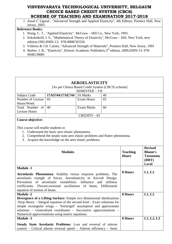2. Ansel C Ugural , "Advanced Strength and Applied Elasticity", 4th Edition, Prentice Hall, New Jersey, 2003.

- 1. Wang, C. T., "Applied Elasticity", McGraw Hill Co., New York, 1993.
- 2. Sokolnikoff, I. S., "Mathematical Theory of Elasticity", McGraw Hill, New York, new edition,1992,ISBN-13: 978-0898745559.
- 3. Volterra & J.H. Caines, "Advanced Strength of Materials", Prentice Hall, New Jersey, 1991
- 4. Barber, J. R., "Elasticity", Kluwer Academic Publishers,3rd edition, 2009,ISBN-13: 978- 9048138081

|                                                                                                                                                                                                                                                                                                                                    |                                                                                                                                                                                          | <b>AEROELASTICITY</b><br>[As per Choice Based Credit System (CBCS) scheme] |                                 |                                                                              |            |
|------------------------------------------------------------------------------------------------------------------------------------------------------------------------------------------------------------------------------------------------------------------------------------------------------------------------------------|------------------------------------------------------------------------------------------------------------------------------------------------------------------------------------------|----------------------------------------------------------------------------|---------------------------------|------------------------------------------------------------------------------|------------|
|                                                                                                                                                                                                                                                                                                                                    |                                                                                                                                                                                          | <b>SEMESTER - VII</b>                                                      |                                 |                                                                              |            |
| <b>Subject Code</b>                                                                                                                                                                                                                                                                                                                | 17AS744/17AE744                                                                                                                                                                          | IA Marks                                                                   | 40                              |                                                                              |            |
| Number of Lecture                                                                                                                                                                                                                                                                                                                  | 03                                                                                                                                                                                       | <b>Exam Hours</b>                                                          | 03                              |                                                                              |            |
| Hours/Week                                                                                                                                                                                                                                                                                                                         |                                                                                                                                                                                          |                                                                            |                                 |                                                                              |            |
| Total Number of                                                                                                                                                                                                                                                                                                                    | 40                                                                                                                                                                                       | <b>Exam Marks</b>                                                          | 60                              |                                                                              |            |
| <b>Lecture Hours</b>                                                                                                                                                                                                                                                                                                               |                                                                                                                                                                                          |                                                                            |                                 |                                                                              |            |
| Course objective:                                                                                                                                                                                                                                                                                                                  |                                                                                                                                                                                          | $CREDITS - 03$                                                             |                                 |                                                                              |            |
| This course will enable students to                                                                                                                                                                                                                                                                                                | 1. Understand the basic aero elastic phenomena.<br>2. Comprehend the steady state aero elastic problems and flutter phenomena.<br>3. Acquire the knowledge on the aero elastic problems. |                                                                            |                                 |                                                                              |            |
| <b>Modules</b>                                                                                                                                                                                                                                                                                                                     |                                                                                                                                                                                          |                                                                            | <b>Teaching</b><br><b>Hours</b> | <b>Revised</b><br><b>Bloom's</b><br><b>Taxonomy</b><br>(RBT)<br><b>Level</b> |            |
| <b>Module -1</b><br>Aeroelastic Phenomena: Stability versus response problems, The<br>aeroelastic triangle of forces, Aeroelasticity in Aircraft Design,<br>Prevention of aeroelastic instabilities. Influence and stiffness<br>coefficients. Flexure, torsional oscillations of beam, Differential<br>equation of motion of beam. |                                                                                                                                                                                          |                                                                            |                                 | 8 Hours                                                                      | L1, L2     |
| <b>Module -2</b>                                                                                                                                                                                                                                                                                                                   |                                                                                                                                                                                          |                                                                            |                                 | 8 Hours                                                                      | L1, L2     |
|                                                                                                                                                                                                                                                                                                                                    | Divergence of a Lifting Surface: Simple two dimensional idealizations                                                                                                                    |                                                                            |                                 |                                                                              |            |
| -Strip theory $-$ Integral equation of the second kind $-$ Exact solutions for<br>simple rectangular wings - 'Semirigid' assumption and approximate<br>solutions – Generalised coordinates – Successive approximations –<br>Numerical approximations using matrix equations.                                                       |                                                                                                                                                                                          |                                                                            |                                 |                                                                              |            |
| Module -3                                                                                                                                                                                                                                                                                                                          |                                                                                                                                                                                          |                                                                            |                                 | 8 Hours                                                                      | L1, L2, L3 |
|                                                                                                                                                                                                                                                                                                                                    | Steady State Aerolastic Problems: Loss and reversal of aileron<br>control - Critical aileron reversal speed - Aileron efficiency - Semi                                                  |                                                                            |                                 |                                                                              |            |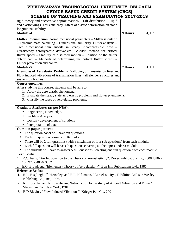| SCHEME OF TEACHING AND EAAMHNATION 2017-2010                                                                                 |                                                                                                                                                            |  |  |  |
|------------------------------------------------------------------------------------------------------------------------------|------------------------------------------------------------------------------------------------------------------------------------------------------------|--|--|--|
|                                                                                                                              |                                                                                                                                                            |  |  |  |
| 9 Hours                                                                                                                      | L1, L2                                                                                                                                                     |  |  |  |
|                                                                                                                              |                                                                                                                                                            |  |  |  |
| <b>7 Hours</b>                                                                                                               | L1, L2                                                                                                                                                     |  |  |  |
|                                                                                                                              |                                                                                                                                                            |  |  |  |
|                                                                                                                              |                                                                                                                                                            |  |  |  |
|                                                                                                                              |                                                                                                                                                            |  |  |  |
|                                                                                                                              |                                                                                                                                                            |  |  |  |
|                                                                                                                              |                                                                                                                                                            |  |  |  |
|                                                                                                                              |                                                                                                                                                            |  |  |  |
|                                                                                                                              |                                                                                                                                                            |  |  |  |
| 2. Evaluate the steady state aero elastic problems and flutter phenomena.<br>3. Classify the types of aero elastic problems. |                                                                                                                                                            |  |  |  |
|                                                                                                                              |                                                                                                                                                            |  |  |  |
|                                                                                                                              |                                                                                                                                                            |  |  |  |
|                                                                                                                              |                                                                                                                                                            |  |  |  |
|                                                                                                                              |                                                                                                                                                            |  |  |  |
|                                                                                                                              |                                                                                                                                                            |  |  |  |
|                                                                                                                              |                                                                                                                                                            |  |  |  |
|                                                                                                                              |                                                                                                                                                            |  |  |  |
|                                                                                                                              |                                                                                                                                                            |  |  |  |
|                                                                                                                              |                                                                                                                                                            |  |  |  |
|                                                                                                                              |                                                                                                                                                            |  |  |  |
|                                                                                                                              |                                                                                                                                                            |  |  |  |
|                                                                                                                              |                                                                                                                                                            |  |  |  |
| There will be 2 full questions (with a maximum of four sub questions) from each module.                                      |                                                                                                                                                            |  |  |  |
| Each full question will have sub questions covering all the topics under a module.                                           |                                                                                                                                                            |  |  |  |
| The students will have to answer 5 full questions, selecting one full question from each module.                             |                                                                                                                                                            |  |  |  |
|                                                                                                                              |                                                                                                                                                            |  |  |  |
| 1. Y.C. Fung, "An Introduction to the Theory of Aeroelasticity", Dover Publications Inc, 2008, ISBN-                         |                                                                                                                                                            |  |  |  |
| 2. E.G. Broadbent, "Elementary Theory of Aeroelasticity", Bun Hill Publications Ltd., 1986                                   |                                                                                                                                                            |  |  |  |
|                                                                                                                              |                                                                                                                                                            |  |  |  |
| 1. R.L. Bisplinghoff, H.Ashley, and R.L. Halfmann, "Aeroelasticity", II Edition Addison Wesley                               |                                                                                                                                                            |  |  |  |
| R.H. Scanlan and R.Rosenbaum, "Introduction to the study of Aircraft Vibration and Flutter",                                 |                                                                                                                                                            |  |  |  |
|                                                                                                                              | <b>Examples of Aeroelastic Problems:</b> Galloping of transmission lines and<br>Flow induced vibrations of transmission lines, tall slender structures and |  |  |  |

3. R.D.Blevins, "Flow Induced Vibrations", Krieger Pub Co., 2001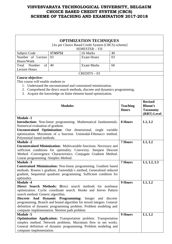|                                                                           |                                                                                                                                               | <b>OPTIMIZATION TECHNIQUES</b><br>[As per Choice Based Credit System (CBCS) scheme] |    |                 |                 |
|---------------------------------------------------------------------------|-----------------------------------------------------------------------------------------------------------------------------------------------|-------------------------------------------------------------------------------------|----|-----------------|-----------------|
|                                                                           |                                                                                                                                               | <b>SEMESTER - VII</b>                                                               |    |                 |                 |
| Subject Code                                                              | 17AS751                                                                                                                                       | <b>IA Marks</b>                                                                     | 40 |                 |                 |
| Number of Lecture                                                         | 03                                                                                                                                            | <b>Exam Hours</b>                                                                   | 03 |                 |                 |
| Hours/Week                                                                |                                                                                                                                               |                                                                                     |    |                 |                 |
| Total<br>Number<br>of                                                     | 40                                                                                                                                            | <b>Exam Marks</b>                                                                   | 60 |                 |                 |
| <b>Lecture Hours</b>                                                      |                                                                                                                                               |                                                                                     |    |                 |                 |
|                                                                           |                                                                                                                                               | $CREDITS - 03$                                                                      |    |                 |                 |
| Course objective:                                                         |                                                                                                                                               |                                                                                     |    |                 |                 |
| This course will enable students to                                       |                                                                                                                                               |                                                                                     |    |                 |                 |
| 1.                                                                        | Understand the unconstrained and constrained minimization.                                                                                    |                                                                                     |    |                 |                 |
|                                                                           | 2. Comprehend the direct search methods, discrete and dynamics programming.                                                                   |                                                                                     |    |                 |                 |
|                                                                           | 3. Acquire the knowledge on finite element based optimization.                                                                                |                                                                                     |    |                 |                 |
|                                                                           |                                                                                                                                               |                                                                                     |    |                 |                 |
|                                                                           |                                                                                                                                               |                                                                                     |    |                 | <b>Revised</b>  |
|                                                                           | <b>Modules</b>                                                                                                                                |                                                                                     |    | <b>Teaching</b> | <b>Bloom's</b>  |
|                                                                           |                                                                                                                                               |                                                                                     |    | <b>Hours</b>    | <b>Taxonomy</b> |
| <b>Module -1</b>                                                          |                                                                                                                                               |                                                                                     |    |                 | (RBT) Level     |
| <b>Introduction:</b> Non-linear programming. Mathematical fundamentals.   |                                                                                                                                               |                                                                                     |    | 8 Hours         | L1, L2          |
| Numerical evaluation of gradient.                                         |                                                                                                                                               |                                                                                     |    |                 |                 |
| Unconstrained Optimisation: One dimensional, single variable              |                                                                                                                                               |                                                                                     |    |                 |                 |
| optimization. Maximum of a function. Unimodal-Fibonacci method.           |                                                                                                                                               |                                                                                     |    |                 |                 |
| Polynomial based methods.                                                 |                                                                                                                                               |                                                                                     |    |                 |                 |
| <b>Module -2</b>                                                          |                                                                                                                                               |                                                                                     |    | <b>7 Hours</b>  | L1, L2          |
| <b>Unconstrained Minimization:</b> Multivariable functions. Necessary and |                                                                                                                                               |                                                                                     |    |                 |                 |
| sufficient conditions for optimality. Convexity. Steepest Descent         |                                                                                                                                               |                                                                                     |    |                 |                 |
| Method -Convergence Characteristics. Conjugate Gradient Method.           |                                                                                                                                               |                                                                                     |    |                 |                 |
| Linear programming -Simplex Method.                                       |                                                                                                                                               |                                                                                     |    |                 |                 |
| <b>Module -3</b>                                                          |                                                                                                                                               |                                                                                     |    | 7 Hours         | L1, L2, L3      |
| <b>Constrained Minimization:</b> Non-linear programming. Gradient based   |                                                                                                                                               |                                                                                     |    |                 |                 |
| methods. Rosens's gradient, Zoutendijk's method, Generalised reduced      |                                                                                                                                               |                                                                                     |    |                 |                 |
| gradient, Sequential quadratic programming. Sufficient condition for      |                                                                                                                                               |                                                                                     |    |                 |                 |
| optimality.                                                               |                                                                                                                                               |                                                                                     |    |                 |                 |
| <b>Module -4</b>                                                          |                                                                                                                                               |                                                                                     |    | 9 Hours         | L1, L2          |
| Direct Search Methods: Direct search methods for nonlinear                |                                                                                                                                               |                                                                                     |    |                 |                 |
| optimization. Cyclic coordinate search. Hooke and Jeeves Pattern          |                                                                                                                                               |                                                                                     |    |                 |                 |
|                                                                           | search method. Generic algorithm.                                                                                                             |                                                                                     |    |                 |                 |
|                                                                           | And Dynamic Programming: Integer<br><b>Discrete</b><br>discrete<br>and<br>programming. Branch and bound algorithm for mixed integers. General |                                                                                     |    |                 |                 |
| definition of dynamic programming problem. Problem modeling and           |                                                                                                                                               |                                                                                     |    |                 |                 |
| computer implementation. Shortest path problem                            |                                                                                                                                               |                                                                                     |    |                 |                 |
| <b>Module -5</b>                                                          |                                                                                                                                               |                                                                                     |    | 9 Hours         | L1, L2          |
| <b>Optimisation Application:</b> Transportation problem. Transportation   |                                                                                                                                               |                                                                                     |    |                 |                 |
| simplex method. Network problems. Maximum flow in net works.              |                                                                                                                                               |                                                                                     |    |                 |                 |
| General definition of dynamic programming. Problem modeling and           |                                                                                                                                               |                                                                                     |    |                 |                 |
| computer implementation.                                                  |                                                                                                                                               |                                                                                     |    |                 |                 |
|                                                                           |                                                                                                                                               |                                                                                     |    |                 |                 |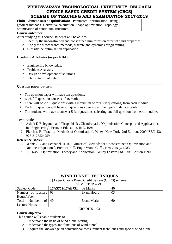# **VISVESVARAYA TECHNOLOGICAL UNIVERSITY, BELGAUM CHOICE BASED CREDIT SYSTEM (CBCS)**

| SCHEME OF TEACHING AND EXAMINATION 2017-2018                                                                                                    |
|-------------------------------------------------------------------------------------------------------------------------------------------------|
| Finite Element Based Optimisation: Parameter optimization using                                                                                 |
| gradient methods -Derivative calculation. Shape optimisation. Topology                                                                          |
| optimisation of continuum structures.                                                                                                           |
| <b>Course outcomes:</b>                                                                                                                         |
| After studying this course, students will be able to:                                                                                           |
| 1. Identify the unconstrained and constrained minimization effect of fluid properties.                                                          |
| 2. Apply the direct search methods, discrete and dynamics programming.                                                                          |
| 3. Classify the optimisation application.                                                                                                       |
| <b>Graduate Attributes (as per NBA):</b>                                                                                                        |
| Engineering Knowledge.                                                                                                                          |
| Problem Analysis.                                                                                                                               |
| Design / development of solutions<br>$\bullet$                                                                                                  |
| Interpretation of data                                                                                                                          |
| <b>Question paper pattern:</b>                                                                                                                  |
| The question paper will have ten questions.                                                                                                     |
| Each full question consists of 16 marks.                                                                                                        |
| There will be 2 full questions (with a maximum of four sub questions) from each module.                                                         |
| Each full question will have sub questions covering all the topics under a module.                                                              |
| The students will have to answer 5 full questions, selecting one full question from each module.                                                |
| <b>Text Books:</b>                                                                                                                              |
| 1. Ashok D Belegundu and Tirupathi R. Chandrupatla, `Optimisation Concepts and Applications<br>in Engineering`, Pearson Education, In C., 1991. |
| 2. Fletcher, R, `Practical Methods of Optimisation`, Wiley, New York ,2nd Edition, 2009, ISBN-13:                                               |
| 978-8126524259.                                                                                                                                 |
| <b>Reference Books:</b>                                                                                                                         |
| 1. Dennis J.E. and Schnabel, R. B., `Numerical Methods for Unconstrained Optimisation and                                                       |
| Nonlinear Equations', Prentice Hall, Engle Wood Cliffs, New Jersey, 1983.                                                                       |
| S.S. Rao, `Optimisation -Theory and Application`, Wiley Eastern Ltd., 5th Edition.1990.<br>2.                                                   |
|                                                                                                                                                 |
|                                                                                                                                                 |
|                                                                                                                                                 |
|                                                                                                                                                 |

| <b>WIND TUNNEL TECHNIQUES</b> |                 |                                                   |    |  |
|-------------------------------|-----------------|---------------------------------------------------|----|--|
|                               |                 | [As per Choice Based Credit System (CBCS) scheme] |    |  |
|                               |                 | <b>SEMESTER - VII</b>                             |    |  |
| <b>Subject Code</b>           | 17AS752/17AE752 | IA Marks                                          | 40 |  |
| Number of Lecture             | 03              | <b>Exam Hours</b>                                 | 03 |  |
| Hours/Week                    |                 |                                                   |    |  |
| Number<br>Total<br>of         | 40              | Exam Marks                                        | 60 |  |
| Lecture Hours                 |                 |                                                   |    |  |
| $CREDITS - 03$                |                 |                                                   |    |  |
|                               |                 |                                                   |    |  |

#### **Course objective:**

This course will enable students to

- 1. Understand the basic of wind tunnel testing.
- 2. Understand the types and functions of wind tunnel.
- 3. Acquire the knowledge on conventional measurement techniques and special wind tunnel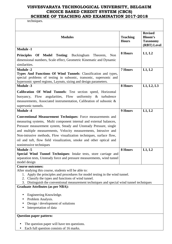techniques.

| <b>Modules</b>                                                                                                                                                                                                                                                                                                                                                                                                                                                                 | <b>Teaching</b><br><b>Hours</b> | <b>Revised</b><br><b>Bloom's</b><br><b>Taxonomy</b><br>(RBT) Level |
|--------------------------------------------------------------------------------------------------------------------------------------------------------------------------------------------------------------------------------------------------------------------------------------------------------------------------------------------------------------------------------------------------------------------------------------------------------------------------------|---------------------------------|--------------------------------------------------------------------|
| <b>Module -1</b><br><b>Principles Of Model Testing:</b> Buckingham Theorem,<br>Non<br>dimensional numbers, Scale effect, Geometric Kinematic and Dynamic<br>similarities.                                                                                                                                                                                                                                                                                                      | 8 Hours                         | L1, L2                                                             |
| <b>Module -2</b><br>Types And Functions Of Wind Tunnels: Classification and types,<br>special problems of testing in subsonic, transonic, supersonic and<br>hypersonic speed regions, Layouts, sizing and design parameters.                                                                                                                                                                                                                                                   | 7 Hours                         | L1, L2                                                             |
| <b>Module -3</b><br>Calibration Of Wind Tunnels: Test section speed, Horizontal<br>angularities, Flow uniformity & turbulence<br>buoyancy, Flow<br>measurements, Associated instrumentation, Calibration of subsonic &<br>supersonic tunnels.                                                                                                                                                                                                                                  | 8 Hours                         | L1, L2, L3                                                         |
| <b>Module -4</b><br><b>Conventional Measurement Techniques:</b> Force measurements and<br>measuring systems, Multi component internal and external balances,<br>Pressure measurement system, Steady and Unsteady Pressure, single<br>and multiple measurements, Velocity measurements, Intrusive and<br>Non-intrusive methods, Flow visualization techniques, surface flow,<br>oil and tuft, flow field visualization, smoke and other optical and<br>nonintrusive techniques  | 9 Hours                         | L1, L2                                                             |
| <b>Module -5</b><br>Special Wind Tunnel Techniques: Intake tests, store carriage and<br>separation tests, Unsteady force and pressure measurements, wind tunnel<br>model design                                                                                                                                                                                                                                                                                                | 8 Hours                         | L1, L2                                                             |
| <b>Course outcomes:</b><br>After studying this course, students will be able to:<br>1. Apply the principles and procedures for model testing in the wind tunnel.<br>2. Classify the types and functions of wind tunnel.<br>3. Distinguish the conventional measurement techniques and special wind tunnel techniques<br><b>Graduate Attributes (as per NBA):</b><br>Engineering Knowledge.<br>Problem Analysis.<br>Design / development of solutions<br>Interpretation of data |                                 |                                                                    |
| <b>Question paper pattern:</b><br>The question paper will have ten questions.                                                                                                                                                                                                                                                                                                                                                                                                  |                                 |                                                                    |

• Each full question consists of 16 marks.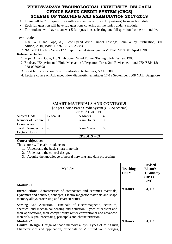- There will be 2 full questions (with a maximum of four sub questions) from each module.
- Each full question will have sub questions covering all the topics under a module.
- The students will have to answer 5 full questions, selecting one full question from each module.

#### **Text Books:**

1. Rae, W.H. and Pope, A., "Low Speed Wind Tunnel Testing", John Wiley Publication, 3rd edition, 2010, ISBN-13: 978-8126525683.

2. NAL-UNI Lecture Series 12:" Experimental Aerodynamics", NAL SP 98 01 April 1998

- 1. Pope, A., and Goin, L., "High Speed Wind Tunnel Testing", John Wiley, 1985.
- 2. Bradsaw "Experimental Fluid Mechanics", Pergamon Press, 2nd Revised edition,1970,ISBN-13: 978-0080069814
- 3. Short term course on Flow visualization techniques, NAL , 2009
- 4. Lecture course on Advanced Flow diagnostic techniques 17-19 September 2008 NAL, Bangalore

|                                                                                                                                                                                                                                                                                       |                                          | <b>SMART MATERIALS AND CONTROLS</b><br>[As per Choice Based Credit System (CBCS) scheme] |    |                                 |                                                                              |
|---------------------------------------------------------------------------------------------------------------------------------------------------------------------------------------------------------------------------------------------------------------------------------------|------------------------------------------|------------------------------------------------------------------------------------------|----|---------------------------------|------------------------------------------------------------------------------|
|                                                                                                                                                                                                                                                                                       |                                          | <b>SEMESTER - VII</b>                                                                    |    |                                 |                                                                              |
| <b>Subject Code</b>                                                                                                                                                                                                                                                                   | 17AS753                                  | <b>IA Marks</b>                                                                          | 40 |                                 |                                                                              |
| Number of Lecture                                                                                                                                                                                                                                                                     | 03                                       | <b>Exam Hours</b>                                                                        | 03 |                                 |                                                                              |
| Hours/Week                                                                                                                                                                                                                                                                            |                                          |                                                                                          |    |                                 |                                                                              |
| Total Number of                                                                                                                                                                                                                                                                       | 40                                       | <b>Exam Marks</b>                                                                        | 60 |                                 |                                                                              |
| <b>Lecture Hours</b>                                                                                                                                                                                                                                                                  |                                          |                                                                                          |    |                                 |                                                                              |
|                                                                                                                                                                                                                                                                                       |                                          | $CREDITS - 03$                                                                           |    |                                 |                                                                              |
| <b>Course objective:</b>                                                                                                                                                                                                                                                              |                                          |                                                                                          |    |                                 |                                                                              |
| This course will enable students to                                                                                                                                                                                                                                                   |                                          |                                                                                          |    |                                 |                                                                              |
|                                                                                                                                                                                                                                                                                       | 1. Understand the basic smart materials. |                                                                                          |    |                                 |                                                                              |
|                                                                                                                                                                                                                                                                                       | 2. Understand the control design.        |                                                                                          |    |                                 |                                                                              |
|                                                                                                                                                                                                                                                                                       |                                          | 3. Acquire the knowledge of neural networks and data processing.                         |    |                                 |                                                                              |
|                                                                                                                                                                                                                                                                                       | <b>Modules</b>                           |                                                                                          |    | <b>Teaching</b><br><b>Hours</b> | <b>Revised</b><br><b>Bloom's</b><br><b>Taxonomy</b><br>(RBT)<br><b>Level</b> |
| <b>Module -1</b><br>Introduction: Characteristics of composites and ceramics materials,<br>Dynamics and controls, concepts, Electro-magnetic materials and shape<br>memory alloys processing and characteristics.                                                                     |                                          |                                                                                          |    | 9 Hours                         | L1, L2                                                                       |
| Sensing And Actuation: Principals of electromagnetic, acoustics,<br>chemical and mechanical sensing and actuation, Types of sensors and<br>their applications, their compatibility writer conventional and advanced<br>materials, signal processing, principals and characterization. |                                          |                                                                                          |    |                                 |                                                                              |
| Module $-2$                                                                                                                                                                                                                                                                           |                                          |                                                                                          |    | 9 Hours                         | L1, L2                                                                       |
| <b>Control Design:</b> Design of shape memory alloys, Types of MR fluids,                                                                                                                                                                                                             |                                          |                                                                                          |    |                                 |                                                                              |
| Characteristics and application, principals of MR fluid value designs,                                                                                                                                                                                                                |                                          |                                                                                          |    |                                 |                                                                              |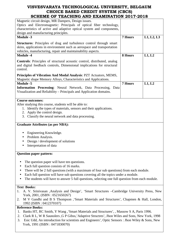| Magnetic circuit design, MR Dampers, Design issues.                                                |                |            |
|----------------------------------------------------------------------------------------------------|----------------|------------|
| Optics and Electromagnetic: Principals of optical fiber technology,                                |                |            |
| characteristics of active and adaptive optical system and components,                              |                |            |
| design and manufacturing principles.                                                               |                |            |
| <b>Module -3</b>                                                                                   | <b>7 Hours</b> | L1, L2, L3 |
|                                                                                                    |                |            |
| <b>Structures:</b> Principles of drag and turbulence control through smart                         |                |            |
| skins, applications in environment such as aerospace and transportation                            |                |            |
| vehicles, manufacturing, repair and maintainability aspects.                                       |                |            |
| <b>Module -4</b>                                                                                   | 8 Hours        | L1, L2     |
| <b>Controls:</b> Principles of structural acoustic control, distributed, analog                    |                |            |
| and digital feedback controls, Dimensional implications for structural                             |                |            |
| control.                                                                                           |                |            |
|                                                                                                    |                |            |
| Principles of Vibration And Modal Analysis: PZT Actuators, MEMS,                                   |                |            |
| Magnetic shape Memory Alloys, Characteristics and Applications.                                    |                |            |
| <b>Module -5</b>                                                                                   | <b>7 Hours</b> | L1, L2     |
| Information Processing: Neural Network, Data Processing, Data                                      |                |            |
| Visualization and Reliability – Principals and Application domains.                                |                |            |
|                                                                                                    |                |            |
| <b>Course outcomes:</b>                                                                            |                |            |
|                                                                                                    |                |            |
| After studying this course, students will be able to:                                              |                |            |
| 1. Identify the types of materials, sensors and their applications.                                |                |            |
| 2. Apply the control design.                                                                       |                |            |
| 3. Classify the neural network and data processing.                                                |                |            |
|                                                                                                    |                |            |
| <b>Graduate Attributes (as per NBA):</b>                                                           |                |            |
|                                                                                                    |                |            |
| Engineering Knowledge.                                                                             |                |            |
| Problem Analysis.                                                                                  |                |            |
| Design / development of solutions                                                                  |                |            |
| Interpretation of data                                                                             |                |            |
|                                                                                                    |                |            |
| <b>Question paper pattern:</b>                                                                     |                |            |
|                                                                                                    |                |            |
| The question paper will have ten questions.                                                        |                |            |
| Each full question consists of 16 marks.                                                           |                |            |
| There will be 2 full questions (with a maximum of four sub questions) from each module.            |                |            |
|                                                                                                    |                |            |
| Each full question will have sub questions covering all the topics under a module.                 |                |            |
| The students will have to answer 5 full questions, selecting one full question from each module.   |                |            |
|                                                                                                    |                |            |
| <b>Text Books:</b>                                                                                 |                |            |
| A. V. Srinivasan , Analysis and Design', 'Smart Structures - Cambridge University Press, New<br>1. |                |            |
| York, 2001, (ISBN: 0521650267)                                                                     |                |            |
| M V Gandhi and B S Thompson , Smart Materials and Structures', Chapmen & Hall, London,<br>2.       |                |            |
| 1992 (ISBN: 0412370107)                                                                            |                |            |
| <b>Reference Books:</b>                                                                            |                |            |

- 1. Banks HT, RC Smith, Y Wang ,'Smart Materials and Structures', , Massow S A, Paris 1996.
- 2. Clark R L, W R Saunolers ,G P Gibss,'Adaptive Structres', Jhon Wiles and Sons, New York, 1998
- 3. Esic Udd, An introduction for scientists and Engineers', Optic Sensors : Jhon Wiley & Sons, New York, 1991 (ISBN : 0471830070)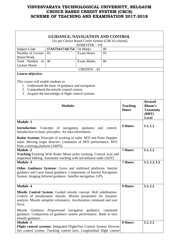|                                                                                                                                                                                                                          | <b>GUIDANCE, NAVIGATION AND CONTROL</b><br>[As per Choice Based Credit System (CBCS) scheme]                                                                                                              |                       |    |                                 |                                                                       |
|--------------------------------------------------------------------------------------------------------------------------------------------------------------------------------------------------------------------------|-----------------------------------------------------------------------------------------------------------------------------------------------------------------------------------------------------------|-----------------------|----|---------------------------------|-----------------------------------------------------------------------|
|                                                                                                                                                                                                                          |                                                                                                                                                                                                           | <b>SEMESTER - VII</b> |    |                                 |                                                                       |
| Subject Code                                                                                                                                                                                                             | 17AS754/17AE754                                                                                                                                                                                           | <b>IA Marks</b>       | 40 |                                 |                                                                       |
| Number of Lecture                                                                                                                                                                                                        | 03                                                                                                                                                                                                        | <b>Exam Hours</b>     | 03 |                                 |                                                                       |
| Hours/Week                                                                                                                                                                                                               |                                                                                                                                                                                                           |                       |    |                                 |                                                                       |
| Total Number of                                                                                                                                                                                                          | 40                                                                                                                                                                                                        | <b>Exam Marks</b>     | 60 |                                 |                                                                       |
| <b>Lecture Hours</b>                                                                                                                                                                                                     |                                                                                                                                                                                                           | $CREDITS - 03$        |    |                                 |                                                                       |
| <b>Course objective:</b>                                                                                                                                                                                                 |                                                                                                                                                                                                           |                       |    |                                 |                                                                       |
| This course will enable students to                                                                                                                                                                                      | 1. Understand the basic of guidance and navigation.<br>2. Comprehend the missile control system.<br>3. Acquire the knowledge of flight control systems.<br><b>Modules</b>                                 |                       |    | <b>Teaching</b><br><b>Hours</b> | <b>Revised</b><br>Bloom's<br><b>Taxonomy</b><br>(RBT)<br><b>Level</b> |
| <b>Module -1</b>                                                                                                                                                                                                         |                                                                                                                                                                                                           |                       |    |                                 |                                                                       |
| <b>Introduction:</b> Concepts of navigation, guidance<br>and control.<br>Introduction to basic principles. Air data information.                                                                                         |                                                                                                                                                                                                           |                       |    | 9 Hours                         | L1, L2                                                                |
| from a moving platform (AMTI)                                                                                                                                                                                            | Radar Systems: Principle of working of radar. MTI and Pulse Doppler<br>radar. Moving target detector. Limitation of MTI performance. MTI                                                                  |                       |    |                                 |                                                                       |
| <b>Module -2</b>                                                                                                                                                                                                         |                                                                                                                                                                                                           |                       |    | <b>7 Hours</b>                  | L1, L2                                                                |
|                                                                                                                                                                                                                          | Tracking: Tracking With Radar Mono pulse tracking. Conical scan and                                                                                                                                       |                       |    |                                 |                                                                       |
|                                                                                                                                                                                                                          | sequential lobbing. Automatic tracking with surveillance radar (ADT)                                                                                                                                      |                       |    |                                 |                                                                       |
| <b>Module -3</b>                                                                                                                                                                                                         |                                                                                                                                                                                                           |                       |    | 7 Hours                         | L1, L2, L3                                                            |
|                                                                                                                                                                                                                          | Other Guidance Systems: Gyros and stabilised platforms. Inertial<br>guidance and Laser based guidance. Components of Inertial Navigation<br>System. Imaging Infrared guidance. Satellite navigation. GPS. |                       |    |                                 |                                                                       |
| <b>Module -4</b>                                                                                                                                                                                                         |                                                                                                                                                                                                           |                       |    | 9 Hours                         | L1, L2                                                                |
| Missile Control System: Guided missile concept. Roll stabilisation.<br>Control of aerodynamic missile. Missile parameters for dynamic<br>analysis. Missile autopilot schematics. Acceleration command and root<br>locus. |                                                                                                                                                                                                           |                       |    |                                 |                                                                       |
| Missile<br>missile guidance.                                                                                                                                                                                             | Guidance Proportional navigation guidance; command<br>guidance. Comparison of guidance system performance. Bank to turn                                                                                   |                       |    |                                 |                                                                       |
| <b>Module -5</b>                                                                                                                                                                                                         |                                                                                                                                                                                                           |                       |    | 8 Hours                         | L1, L2                                                                |
|                                                                                                                                                                                                                          | Flight control systems: Integrated Flight/Fire Control System Director<br>fire control system. Tracking control laws. Longitudinal flight control                                                         |                       |    |                                 |                                                                       |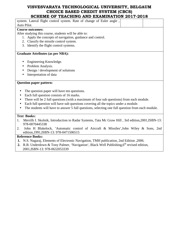# **VISVESVARAYA TECHNOLOGICAL UNIVERSITY, BELGAUM CHOICE BASED CREDIT SYSTEM (CBCS)**

| SCHEME OF TEACHING AND EXAMINATION 2017-2018                                                                                         |
|--------------------------------------------------------------------------------------------------------------------------------------|
| system. Lateral flight control system. Rate of change of Euler angle,                                                                |
| Auto Pilot.                                                                                                                          |
| <b>Course outcomes:</b>                                                                                                              |
| After studying this course, students will be able to:                                                                                |
| 1. Apply the concepts of navigation, guidance and control.                                                                           |
| 2. Classify the missile control system.                                                                                              |
| 3. Identify the flight control systems.                                                                                              |
| <b>Graduate Attributes (as per NBA):</b>                                                                                             |
| Engineering Knowledge.                                                                                                               |
| Problem Analysis.<br>$\bullet$                                                                                                       |
| Design / development of solutions                                                                                                    |
| Interpretation of data                                                                                                               |
| <b>Question paper pattern:</b>                                                                                                       |
| The question paper will have ten questions.<br>$\bullet$                                                                             |
| Each full question consists of 16 marks.<br>$\bullet$                                                                                |
| There will be 2 full questions (with a maximum of four sub questions) from each module.                                              |
| Each full question will have sub questions covering all the topics under a module.                                                   |
| The students will have to answer 5 full questions, selecting one full question from each module.                                     |
| <b>Text Books:</b>                                                                                                                   |
| Merrilh I. Skolnik, Introduction to Radar Systems, Tata Mc Graw Hill, 3rd edition, 2001, ISBN-13:<br>1.<br>978-0070445338            |
| John H Blakelock, 'Automatic control of Aircraft & Missiles', John Wiley & Sons, 2nd<br>2.<br>edition, 1991, ISBN-13: 978-0471506515 |

- **1.** N.S. Nagaraj, Elements of Electronic Navigation, TMH publication, 2nd Edition ,2006.
- **2.** R.B. Underdown & Tony Palmer, 'Navigation', Black Well Publishing,6<sup>th</sup> revised edition, 2001,ISBN-13: 978-0632053339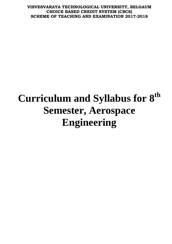# **Curriculum and Syllabus for 8th Semester, Aerospace Engineering**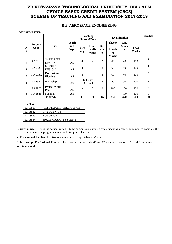#### **B.E. AEROSPACE ENGINEERING**

#### **VIII SEMESTER**

| S                   |                        |                                        |                              |                | <b>Teaching</b><br><b>Hours/Week</b> |                            | <b>Examination</b>                                    |                          |                              | <b>Credits</b> |
|---------------------|------------------------|----------------------------------------|------------------------------|----------------|--------------------------------------|----------------------------|-------------------------------------------------------|--------------------------|------------------------------|----------------|
| l.<br>N<br>$\bf{0}$ | <b>Subject</b><br>Code | Title                                  | <b>Teach</b><br>ing<br>Dept. | The<br>ory     | Practi<br>cal/Dr<br>awing            | Dur<br>atio<br>$\mathbf n$ | <b>Theory</b><br><b>Practic</b><br>al<br><b>Marks</b> | I.A.<br><b>Mark</b><br>S | <b>Total</b><br><b>Marks</b> |                |
| 1                   | 17AS81                 | <b>SATELLITE</b><br><b>DESIGN</b>      | AS                           | $\overline{4}$ |                                      | 3                          | 60                                                    | 40                       | 100                          | $\overline{4}$ |
| $\overline{2}$      | 17AS82                 | <b>MISSILE</b><br><b>DESIGN</b>        | AS                           | $\overline{4}$ | L,                                   | 3                          | 60                                                    | 40                       | 100                          | $\overline{4}$ |
| 3                   | 17AS83X                | <b>Professional</b><br><b>Elective</b> | AS                           | 3              | ÷,                                   | 3                          | 60                                                    | 40                       | 100                          | 3              |
| $\overline{4}$      | 17AS84                 | Internship                             | AS                           |                | Industry<br>Oriented                 | 3                          | 50                                                    | 50                       | 100                          | 2              |
| 5                   | 17ASP85                | Project Work<br>Phase II               | AS                           |                | 6                                    | $\mathcal{E}$              | 100                                                   | 100                      | 200                          | 6              |
| 6                   | 17ASS86                | Seminar                                | AS                           | ٠              | $\overline{4}$                       | $\overline{\phantom{0}}$   |                                                       | 100                      | 100                          |                |
|                     |                        | <b>TOTAL</b>                           |                              | 11             | 10                                   | 15                         | 330                                                   | 370                      | 700                          | 20             |

| <b>Elective-I</b> |                                |
|-------------------|--------------------------------|
| 17AS831           | <b>ARTIFICIAL INTELLIGENCE</b> |
| 17AS832           | <b>CRYOGENICS</b>              |
| 17AS833           | <b>ROBOTICS</b>                |
| 17AS834           | <b>SPACE CRAFT SYSTEMS</b>     |

1. **Core subject:** This is the course, which is to be compulsorily studied by a student as a core requirement to complete the requirement of a programme in a said discipline of study.

**2. Professional Elective:** Elective relevant to chosen specialization/ branch

**3. Internship / Professional Practice:** To be carried between the  $6<sup>th</sup>$  and  $7<sup>th</sup>$  semester vacation or  $7<sup>th</sup>$  and  $8<sup>th</sup>$  semester vacation period.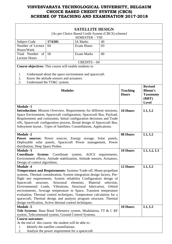|                                                                                                                                                                                                                                                                                                                                                                                                                                                                                                                                                                                            |                                                        | <b>SATELLITE DESIGN</b> |    |                                 |                                                                              |  |  |
|--------------------------------------------------------------------------------------------------------------------------------------------------------------------------------------------------------------------------------------------------------------------------------------------------------------------------------------------------------------------------------------------------------------------------------------------------------------------------------------------------------------------------------------------------------------------------------------------|--------------------------------------------------------|-------------------------|----|---------------------------------|------------------------------------------------------------------------------|--|--|
| [As per Choice Based Credit System (CBCS) scheme]                                                                                                                                                                                                                                                                                                                                                                                                                                                                                                                                          |                                                        |                         |    |                                 |                                                                              |  |  |
|                                                                                                                                                                                                                                                                                                                                                                                                                                                                                                                                                                                            | <b>SEMESTER - VIII</b>                                 |                         |    |                                 |                                                                              |  |  |
| Subject Code                                                                                                                                                                                                                                                                                                                                                                                                                                                                                                                                                                               | <b>17AS81</b>                                          | <b>IA Marks</b>         | 40 |                                 |                                                                              |  |  |
| Number of Lecture                                                                                                                                                                                                                                                                                                                                                                                                                                                                                                                                                                          | 04                                                     | Exam Hours              | 03 |                                 |                                                                              |  |  |
| Hours/Week                                                                                                                                                                                                                                                                                                                                                                                                                                                                                                                                                                                 |                                                        |                         |    |                                 |                                                                              |  |  |
| Total Number of                                                                                                                                                                                                                                                                                                                                                                                                                                                                                                                                                                            | 50                                                     | <b>Exam Marks</b>       | 60 |                                 |                                                                              |  |  |
| <b>Lecture Hours</b>                                                                                                                                                                                                                                                                                                                                                                                                                                                                                                                                                                       |                                                        |                         |    |                                 |                                                                              |  |  |
|                                                                                                                                                                                                                                                                                                                                                                                                                                                                                                                                                                                            |                                                        | $CREDITS - 04$          |    |                                 |                                                                              |  |  |
| Course objectives: This course will enable students to                                                                                                                                                                                                                                                                                                                                                                                                                                                                                                                                     |                                                        |                         |    |                                 |                                                                              |  |  |
|                                                                                                                                                                                                                                                                                                                                                                                                                                                                                                                                                                                            |                                                        |                         |    |                                 |                                                                              |  |  |
| 1.                                                                                                                                                                                                                                                                                                                                                                                                                                                                                                                                                                                         | Understand about the space environment and spacecraft. |                         |    |                                 |                                                                              |  |  |
| 2.                                                                                                                                                                                                                                                                                                                                                                                                                                                                                                                                                                                         | Know the attitude sensors and actuators.               |                         |    |                                 |                                                                              |  |  |
| 3.                                                                                                                                                                                                                                                                                                                                                                                                                                                                                                                                                                                         | Understand the TT&C system.                            |                         |    |                                 |                                                                              |  |  |
| <b>Modules</b>                                                                                                                                                                                                                                                                                                                                                                                                                                                                                                                                                                             |                                                        |                         |    | <b>Teaching</b><br><b>Hours</b> | <b>Revised</b><br><b>Bloom's</b><br><b>Taxonomy</b><br>(RBT)<br><b>Level</b> |  |  |
| <b>Module -1</b><br>Introduction: Mission Overview, Requirements for different missions,<br>10 Hours<br>L1, L2<br>Space Environment, Spacecraft configuration, Spacecraft Bus, Payload,<br>Requirements and constraints, Initial configuration decisions and Trade<br>offs, Spacecraft configuration process, Broad design of Spacecraft Bus,<br>Subsystem layout, Types of Satellites, Constellations, Applications.                                                                                                                                                                      |                                                        |                         |    |                                 |                                                                              |  |  |
| <b>Module -2</b>                                                                                                                                                                                                                                                                                                                                                                                                                                                                                                                                                                           |                                                        |                         |    | 08 Hours                        | L1, L2                                                                       |  |  |
| <b>Power sources:</b> Power sources, Energy storage, Solar panels,<br>Deployable solar panels, Spacecraft Power management, Power<br>distribution, Deep Space Probes                                                                                                                                                                                                                                                                                                                                                                                                                       |                                                        |                         |    |                                 |                                                                              |  |  |
| <b>Module -3</b>                                                                                                                                                                                                                                                                                                                                                                                                                                                                                                                                                                           |                                                        |                         |    | 10 Hours                        | L1, L2, L3                                                                   |  |  |
| Coordinate System: Coordinate system, AOCS requirements,                                                                                                                                                                                                                                                                                                                                                                                                                                                                                                                                   |                                                        |                         |    |                                 |                                                                              |  |  |
| Environment effects, Attitude stabilization, Attitude sensors, Actuators,                                                                                                                                                                                                                                                                                                                                                                                                                                                                                                                  |                                                        |                         |    |                                 |                                                                              |  |  |
| Design of control algorithms.                                                                                                                                                                                                                                                                                                                                                                                                                                                                                                                                                              |                                                        |                         |    |                                 |                                                                              |  |  |
| <b>Module -4</b>                                                                                                                                                                                                                                                                                                                                                                                                                                                                                                                                                                           |                                                        |                         |    | 12 Hours                        | L1, L2                                                                       |  |  |
| Temperature and Requirements: Systems Trade-off, Mono-propellant<br>systems, Thermal consideration, System integration design factors, Pre-<br>flight test requirements, System reliability Configuration design of<br>Spacecraft<br>structure,<br>Environmental Loads, Vibrations, Structural fabrication,<br>environments, Average temperature in Space, Transient temperature<br>evaluation, Thermal control techniques, Temperature calculation for a<br>spacecraft, Thermal design and analysis program structure, Thermal<br>design verification, Active thermal control techniques. |                                                        |                         |    |                                 |                                                                              |  |  |
| <b>Module -5</b>                                                                                                                                                                                                                                                                                                                                                                                                                                                                                                                                                                           |                                                        |                         |    | 10 Hours                        | L1, L2                                                                       |  |  |
| Tele Systems: Base Band Telemetry system, Modulation, TT & C RF                                                                                                                                                                                                                                                                                                                                                                                                                                                                                                                            |                                                        |                         |    |                                 |                                                                              |  |  |
| system, Telecommand system, Ground Control Systems.                                                                                                                                                                                                                                                                                                                                                                                                                                                                                                                                        |                                                        |                         |    |                                 |                                                                              |  |  |
| <b>Course outcomes:</b>                                                                                                                                                                                                                                                                                                                                                                                                                                                                                                                                                                    |                                                        |                         |    |                                 |                                                                              |  |  |
| At the end of this course the student will be able to:                                                                                                                                                                                                                                                                                                                                                                                                                                                                                                                                     |                                                        |                         |    |                                 |                                                                              |  |  |
| 1.                                                                                                                                                                                                                                                                                                                                                                                                                                                                                                                                                                                         | Identify the satellite constellations.                 |                         |    |                                 |                                                                              |  |  |
| 2.                                                                                                                                                                                                                                                                                                                                                                                                                                                                                                                                                                                         | Analyze the power requirement for a spacecraft         |                         |    |                                 |                                                                              |  |  |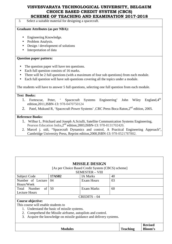3. Select a suitable material for designing a spacecraft.

#### **Graduate Attributes (as per NBA):**

- Engineering Knowledge.
- Problem Analysis.
- Design / development of solutions
- Interpretation of data

#### **Question paper pattern:**

- The question paper will have ten questions.
- Each full question consists of 16 marks.
- There will be 2 full questions (with a maximum of four sub questions) from each module.
- Each full question will have sub questions covering all the topics under a module.

The students will have to answer 5 full questions, selecting one full question from each module.

#### **Text Books:**

- 1. Fortescue, Peter, ' Spacecraft Systems Engineering' John Wiley England, 4<sup>th</sup> edition,2011,ISBN-13: 978-0470750124
- 2. Patel, Mukund R, 'Spacecraft Power Systems', CRC Press Boca Raton, 2<sup>nd</sup> edition, 2005.

- 1. Wilbur L. Pritchard and Joseph A.Sciulli, Satellite Communication Systems Engineering, Pearson Education India, 2<sup>nd</sup> edition, 2003, ISBN-13: 978-8131702420.
- 2. Marcel j. sidi, "Spacecraft Dynamics and control, A Practical Engineering Approach", Cambridge University Press, Reprint edition,2000,ISBN-13: 978-0521787802.

|                                                                       | <b>MISSILE DESIGN</b>                                    |                                                   |                 |  |                |  |  |
|-----------------------------------------------------------------------|----------------------------------------------------------|---------------------------------------------------|-----------------|--|----------------|--|--|
|                                                                       |                                                          | [As per Choice Based Credit System (CBCS) scheme] |                 |  |                |  |  |
|                                                                       |                                                          | <b>SEMESTER - VIII</b>                            |                 |  |                |  |  |
| Subject Code                                                          | <b>17AS82</b>                                            | <b>IA Marks</b>                                   | 40              |  |                |  |  |
| Number of Lecture                                                     | 04                                                       | <b>Exam Hours</b>                                 | 03              |  |                |  |  |
| Hours/Week                                                            |                                                          |                                                   |                 |  |                |  |  |
| of<br>Total Number                                                    | 50                                                       | Exam Marks                                        | 60              |  |                |  |  |
| <b>Lecture Hours</b>                                                  |                                                          |                                                   |                 |  |                |  |  |
|                                                                       |                                                          | $CREDITS - 04$                                    |                 |  |                |  |  |
| Course objective:                                                     |                                                          |                                                   |                 |  |                |  |  |
| This course will enable students to                                   |                                                          |                                                   |                 |  |                |  |  |
|                                                                       | Understand the basic of missile systems.                 |                                                   |                 |  |                |  |  |
| 2.                                                                    | Comprehend the Missile airframe, autopilots and control. |                                                   |                 |  |                |  |  |
| Acquire the knowledge on missile guidance and delivery systems.<br>3. |                                                          |                                                   |                 |  |                |  |  |
|                                                                       |                                                          |                                                   |                 |  |                |  |  |
|                                                                       |                                                          |                                                   |                 |  | <b>Revised</b> |  |  |
|                                                                       | <b>Modules</b>                                           |                                                   | <b>Teaching</b> |  | <b>Bloom's</b> |  |  |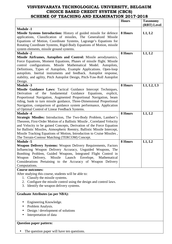|                                                                                                                                                                                                                                                                                                                                                                                                                                      | <b>Hours</b> | <b>Taxonomy</b><br>(RBT) Level |
|--------------------------------------------------------------------------------------------------------------------------------------------------------------------------------------------------------------------------------------------------------------------------------------------------------------------------------------------------------------------------------------------------------------------------------------|--------------|--------------------------------|
| <b>Module -1</b><br>Missile Systems Introduction: History of guided missile for defence<br>applications, Classification of missiles, The Generalized Missile<br>Equations of Motion, Coordinate Systems, Lagrange's Equations for<br>Rotating Coordinate Systems, Rigid-Body Equations of Motion, missile<br>system elements, missile ground systems.                                                                                | 8 Hours      | L1, L2                         |
| <b>Module -2</b><br>Missile Airframes, Autopilots and Control: Missile aerodynamics,                                                                                                                                                                                                                                                                                                                                                 | 8 Hours      | L1, L2                         |
| Force Equations, Moment Equations, Phases of missile flight. Missile<br>control configurations. Missile Mathematical Model. Autopilots,<br>Definitions, Types of Autopilots, Example Applications. Open-loop<br>autopilots. Inertial instruments and feedback. Autopilot response,<br>stability, and agility, Pitch Autopilot Design, Pitch-Yaw-Roll Autopilot<br>Design.                                                            |              |                                |
| <b>Module -3</b>                                                                                                                                                                                                                                                                                                                                                                                                                     | 8 Hours      | L1, L2, L3                     |
| Missile Guidance Laws: Tactical Guidance Intercept Techniques,<br>Guidance<br>Equations, explicit,<br>of the fundamental<br>Derivation<br>Proportional Navigation, Augmented Proportional Navigation, beam<br>riding, bank to turn missile guidance, Three-Dimensional Proportional<br>Navigation, comparison of guidance system performance, Application<br>of Optimal Control of Linear Feedback Systems.                          |              |                                |
| <b>Module -4</b>                                                                                                                                                                                                                                                                                                                                                                                                                     | 8 Hours      | L1, L2                         |
| <b>Strategic Missiles:</b> Introduction, The Two-Body Problem, Lambert's<br>Theorem, First-Order Motion of a Ballistic Missile, Correlated Velocity<br>and Velocity to be gained Concepts, Derivation of the Force Equation<br>for Ballistic Missiles, Atmospheric Reentry, Ballistic Missile Intercept,<br>Missile Tracking Equations of Motion, Introduction to Cruise Missiles,<br>The Terrain-Contour Matching (TERCOM) Concept. |              |                                |
| <b>Module -5</b>                                                                                                                                                                                                                                                                                                                                                                                                                     | 8 Hours      | L1, L2                         |
| Weapon Delivery Systems: Weapon Delivery Requirements, Factors<br>Influencing Weapon Delivery Accuracy, Unguided Weapons, The<br>Bombing Problem, Guided Weapons, Integrated Flight Control in<br>Delivery,<br>Missile Launch Envelope, Mathematical<br>Weapon<br>Considerations Pertaining to the Accuracy of Weapon Delivery<br>Computations.                                                                                      |              |                                |
| <b>Course outcomes:</b>                                                                                                                                                                                                                                                                                                                                                                                                              |              |                                |
| After studying this course, students will be able to:<br>1. Classify the missile systems.<br>2. Configure the missile control using the design and control laws.<br>3. Identify the weapon delivery systems.                                                                                                                                                                                                                         |              |                                |
| <b>Graduate Attributes (as per NBA):</b>                                                                                                                                                                                                                                                                                                                                                                                             |              |                                |
| Engineering Knowledge.<br>Problem Analysis.<br>Design / development of solutions<br>$\bullet$<br>Interpretation of data                                                                                                                                                                                                                                                                                                              |              |                                |
| <b>Question paper pattern:</b>                                                                                                                                                                                                                                                                                                                                                                                                       |              |                                |
| The question paper will have ten questions.                                                                                                                                                                                                                                                                                                                                                                                          |              |                                |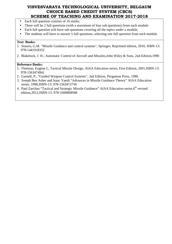- Each full question consists of 16 marks.
- There will be 2 full questions (with a maximum of four sub questions) from each module.
- Each full question will have sub questions covering all the topics under a module.
- The students will have to answer 5 full questions, selecting one full question from each module.

#### **Text Books:**

- 1. Siouris, G.M. "Missile Guidance and control systems", Springer, Reprinted edition, 2010, ISBN-13: 978-1441918352
- 2. Blakelock, J. H.; Automatic Control of Aircraft and Missiles,John Wiley & Sons, 2nd Edition,1990

- 1**.** Fleeman, Eugene L, Tactical Missile Design, AIAA Education series, First Edition, 2001,ISBN-13: 978-1563474941
- 2. Garnell, P., "Guided Weapon Control Systems", 2nd Edition, Pergamon Press, 1980.
- 3. Joseph Ben Asher and Isaac Yaesh "Advances in Missile Guidance Theory" AIAA Education series, 1998,ISBN-13: 978-1563472756
- 4. Paul Zarchan "Tactical and Strategic Missile Guidance" AIAA Education series, 6<sup>th</sup> revised edition,2012,ISBN-13: 978-1600868948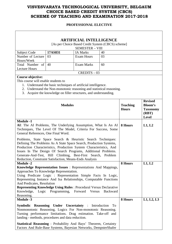#### **PROFESSIONAL ELECTIVE**

| <b>ARTIFICIAL INTELLIGENCE</b>                                                                                                                                                                                                                                                                                                                                                                                                                                         |                                                                                                                                                                                                          |                   |    |                                 |                                                                              |  |  |
|------------------------------------------------------------------------------------------------------------------------------------------------------------------------------------------------------------------------------------------------------------------------------------------------------------------------------------------------------------------------------------------------------------------------------------------------------------------------|----------------------------------------------------------------------------------------------------------------------------------------------------------------------------------------------------------|-------------------|----|---------------------------------|------------------------------------------------------------------------------|--|--|
|                                                                                                                                                                                                                                                                                                                                                                                                                                                                        | [As per Choice Based Credit System (CBCS) scheme]<br><b>SEMESTER - VIII</b>                                                                                                                              |                   |    |                                 |                                                                              |  |  |
| Subject Code                                                                                                                                                                                                                                                                                                                                                                                                                                                           | 17AS831                                                                                                                                                                                                  | <b>IA Marks</b>   | 40 |                                 |                                                                              |  |  |
| Number of Lecture                                                                                                                                                                                                                                                                                                                                                                                                                                                      | 03                                                                                                                                                                                                       | <b>Exam Hours</b> | 03 |                                 |                                                                              |  |  |
| Hours/Week                                                                                                                                                                                                                                                                                                                                                                                                                                                             |                                                                                                                                                                                                          |                   |    |                                 |                                                                              |  |  |
| Total Number of<br><b>Lecture Hours</b>                                                                                                                                                                                                                                                                                                                                                                                                                                | 40                                                                                                                                                                                                       | <b>Exam Marks</b> | 60 |                                 |                                                                              |  |  |
|                                                                                                                                                                                                                                                                                                                                                                                                                                                                        |                                                                                                                                                                                                          | $CREDITS - 03$    |    |                                 |                                                                              |  |  |
| Course objective:<br>This course will enable students to<br>3.                                                                                                                                                                                                                                                                                                                                                                                                         | 1. Understand the basic techniques of artificial intelligence.<br>2. Understand the Non-monotonic reasoning and statistical reasoning.<br>Acquire the knowledge on filler structures, and understanding. |                   |    |                                 |                                                                              |  |  |
|                                                                                                                                                                                                                                                                                                                                                                                                                                                                        | <b>Modules</b>                                                                                                                                                                                           |                   |    | <b>Teaching</b><br><b>Hours</b> | <b>Revised</b><br><b>Bloom's</b><br><b>Taxonomy</b><br>(RBT)<br><b>Level</b> |  |  |
| <b>Module -1</b><br>AI: The AI Problems, The Underlying Assumption, What Is An AI<br>Techniques, The Level Of The Model, Criteria For Success, Some<br>General References, One Final Word.<br>Problems, State Space Search & Heuristic Search Techniques:<br>Defining The Problems As A State Space Search, Production Systems,<br>Production Characteristics, Production System Characteristics, And<br>Issues In The Design Of Search Programs, Additional Problems. | 8 Hours                                                                                                                                                                                                  | L1, L2            |    |                                 |                                                                              |  |  |
| Generate-And-Test, Hill Climbing, Best-First Search, Problem<br>Reduction, Constraint Satisfaction, Means-Ends Analysis                                                                                                                                                                                                                                                                                                                                                |                                                                                                                                                                                                          |                   |    |                                 |                                                                              |  |  |
| <b>Module -2</b><br>Knowledge Representation Issues: Representations And Mappings,<br>Approaches To Knowledge Representation.<br>Using Predicate Logic : Representation Simple Facts In Logic,<br>Representing Instance And Isa Relationships, Computable Functions<br>And Predicates, Resolution<br><b>Representing Knowledge Using Rules: Procedural Versus Declarative</b><br>Knowledge, Logic Programming, Forward<br>Reasoning.                                   | 8 Hours                                                                                                                                                                                                  | L1, L2            |    |                                 |                                                                              |  |  |
| <b>Module -3</b>                                                                                                                                                                                                                                                                                                                                                                                                                                                       |                                                                                                                                                                                                          |                   |    | 8 Hours                         | L1, L2, L3                                                                   |  |  |
| <b>Symbolic Reasoning Under Uncertainty: Introduction</b><br>Nonmonotonic Reasoning, Logics For Non-monotonic Reasoning.<br>Turning performance limitations. Drag estimation. Take-off and<br>landing - methods, procedures and data reduction.                                                                                                                                                                                                                        |                                                                                                                                                                                                          |                   | To |                                 |                                                                              |  |  |
| <b>Statistical Reasoning: Probability And Bays' Theorem, Certainty</b><br>Factors And Rule-Base Systems, Bayesian Networks, DempsterShafer                                                                                                                                                                                                                                                                                                                             |                                                                                                                                                                                                          |                   |    |                                 |                                                                              |  |  |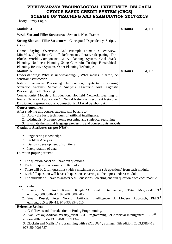| Theory, Fuzzy Logic.                                                                                                                 |         |                              |
|--------------------------------------------------------------------------------------------------------------------------------------|---------|------------------------------|
| <b>Module -4</b>                                                                                                                     | 8 Hours | L1, L2                       |
| <b>Weak Slot-and-Filler Structures: Semantic Nets, Frames.</b>                                                                       |         |                              |
| <b>Strong Slot-and-Filler Structures : Conceptual Dependency, Scripts,</b><br>CYC.                                                   |         |                              |
| Game Playing: Overview, And Example Domain : Overview,                                                                               |         |                              |
| MiniMax, Alpha-Beta Cut-off, Refinements, Iterative deepening, The<br>Blocks World, Components Of A Planning System, Goal Stack      |         |                              |
| Planning, Nonlinear Planning Using Constraint Posting, Hierarchical                                                                  |         |                              |
| Planning, Reactive Systems, Other Planning Techniques                                                                                |         |                              |
| <b>Module -5</b>                                                                                                                     | 8 Hours | L1, L2                       |
| <b>Understanding:</b> What is understanding?, What makes it hard?, As                                                                |         |                              |
| constraint satisfaction.                                                                                                             |         |                              |
| Natural Language Processing: Introduction, Syntactic Processing,                                                                     |         |                              |
| Semantic Analysis, Semantic Analysis, Discourse And Pragmatic                                                                        |         |                              |
| Processing, Spell Checking.                                                                                                          |         |                              |
| Connectionist Models : Introduction: Hopfield Network, Learning In                                                                   |         |                              |
| Neural Network, Application Of Neural Networks, Recurrent Networks,<br>Distributed Representations, Connectionist AI And Symbolic AI |         |                              |
| <b>Course outcomes:</b>                                                                                                              |         |                              |
| After studying this course, students will be able to:                                                                                |         |                              |
| 1. Apply the basic techniques of artificial intelligence.                                                                            |         |                              |
| 2. Distinguish Non-monotonic reasoning and statistical reasoning.                                                                    |         |                              |
| 3. Evaluate the natural language processing and connectionist models.                                                                |         |                              |
| <b>Graduate Attributes (as per NBA):</b>                                                                                             |         |                              |
|                                                                                                                                      |         |                              |
| Engineering Knowledge.<br>Problem Analysis.                                                                                          |         |                              |
| Design / development of solutions                                                                                                    |         |                              |
| Interpretation of data                                                                                                               |         |                              |
| <b>Question paper pattern:</b>                                                                                                       |         |                              |
|                                                                                                                                      |         |                              |
| The question paper will have ten questions.                                                                                          |         |                              |
| Each full question consists of 16 marks.<br>$\bullet$                                                                                |         |                              |
| There will be 2 full questions (with a maximum of four sub questions) from each module.                                              |         |                              |
| Each full question will have sub questions covering all the topics under a module.                                                   |         |                              |
| The students will have to answer 5 full questions, selecting one full question from each module.                                     |         |                              |
| <b>Text Books:</b>                                                                                                                   |         |                              |
| Intelligence",<br>1. Elaine<br>Knight, "Artificial<br>Rich<br>Kevin<br>And                                                           | Tata    | Mcgraw-Hill, $3^{\text{rd}}$ |
| edition, 2008, ISBN-13: 978-0070087705                                                                                               |         |                              |
| 2. Stuart Russel, Peter Norvig , Artificial Intelligence- A Modern Approach,                                                         |         | PEI.3 <sup>rd</sup>          |
| edition, 2015, ISBN-13: 978-9332543515                                                                                               |         |                              |
| <b>Reference Books:</b>                                                                                                              |         |                              |
| 1. Carl Townsend, Introduction to Prolog Programming.                                                                                |         |                              |
| 2. Ivan Bratko(Addison-Wesley), "PROLOG Programming For Artificial Intelligence" PEI, 3rd                                            |         |                              |
| edition, 2002, ISBN-13: 978-8131711347.                                                                                              |         |                              |

3. Clocksin and Mellish,"Programming with PROLOG" , Springer, 5th edition, 2003,ISBN-13: 978-3540006787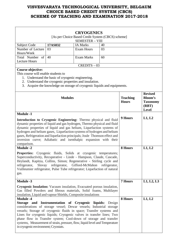|                                                                                                                      |                                                                          | <b>CRYOGENICS</b>             |               |                                 |                                   |  |
|----------------------------------------------------------------------------------------------------------------------|--------------------------------------------------------------------------|-------------------------------|---------------|---------------------------------|-----------------------------------|--|
| [As per Choice Based Credit System (CBCS) scheme]<br><b>SEMESTER - VIII</b>                                          |                                                                          |                               |               |                                 |                                   |  |
| Subject Code                                                                                                         | 17AS832                                                                  | <b>IA Marks</b>               | 40            |                                 |                                   |  |
| Number of Lecture                                                                                                    | 03                                                                       | <b>Exam Hours</b>             | 03            |                                 |                                   |  |
| Hours/Week                                                                                                           |                                                                          |                               |               |                                 |                                   |  |
| Total Number of                                                                                                      | 40                                                                       | <b>Exam Marks</b>             | 60            |                                 |                                   |  |
| <b>Lecture Hours</b>                                                                                                 |                                                                          |                               |               |                                 |                                   |  |
|                                                                                                                      |                                                                          | $CREDITS - 03$                |               |                                 |                                   |  |
| Course objective:<br>This course will enable students to                                                             |                                                                          |                               |               |                                 |                                   |  |
|                                                                                                                      | 1. Understand the basic of cryogenic engineering.                        |                               |               |                                 |                                   |  |
|                                                                                                                      | 2. Understand the cryogenic properties and insulation.                   |                               |               |                                 |                                   |  |
|                                                                                                                      | 3. Acquire the knowledge on storage of cryogenic liquids and equipments. |                               |               |                                 |                                   |  |
|                                                                                                                      |                                                                          |                               |               |                                 |                                   |  |
|                                                                                                                      |                                                                          |                               |               |                                 | <b>Revised</b>                    |  |
|                                                                                                                      | <b>Modules</b>                                                           |                               |               | <b>Teaching</b><br><b>Hours</b> | <b>Bloom's</b><br><b>Taxonomy</b> |  |
|                                                                                                                      |                                                                          |                               |               |                                 | (RBT)                             |  |
|                                                                                                                      |                                                                          |                               |               |                                 | <b>Level</b>                      |  |
| <b>Module -1</b>                                                                                                     |                                                                          |                               |               |                                 |                                   |  |
| Introduction to Cryogenic Engineering: Thermo physical and fluid                                                     |                                                                          |                               |               | 9 Hours                         | L1, L2                            |  |
| dynamic properties of liquid and gas hydrogen, Thermo physical and fluid                                             |                                                                          |                               |               |                                 |                                   |  |
| dynamic properties of liquid and gas helium, Liquefaction systems of                                                 |                                                                          |                               |               |                                 |                                   |  |
| hydrogen and helium gases, Liquefaction systems of hydrogen and helium                                               |                                                                          |                               |               |                                 |                                   |  |
| gases, Refrigeration and liquefaction principals; Joule Thomson effect and                                           |                                                                          |                               |               |                                 |                                   |  |
| inversion curve; Adiabatic and isenthalpic expansion with their                                                      |                                                                          |                               |               |                                 |                                   |  |
| comparison.                                                                                                          |                                                                          |                               |               |                                 |                                   |  |
| <b>Module -2</b>                                                                                                     |                                                                          |                               |               | 8 Hours                         | L1, L2                            |  |
| <b>Properties:</b>                                                                                                   | Cryogenic fluids, Solids at cryogenic                                    |                               | temperatures; |                                 |                                   |  |
| Superconductivity, Recuperative - Linde - Hampson, Claude, Cascade,                                                  |                                                                          |                               |               |                                 |                                   |  |
| Heylandt, Kapitza, Collins, Simon; Regenerative - Stirling cycle and                                                 |                                                                          |                               |               |                                 |                                   |  |
| refrigerator,<br>Slovay                                                                                              |                                                                          | refrigerator, Gifford-McMahon | refrigerator, |                                 |                                   |  |
| Vuilleumier refrigerator, Pulse Tube refrigerator; Liquefaction of natural                                           |                                                                          |                               |               |                                 |                                   |  |
| gas.                                                                                                                 |                                                                          |                               |               |                                 |                                   |  |
| <b>Module -3</b>                                                                                                     |                                                                          |                               |               | <b>7 Hours</b>                  | L1, L2, L3                        |  |
| <b>Cryogenic Insulation:</b> Vacuum insulation, Evacuated porous insulation,                                         |                                                                          |                               |               |                                 |                                   |  |
| Gas filled Powders and fibrous materials, Solid foams, Multilayer                                                    |                                                                          |                               |               |                                 |                                   |  |
| insulation, Liquid and vapour Shields, Composite insulations                                                         |                                                                          |                               |               |                                 |                                   |  |
| <b>Module -4</b>                                                                                                     |                                                                          |                               |               | 8 Hours                         | L1, L2                            |  |
| Storage and Instrumentation of Cryogenic liquids: Design                                                             |                                                                          |                               |               |                                 |                                   |  |
| considerations of storage vessel; Dewar vessels; Industrial storage                                                  |                                                                          |                               |               |                                 |                                   |  |
| vessels; Storage of cryogenic fluids in space; Transfer systems and                                                  |                                                                          |                               |               |                                 |                                   |  |
| Lines for cryogenic liquids; Cryogenic valves in transfer lines; Two                                                 |                                                                          |                               |               |                                 |                                   |  |
| phase flow in Transfer system; Cool-down of storage and transfer                                                     |                                                                          |                               |               |                                 |                                   |  |
| systems, Measurement of strain, pressure, flow, liquid level and Temperature<br>in cryogenic environment; Cryostats. |                                                                          |                               |               |                                 |                                   |  |
|                                                                                                                      |                                                                          |                               |               |                                 |                                   |  |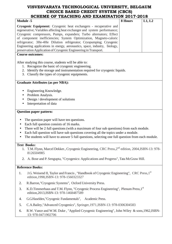| SCAEME OF TEACAING AND EAAMINATION ZUIT-ZUIG                                                                                                                                                                                                                                                                                                                                                                                                                                                                     |         |        |
|------------------------------------------------------------------------------------------------------------------------------------------------------------------------------------------------------------------------------------------------------------------------------------------------------------------------------------------------------------------------------------------------------------------------------------------------------------------------------------------------------------------|---------|--------|
| <b>Module -5</b>                                                                                                                                                                                                                                                                                                                                                                                                                                                                                                 | 8 Hours | L1, L2 |
| Cryogenic Equipment: Cryogenic heat exchangers - recuperative and<br>regenerative; Variables affecting heat exchanger and system performance;<br>Cryogenic compressors, Pumps, expanders; Turbo alternators; Effect<br>of component inefficiencies; System Optimization, Magneto-caloric<br>refrigerator; 3He-4He Dilution refrigerator; Cryopumping; Cryogenic<br>Engineering applications in energy, aeronautics, space, industry, biology,<br>preservation Application of Cryogenic Engineering in Transport. |         |        |
| <b>Course outcomes:</b>                                                                                                                                                                                                                                                                                                                                                                                                                                                                                          |         |        |
| After studying this course, students will be able to:<br>1. Recognize the basic of cryogenic engineering.<br>2. Identify the storage and instrumentation required for cryogenic liquids.<br>3. Classify the types of cryogenic equipments.                                                                                                                                                                                                                                                                       |         |        |
| <b>Graduate Attributes (as per NBA):</b>                                                                                                                                                                                                                                                                                                                                                                                                                                                                         |         |        |
| Engineering Knowledge.<br>$\bullet$<br>Problem Analysis.<br>$\bullet$<br>Design / development of solutions<br>Interpretation of data                                                                                                                                                                                                                                                                                                                                                                             |         |        |
| <b>Question paper pattern:</b>                                                                                                                                                                                                                                                                                                                                                                                                                                                                                   |         |        |
| The question paper will have ten questions.<br>$\bullet$<br>Each full question consists of 16 marks.<br>$\bullet$<br>There will be 2 full questions (with a maximum of four sub questions) from each module.<br>Each full question will have sub questions covering all the topics under a module.<br>The students will have to answer 5 full questions, selecting one full question from each module.<br>$\bullet$                                                                                              |         |        |
| <b>Text Books:</b><br>1. T.M. Flynn, Marcel Dekker., Cryogenic Engineering, CRC Press, 2 <sup>nd</sup> edition, 2004, ISBN-13: 978-<br>8126504985                                                                                                                                                                                                                                                                                                                                                                |         |        |
| A. Bose and P. Sengupta, "Cryogenics: Applications and Progress", Tata McGraw Hill.<br>2.                                                                                                                                                                                                                                                                                                                                                                                                                        |         |        |
| <b>Reference Books:</b>                                                                                                                                                                                                                                                                                                                                                                                                                                                                                          |         |        |
| J.G. Weisend II, Taylor and Francis, "Handbook of Cryogenic Engineering", CRC Press, 1st<br>1.<br>edition, 1998, ISBN-13: 978-1560323327                                                                                                                                                                                                                                                                                                                                                                         |         |        |
| 2.<br>R.Barron, "Cryogenic Systems", Oxford University Press.                                                                                                                                                                                                                                                                                                                                                                                                                                                    |         |        |
| K.D.Timmerhaus and T.M. Flynn, "Cryogenic Process Engineering", Plenum Press, 1st<br>3.<br>edition, 2013, ISBN-13: 978-1468487589                                                                                                                                                                                                                                                                                                                                                                                |         |        |
| G.G.Haselden, "Cryogenic Fundamentals", Academic Press.<br>4.                                                                                                                                                                                                                                                                                                                                                                                                                                                    |         |        |
| C.A.Bailey,"Advanced Cryogenics", Springer, 1971, ISBN-13: 978-0306304583<br>5.                                                                                                                                                                                                                                                                                                                                                                                                                                  |         |        |

6. R.W. Vance and W.M. Duke , "Applied Cryogenic Engineering", John Wiley & sons,1962,ISBN-13: 978-0471902706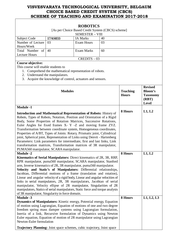|                                                                                                                                                                                                                                                                                                                                                                                                                                                                                                                                                                                                                                                                                                                       |                                                                                                                      | <b>ROBOTICS</b>   |            |                                 |                                                                              |  |  |
|-----------------------------------------------------------------------------------------------------------------------------------------------------------------------------------------------------------------------------------------------------------------------------------------------------------------------------------------------------------------------------------------------------------------------------------------------------------------------------------------------------------------------------------------------------------------------------------------------------------------------------------------------------------------------------------------------------------------------|----------------------------------------------------------------------------------------------------------------------|-------------------|------------|---------------------------------|------------------------------------------------------------------------------|--|--|
| [As per Choice Based Credit System (CBCS) scheme]                                                                                                                                                                                                                                                                                                                                                                                                                                                                                                                                                                                                                                                                     |                                                                                                                      |                   |            |                                 |                                                                              |  |  |
|                                                                                                                                                                                                                                                                                                                                                                                                                                                                                                                                                                                                                                                                                                                       | <b>SEMESTER - VIII</b>                                                                                               |                   |            |                                 |                                                                              |  |  |
| Subject Code                                                                                                                                                                                                                                                                                                                                                                                                                                                                                                                                                                                                                                                                                                          | 17AS833                                                                                                              | <b>IA Marks</b>   | 40         |                                 |                                                                              |  |  |
| Number of Lecture<br>Hours/Week                                                                                                                                                                                                                                                                                                                                                                                                                                                                                                                                                                                                                                                                                       | 03                                                                                                                   | <b>Exam Hours</b> | 03         |                                 |                                                                              |  |  |
| Total Number of<br><b>Lecture Hours</b>                                                                                                                                                                                                                                                                                                                                                                                                                                                                                                                                                                                                                                                                               | 40                                                                                                                   | <b>Exam Marks</b> | 60         |                                 |                                                                              |  |  |
|                                                                                                                                                                                                                                                                                                                                                                                                                                                                                                                                                                                                                                                                                                                       |                                                                                                                      | $CREDITS - 03$    |            |                                 |                                                                              |  |  |
| <b>Course objective:</b>                                                                                                                                                                                                                                                                                                                                                                                                                                                                                                                                                                                                                                                                                              |                                                                                                                      |                   |            |                                 |                                                                              |  |  |
| This course will enable students to<br>1.<br>2. Understand the manipulators.                                                                                                                                                                                                                                                                                                                                                                                                                                                                                                                                                                                                                                          | Comprehend the mathematical representation of robots.<br>3. Acquire the knowledge of control, actuators and sensors. |                   |            |                                 |                                                                              |  |  |
| <b>Modules</b>                                                                                                                                                                                                                                                                                                                                                                                                                                                                                                                                                                                                                                                                                                        |                                                                                                                      |                   |            | <b>Teaching</b><br><b>Hours</b> | <b>Revised</b><br><b>Bloom's</b><br><b>Taxonomy</b><br>(RBT)<br><b>Level</b> |  |  |
| <b>Module -1</b>                                                                                                                                                                                                                                                                                                                                                                                                                                                                                                                                                                                                                                                                                                      |                                                                                                                      |                   |            | 8 Hours                         | L1, L2                                                                       |  |  |
| <b>Introduction and Mathematical Representation of Robots:</b> History of<br>Robots, Types of Robots, Notation, Position and Orientation of a Rigid<br>Body, Some Properties of Rotation Matrices, Successive Rotations,<br>Euler Angles for fixed frames X- Y -Z and moving frame ZYZ.<br>Transformation between coordinate system, Homogeneous coordinates,<br>Properties of A/BT, Types of Joints: Rotary, Prismatic joint, Cylindrical<br>joint, Spherical joint, Representation of Links using Denvit - Hartenberg<br>Parameters: Link parameters for intermediate, first and last links, Link<br>transformation matrices, Transformation matrices of 3R manipulator,<br>PUMA560 manipulator, SCARA manipulator. |                                                                                                                      |                   |            |                                 |                                                                              |  |  |
| <b>Module -2</b><br><b>Kinematics of Serial Manipulators:</b> Direct kinematics of 2R, 3R, RRP,<br>RPR manipulator, puma560 manipulator, SCARA manipulator, Stanford<br>arm, Inverse kinematics of 2R, 3R manipulator, puma560 manipulator.<br>Velocity and Static's of Manipulators: Differential relationships,<br>Jacobian, Differential motions of a frame (translation and rotation),<br>Linear and angular velocity of a rigid body, Linear and angular velocities of<br>links in serial manipulators, 2R, 3R manipulators, Jacobian of serial<br>manipulator, Velocity ellipse of 2R manipulator, Singularities of 2R<br>manipulators, Statics of serial manipulators, Static force and torque analysis        | 8 Hours                                                                                                              | L1, L2            |            |                                 |                                                                              |  |  |
| of 3R manipulator, Singularity in force domain.<br><b>Module -3</b>                                                                                                                                                                                                                                                                                                                                                                                                                                                                                                                                                                                                                                                   |                                                                                                                      | 8 Hours           | L1, L2, L3 |                                 |                                                                              |  |  |
| Dynamics of Manipulators: Kinetic energy, Potential energy, Equation<br>of motion using Lagrangian, Equation of motions of one and two degree<br>freedom spring mass damper systems using Lagrangian formulation,<br>Inertia of a link, Recursive formulation of Dynamics using Newton<br>Euler equation, Equation of motion of 2R manipulator using Lagrangian<br>Newton-Euler formulation<br>Trajectory Planning: Joint space schemes, cubic trajectory, Joint space                                                                                                                                                                                                                                                |                                                                                                                      |                   |            |                                 |                                                                              |  |  |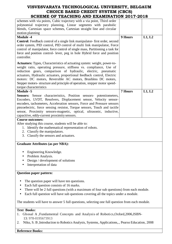| schemes with via points, Cubic trajectory with a via point, Third order                                                                                                                                                                                                                                                                                                                                                                                                    |                |        |  |  |
|----------------------------------------------------------------------------------------------------------------------------------------------------------------------------------------------------------------------------------------------------------------------------------------------------------------------------------------------------------------------------------------------------------------------------------------------------------------------------|----------------|--------|--|--|
| polynomial trajectory planning, Linear segments with parabolic                                                                                                                                                                                                                                                                                                                                                                                                             |                |        |  |  |
| blends, Cartesian space schemes, Cartesian straight line and circular                                                                                                                                                                                                                                                                                                                                                                                                      |                |        |  |  |
| motion planning                                                                                                                                                                                                                                                                                                                                                                                                                                                            |                |        |  |  |
| <b>Module -4</b>                                                                                                                                                                                                                                                                                                                                                                                                                                                           | 9 Hours        | L1, L2 |  |  |
| <b>Control:</b> Feedback control of a single link manipulator-first order, second<br>order system, PID control, PID control of multi link manipulator, Force<br>control of manipulator, force control of single mass, Partitioning a task for<br>force and position control- lever, peg in hole Hybrid force and position<br>controller.                                                                                                                                   |                |        |  |  |
| <b>Actuators:</b> Types, Characteristics of actuating system: weight, power-to-<br>weight ratio, operating pressure, stiffness vs. compliance, Use of<br>reduction gears, comparison of hydraulic, electric, pneumatic<br>actuators, Hydraulic actuators, proportional feedback control, Electric<br>motors: DC motors, Reversible AC motors, Brushless DC motors,<br>Stepper motors- structure and principle of operation, stepper motor speed-<br>torque characteristics |                |        |  |  |
| <b>Module -5</b>                                                                                                                                                                                                                                                                                                                                                                                                                                                           | <b>7 Hours</b> | L1, L2 |  |  |
| Sensors: Sensor characteristics, Position sensors- potentiometers,<br>Encoders, LVDT, Resolvers, Displacement sensor, Velocity sensor-<br>encoders, tachometers, Acceleration sensors, Force and Pressure sensors<br>piezoelectric, force sensing resistor, Torque sensors, Touch and tactile<br>sensor, Proximity sensors-magnetic, optical, ultrasonic, inductive,<br>capacitive, eddy-current proximity sensors.                                                        |                |        |  |  |
| <b>Course outcomes:</b>                                                                                                                                                                                                                                                                                                                                                                                                                                                    |                |        |  |  |
| After studying this course, students will be able to:                                                                                                                                                                                                                                                                                                                                                                                                                      |                |        |  |  |
| 1. Identify the mathematical representation of robots.                                                                                                                                                                                                                                                                                                                                                                                                                     |                |        |  |  |
| 2. Classify the manipulators.                                                                                                                                                                                                                                                                                                                                                                                                                                              |                |        |  |  |
| 3. Classify the sensors and actuators.                                                                                                                                                                                                                                                                                                                                                                                                                                     |                |        |  |  |
| <b>Graduate Attributes (as per NBA):</b>                                                                                                                                                                                                                                                                                                                                                                                                                                   |                |        |  |  |
| Engineering Knowledge.                                                                                                                                                                                                                                                                                                                                                                                                                                                     |                |        |  |  |
| Problem Analysis.                                                                                                                                                                                                                                                                                                                                                                                                                                                          |                |        |  |  |
| Design / development of solutions                                                                                                                                                                                                                                                                                                                                                                                                                                          |                |        |  |  |
| Interpretation of data                                                                                                                                                                                                                                                                                                                                                                                                                                                     |                |        |  |  |
|                                                                                                                                                                                                                                                                                                                                                                                                                                                                            |                |        |  |  |
| <b>Question paper pattern:</b>                                                                                                                                                                                                                                                                                                                                                                                                                                             |                |        |  |  |
| The question paper will have ten questions.<br>Each full question consists of 16 marks.<br>٠<br>There will be 2 full questions (with a maximum of four sub questions) from each module.<br>Each full question will have sub questions covering all the topics under a module.<br>$\bullet$                                                                                                                                                                                 |                |        |  |  |
| The students will have to answer 5 full questions, selecting one full question from each module.                                                                                                                                                                                                                                                                                                                                                                           |                |        |  |  |

#### **Text Books:**

- 1. Ghosal A ,Fundamental Concepts and Analysis of Robotics, Oxford, 2006, ISBN-13: 978-0195673913
- 2. Niku, S. B ,Introduction to Robotics Analysis, Systems, Applications,., Pearso Education, 2008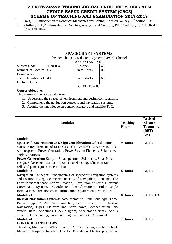- 1. Craig, J. J, Introduction to Robotics: Mechanics and Control, Addison-Welsey, 2<sup>nd</sup> edition, 1989.
- 2. Schilling R. J ,Fundamentals of Robotics, Analysis and Control,., PHI,1<sup>st</sup> edition, 2011, ISBN-13: 978-8120310476

| <b>SPACECRAFT SYSTEMS</b>                                                                                                                    |         |                   |                 |                |                 |  |  |
|----------------------------------------------------------------------------------------------------------------------------------------------|---------|-------------------|-----------------|----------------|-----------------|--|--|
| [As per Choice Based Credit System (CBCS) scheme]<br><b>SEMESTER - VIII</b>                                                                  |         |                   |                 |                |                 |  |  |
| <b>Subject Code</b>                                                                                                                          | 17AS834 | <b>IA Marks</b>   | 40              |                |                 |  |  |
| Number of Lecture                                                                                                                            | 03      | <b>Exam Hours</b> | 03              |                |                 |  |  |
| Hours/Week                                                                                                                                   |         |                   |                 |                |                 |  |  |
| Total Number of                                                                                                                              | 40      | <b>Exam Marks</b> | 60              |                |                 |  |  |
| <b>Lecture Hours</b>                                                                                                                         |         |                   |                 |                |                 |  |  |
|                                                                                                                                              |         | $CREDITS - 03$    |                 |                |                 |  |  |
| Course objective:                                                                                                                            |         |                   |                 |                |                 |  |  |
| This course will enable students to                                                                                                          |         |                   |                 |                |                 |  |  |
| 1. Understand the spacecraft environment and design consideration.                                                                           |         |                   |                 |                |                 |  |  |
| Comprehend the navigation concepts and navigation systems.<br>2.                                                                             |         |                   |                 |                |                 |  |  |
| Acquire the knowledge on control actuators and satellite TTC.<br>3.                                                                          |         |                   |                 |                |                 |  |  |
|                                                                                                                                              |         |                   |                 |                |                 |  |  |
|                                                                                                                                              |         |                   |                 |                |                 |  |  |
|                                                                                                                                              |         |                   |                 |                | <b>Revised</b>  |  |  |
| <b>Modules</b>                                                                                                                               |         |                   | <b>Teaching</b> | <b>Bloom's</b> |                 |  |  |
|                                                                                                                                              |         |                   |                 | <b>Hours</b>   | <b>Taxonomy</b> |  |  |
|                                                                                                                                              |         |                   |                 |                | (RBT)           |  |  |
|                                                                                                                                              |         |                   |                 |                | <b>Level</b>    |  |  |
| <b>Module -1</b>                                                                                                                             |         |                   |                 |                |                 |  |  |
| Spacecraft Environment & Design Consideration: Orbit definition                                                                              |         |                   |                 | 9 Hours        | L1, L2          |  |  |
| /Mission Requirements of LEO, GEO, GTO & HEO, Lunar orbits, IPO                                                                              |         |                   |                 |                |                 |  |  |
| with respect to Power Generation, Power System Elements, Solar aspect                                                                        |         |                   |                 |                |                 |  |  |
| angle Variations.                                                                                                                            |         |                   |                 |                |                 |  |  |
| Power Generation: Study of Solar spectrum, Solar cells, Solar Panel                                                                          |         |                   |                 |                |                 |  |  |
| design, Solar Panel Realization, Solar Panel testing, Effects of Solar                                                                       |         |                   |                 |                |                 |  |  |
| cells and panels (IR, UV, Particles)                                                                                                         |         |                   |                 |                |                 |  |  |
| <b>Module -2</b>                                                                                                                             |         |                   |                 | 8 Hours        | L1, L2          |  |  |
| Navigation Concepts: Fundamentals of spacecraft navigation systems                                                                           |         |                   |                 |                |                 |  |  |
| and Position Fixing, Geometric concepts of Navigation, Elements, The                                                                         |         |                   |                 |                |                 |  |  |
| Earth in inertial space, Earth's Rotation, Revolution of Earth, Different                                                                    |         |                   |                 |                |                 |  |  |
| Systems,<br>Coordinates Transformation, Euler angle<br>Coordinate<br>formulations, Direction cosine formulation, Quaternion formulation.     |         |                   |                 |                |                 |  |  |
|                                                                                                                                              |         |                   |                 |                |                 |  |  |
| <b>Module -3</b>                                                                                                                             |         |                   |                 | 8 Hours        | L1, L2, L3      |  |  |
| <b>Inertial Navigation Systems:</b> Accelerometers, Pendulous type, Force<br>Balance type, MEMs Accelerometers, Basic Principles of Inertial |         |                   |                 |                |                 |  |  |
|                                                                                                                                              |         |                   |                 |                |                 |  |  |
| Navigation, Types, Platform and Strap down, Mechanization INS<br>system, Rate Corrections, Block diagram, Acceleration errors, Coriolis      |         |                   |                 |                |                 |  |  |
| effect, Schuler Tuning, Cross coupling, Gimbal lock, Alignment                                                                               |         |                   |                 |                |                 |  |  |
| <b>Module -4</b>                                                                                                                             |         |                   |                 | <b>7 Hours</b> | L1, L2          |  |  |
| <b>CONTROL ACTUATORS</b>                                                                                                                     |         |                   |                 |                |                 |  |  |
|                                                                                                                                              |         |                   |                 |                |                 |  |  |
| Thrusters, Momentum Wheel, Control Moment Gyros, reaction wheel,<br>Magnetic Torquers, Reaction Jets, Ion Propulsion, Electric propulsion,   |         |                   |                 |                |                 |  |  |